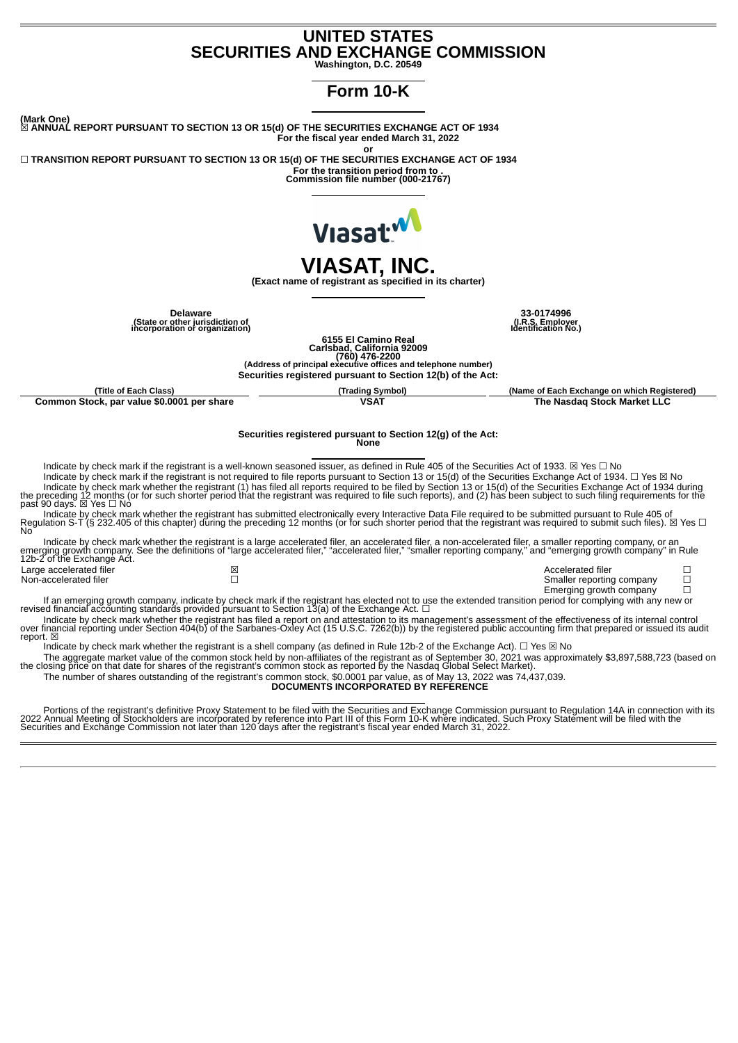# **UNITED STATES SECURITIES AND EXCHANGE COMMISSION**

**Washington, D.C. 20549**

# **Form 10-K**

**(Mark One)** ☒ **ANNUAL REPORT PURSUANT TO SECTION <sup>13</sup> OR 15(d) OF THE SECURITIES EXCHANGE ACT OF <sup>1934</sup> For the fiscal year ended March 31, 2022 or**

☐ **TRANSITION REPORT PURSUANT TO SECTION 13 OR 15(d) OF THE SECURITIES EXCHANGE ACT OF 1934 For the transition period from to . Commission file number (000-21767)**





# **VIASAT, INC.**

**(Exact name of registrant as specified in its charter)**

**Delaware 33-0174996 (State or other jurisdiction of incorporation or organization)**

**6155 El Camino Real Carlsbad, California 92009 (760) 476-2200 (Address of principal executive offices and telephone number)**

**Securities registered pursuant to Section 12(b) of the Act:**

**Common Stock, par value \$0.0001 per share VSAT The Nasdaq Stock Market LLC**

**(Title of Each Class) (Trading Symbol) (Name of Each Exchange on which Registered)**

**Securities registered pursuant to Section 12(g) of the Act: None**

Indicate by check mark if the registrant is a well-known seasoned issuer, as defined in Rule 405 of the Securities Act of 1933. ⊠ Yes □ No<br>Indicate by check mark if the registrant is not required to file reports pursuant

Indicate by check mark if the registrant is not required to file reports pursuant to Section 13 or 15(d) of the Securities Exchange Act of 1934. □ Yes ⊠ No Indicate by check mark whether the registrant (1) has filed all reports required to be filed by Section 13 or 15(d) of the Securities Exchange Act of 1934 during<br>the preceding 12 months (or for such shorter period that th

Indicate by check mark whether the registrant has submitted electronically every Interactive Data File required to be submitted pursuant to Rule 405 of<br>πegulation S-T (§ 232.405 of this chapter) during the preceding 12 mo No

Indicate by check mark whether the registrant is a large accelerated filer, an accelerated filer, a non-accelerated filer, a smaller reporting company, or an<br>emerging growth company. See the definitions of "large accelerat

Large accelerated filer ☒ Accelerated filer ☐ Non-accelerated filer ☐ Smaller reporting company ☐ Emerging growth company  $\Box$ 

If an emerging growth company, indicate by check mark if the registrant has elected not to use the extended transition period for complying with any new or<br>The Exchange Act.  $\Box$  are extended francial accounting standards

Indicate by check mark whether the registrant has filed a report on and attestation to its management's assessment of the effectiveness of its internal control<br>over financial reporting under Section 404(b) of the Sarbanes

Indicate by check mark whether the registrant is a shell company (as defined in Rule 12b-2 of the Exchange Act). ☐ Yes ☒ No

The aggregate market value of the common stock held by non-affiliates of the registrant as of September 30, 2021 was approximately \$3,897,588,723 (based on<br>the closing price on that date for shares of the registrant's comm

The number of shares outstanding of the registrant's common stock, \$0.0001 par value, as of May 13, 2022 was 74,437,039. **DOCUMENTS INCORPORATED BY REFERENCE**

Portions of the registrant's definitive Proxy Statement to be filed with the Securities and Exchange Commission pursuant to Regulation 14A in connection with its<br>2022 Annual Meeting of Stockholders are incorporated by refe

**(I.R.S. Employer Identification No.)**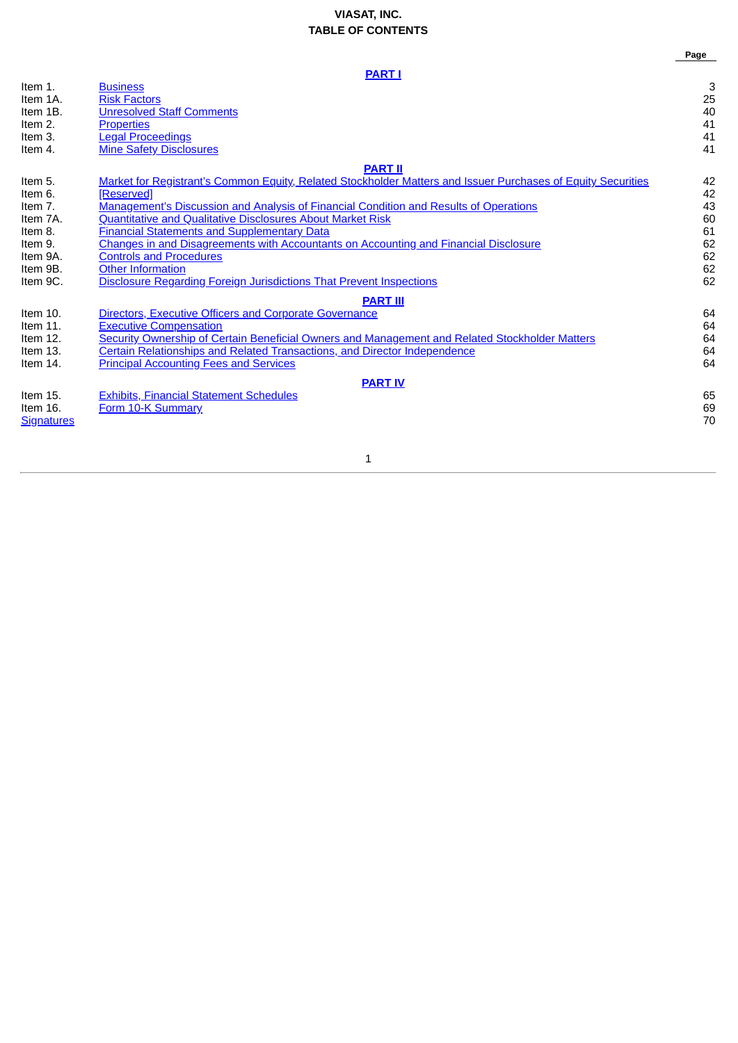# **VIASAT, INC. TABLE OF CONTENTS**

|                   |                                                                                                              | Page |
|-------------------|--------------------------------------------------------------------------------------------------------------|------|
|                   | <b>PART I</b>                                                                                                |      |
| Item 1.           | <b>Business</b>                                                                                              | 3    |
| Item 1A.          | <b>Risk Factors</b>                                                                                          | 25   |
| Item 1B.          | <b>Unresolved Staff Comments</b>                                                                             | 40   |
| Item 2.           | <b>Properties</b>                                                                                            | 41   |
| Item 3.           | <b>Legal Proceedings</b>                                                                                     | 41   |
| Item 4.           | <b>Mine Safety Disclosures</b>                                                                               | 41   |
|                   | <b>PART II</b>                                                                                               |      |
| Item 5.           | Market for Registrant's Common Equity, Related Stockholder Matters and Issuer Purchases of Equity Securities | 42   |
| Item 6.           | <b>IReservedl</b>                                                                                            | 42   |
| Item 7.           | <b>Management's Discussion and Analysis of Financial Condition and Results of Operations</b>                 | 43   |
| Item 7A.          | <b>Quantitative and Qualitative Disclosures About Market Risk</b>                                            | 60   |
| Item 8.           | <b>Financial Statements and Supplementary Data</b>                                                           | 61   |
| Item 9.           | <b>Changes in and Disagreements with Accountants on Accounting and Financial Disclosure</b>                  | 62   |
| Item 9A.          | <b>Controls and Procedures</b>                                                                               | 62   |
| Item 9B.          | <b>Other Information</b>                                                                                     | 62   |
| Item 9C.          | <b>Disclosure Regarding Foreign Jurisdictions That Prevent Inspections</b>                                   | 62   |
|                   | <b>PART III</b>                                                                                              |      |
| Item $10.$        | <b>Directors, Executive Officers and Corporate Governance</b>                                                | 64   |
| Item 11.          | <b>Executive Compensation</b>                                                                                | 64   |
| Item $12$ .       | Security Ownership of Certain Beneficial Owners and Management and Related Stockholder Matters               | 64   |
| Item $13.$        | <b>Certain Relationships and Related Transactions, and Director Independence</b>                             | 64   |
| Item $14$ .       | <b>Principal Accounting Fees and Services</b>                                                                | 64   |
|                   | <b>PART IV</b>                                                                                               |      |
| Item $15.$        | <b>Exhibits, Financial Statement Schedules</b>                                                               | 65   |
| Item 16.          | Form 10-K Summary                                                                                            | 69   |
| <b>Signatures</b> |                                                                                                              | 70   |
|                   |                                                                                                              |      |
|                   |                                                                                                              |      |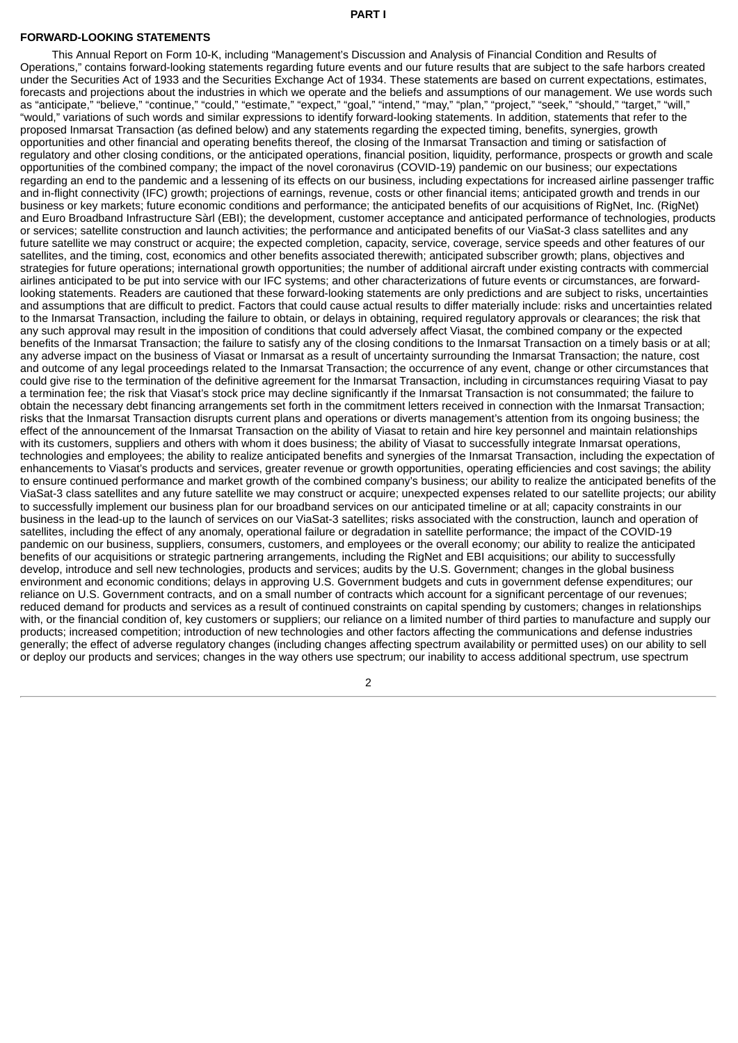#### <span id="page-2-0"></span>**FORWARD-LOOKING STATEMENTS**

This Annual Report on Form 10-K, including "Management's Discussion and Analysis of Financial Condition and Results of Operations," contains forward-looking statements regarding future events and our future results that are subject to the safe harbors created under the Securities Act of 1933 and the Securities Exchange Act of 1934. These statements are based on current expectations, estimates, forecasts and projections about the industries in which we operate and the beliefs and assumptions of our management. We use words such as "anticipate," "believe," "continue," "could," "estimate," "expect," "goal," "intend," "may," "plan," "project," "seek," "should," "target," "will," "would," variations of such words and similar expressions to identify forward-looking statements. In addition, statements that refer to the proposed Inmarsat Transaction (as defined below) and any statements regarding the expected timing, benefits, synergies, growth opportunities and other financial and operating benefits thereof, the closing of the Inmarsat Transaction and timing or satisfaction of regulatory and other closing conditions, or the anticipated operations, financial position, liquidity, performance, prospects or growth and scale opportunities of the combined company; the impact of the novel coronavirus (COVID-19) pandemic on our business; our expectations regarding an end to the pandemic and a lessening of its effects on our business, including expectations for increased airline passenger traffic and in-flight connectivity (IFC) growth; projections of earnings, revenue, costs or other financial items; anticipated growth and trends in our business or key markets; future economic conditions and performance; the anticipated benefits of our acquisitions of RigNet, Inc. (RigNet) and Euro Broadband Infrastructure Sàrl (EBI); the development, customer acceptance and anticipated performance of technologies, products or services; satellite construction and launch activities; the performance and anticipated benefits of our ViaSat-3 class satellites and any future satellite we may construct or acquire; the expected completion, capacity, service, coverage, service speeds and other features of our satellites, and the timing, cost, economics and other benefits associated therewith; anticipated subscriber growth; plans, objectives and strategies for future operations; international growth opportunities; the number of additional aircraft under existing contracts with commercial airlines anticipated to be put into service with our IFC systems; and other characterizations of future events or circumstances, are forwardlooking statements. Readers are cautioned that these forward-looking statements are only predictions and are subject to risks, uncertainties and assumptions that are difficult to predict. Factors that could cause actual results to differ materially include: risks and uncertainties related to the Inmarsat Transaction, including the failure to obtain, or delays in obtaining, required regulatory approvals or clearances; the risk that any such approval may result in the imposition of conditions that could adversely affect Viasat, the combined company or the expected benefits of the Inmarsat Transaction; the failure to satisfy any of the closing conditions to the Inmarsat Transaction on a timely basis or at all; any adverse impact on the business of Viasat or Inmarsat as a result of uncertainty surrounding the Inmarsat Transaction; the nature, cost and outcome of any legal proceedings related to the Inmarsat Transaction; the occurrence of any event, change or other circumstances that could give rise to the termination of the definitive agreement for the Inmarsat Transaction, including in circumstances requiring Viasat to pay a termination fee; the risk that Viasat's stock price may decline significantly if the Inmarsat Transaction is not consummated; the failure to obtain the necessary debt financing arrangements set forth in the commitment letters received in connection with the Inmarsat Transaction; risks that the Inmarsat Transaction disrupts current plans and operations or diverts management's attention from its ongoing business; the effect of the announcement of the Inmarsat Transaction on the ability of Viasat to retain and hire key personnel and maintain relationships with its customers, suppliers and others with whom it does business; the ability of Viasat to successfully integrate Inmarsat operations, technologies and employees; the ability to realize anticipated benefits and synergies of the Inmarsat Transaction, including the expectation of enhancements to Viasat's products and services, greater revenue or growth opportunities, operating efficiencies and cost savings; the ability to ensure continued performance and market growth of the combined company's business; our ability to realize the anticipated benefits of the ViaSat-3 class satellites and any future satellite we may construct or acquire; unexpected expenses related to our satellite projects; our ability to successfully implement our business plan for our broadband services on our anticipated timeline or at all; capacity constraints in our business in the lead-up to the launch of services on our ViaSat-3 satellites; risks associated with the construction, launch and operation of satellites, including the effect of any anomaly, operational failure or degradation in satellite performance; the impact of the COVID-19 pandemic on our business, suppliers, consumers, customers, and employees or the overall economy; our ability to realize the anticipated benefits of our acquisitions or strategic partnering arrangements, including the RigNet and EBI acquisitions; our ability to successfully develop, introduce and sell new technologies, products and services; audits by the U.S. Government; changes in the global business environment and economic conditions; delays in approving U.S. Government budgets and cuts in government defense expenditures; our reliance on U.S. Government contracts, and on a small number of contracts which account for a significant percentage of our revenues; reduced demand for products and services as a result of continued constraints on capital spending by customers; changes in relationships with, or the financial condition of, key customers or suppliers; our reliance on a limited number of third parties to manufacture and supply our products; increased competition; introduction of new technologies and other factors affecting the communications and defense industries generally; the effect of adverse regulatory changes (including changes affecting spectrum availability or permitted uses) on our ability to sell

 $\overline{\phantom{0}}$ 

or deploy our products and services; changes in the way others use spectrum; our inability to access additional spectrum, use spectrum

# **PART I**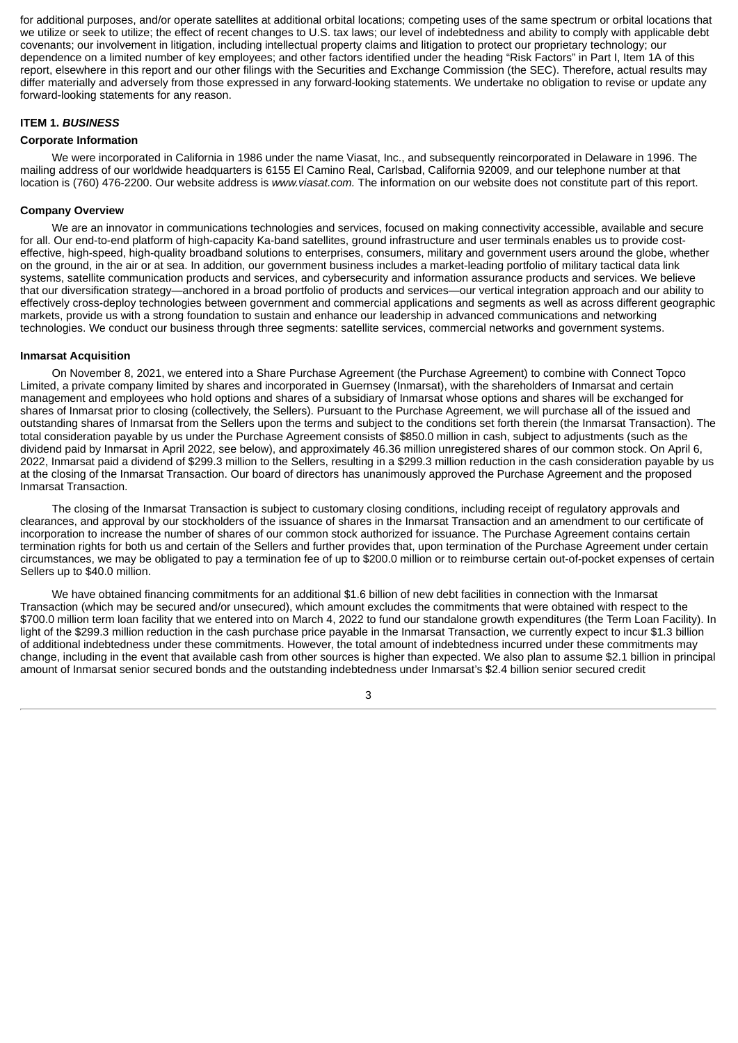for additional purposes, and/or operate satellites at additional orbital locations; competing uses of the same spectrum or orbital locations that we utilize or seek to utilize; the effect of recent changes to U.S. tax laws; our level of indebtedness and ability to comply with applicable debt covenants; our involvement in litigation, including intellectual property claims and litigation to protect our proprietary technology; our dependence on a limited number of key employees; and other factors identified under the heading "Risk Factors" in Part I, Item 1A of this report, elsewhere in this report and our other filings with the Securities and Exchange Commission (the SEC). Therefore, actual results may differ materially and adversely from those expressed in any forward-looking statements. We undertake no obligation to revise or update any forward-looking statements for any reason.

# <span id="page-3-0"></span>**ITEM 1.** *BUSINESS*

# **Corporate Information**

We were incorporated in California in 1986 under the name Viasat, Inc., and subsequently reincorporated in Delaware in 1996. The mailing address of our worldwide headquarters is 6155 El Camino Real, Carlsbad, California 92009, and our telephone number at that location is (760) 476-2200. Our website address is *www.viasat.com.* The information on our website does not constitute part of this report.

# **Company Overview**

We are an innovator in communications technologies and services, focused on making connectivity accessible, available and secure for all. Our end-to-end platform of high-capacity Ka-band satellites, ground infrastructure and user terminals enables us to provide costeffective, high-speed, high-quality broadband solutions to enterprises, consumers, military and government users around the globe, whether on the ground, in the air or at sea. In addition, our government business includes a market-leading portfolio of military tactical data link systems, satellite communication products and services, and cybersecurity and information assurance products and services. We believe that our diversification strategy—anchored in a broad portfolio of products and services—our vertical integration approach and our ability to effectively cross-deploy technologies between government and commercial applications and segments as well as across different geographic markets, provide us with a strong foundation to sustain and enhance our leadership in advanced communications and networking technologies. We conduct our business through three segments: satellite services, commercial networks and government systems.

# **Inmarsat Acquisition**

On November 8, 2021, we entered into a Share Purchase Agreement (the Purchase Agreement) to combine with Connect Topco Limited, a private company limited by shares and incorporated in Guernsey (Inmarsat), with the shareholders of Inmarsat and certain management and employees who hold options and shares of a subsidiary of Inmarsat whose options and shares will be exchanged for shares of Inmarsat prior to closing (collectively, the Sellers). Pursuant to the Purchase Agreement, we will purchase all of the issued and outstanding shares of Inmarsat from the Sellers upon the terms and subject to the conditions set forth therein (the Inmarsat Transaction). The total consideration payable by us under the Purchase Agreement consists of \$850.0 million in cash, subject to adjustments (such as the dividend paid by Inmarsat in April 2022, see below), and approximately 46.36 million unregistered shares of our common stock. On April 6, 2022, Inmarsat paid a dividend of \$299.3 million to the Sellers, resulting in a \$299.3 million reduction in the cash consideration payable by us at the closing of the Inmarsat Transaction. Our board of directors has unanimously approved the Purchase Agreement and the proposed Inmarsat Transaction.

The closing of the Inmarsat Transaction is subject to customary closing conditions, including receipt of regulatory approvals and clearances, and approval by our stockholders of the issuance of shares in the Inmarsat Transaction and an amendment to our certificate of incorporation to increase the number of shares of our common stock authorized for issuance. The Purchase Agreement contains certain termination rights for both us and certain of the Sellers and further provides that, upon termination of the Purchase Agreement under certain circumstances, we may be obligated to pay a termination fee of up to \$200.0 million or to reimburse certain out-of-pocket expenses of certain Sellers up to \$40.0 million.

We have obtained financing commitments for an additional \$1.6 billion of new debt facilities in connection with the Inmarsat Transaction (which may be secured and/or unsecured), which amount excludes the commitments that were obtained with respect to the \$700.0 million term loan facility that we entered into on March 4, 2022 to fund our standalone growth expenditures (the Term Loan Facility). In light of the \$299.3 million reduction in the cash purchase price payable in the Inmarsat Transaction, we currently expect to incur \$1.3 billion of additional indebtedness under these commitments. However, the total amount of indebtedness incurred under these commitments may change, including in the event that available cash from other sources is higher than expected. We also plan to assume \$2.1 billion in principal amount of Inmarsat senior secured bonds and the outstanding indebtedness under Inmarsat's \$2.4 billion senior secured credit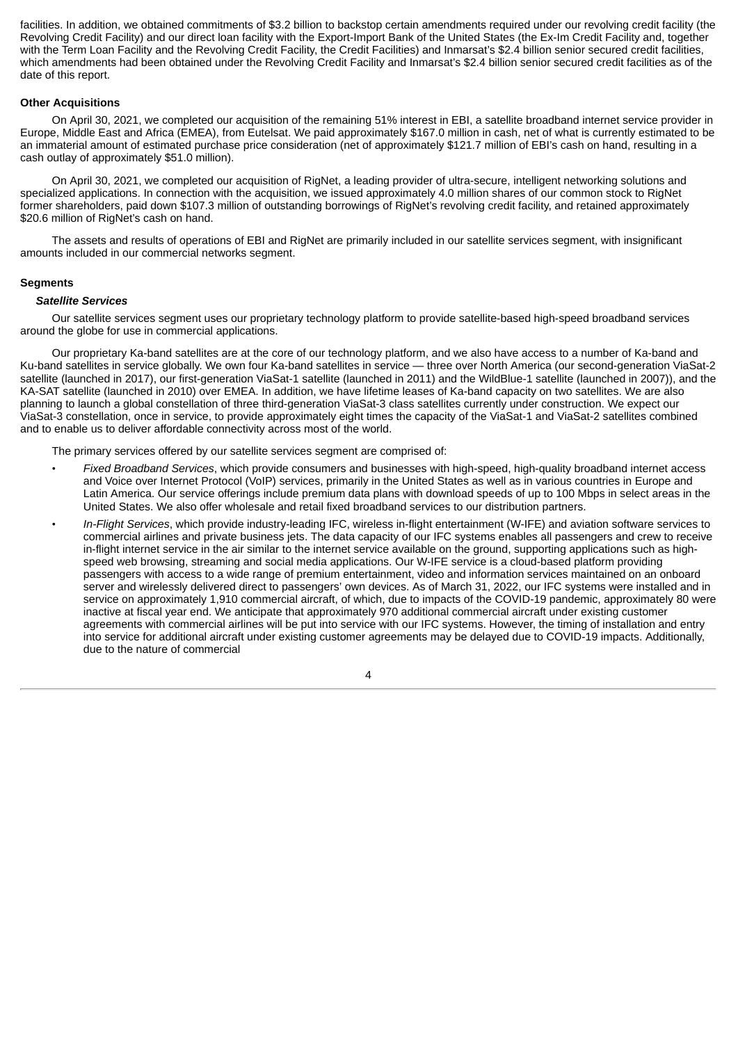facilities. In addition, we obtained commitments of \$3.2 billion to backstop certain amendments required under our revolving credit facility (the Revolving Credit Facility) and our direct loan facility with the Export-Import Bank of the United States (the Ex-Im Credit Facility and, together with the Term Loan Facility and the Revolving Credit Facility, the Credit Facilities) and Inmarsat's \$2.4 billion senior secured credit facilities, which amendments had been obtained under the Revolving Credit Facility and Inmarsat's \$2.4 billion senior secured credit facilities as of the date of this report.

# **Other Acquisitions**

On April 30, 2021, we completed our acquisition of the remaining 51% interest in EBI, a satellite broadband internet service provider in Europe, Middle East and Africa (EMEA), from Eutelsat. We paid approximately \$167.0 million in cash, net of what is currently estimated to be an immaterial amount of estimated purchase price consideration (net of approximately \$121.7 million of EBI's cash on hand, resulting in a cash outlay of approximately \$51.0 million).

On April 30, 2021, we completed our acquisition of RigNet, a leading provider of ultra-secure, intelligent networking solutions and specialized applications. In connection with the acquisition, we issued approximately 4.0 million shares of our common stock to RigNet former shareholders, paid down \$107.3 million of outstanding borrowings of RigNet's revolving credit facility, and retained approximately \$20.6 million of RigNet's cash on hand.

The assets and results of operations of EBI and RigNet are primarily included in our satellite services segment, with insignificant amounts included in our commercial networks segment.

# **Segments**

#### *Satellite Services*

Our satellite services segment uses our proprietary technology platform to provide satellite-based high-speed broadband services around the globe for use in commercial applications.

Our proprietary Ka-band satellites are at the core of our technology platform, and we also have access to a number of Ka-band and Ku-band satellites in service globally. We own four Ka-band satellites in service — three over North America (our second-generation ViaSat-2 satellite (launched in 2017), our first-generation ViaSat-1 satellite (launched in 2011) and the WildBlue-1 satellite (launched in 2007)), and the KA-SAT satellite (launched in 2010) over EMEA. In addition, we have lifetime leases of Ka-band capacity on two satellites. We are also planning to launch a global constellation of three third-generation ViaSat-3 class satellites currently under construction. We expect our ViaSat-3 constellation, once in service, to provide approximately eight times the capacity of the ViaSat-1 and ViaSat-2 satellites combined and to enable us to deliver affordable connectivity across most of the world.

The primary services offered by our satellite services segment are comprised of:

- *Fixed Broadband Services*, which provide consumers and businesses with high-speed, high-quality broadband internet access and Voice over Internet Protocol (VoIP) services, primarily in the United States as well as in various countries in Europe and Latin America. Our service offerings include premium data plans with download speeds of up to 100 Mbps in select areas in the United States. We also offer wholesale and retail fixed broadband services to our distribution partners.
- *In-Flight Services*, which provide industry-leading IFC, wireless in-flight entertainment (W-IFE) and aviation software services to commercial airlines and private business jets. The data capacity of our IFC systems enables all passengers and crew to receive in-flight internet service in the air similar to the internet service available on the ground, supporting applications such as highspeed web browsing, streaming and social media applications. Our W-IFE service is a cloud-based platform providing passengers with access to a wide range of premium entertainment, video and information services maintained on an onboard server and wirelessly delivered direct to passengers' own devices. As of March 31, 2022, our IFC systems were installed and in service on approximately 1,910 commercial aircraft, of which, due to impacts of the COVID-19 pandemic, approximately 80 were inactive at fiscal year end. We anticipate that approximately 970 additional commercial aircraft under existing customer agreements with commercial airlines will be put into service with our IFC systems. However, the timing of installation and entry into service for additional aircraft under existing customer agreements may be delayed due to COVID-19 impacts. Additionally, due to the nature of commercial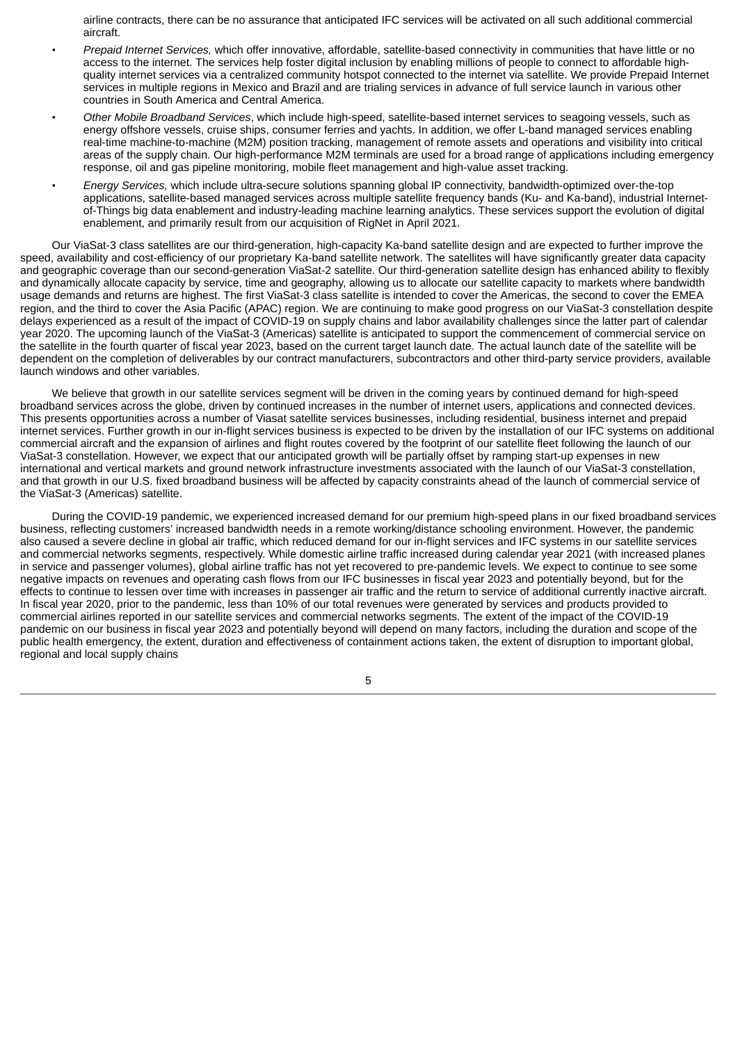airline contracts, there can be no assurance that anticipated IFC services will be activated on all such additional commercial aircraft.

- *Prepaid Internet Services,* which offer innovative, affordable, satellite-based connectivity in communities that have little or no access to the internet. The services help foster digital inclusion by enabling millions of people to connect to affordable highquality internet services via a centralized community hotspot connected to the internet via satellite. We provide Prepaid Internet services in multiple regions in Mexico and Brazil and are trialing services in advance of full service launch in various other countries in South America and Central America.
- *Other Mobile Broadband Services*, which include high-speed, satellite-based internet services to seagoing vessels, such as energy offshore vessels, cruise ships, consumer ferries and yachts. In addition, we offer L-band managed services enabling real-time machine-to-machine (M2M) position tracking, management of remote assets and operations and visibility into critical areas of the supply chain. Our high-performance M2M terminals are used for a broad range of applications including emergency response, oil and gas pipeline monitoring, mobile fleet management and high-value asset tracking.
- *Energy Services,* which include ultra-secure solutions spanning global IP connectivity, bandwidth-optimized over-the-top applications, satellite-based managed services across multiple satellite frequency bands (Ku- and Ka-band), industrial Internetof-Things big data enablement and industry-leading machine learning analytics. These services support the evolution of digital enablement, and primarily result from our acquisition of RigNet in April 2021.

Our ViaSat-3 class satellites are our third-generation, high-capacity Ka-band satellite design and are expected to further improve the speed, availability and cost-efficiency of our proprietary Ka-band satellite network. The satellites will have significantly greater data capacity and geographic coverage than our second-generation ViaSat-2 satellite. Our third-generation satellite design has enhanced ability to flexibly and dynamically allocate capacity by service, time and geography, allowing us to allocate our satellite capacity to markets where bandwidth usage demands and returns are highest. The first ViaSat-3 class satellite is intended to cover the Americas, the second to cover the EMEA region, and the third to cover the Asia Pacific (APAC) region. We are continuing to make good progress on our ViaSat-3 constellation despite delays experienced as a result of the impact of COVID-19 on supply chains and labor availability challenges since the latter part of calendar year 2020. The upcoming launch of the ViaSat-3 (Americas) satellite is anticipated to support the commencement of commercial service on the satellite in the fourth quarter of fiscal year 2023, based on the current target launch date. The actual launch date of the satellite will be dependent on the completion of deliverables by our contract manufacturers, subcontractors and other third-party service providers, available launch windows and other variables.

We believe that growth in our satellite services segment will be driven in the coming years by continued demand for high-speed broadband services across the globe, driven by continued increases in the number of internet users, applications and connected devices. This presents opportunities across a number of Viasat satellite services businesses, including residential, business internet and prepaid internet services. Further growth in our in-flight services business is expected to be driven by the installation of our IFC systems on additional commercial aircraft and the expansion of airlines and flight routes covered by the footprint of our satellite fleet following the launch of our ViaSat-3 constellation. However, we expect that our anticipated growth will be partially offset by ramping start-up expenses in new international and vertical markets and ground network infrastructure investments associated with the launch of our ViaSat-3 constellation, and that growth in our U.S. fixed broadband business will be affected by capacity constraints ahead of the launch of commercial service of the ViaSat-3 (Americas) satellite.

During the COVID-19 pandemic, we experienced increased demand for our premium high-speed plans in our fixed broadband services business, reflecting customers' increased bandwidth needs in a remote working/distance schooling environment. However, the pandemic also caused a severe decline in global air traffic, which reduced demand for our in-flight services and IFC systems in our satellite services and commercial networks segments, respectively. While domestic airline traffic increased during calendar year 2021 (with increased planes in service and passenger volumes), global airline traffic has not yet recovered to pre-pandemic levels. We expect to continue to see some negative impacts on revenues and operating cash flows from our IFC businesses in fiscal year 2023 and potentially beyond, but for the effects to continue to lessen over time with increases in passenger air traffic and the return to service of additional currently inactive aircraft. In fiscal year 2020, prior to the pandemic, less than 10% of our total revenues were generated by services and products provided to commercial airlines reported in our satellite services and commercial networks segments. The extent of the impact of the COVID-19 pandemic on our business in fiscal year 2023 and potentially beyond will depend on many factors, including the duration and scope of the public health emergency, the extent, duration and effectiveness of containment actions taken, the extent of disruption to important global, regional and local supply chains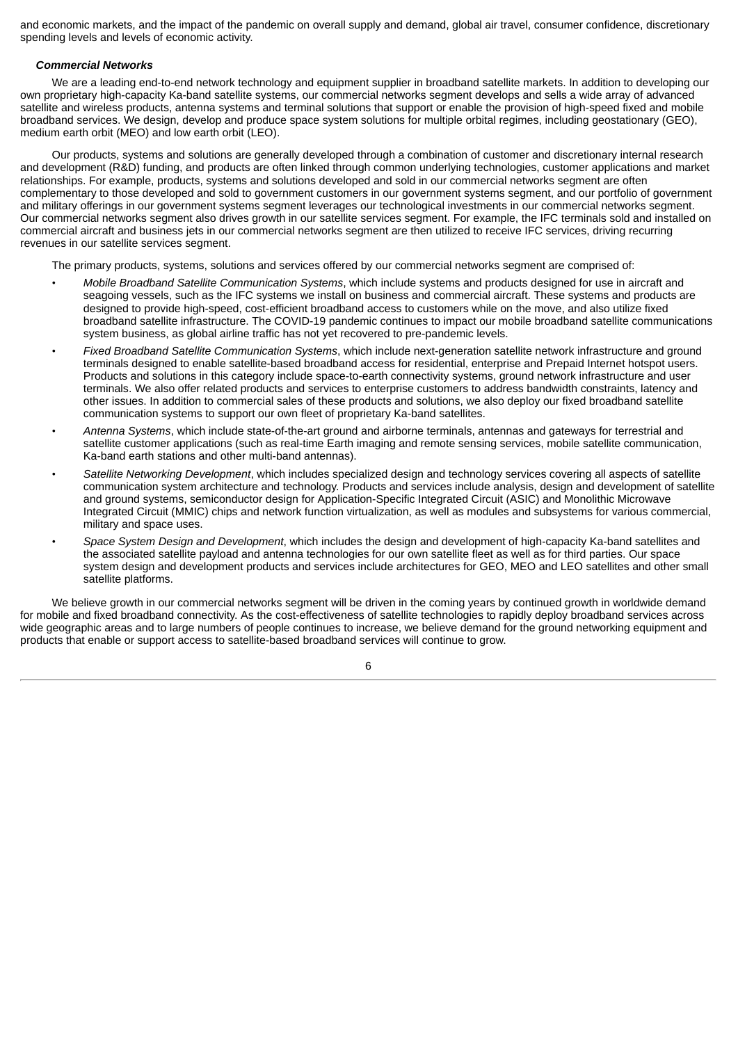and economic markets, and the impact of the pandemic on overall supply and demand, global air travel, consumer confidence, discretionary spending levels and levels of economic activity.

# *Commercial Networks*

We are a leading end-to-end network technology and equipment supplier in broadband satellite markets. In addition to developing our own proprietary high-capacity Ka-band satellite systems, our commercial networks segment develops and sells a wide array of advanced satellite and wireless products, antenna systems and terminal solutions that support or enable the provision of high-speed fixed and mobile broadband services. We design, develop and produce space system solutions for multiple orbital regimes, including geostationary (GEO), medium earth orbit (MEO) and low earth orbit (LEO).

Our products, systems and solutions are generally developed through a combination of customer and discretionary internal research and development (R&D) funding, and products are often linked through common underlying technologies, customer applications and market relationships. For example, products, systems and solutions developed and sold in our commercial networks segment are often complementary to those developed and sold to government customers in our government systems segment, and our portfolio of government and military offerings in our government systems segment leverages our technological investments in our commercial networks segment. Our commercial networks segment also drives growth in our satellite services segment. For example, the IFC terminals sold and installed on commercial aircraft and business jets in our commercial networks segment are then utilized to receive IFC services, driving recurring revenues in our satellite services segment.

The primary products, systems, solutions and services offered by our commercial networks segment are comprised of:

- *Mobile Broadband Satellite Communication Systems*, which include systems and products designed for use in aircraft and seagoing vessels, such as the IFC systems we install on business and commercial aircraft. These systems and products are designed to provide high-speed, cost-efficient broadband access to customers while on the move, and also utilize fixed broadband satellite infrastructure. The COVID-19 pandemic continues to impact our mobile broadband satellite communications system business, as global airline traffic has not yet recovered to pre-pandemic levels.
- *Fixed Broadband Satellite Communication Systems*, which include next-generation satellite network infrastructure and ground terminals designed to enable satellite-based broadband access for residential, enterprise and Prepaid Internet hotspot users. Products and solutions in this category include space-to-earth connectivity systems, ground network infrastructure and user terminals. We also offer related products and services to enterprise customers to address bandwidth constraints, latency and other issues. In addition to commercial sales of these products and solutions, we also deploy our fixed broadband satellite communication systems to support our own fleet of proprietary Ka-band satellites.
- *Antenna Systems*, which include state-of-the-art ground and airborne terminals, antennas and gateways for terrestrial and satellite customer applications (such as real-time Earth imaging and remote sensing services, mobile satellite communication, Ka-band earth stations and other multi-band antennas).
- *Satellite Networking Development*, which includes specialized design and technology services covering all aspects of satellite communication system architecture and technology. Products and services include analysis, design and development of satellite and ground systems, semiconductor design for Application-Specific Integrated Circuit (ASIC) and Monolithic Microwave Integrated Circuit (MMIC) chips and network function virtualization, as well as modules and subsystems for various commercial, military and space uses.
- *Space System Design and Development*, which includes the design and development of high-capacity Ka-band satellites and the associated satellite payload and antenna technologies for our own satellite fleet as well as for third parties. Our space system design and development products and services include architectures for GEO, MEO and LEO satellites and other small satellite platforms.

We believe growth in our commercial networks segment will be driven in the coming years by continued growth in worldwide demand for mobile and fixed broadband connectivity. As the cost-effectiveness of satellite technologies to rapidly deploy broadband services across wide geographic areas and to large numbers of people continues to increase, we believe demand for the ground networking equipment and products that enable or support access to satellite-based broadband services will continue to grow.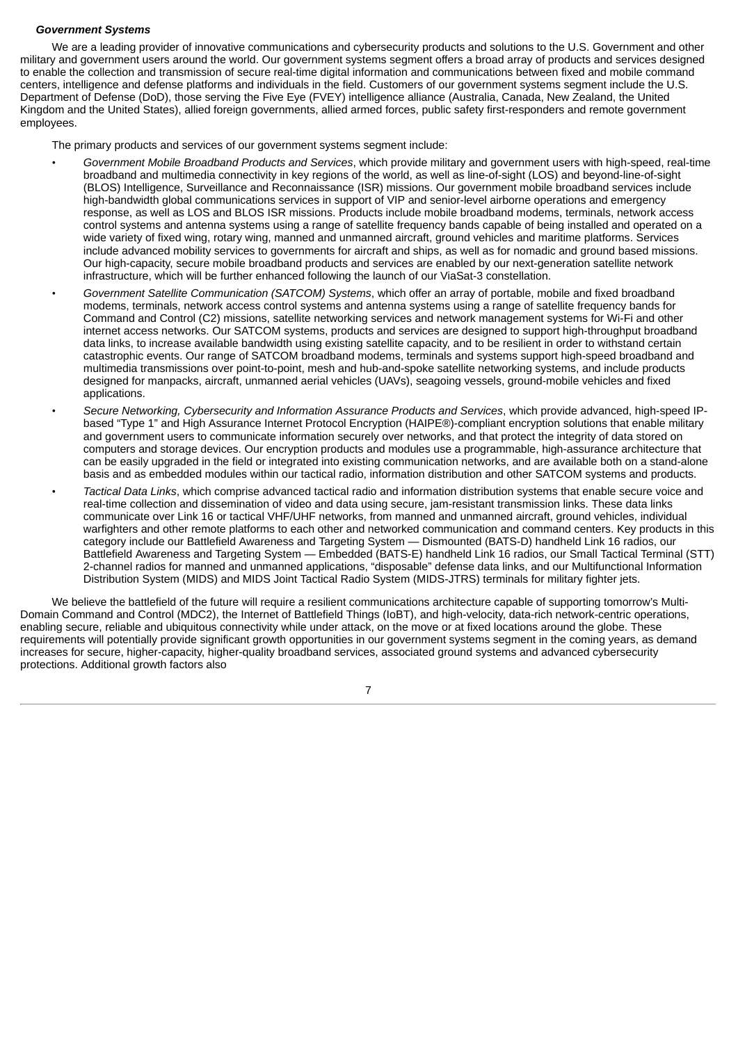# *Government Systems*

We are a leading provider of innovative communications and cybersecurity products and solutions to the U.S. Government and other military and government users around the world. Our government systems segment offers a broad array of products and services designed to enable the collection and transmission of secure real-time digital information and communications between fixed and mobile command centers, intelligence and defense platforms and individuals in the field. Customers of our government systems segment include the U.S. Department of Defense (DoD), those serving the Five Eye (FVEY) intelligence alliance (Australia, Canada, New Zealand, the United Kingdom and the United States), allied foreign governments, allied armed forces, public safety first-responders and remote government employees.

The primary products and services of our government systems segment include:

- *Government Mobile Broadband Products and Services*, which provide military and government users with high-speed, real-time broadband and multimedia connectivity in key regions of the world, as well as line-of-sight (LOS) and beyond-line-of-sight (BLOS) Intelligence, Surveillance and Reconnaissance (ISR) missions. Our government mobile broadband services include high-bandwidth global communications services in support of VIP and senior-level airborne operations and emergency response, as well as LOS and BLOS ISR missions. Products include mobile broadband modems, terminals, network access control systems and antenna systems using a range of satellite frequency bands capable of being installed and operated on a wide variety of fixed wing, rotary wing, manned and unmanned aircraft, ground vehicles and maritime platforms. Services include advanced mobility services to governments for aircraft and ships, as well as for nomadic and ground based missions. Our high-capacity, secure mobile broadband products and services are enabled by our next-generation satellite network infrastructure, which will be further enhanced following the launch of our ViaSat-3 constellation.
- *Government Satellite Communication (SATCOM) Systems*, which offer an array of portable, mobile and fixed broadband modems, terminals, network access control systems and antenna systems using a range of satellite frequency bands for Command and Control (C2) missions, satellite networking services and network management systems for Wi-Fi and other internet access networks. Our SATCOM systems, products and services are designed to support high-throughput broadband data links, to increase available bandwidth using existing satellite capacity, and to be resilient in order to withstand certain catastrophic events. Our range of SATCOM broadband modems, terminals and systems support high-speed broadband and multimedia transmissions over point-to-point, mesh and hub-and-spoke satellite networking systems, and include products designed for manpacks, aircraft, unmanned aerial vehicles (UAVs), seagoing vessels, ground-mobile vehicles and fixed applications.
- *Secure Networking, Cybersecurity and Information Assurance Products and Services*, which provide advanced, high-speed IPbased "Type 1" and High Assurance Internet Protocol Encryption (HAIPE®)-compliant encryption solutions that enable military and government users to communicate information securely over networks, and that protect the integrity of data stored on computers and storage devices. Our encryption products and modules use a programmable, high-assurance architecture that can be easily upgraded in the field or integrated into existing communication networks, and are available both on a stand-alone basis and as embedded modules within our tactical radio, information distribution and other SATCOM systems and products.
- *Tactical Data Links*, which comprise advanced tactical radio and information distribution systems that enable secure voice and real-time collection and dissemination of video and data using secure, jam-resistant transmission links. These data links communicate over Link 16 or tactical VHF/UHF networks, from manned and unmanned aircraft, ground vehicles, individual warfighters and other remote platforms to each other and networked communication and command centers. Key products in this category include our Battlefield Awareness and Targeting System — Dismounted (BATS-D) handheld Link 16 radios, our Battlefield Awareness and Targeting System — Embedded (BATS-E) handheld Link 16 radios, our Small Tactical Terminal (STT) 2-channel radios for manned and unmanned applications, "disposable" defense data links, and our Multifunctional Information Distribution System (MIDS) and MIDS Joint Tactical Radio System (MIDS-JTRS) terminals for military fighter jets.

We believe the battlefield of the future will require a resilient communications architecture capable of supporting tomorrow's Multi-Domain Command and Control (MDC2), the Internet of Battlefield Things (IoBT), and high-velocity, data-rich network-centric operations, enabling secure, reliable and ubiquitous connectivity while under attack, on the move or at fixed locations around the globe. These requirements will potentially provide significant growth opportunities in our government systems segment in the coming years, as demand increases for secure, higher-capacity, higher-quality broadband services, associated ground systems and advanced cybersecurity protections. Additional growth factors also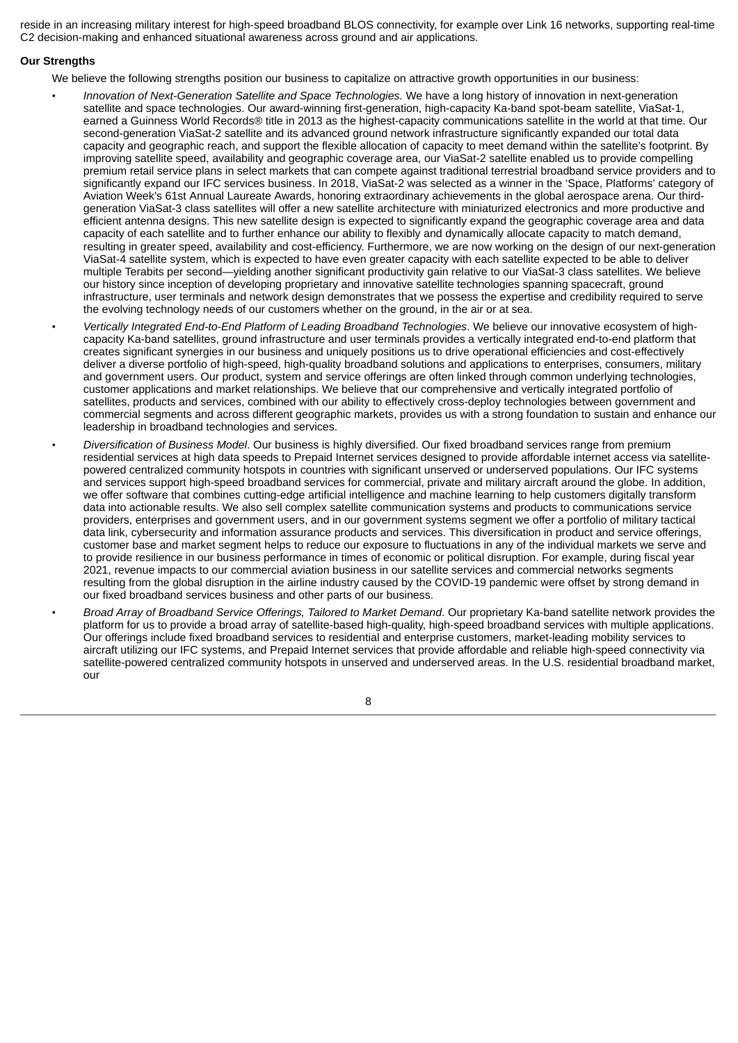reside in an increasing military interest for high-speed broadband BLOS connectivity, for example over Link 16 networks, supporting real-time C2 decision-making and enhanced situational awareness across ground and air applications.

# **Our Strengths**

We believe the following strengths position our business to capitalize on attractive growth opportunities in our business:

- *Innovation of Next-Generation Satellite and Space Technologies.* We have a long history of innovation in next-generation satellite and space technologies. Our award-winning first-generation, high-capacity Ka-band spot-beam satellite, ViaSat-1, earned a Guinness World Records® title in 2013 as the highest-capacity communications satellite in the world at that time. Our second-generation ViaSat-2 satellite and its advanced ground network infrastructure significantly expanded our total data capacity and geographic reach, and support the flexible allocation of capacity to meet demand within the satellite's footprint. By improving satellite speed, availability and geographic coverage area, our ViaSat-2 satellite enabled us to provide compelling premium retail service plans in select markets that can compete against traditional terrestrial broadband service providers and to significantly expand our IFC services business. In 2018, ViaSat-2 was selected as a winner in the 'Space, Platforms' category of Aviation Week's 61st Annual Laureate Awards, honoring extraordinary achievements in the global aerospace arena. Our thirdgeneration ViaSat-3 class satellites will offer a new satellite architecture with miniaturized electronics and more productive and efficient antenna designs. This new satellite design is expected to significantly expand the geographic coverage area and data capacity of each satellite and to further enhance our ability to flexibly and dynamically allocate capacity to match demand, resulting in greater speed, availability and cost-efficiency. Furthermore, we are now working on the design of our next-generation ViaSat-4 satellite system, which is expected to have even greater capacity with each satellite expected to be able to deliver multiple Terabits per second—yielding another significant productivity gain relative to our ViaSat-3 class satellites. We believe our history since inception of developing proprietary and innovative satellite technologies spanning spacecraft, ground infrastructure, user terminals and network design demonstrates that we possess the expertise and credibility required to serve the evolving technology needs of our customers whether on the ground, in the air or at sea.
- *Vertically Integrated End-to-End Platform of Leading Broadband Technologies*. We believe our innovative ecosystem of highcapacity Ka-band satellites, ground infrastructure and user terminals provides a vertically integrated end-to-end platform that creates significant synergies in our business and uniquely positions us to drive operational efficiencies and cost-effectively deliver a diverse portfolio of high-speed, high-quality broadband solutions and applications to enterprises, consumers, military and government users. Our product, system and service offerings are often linked through common underlying technologies, customer applications and market relationships. We believe that our comprehensive and vertically integrated portfolio of satellites, products and services, combined with our ability to effectively cross-deploy technologies between government and commercial segments and across different geographic markets, provides us with a strong foundation to sustain and enhance our leadership in broadband technologies and services.
- *Diversification of Business Model*. Our business is highly diversified. Our fixed broadband services range from premium residential services at high data speeds to Prepaid Internet services designed to provide affordable internet access via satellitepowered centralized community hotspots in countries with significant unserved or underserved populations. Our IFC systems and services support high-speed broadband services for commercial, private and military aircraft around the globe. In addition, we offer software that combines cutting-edge artificial intelligence and machine learning to help customers digitally transform data into actionable results. We also sell complex satellite communication systems and products to communications service providers, enterprises and government users, and in our government systems segment we offer a portfolio of military tactical data link, cybersecurity and information assurance products and services. This diversification in product and service offerings, customer base and market segment helps to reduce our exposure to fluctuations in any of the individual markets we serve and to provide resilience in our business performance in times of economic or political disruption. For example, during fiscal year 2021, revenue impacts to our commercial aviation business in our satellite services and commercial networks segments resulting from the global disruption in the airline industry caused by the COVID-19 pandemic were offset by strong demand in our fixed broadband services business and other parts of our business.
- *Broad Array of Broadband Service Offerings, Tailored to Market Demand*. Our proprietary Ka-band satellite network provides the platform for us to provide a broad array of satellite-based high-quality, high-speed broadband services with multiple applications. Our offerings include fixed broadband services to residential and enterprise customers, market-leading mobility services to aircraft utilizing our IFC systems, and Prepaid Internet services that provide affordable and reliable high-speed connectivity via satellite-powered centralized community hotspots in unserved and underserved areas. In the U.S. residential broadband market, our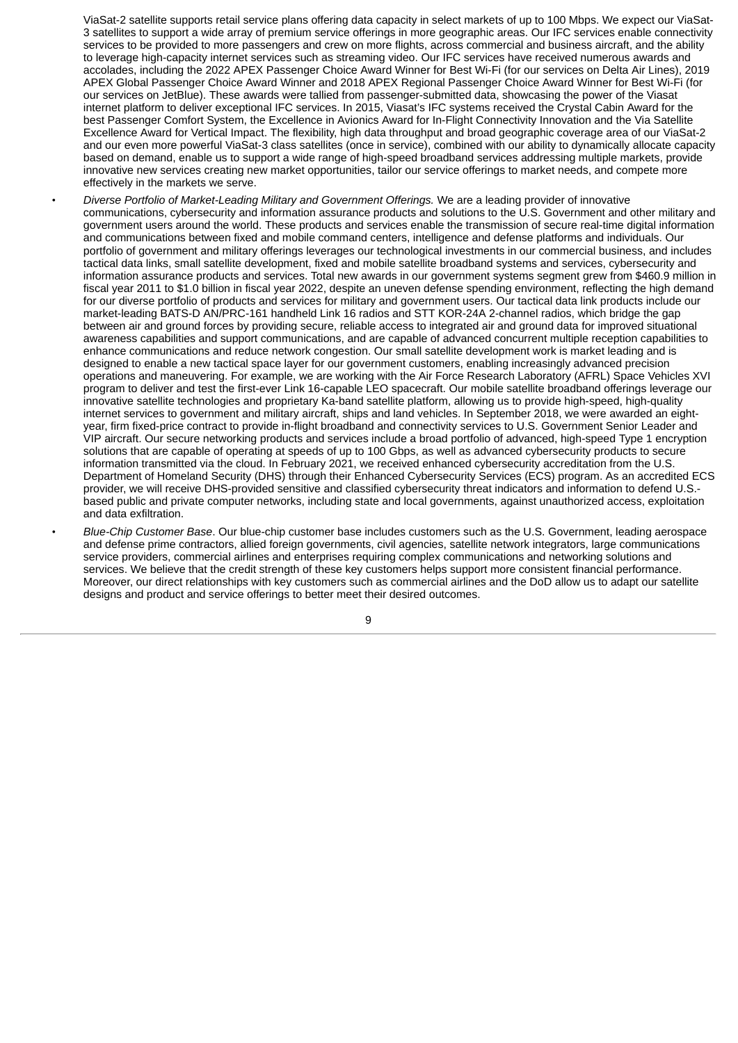ViaSat-2 satellite supports retail service plans offering data capacity in select markets of up to 100 Mbps. We expect our ViaSat-3 satellites to support a wide array of premium service offerings in more geographic areas. Our IFC services enable connectivity services to be provided to more passengers and crew on more flights, across commercial and business aircraft, and the ability to leverage high-capacity internet services such as streaming video. Our IFC services have received numerous awards and accolades, including the 2022 APEX Passenger Choice Award Winner for Best Wi-Fi (for our services on Delta Air Lines), 2019 APEX Global Passenger Choice Award Winner and 2018 APEX Regional Passenger Choice Award Winner for Best Wi-Fi (for our services on JetBlue). These awards were tallied from passenger-submitted data, showcasing the power of the Viasat internet platform to deliver exceptional IFC services. In 2015, Viasat's IFC systems received the Crystal Cabin Award for the best Passenger Comfort System, the Excellence in Avionics Award for In-Flight Connectivity Innovation and the Via Satellite Excellence Award for Vertical Impact. The flexibility, high data throughput and broad geographic coverage area of our ViaSat-2 and our even more powerful ViaSat-3 class satellites (once in service), combined with our ability to dynamically allocate capacity based on demand, enable us to support a wide range of high-speed broadband services addressing multiple markets, provide innovative new services creating new market opportunities, tailor our service offerings to market needs, and compete more effectively in the markets we serve.

- *Diverse Portfolio of Market-Leading Military and Government Offerings.* We are a leading provider of innovative communications, cybersecurity and information assurance products and solutions to the U.S. Government and other military and government users around the world. These products and services enable the transmission of secure real-time digital information and communications between fixed and mobile command centers, intelligence and defense platforms and individuals. Our portfolio of government and military offerings leverages our technological investments in our commercial business, and includes tactical data links, small satellite development, fixed and mobile satellite broadband systems and services, cybersecurity and information assurance products and services. Total new awards in our government systems segment grew from \$460.9 million in fiscal year 2011 to \$1.0 billion in fiscal year 2022, despite an uneven defense spending environment, reflecting the high demand for our diverse portfolio of products and services for military and government users. Our tactical data link products include our market-leading BATS-D AN/PRC-161 handheld Link 16 radios and STT KOR-24A 2-channel radios, which bridge the gap between air and ground forces by providing secure, reliable access to integrated air and ground data for improved situational awareness capabilities and support communications, and are capable of advanced concurrent multiple reception capabilities to enhance communications and reduce network congestion. Our small satellite development work is market leading and is designed to enable a new tactical space layer for our government customers, enabling increasingly advanced precision operations and maneuvering. For example, we are working with the Air Force Research Laboratory (AFRL) Space Vehicles XVI program to deliver and test the first-ever Link 16-capable LEO spacecraft. Our mobile satellite broadband offerings leverage our innovative satellite technologies and proprietary Ka-band satellite platform, allowing us to provide high-speed, high-quality internet services to government and military aircraft, ships and land vehicles. In September 2018, we were awarded an eightyear, firm fixed-price contract to provide in-flight broadband and connectivity services to U.S. Government Senior Leader and VIP aircraft. Our secure networking products and services include a broad portfolio of advanced, high-speed Type 1 encryption solutions that are capable of operating at speeds of up to 100 Gbps, as well as advanced cybersecurity products to secure information transmitted via the cloud. In February 2021, we received enhanced cybersecurity accreditation from the U.S. Department of Homeland Security (DHS) through their Enhanced Cybersecurity Services (ECS) program. As an accredited ECS provider, we will receive DHS-provided sensitive and classified cybersecurity threat indicators and information to defend U.S. based public and private computer networks, including state and local governments, against unauthorized access, exploitation and data exfiltration.
	- *Blue-Chip Customer Base*. Our blue-chip customer base includes customers such as the U.S. Government, leading aerospace and defense prime contractors, allied foreign governments, civil agencies, satellite network integrators, large communications service providers, commercial airlines and enterprises requiring complex communications and networking solutions and services. We believe that the credit strength of these key customers helps support more consistent financial performance. Moreover, our direct relationships with key customers such as commercial airlines and the DoD allow us to adapt our satellite designs and product and service offerings to better meet their desired outcomes.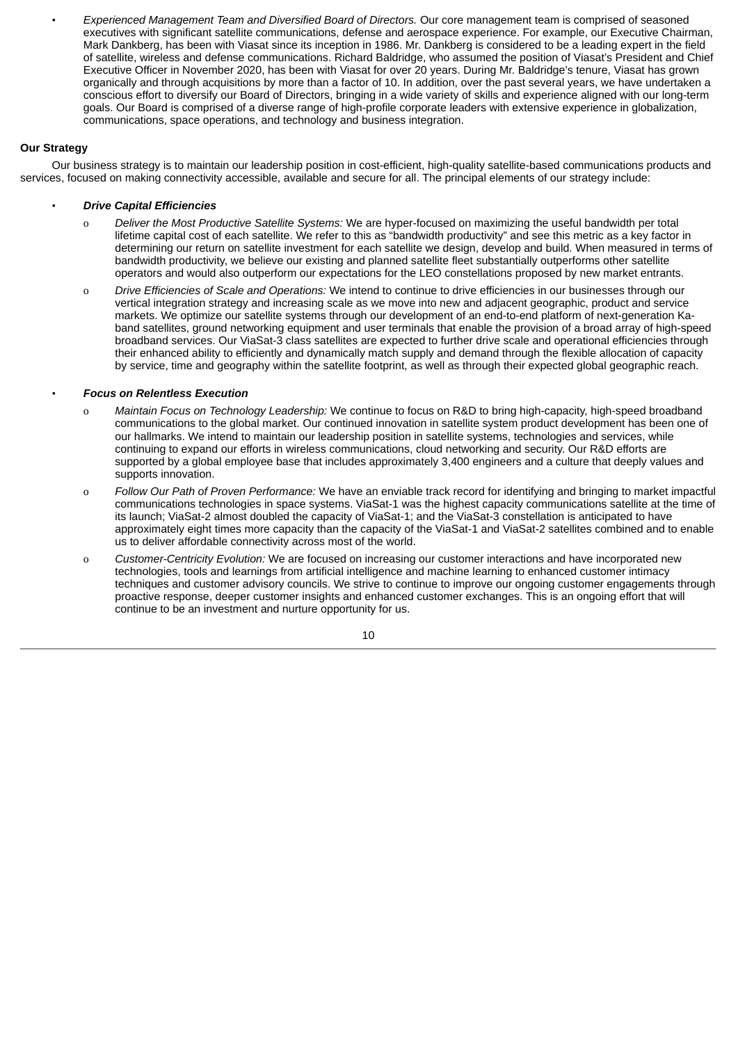• *Experienced Management Team and Diversified Board of Directors.* Our core management team is comprised of seasoned executives with significant satellite communications, defense and aerospace experience. For example, our Executive Chairman, Mark Dankberg, has been with Viasat since its inception in 1986. Mr. Dankberg is considered to be a leading expert in the field of satellite, wireless and defense communications. Richard Baldridge, who assumed the position of Viasat's President and Chief Executive Officer in November 2020, has been with Viasat for over 20 years. During Mr. Baldridge's tenure, Viasat has grown organically and through acquisitions by more than a factor of 10. In addition, over the past several years, we have undertaken a conscious effort to diversify our Board of Directors, bringing in a wide variety of skills and experience aligned with our long-term goals. Our Board is comprised of a diverse range of high-profile corporate leaders with extensive experience in globalization, communications, space operations, and technology and business integration.

# **Our Strategy**

Our business strategy is to maintain our leadership position in cost-efficient, high-quality satellite-based communications products and services, focused on making connectivity accessible, available and secure for all. The principal elements of our strategy include:

# • *Drive Capital Efficiencies*

- o *Deliver the Most Productive Satellite Systems:* We are hyper-focused on maximizing the useful bandwidth per total lifetime capital cost of each satellite. We refer to this as "bandwidth productivity" and see this metric as a key factor in determining our return on satellite investment for each satellite we design, develop and build. When measured in terms of bandwidth productivity, we believe our existing and planned satellite fleet substantially outperforms other satellite operators and would also outperform our expectations for the LEO constellations proposed by new market entrants.
- o *Drive Efficiencies of Scale and Operations:* We intend to continue to drive efficiencies in our businesses through our vertical integration strategy and increasing scale as we move into new and adjacent geographic, product and service markets. We optimize our satellite systems through our development of an end-to-end platform of next-generation Kaband satellites, ground networking equipment and user terminals that enable the provision of a broad array of high-speed broadband services. Our ViaSat-3 class satellites are expected to further drive scale and operational efficiencies through their enhanced ability to efficiently and dynamically match supply and demand through the flexible allocation of capacity by service, time and geography within the satellite footprint, as well as through their expected global geographic reach.

# • *Focus on Relentless Execution*

- o *Maintain Focus on Technology Leadership:* We continue to focus on R&D to bring high-capacity, high-speed broadband communications to the global market. Our continued innovation in satellite system product development has been one of our hallmarks. We intend to maintain our leadership position in satellite systems, technologies and services, while continuing to expand our efforts in wireless communications, cloud networking and security. Our R&D efforts are supported by a global employee base that includes approximately 3,400 engineers and a culture that deeply values and supports innovation.
- o *Follow Our Path of Proven Performance:* We have an enviable track record for identifying and bringing to market impactful communications technologies in space systems. ViaSat-1 was the highest capacity communications satellite at the time of its launch; ViaSat-2 almost doubled the capacity of ViaSat-1; and the ViaSat-3 constellation is anticipated to have approximately eight times more capacity than the capacity of the ViaSat-1 and ViaSat-2 satellites combined and to enable us to deliver affordable connectivity across most of the world.
- o *Customer-Centricity Evolution:* We are focused on increasing our customer interactions and have incorporated new technologies, tools and learnings from artificial intelligence and machine learning to enhanced customer intimacy techniques and customer advisory councils. We strive to continue to improve our ongoing customer engagements through proactive response, deeper customer insights and enhanced customer exchanges. This is an ongoing effort that will continue to be an investment and nurture opportunity for us.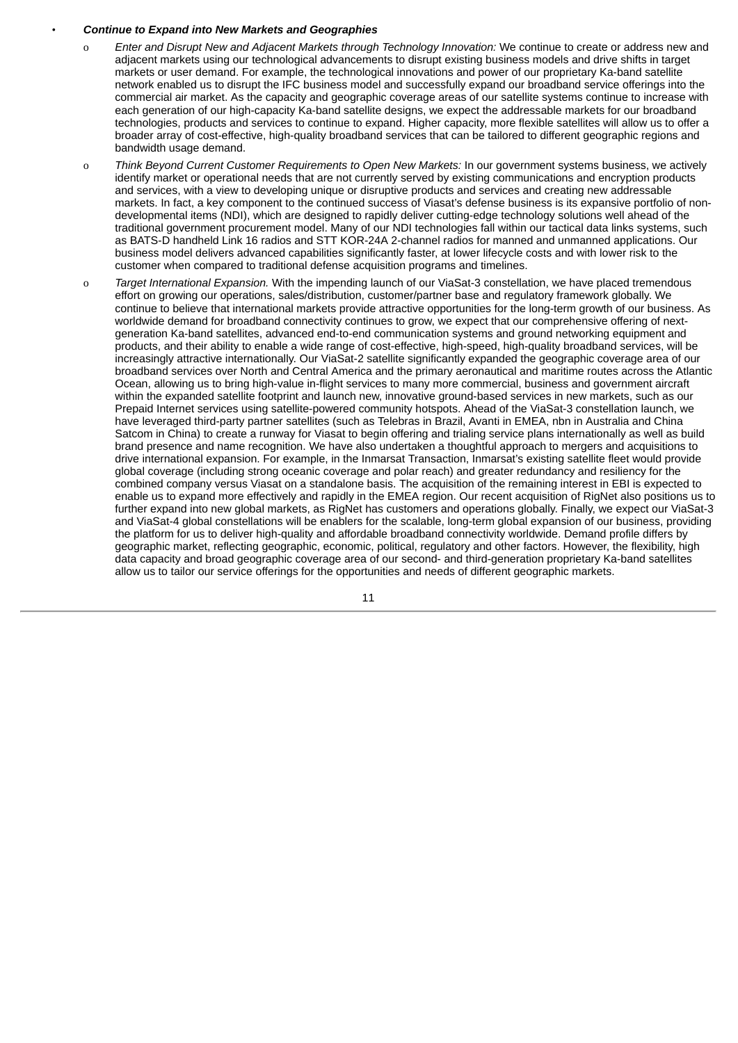#### • *Continue to Expand into New Markets and Geographies*

- o *Enter and Disrupt New and Adjacent Markets through Technology Innovation:* We continue to create or address new and adjacent markets using our technological advancements to disrupt existing business models and drive shifts in target markets or user demand. For example, the technological innovations and power of our proprietary Ka-band satellite network enabled us to disrupt the IFC business model and successfully expand our broadband service offerings into the commercial air market. As the capacity and geographic coverage areas of our satellite systems continue to increase with each generation of our high-capacity Ka-band satellite designs, we expect the addressable markets for our broadband technologies, products and services to continue to expand. Higher capacity, more flexible satellites will allow us to offer a broader array of cost-effective, high-quality broadband services that can be tailored to different geographic regions and bandwidth usage demand.
- o *Think Beyond Current Customer Requirements to Open New Markets:* In our government systems business, we actively identify market or operational needs that are not currently served by existing communications and encryption products and services, with a view to developing unique or disruptive products and services and creating new addressable markets. In fact, a key component to the continued success of Viasat's defense business is its expansive portfolio of nondevelopmental items (NDI), which are designed to rapidly deliver cutting-edge technology solutions well ahead of the traditional government procurement model. Many of our NDI technologies fall within our tactical data links systems, such as BATS-D handheld Link 16 radios and STT KOR-24A 2-channel radios for manned and unmanned applications. Our business model delivers advanced capabilities significantly faster, at lower lifecycle costs and with lower risk to the customer when compared to traditional defense acquisition programs and timelines.
- o *Target International Expansion.* With the impending launch of our ViaSat-3 constellation, we have placed tremendous effort on growing our operations, sales/distribution, customer/partner base and regulatory framework globally. We continue to believe that international markets provide attractive opportunities for the long-term growth of our business. As worldwide demand for broadband connectivity continues to grow, we expect that our comprehensive offering of nextgeneration Ka-band satellites, advanced end-to-end communication systems and ground networking equipment and products, and their ability to enable a wide range of cost-effective, high-speed, high-quality broadband services, will be increasingly attractive internationally. Our ViaSat-2 satellite significantly expanded the geographic coverage area of our broadband services over North and Central America and the primary aeronautical and maritime routes across the Atlantic Ocean, allowing us to bring high-value in-flight services to many more commercial, business and government aircraft within the expanded satellite footprint and launch new, innovative ground-based services in new markets, such as our Prepaid Internet services using satellite-powered community hotspots. Ahead of the ViaSat-3 constellation launch, we have leveraged third-party partner satellites (such as Telebras in Brazil, Avanti in EMEA, nbn in Australia and China Satcom in China) to create a runway for Viasat to begin offering and trialing service plans internationally as well as build brand presence and name recognition. We have also undertaken a thoughtful approach to mergers and acquisitions to drive international expansion. For example, in the Inmarsat Transaction, Inmarsat's existing satellite fleet would provide global coverage (including strong oceanic coverage and polar reach) and greater redundancy and resiliency for the combined company versus Viasat on a standalone basis. The acquisition of the remaining interest in EBI is expected to enable us to expand more effectively and rapidly in the EMEA region. Our recent acquisition of RigNet also positions us to further expand into new global markets, as RigNet has customers and operations globally. Finally, we expect our ViaSat-3 and ViaSat-4 global constellations will be enablers for the scalable, long-term global expansion of our business, providing the platform for us to deliver high-quality and affordable broadband connectivity worldwide. Demand profile differs by geographic market, reflecting geographic, economic, political, regulatory and other factors. However, the flexibility, high data capacity and broad geographic coverage area of our second- and third-generation proprietary Ka-band satellites allow us to tailor our service offerings for the opportunities and needs of different geographic markets.

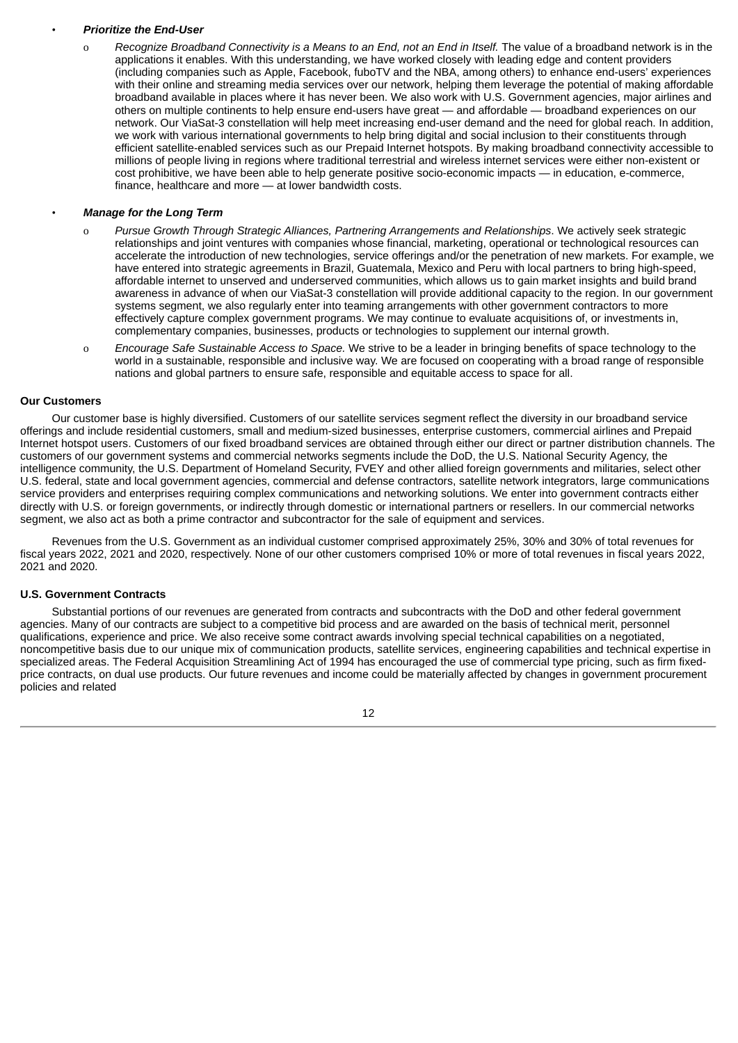# • *Prioritize the End-User*

o *Recognize Broadband Connectivity is a Means to an End, not an End in Itself.* The value of a broadband network is in the applications it enables. With this understanding, we have worked closely with leading edge and content providers (including companies such as Apple, Facebook, fuboTV and the NBA, among others) to enhance end-users' experiences with their online and streaming media services over our network, helping them leverage the potential of making affordable broadband available in places where it has never been. We also work with U.S. Government agencies, major airlines and others on multiple continents to help ensure end-users have great — and affordable — broadband experiences on our network. Our ViaSat-3 constellation will help meet increasing end-user demand and the need for global reach. In addition, we work with various international governments to help bring digital and social inclusion to their constituents through efficient satellite-enabled services such as our Prepaid Internet hotspots. By making broadband connectivity accessible to millions of people living in regions where traditional terrestrial and wireless internet services were either non-existent or cost prohibitive, we have been able to help generate positive socio-economic impacts — in education, e-commerce, finance, healthcare and more — at lower bandwidth costs.

#### • *Manage for the Long Term*

- o *Pursue Growth Through Strategic Alliances, Partnering Arrangements and Relationships*. We actively seek strategic relationships and joint ventures with companies whose financial, marketing, operational or technological resources can accelerate the introduction of new technologies, service offerings and/or the penetration of new markets. For example, we have entered into strategic agreements in Brazil, Guatemala, Mexico and Peru with local partners to bring high-speed, affordable internet to unserved and underserved communities, which allows us to gain market insights and build brand awareness in advance of when our ViaSat-3 constellation will provide additional capacity to the region. In our government systems segment, we also regularly enter into teaming arrangements with other government contractors to more effectively capture complex government programs. We may continue to evaluate acquisitions of, or investments in, complementary companies, businesses, products or technologies to supplement our internal growth.
- o *Encourage Safe Sustainable Access to Space.* We strive to be a leader in bringing benefits of space technology to the world in a sustainable, responsible and inclusive way. We are focused on cooperating with a broad range of responsible nations and global partners to ensure safe, responsible and equitable access to space for all.

#### **Our Customers**

Our customer base is highly diversified. Customers of our satellite services segment reflect the diversity in our broadband service offerings and include residential customers, small and medium-sized businesses, enterprise customers, commercial airlines and Prepaid Internet hotspot users. Customers of our fixed broadband services are obtained through either our direct or partner distribution channels. The customers of our government systems and commercial networks segments include the DoD, the U.S. National Security Agency, the intelligence community, the U.S. Department of Homeland Security, FVEY and other allied foreign governments and militaries, select other U.S. federal, state and local government agencies, commercial and defense contractors, satellite network integrators, large communications service providers and enterprises requiring complex communications and networking solutions. We enter into government contracts either directly with U.S. or foreign governments, or indirectly through domestic or international partners or resellers. In our commercial networks segment, we also act as both a prime contractor and subcontractor for the sale of equipment and services.

Revenues from the U.S. Government as an individual customer comprised approximately 25%, 30% and 30% of total revenues for fiscal years 2022, 2021 and 2020, respectively. None of our other customers comprised 10% or more of total revenues in fiscal years 2022, 2021 and 2020.

#### **U.S. Government Contracts**

Substantial portions of our revenues are generated from contracts and subcontracts with the DoD and other federal government agencies. Many of our contracts are subject to a competitive bid process and are awarded on the basis of technical merit, personnel qualifications, experience and price. We also receive some contract awards involving special technical capabilities on a negotiated, noncompetitive basis due to our unique mix of communication products, satellite services, engineering capabilities and technical expertise in specialized areas. The Federal Acquisition Streamlining Act of 1994 has encouraged the use of commercial type pricing, such as firm fixedprice contracts, on dual use products. Our future revenues and income could be materially affected by changes in government procurement policies and related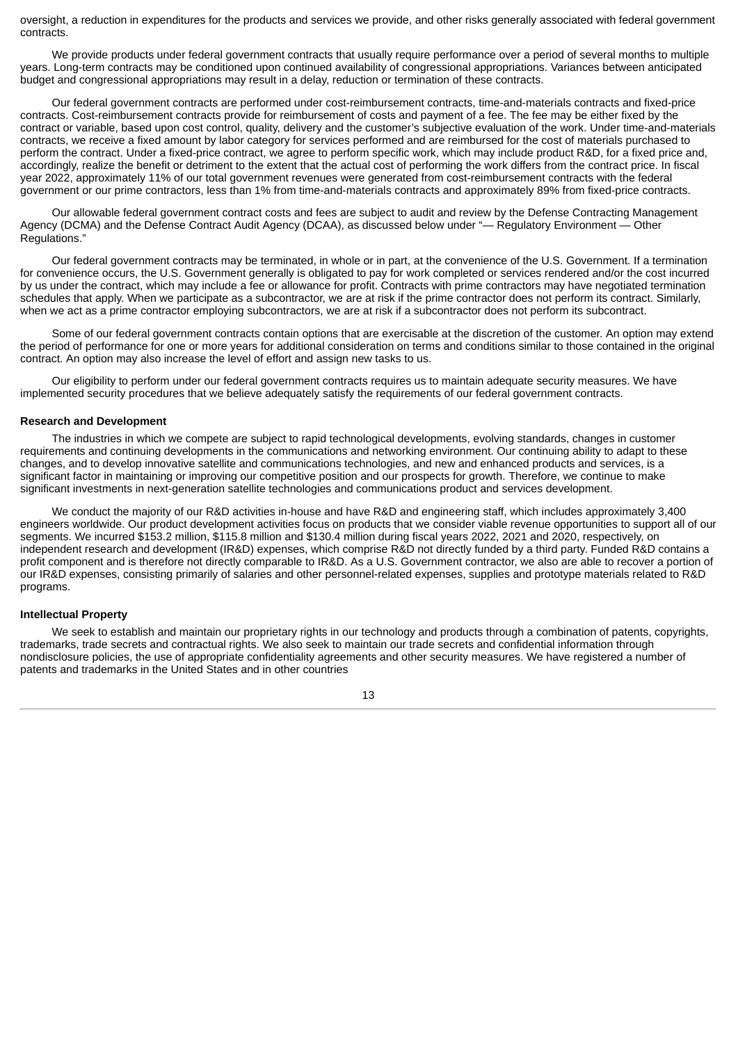oversight, a reduction in expenditures for the products and services we provide, and other risks generally associated with federal government contracts.

We provide products under federal government contracts that usually require performance over a period of several months to multiple years. Long-term contracts may be conditioned upon continued availability of congressional appropriations. Variances between anticipated budget and congressional appropriations may result in a delay, reduction or termination of these contracts.

Our federal government contracts are performed under cost-reimbursement contracts, time-and-materials contracts and fixed-price contracts. Cost-reimbursement contracts provide for reimbursement of costs and payment of a fee. The fee may be either fixed by the contract or variable, based upon cost control, quality, delivery and the customer's subjective evaluation of the work. Under time-and-materials contracts, we receive a fixed amount by labor category for services performed and are reimbursed for the cost of materials purchased to perform the contract. Under a fixed-price contract, we agree to perform specific work, which may include product R&D, for a fixed price and, accordingly, realize the benefit or detriment to the extent that the actual cost of performing the work differs from the contract price. In fiscal year 2022, approximately 11% of our total government revenues were generated from cost-reimbursement contracts with the federal government or our prime contractors, less than 1% from time-and-materials contracts and approximately 89% from fixed-price contracts.

Our allowable federal government contract costs and fees are subject to audit and review by the Defense Contracting Management Agency (DCMA) and the Defense Contract Audit Agency (DCAA), as discussed below under "— Regulatory Environment — Other Regulations."

Our federal government contracts may be terminated, in whole or in part, at the convenience of the U.S. Government. If a termination for convenience occurs, the U.S. Government generally is obligated to pay for work completed or services rendered and/or the cost incurred by us under the contract, which may include a fee or allowance for profit. Contracts with prime contractors may have negotiated termination schedules that apply. When we participate as a subcontractor, we are at risk if the prime contractor does not perform its contract. Similarly, when we act as a prime contractor employing subcontractors, we are at risk if a subcontractor does not perform its subcontract.

Some of our federal government contracts contain options that are exercisable at the discretion of the customer. An option may extend the period of performance for one or more years for additional consideration on terms and conditions similar to those contained in the original contract. An option may also increase the level of effort and assign new tasks to us.

Our eligibility to perform under our federal government contracts requires us to maintain adequate security measures. We have implemented security procedures that we believe adequately satisfy the requirements of our federal government contracts.

#### **Research and Development**

The industries in which we compete are subject to rapid technological developments, evolving standards, changes in customer requirements and continuing developments in the communications and networking environment. Our continuing ability to adapt to these changes, and to develop innovative satellite and communications technologies, and new and enhanced products and services, is a significant factor in maintaining or improving our competitive position and our prospects for growth. Therefore, we continue to make significant investments in next-generation satellite technologies and communications product and services development.

We conduct the majority of our R&D activities in-house and have R&D and engineering staff, which includes approximately 3,400 engineers worldwide. Our product development activities focus on products that we consider viable revenue opportunities to support all of our segments. We incurred \$153.2 million, \$115.8 million and \$130.4 million during fiscal years 2022, 2021 and 2020, respectively, on independent research and development (IR&D) expenses, which comprise R&D not directly funded by a third party. Funded R&D contains a profit component and is therefore not directly comparable to IR&D. As a U.S. Government contractor, we also are able to recover a portion of our IR&D expenses, consisting primarily of salaries and other personnel-related expenses, supplies and prototype materials related to R&D programs.

#### **Intellectual Property**

We seek to establish and maintain our proprietary rights in our technology and products through a combination of patents, copyrights, trademarks, trade secrets and contractual rights. We also seek to maintain our trade secrets and confidential information through nondisclosure policies, the use of appropriate confidentiality agreements and other security measures. We have registered a number of patents and trademarks in the United States and in other countries

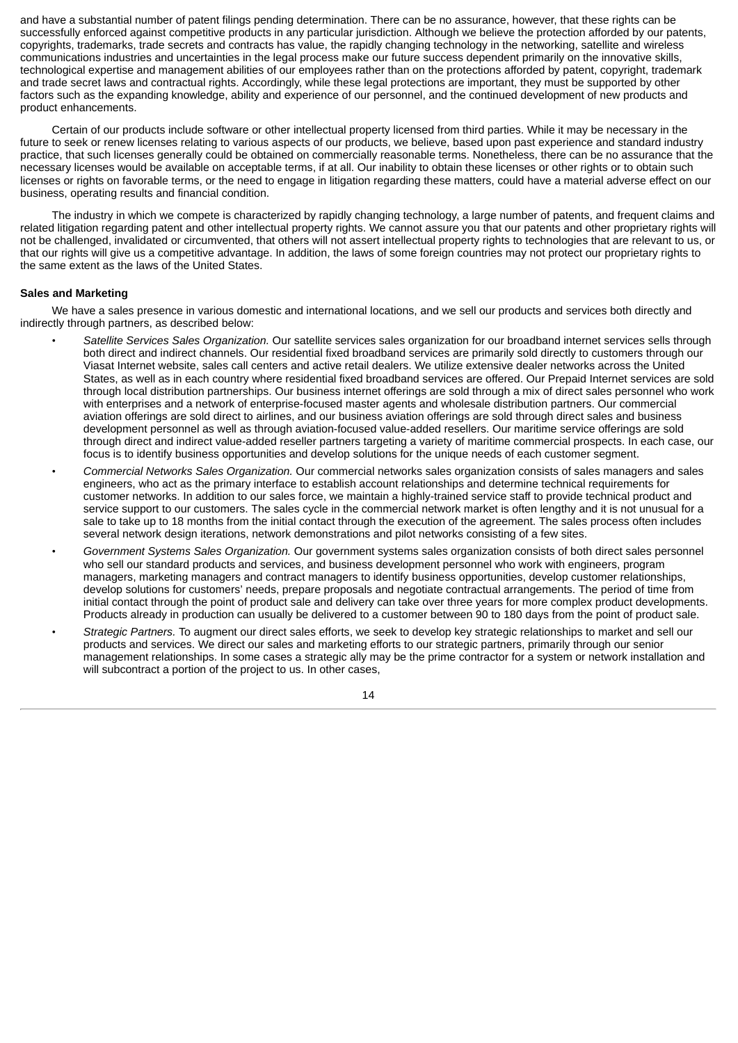and have a substantial number of patent filings pending determination. There can be no assurance, however, that these rights can be successfully enforced against competitive products in any particular jurisdiction. Although we believe the protection afforded by our patents, copyrights, trademarks, trade secrets and contracts has value, the rapidly changing technology in the networking, satellite and wireless communications industries and uncertainties in the legal process make our future success dependent primarily on the innovative skills, technological expertise and management abilities of our employees rather than on the protections afforded by patent, copyright, trademark and trade secret laws and contractual rights. Accordingly, while these legal protections are important, they must be supported by other factors such as the expanding knowledge, ability and experience of our personnel, and the continued development of new products and product enhancements.

Certain of our products include software or other intellectual property licensed from third parties. While it may be necessary in the future to seek or renew licenses relating to various aspects of our products, we believe, based upon past experience and standard industry practice, that such licenses generally could be obtained on commercially reasonable terms. Nonetheless, there can be no assurance that the necessary licenses would be available on acceptable terms, if at all. Our inability to obtain these licenses or other rights or to obtain such licenses or rights on favorable terms, or the need to engage in litigation regarding these matters, could have a material adverse effect on our business, operating results and financial condition.

The industry in which we compete is characterized by rapidly changing technology, a large number of patents, and frequent claims and related litigation regarding patent and other intellectual property rights. We cannot assure you that our patents and other proprietary rights will not be challenged, invalidated or circumvented, that others will not assert intellectual property rights to technologies that are relevant to us, or that our rights will give us a competitive advantage. In addition, the laws of some foreign countries may not protect our proprietary rights to the same extent as the laws of the United States.

# **Sales and Marketing**

We have a sales presence in various domestic and international locations, and we sell our products and services both directly and indirectly through partners, as described below:

- *Satellite Services Sales Organization.* Our satellite services sales organization for our broadband internet services sells through both direct and indirect channels. Our residential fixed broadband services are primarily sold directly to customers through our Viasat Internet website, sales call centers and active retail dealers. We utilize extensive dealer networks across the United States, as well as in each country where residential fixed broadband services are offered. Our Prepaid Internet services are sold through local distribution partnerships. Our business internet offerings are sold through a mix of direct sales personnel who work with enterprises and a network of enterprise-focused master agents and wholesale distribution partners. Our commercial aviation offerings are sold direct to airlines, and our business aviation offerings are sold through direct sales and business development personnel as well as through aviation-focused value-added resellers. Our maritime service offerings are sold through direct and indirect value-added reseller partners targeting a variety of maritime commercial prospects. In each case, our focus is to identify business opportunities and develop solutions for the unique needs of each customer segment.
- *Commercial Networks Sales Organization.* Our commercial networks sales organization consists of sales managers and sales engineers, who act as the primary interface to establish account relationships and determine technical requirements for customer networks. In addition to our sales force, we maintain a highly-trained service staff to provide technical product and service support to our customers. The sales cycle in the commercial network market is often lengthy and it is not unusual for a sale to take up to 18 months from the initial contact through the execution of the agreement. The sales process often includes several network design iterations, network demonstrations and pilot networks consisting of a few sites.
- *Government Systems Sales Organization.* Our government systems sales organization consists of both direct sales personnel who sell our standard products and services, and business development personnel who work with engineers, program managers, marketing managers and contract managers to identify business opportunities, develop customer relationships, develop solutions for customers' needs, prepare proposals and negotiate contractual arrangements. The period of time from initial contact through the point of product sale and delivery can take over three years for more complex product developments. Products already in production can usually be delivered to a customer between 90 to 180 days from the point of product sale.
- *Strategic Partners.* To augment our direct sales efforts, we seek to develop key strategic relationships to market and sell our products and services. We direct our sales and marketing efforts to our strategic partners, primarily through our senior management relationships. In some cases a strategic ally may be the prime contractor for a system or network installation and will subcontract a portion of the project to us. In other cases,

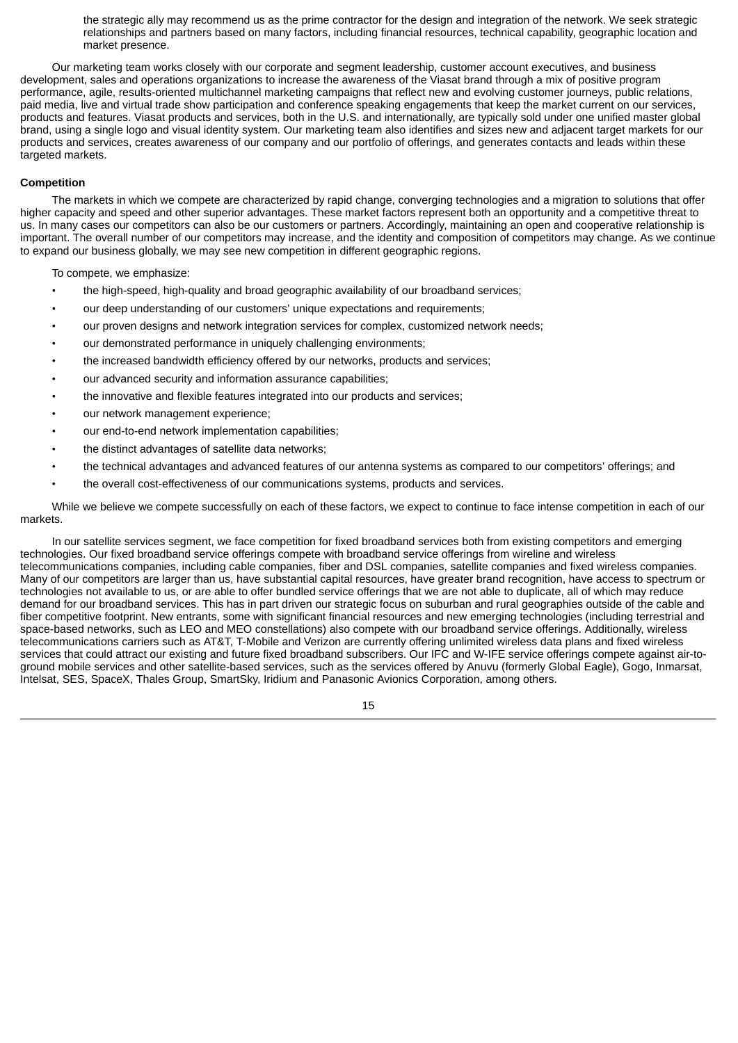the strategic ally may recommend us as the prime contractor for the design and integration of the network. We seek strategic relationships and partners based on many factors, including financial resources, technical capability, geographic location and market presence.

Our marketing team works closely with our corporate and segment leadership, customer account executives, and business development, sales and operations organizations to increase the awareness of the Viasat brand through a mix of positive program performance, agile, results-oriented multichannel marketing campaigns that reflect new and evolving customer journeys, public relations, paid media, live and virtual trade show participation and conference speaking engagements that keep the market current on our services, products and features. Viasat products and services, both in the U.S. and internationally, are typically sold under one unified master global brand, using a single logo and visual identity system. Our marketing team also identifies and sizes new and adjacent target markets for our products and services, creates awareness of our company and our portfolio of offerings, and generates contacts and leads within these targeted markets.

# **Competition**

The markets in which we compete are characterized by rapid change, converging technologies and a migration to solutions that offer higher capacity and speed and other superior advantages. These market factors represent both an opportunity and a competitive threat to us. In many cases our competitors can also be our customers or partners. Accordingly, maintaining an open and cooperative relationship is important. The overall number of our competitors may increase, and the identity and composition of competitors may change. As we continue to expand our business globally, we may see new competition in different geographic regions.

To compete, we emphasize:

- the high-speed, high-quality and broad geographic availability of our broadband services;
- our deep understanding of our customers' unique expectations and requirements;
- our proven designs and network integration services for complex, customized network needs;
- our demonstrated performance in uniquely challenging environments;
- the increased bandwidth efficiency offered by our networks, products and services;
- our advanced security and information assurance capabilities;
- the innovative and flexible features integrated into our products and services;
- our network management experience;
- our end-to-end network implementation capabilities:
- the distinct advantages of satellite data networks;
- the technical advantages and advanced features of our antenna systems as compared to our competitors' offerings; and
- the overall cost-effectiveness of our communications systems, products and services.

While we believe we compete successfully on each of these factors, we expect to continue to face intense competition in each of our markets.

In our satellite services segment, we face competition for fixed broadband services both from existing competitors and emerging technologies. Our fixed broadband service offerings compete with broadband service offerings from wireline and wireless telecommunications companies, including cable companies, fiber and DSL companies, satellite companies and fixed wireless companies. Many of our competitors are larger than us, have substantial capital resources, have greater brand recognition, have access to spectrum or technologies not available to us, or are able to offer bundled service offerings that we are not able to duplicate, all of which may reduce demand for our broadband services. This has in part driven our strategic focus on suburban and rural geographies outside of the cable and fiber competitive footprint. New entrants, some with significant financial resources and new emerging technologies (including terrestrial and space-based networks, such as LEO and MEO constellations) also compete with our broadband service offerings. Additionally, wireless telecommunications carriers such as AT&T, T-Mobile and Verizon are currently offering unlimited wireless data plans and fixed wireless services that could attract our existing and future fixed broadband subscribers. Our IFC and W-IFE service offerings compete against air-toground mobile services and other satellite-based services, such as the services offered by Anuvu (formerly Global Eagle), Gogo, Inmarsat, Intelsat, SES, SpaceX, Thales Group, SmartSky, Iridium and Panasonic Avionics Corporation, among others.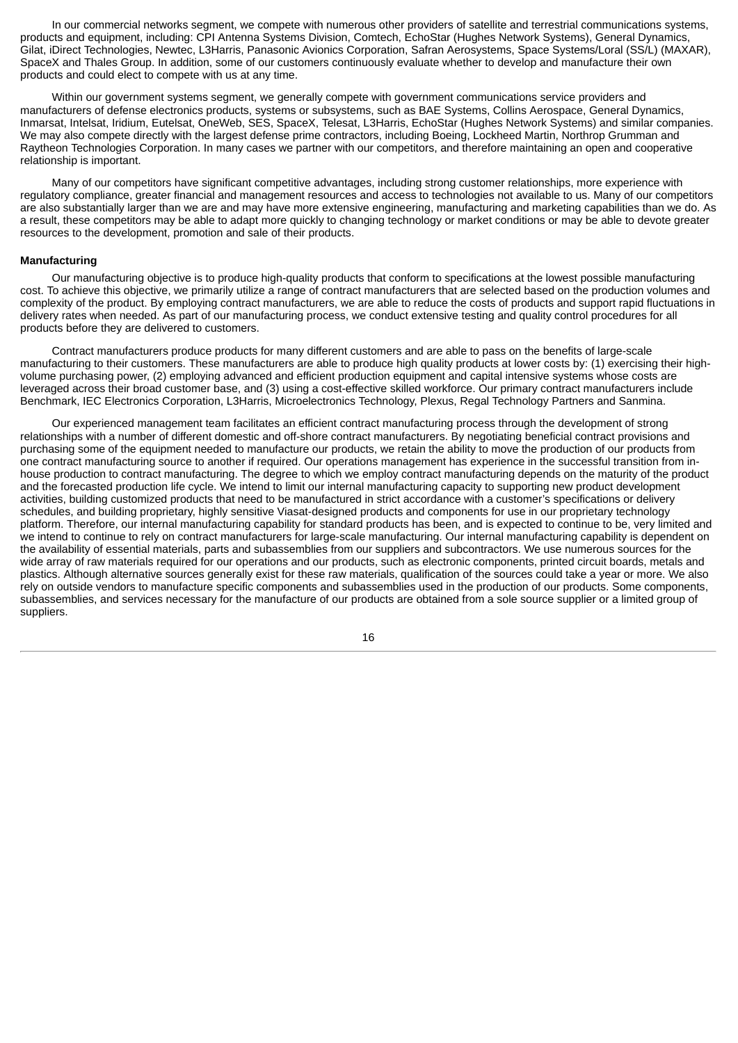In our commercial networks segment, we compete with numerous other providers of satellite and terrestrial communications systems, products and equipment, including: CPI Antenna Systems Division, Comtech, EchoStar (Hughes Network Systems), General Dynamics, Gilat, iDirect Technologies, Newtec, L3Harris, Panasonic Avionics Corporation, Safran Aerosystems, Space Systems/Loral (SS/L) (MAXAR), SpaceX and Thales Group. In addition, some of our customers continuously evaluate whether to develop and manufacture their own products and could elect to compete with us at any time.

Within our government systems segment, we generally compete with government communications service providers and manufacturers of defense electronics products, systems or subsystems, such as BAE Systems, Collins Aerospace, General Dynamics, Inmarsat, Intelsat, Iridium, Eutelsat, OneWeb, SES, SpaceX, Telesat, L3Harris, EchoStar (Hughes Network Systems) and similar companies. We may also compete directly with the largest defense prime contractors, including Boeing, Lockheed Martin, Northrop Grumman and Raytheon Technologies Corporation. In many cases we partner with our competitors, and therefore maintaining an open and cooperative relationship is important.

Many of our competitors have significant competitive advantages, including strong customer relationships, more experience with regulatory compliance, greater financial and management resources and access to technologies not available to us. Many of our competitors are also substantially larger than we are and may have more extensive engineering, manufacturing and marketing capabilities than we do. As a result, these competitors may be able to adapt more quickly to changing technology or market conditions or may be able to devote greater resources to the development, promotion and sale of their products.

# **Manufacturing**

Our manufacturing objective is to produce high-quality products that conform to specifications at the lowest possible manufacturing cost. To achieve this objective, we primarily utilize a range of contract manufacturers that are selected based on the production volumes and complexity of the product. By employing contract manufacturers, we are able to reduce the costs of products and support rapid fluctuations in delivery rates when needed. As part of our manufacturing process, we conduct extensive testing and quality control procedures for all products before they are delivered to customers.

Contract manufacturers produce products for many different customers and are able to pass on the benefits of large-scale manufacturing to their customers. These manufacturers are able to produce high quality products at lower costs by: (1) exercising their highvolume purchasing power, (2) employing advanced and efficient production equipment and capital intensive systems whose costs are leveraged across their broad customer base, and (3) using a cost-effective skilled workforce. Our primary contract manufacturers include Benchmark, IEC Electronics Corporation, L3Harris, Microelectronics Technology, Plexus, Regal Technology Partners and Sanmina.

Our experienced management team facilitates an efficient contract manufacturing process through the development of strong relationships with a number of different domestic and off-shore contract manufacturers. By negotiating beneficial contract provisions and purchasing some of the equipment needed to manufacture our products, we retain the ability to move the production of our products from one contract manufacturing source to another if required. Our operations management has experience in the successful transition from inhouse production to contract manufacturing. The degree to which we employ contract manufacturing depends on the maturity of the product and the forecasted production life cycle. We intend to limit our internal manufacturing capacity to supporting new product development activities, building customized products that need to be manufactured in strict accordance with a customer's specifications or delivery schedules, and building proprietary, highly sensitive Viasat-designed products and components for use in our proprietary technology platform. Therefore, our internal manufacturing capability for standard products has been, and is expected to continue to be, very limited and we intend to continue to rely on contract manufacturers for large-scale manufacturing. Our internal manufacturing capability is dependent on the availability of essential materials, parts and subassemblies from our suppliers and subcontractors. We use numerous sources for the wide array of raw materials required for our operations and our products, such as electronic components, printed circuit boards, metals and plastics. Although alternative sources generally exist for these raw materials, qualification of the sources could take a year or more. We also rely on outside vendors to manufacture specific components and subassemblies used in the production of our products. Some components, subassemblies, and services necessary for the manufacture of our products are obtained from a sole source supplier or a limited group of suppliers.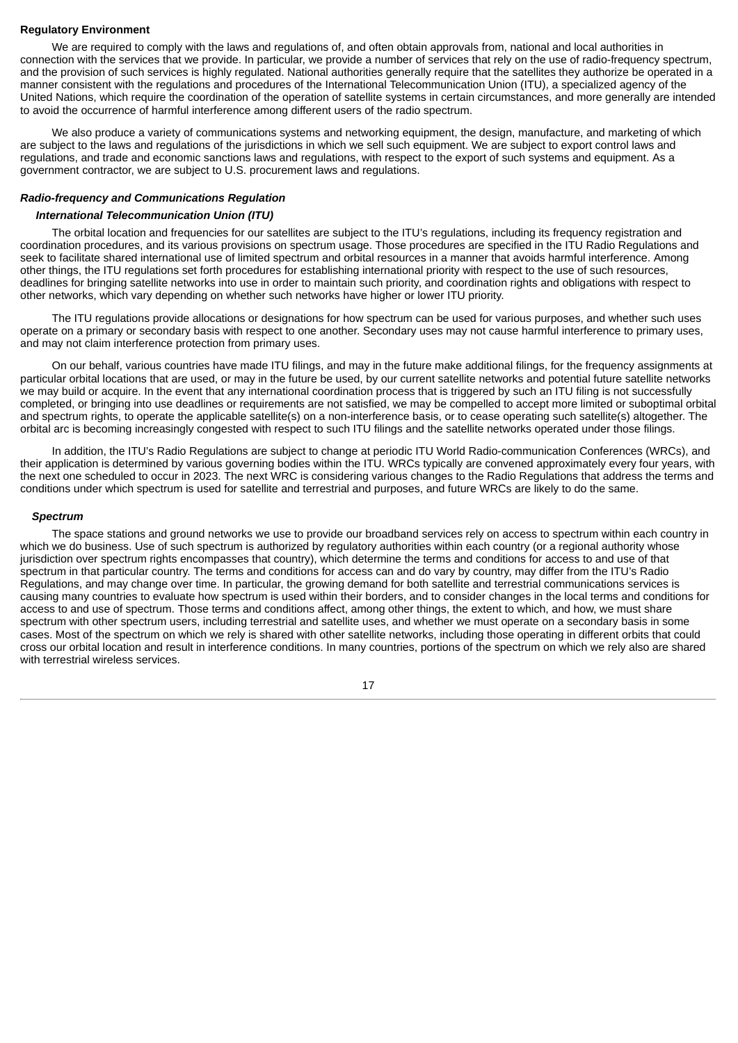# **Regulatory Environment**

We are required to comply with the laws and regulations of, and often obtain approvals from, national and local authorities in connection with the services that we provide. In particular, we provide a number of services that rely on the use of radio-frequency spectrum, and the provision of such services is highly regulated. National authorities generally require that the satellites they authorize be operated in a manner consistent with the regulations and procedures of the International Telecommunication Union (ITU), a specialized agency of the United Nations, which require the coordination of the operation of satellite systems in certain circumstances, and more generally are intended to avoid the occurrence of harmful interference among different users of the radio spectrum.

We also produce a variety of communications systems and networking equipment, the design, manufacture, and marketing of which are subject to the laws and regulations of the jurisdictions in which we sell such equipment. We are subject to export control laws and regulations, and trade and economic sanctions laws and regulations, with respect to the export of such systems and equipment. As a government contractor, we are subject to U.S. procurement laws and regulations.

# *Radio-frequency and Communications Regulation*

#### *International Telecommunication Union (ITU)*

The orbital location and frequencies for our satellites are subject to the ITU's regulations, including its frequency registration and coordination procedures, and its various provisions on spectrum usage. Those procedures are specified in the ITU Radio Regulations and seek to facilitate shared international use of limited spectrum and orbital resources in a manner that avoids harmful interference. Among other things, the ITU regulations set forth procedures for establishing international priority with respect to the use of such resources, deadlines for bringing satellite networks into use in order to maintain such priority, and coordination rights and obligations with respect to other networks, which vary depending on whether such networks have higher or lower ITU priority.

The ITU regulations provide allocations or designations for how spectrum can be used for various purposes, and whether such uses operate on a primary or secondary basis with respect to one another. Secondary uses may not cause harmful interference to primary uses, and may not claim interference protection from primary uses.

On our behalf, various countries have made ITU filings, and may in the future make additional filings, for the frequency assignments at particular orbital locations that are used, or may in the future be used, by our current satellite networks and potential future satellite networks we may build or acquire. In the event that any international coordination process that is triggered by such an ITU filing is not successfully completed, or bringing into use deadlines or requirements are not satisfied, we may be compelled to accept more limited or suboptimal orbital and spectrum rights, to operate the applicable satellite(s) on a non-interference basis, or to cease operating such satellite(s) altogether. The orbital arc is becoming increasingly congested with respect to such ITU filings and the satellite networks operated under those filings.

In addition, the ITU's Radio Regulations are subject to change at periodic ITU World Radio-communication Conferences (WRCs), and their application is determined by various governing bodies within the ITU. WRCs typically are convened approximately every four years, with the next one scheduled to occur in 2023. The next WRC is considering various changes to the Radio Regulations that address the terms and conditions under which spectrum is used for satellite and terrestrial and purposes, and future WRCs are likely to do the same.

#### *Spectrum*

The space stations and ground networks we use to provide our broadband services rely on access to spectrum within each country in which we do business. Use of such spectrum is authorized by regulatory authorities within each country (or a regional authority whose jurisdiction over spectrum rights encompasses that country), which determine the terms and conditions for access to and use of that spectrum in that particular country. The terms and conditions for access can and do vary by country, may differ from the ITU's Radio Regulations, and may change over time. In particular, the growing demand for both satellite and terrestrial communications services is causing many countries to evaluate how spectrum is used within their borders, and to consider changes in the local terms and conditions for access to and use of spectrum. Those terms and conditions affect, among other things, the extent to which, and how, we must share spectrum with other spectrum users, including terrestrial and satellite uses, and whether we must operate on a secondary basis in some cases. Most of the spectrum on which we rely is shared with other satellite networks, including those operating in different orbits that could cross our orbital location and result in interference conditions. In many countries, portions of the spectrum on which we rely also are shared with terrestrial wireless services.

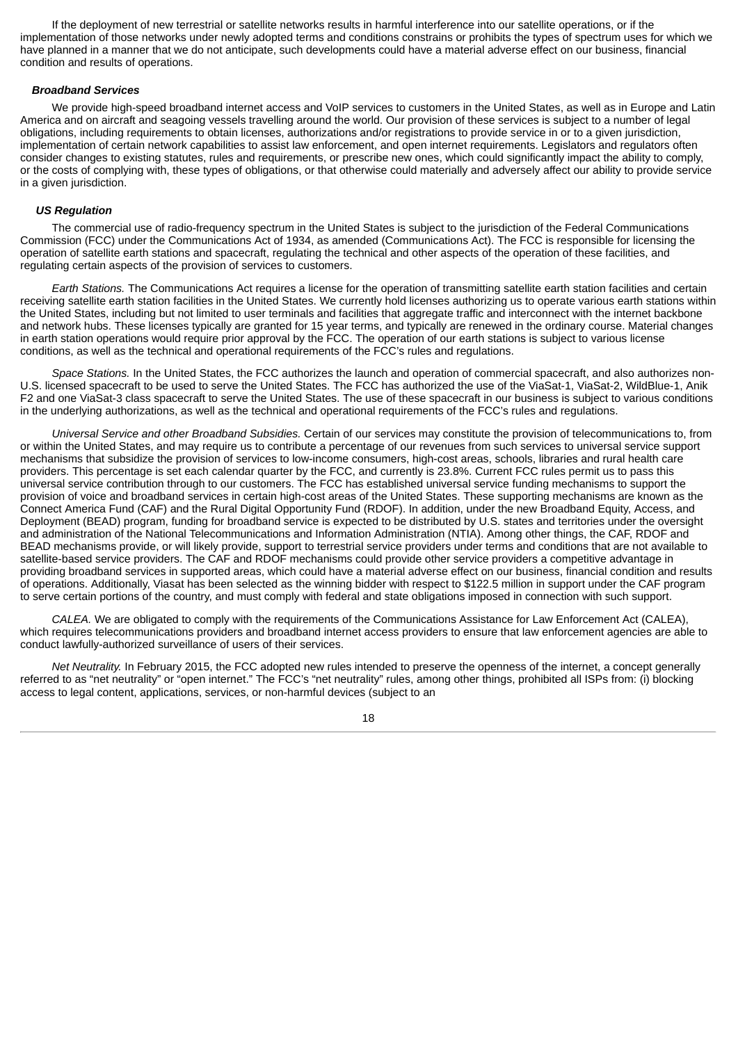If the deployment of new terrestrial or satellite networks results in harmful interference into our satellite operations, or if the implementation of those networks under newly adopted terms and conditions constrains or prohibits the types of spectrum uses for which we have planned in a manner that we do not anticipate, such developments could have a material adverse effect on our business, financial condition and results of operations.

#### *Broadband Services*

We provide high-speed broadband internet access and VoIP services to customers in the United States, as well as in Europe and Latin America and on aircraft and seagoing vessels travelling around the world. Our provision of these services is subject to a number of legal obligations, including requirements to obtain licenses, authorizations and/or registrations to provide service in or to a given jurisdiction, implementation of certain network capabilities to assist law enforcement, and open internet requirements. Legislators and regulators often consider changes to existing statutes, rules and requirements, or prescribe new ones, which could significantly impact the ability to comply, or the costs of complying with, these types of obligations, or that otherwise could materially and adversely affect our ability to provide service in a given jurisdiction.

#### *US Regulation*

The commercial use of radio-frequency spectrum in the United States is subject to the jurisdiction of the Federal Communications Commission (FCC) under the Communications Act of 1934, as amended (Communications Act). The FCC is responsible for licensing the operation of satellite earth stations and spacecraft, regulating the technical and other aspects of the operation of these facilities, and regulating certain aspects of the provision of services to customers.

*Earth Stations.* The Communications Act requires a license for the operation of transmitting satellite earth station facilities and certain receiving satellite earth station facilities in the United States. We currently hold licenses authorizing us to operate various earth stations within the United States, including but not limited to user terminals and facilities that aggregate traffic and interconnect with the internet backbone and network hubs. These licenses typically are granted for 15 year terms, and typically are renewed in the ordinary course. Material changes in earth station operations would require prior approval by the FCC. The operation of our earth stations is subject to various license conditions, as well as the technical and operational requirements of the FCC's rules and regulations.

*Space Stations.* In the United States, the FCC authorizes the launch and operation of commercial spacecraft, and also authorizes non-U.S. licensed spacecraft to be used to serve the United States. The FCC has authorized the use of the ViaSat-1, ViaSat-2, WildBlue-1, Anik F2 and one ViaSat-3 class spacecraft to serve the United States. The use of these spacecraft in our business is subject to various conditions in the underlying authorizations, as well as the technical and operational requirements of the FCC's rules and regulations.

*Universal Service and other Broadband Subsidies.* Certain of our services may constitute the provision of telecommunications to, from or within the United States, and may require us to contribute a percentage of our revenues from such services to universal service support mechanisms that subsidize the provision of services to low-income consumers, high-cost areas, schools, libraries and rural health care providers. This percentage is set each calendar quarter by the FCC, and currently is 23.8%. Current FCC rules permit us to pass this universal service contribution through to our customers. The FCC has established universal service funding mechanisms to support the provision of voice and broadband services in certain high-cost areas of the United States. These supporting mechanisms are known as the Connect America Fund (CAF) and the Rural Digital Opportunity Fund (RDOF). In addition, under the new Broadband Equity, Access, and Deployment (BEAD) program, funding for broadband service is expected to be distributed by U.S. states and territories under the oversight and administration of the National Telecommunications and Information Administration (NTIA). Among other things, the CAF, RDOF and BEAD mechanisms provide, or will likely provide, support to terrestrial service providers under terms and conditions that are not available to satellite-based service providers. The CAF and RDOF mechanisms could provide other service providers a competitive advantage in providing broadband services in supported areas, which could have a material adverse effect on our business, financial condition and results of operations. Additionally, Viasat has been selected as the winning bidder with respect to \$122.5 million in support under the CAF program to serve certain portions of the country, and must comply with federal and state obligations imposed in connection with such support.

*CALEA.* We are obligated to comply with the requirements of the Communications Assistance for Law Enforcement Act (CALEA), which requires telecommunications providers and broadband internet access providers to ensure that law enforcement agencies are able to conduct lawfully-authorized surveillance of users of their services.

*Net Neutrality.* In February 2015, the FCC adopted new rules intended to preserve the openness of the internet, a concept generally referred to as "net neutrality" or "open internet." The FCC's "net neutrality" rules, among other things, prohibited all ISPs from: (i) blocking access to legal content, applications, services, or non-harmful devices (subject to an

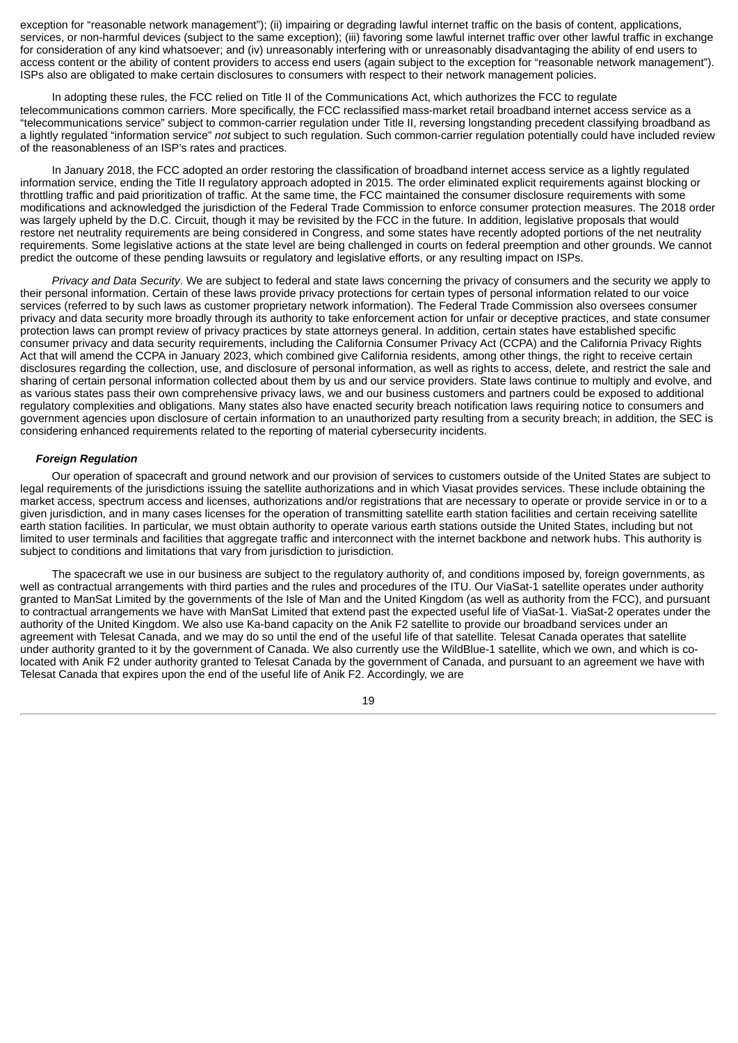exception for "reasonable network management"); (ii) impairing or degrading lawful internet traffic on the basis of content, applications. services, or non-harmful devices (subject to the same exception); (iii) favoring some lawful internet traffic over other lawful traffic in exchange for consideration of any kind whatsoever; and (iv) unreasonably interfering with or unreasonably disadvantaging the ability of end users to access content or the ability of content providers to access end users (again subject to the exception for "reasonable network management"). ISPs also are obligated to make certain disclosures to consumers with respect to their network management policies.

In adopting these rules, the FCC relied on Title II of the Communications Act, which authorizes the FCC to regulate telecommunications common carriers. More specifically, the FCC reclassified mass-market retail broadband internet access service as a "telecommunications service" subject to common-carrier regulation under Title II, reversing longstanding precedent classifying broadband as a lightly regulated "information service" *not* subject to such regulation. Such common-carrier regulation potentially could have included review of the reasonableness of an ISP's rates and practices.

In January 2018, the FCC adopted an order restoring the classification of broadband internet access service as a lightly regulated information service, ending the Title II regulatory approach adopted in 2015. The order eliminated explicit requirements against blocking or throttling traffic and paid prioritization of traffic. At the same time, the FCC maintained the consumer disclosure requirements with some modifications and acknowledged the jurisdiction of the Federal Trade Commission to enforce consumer protection measures. The 2018 order was largely upheld by the D.C. Circuit, though it may be revisited by the FCC in the future. In addition, legislative proposals that would restore net neutrality requirements are being considered in Congress, and some states have recently adopted portions of the net neutrality requirements. Some legislative actions at the state level are being challenged in courts on federal preemption and other grounds. We cannot predict the outcome of these pending lawsuits or regulatory and legislative efforts, or any resulting impact on ISPs.

*Privacy and Data Security*. We are subject to federal and state laws concerning the privacy of consumers and the security we apply to their personal information. Certain of these laws provide privacy protections for certain types of personal information related to our voice services (referred to by such laws as customer proprietary network information). The Federal Trade Commission also oversees consumer privacy and data security more broadly through its authority to take enforcement action for unfair or deceptive practices, and state consumer protection laws can prompt review of privacy practices by state attorneys general. In addition, certain states have established specific consumer privacy and data security requirements, including the California Consumer Privacy Act (CCPA) and the California Privacy Rights Act that will amend the CCPA in January 2023, which combined give California residents, among other things, the right to receive certain disclosures regarding the collection, use, and disclosure of personal information, as well as rights to access, delete, and restrict the sale and sharing of certain personal information collected about them by us and our service providers. State laws continue to multiply and evolve, and as various states pass their own comprehensive privacy laws, we and our business customers and partners could be exposed to additional regulatory complexities and obligations. Many states also have enacted security breach notification laws requiring notice to consumers and government agencies upon disclosure of certain information to an unauthorized party resulting from a security breach; in addition, the SEC is considering enhanced requirements related to the reporting of material cybersecurity incidents.

# *Foreign Regulation*

Our operation of spacecraft and ground network and our provision of services to customers outside of the United States are subject to legal requirements of the jurisdictions issuing the satellite authorizations and in which Viasat provides services. These include obtaining the market access, spectrum access and licenses, authorizations and/or registrations that are necessary to operate or provide service in or to a given jurisdiction, and in many cases licenses for the operation of transmitting satellite earth station facilities and certain receiving satellite earth station facilities. In particular, we must obtain authority to operate various earth stations outside the United States, including but not limited to user terminals and facilities that aggregate traffic and interconnect with the internet backbone and network hubs. This authority is subject to conditions and limitations that vary from jurisdiction to jurisdiction.

The spacecraft we use in our business are subject to the regulatory authority of, and conditions imposed by, foreign governments, as well as contractual arrangements with third parties and the rules and procedures of the ITU. Our ViaSat-1 satellite operates under authority granted to ManSat Limited by the governments of the Isle of Man and the United Kingdom (as well as authority from the FCC), and pursuant to contractual arrangements we have with ManSat Limited that extend past the expected useful life of ViaSat-1. ViaSat-2 operates under the authority of the United Kingdom. We also use Ka-band capacity on the Anik F2 satellite to provide our broadband services under an agreement with Telesat Canada, and we may do so until the end of the useful life of that satellite. Telesat Canada operates that satellite under authority granted to it by the government of Canada. We also currently use the WildBlue-1 satellite, which we own, and which is colocated with Anik F2 under authority granted to Telesat Canada by the government of Canada, and pursuant to an agreement we have with Telesat Canada that expires upon the end of the useful life of Anik F2. Accordingly, we are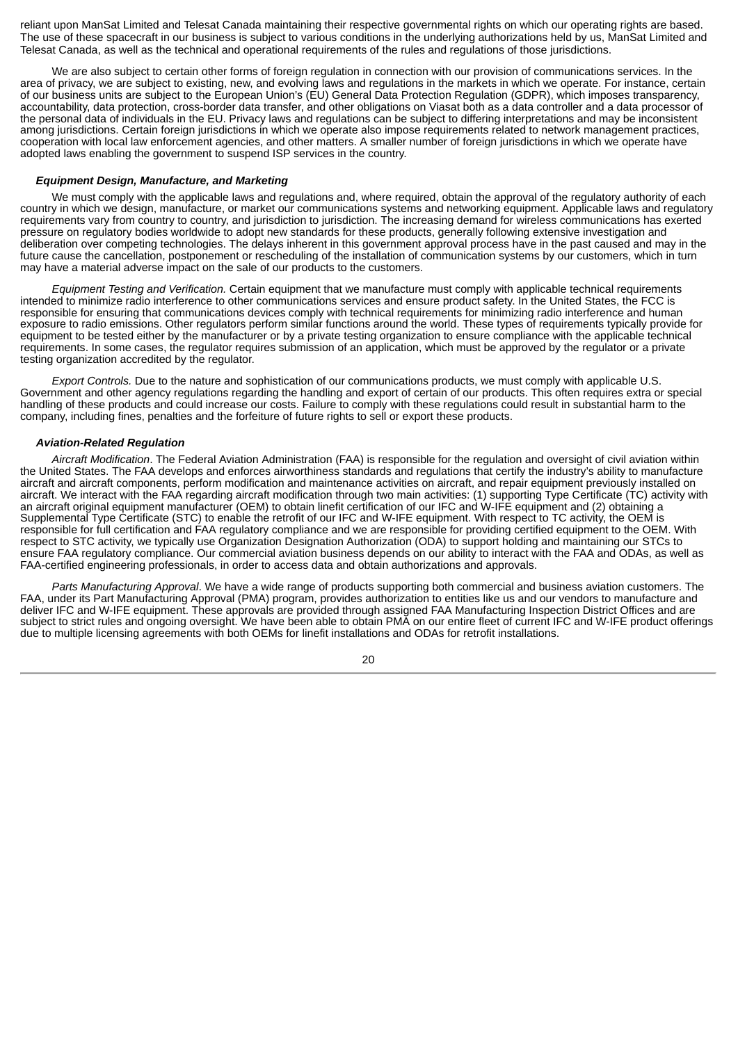reliant upon ManSat Limited and Telesat Canada maintaining their respective governmental rights on which our operating rights are based. The use of these spacecraft in our business is subject to various conditions in the underlying authorizations held by us, ManSat Limited and Telesat Canada, as well as the technical and operational requirements of the rules and regulations of those jurisdictions.

We are also subject to certain other forms of foreign regulation in connection with our provision of communications services. In the area of privacy, we are subject to existing, new, and evolving laws and regulations in the markets in which we operate. For instance, certain of our business units are subject to the European Union's (EU) General Data Protection Regulation (GDPR), which imposes transparency, accountability, data protection, cross-border data transfer, and other obligations on Viasat both as a data controller and a data processor of the personal data of individuals in the EU. Privacy laws and regulations can be subject to differing interpretations and may be inconsistent among jurisdictions. Certain foreign jurisdictions in which we operate also impose requirements related to network management practices, cooperation with local law enforcement agencies, and other matters. A smaller number of foreign jurisdictions in which we operate have adopted laws enabling the government to suspend ISP services in the country.

#### *Equipment Design, Manufacture, and Marketing*

We must comply with the applicable laws and regulations and, where required, obtain the approval of the regulatory authority of each country in which we design, manufacture, or market our communications systems and networking equipment. Applicable laws and regulatory requirements vary from country to country, and jurisdiction to jurisdiction. The increasing demand for wireless communications has exerted pressure on regulatory bodies worldwide to adopt new standards for these products, generally following extensive investigation and deliberation over competing technologies. The delays inherent in this government approval process have in the past caused and may in the future cause the cancellation, postponement or rescheduling of the installation of communication systems by our customers, which in turn may have a material adverse impact on the sale of our products to the customers.

*Equipment Testing and Verification.* Certain equipment that we manufacture must comply with applicable technical requirements intended to minimize radio interference to other communications services and ensure product safety. In the United States, the FCC is responsible for ensuring that communications devices comply with technical requirements for minimizing radio interference and human exposure to radio emissions. Other regulators perform similar functions around the world. These types of requirements typically provide for equipment to be tested either by the manufacturer or by a private testing organization to ensure compliance with the applicable technical requirements. In some cases, the regulator requires submission of an application, which must be approved by the regulator or a private testing organization accredited by the regulator.

*Export Controls.* Due to the nature and sophistication of our communications products, we must comply with applicable U.S. Government and other agency regulations regarding the handling and export of certain of our products. This often requires extra or special handling of these products and could increase our costs. Failure to comply with these regulations could result in substantial harm to the company, including fines, penalties and the forfeiture of future rights to sell or export these products.

#### *Aviation-Related Regulation*

*Aircraft Modification*. The Federal Aviation Administration (FAA) is responsible for the regulation and oversight of civil aviation within the United States. The FAA develops and enforces airworthiness standards and regulations that certify the industry's ability to manufacture aircraft and aircraft components, perform modification and maintenance activities on aircraft, and repair equipment previously installed on aircraft. We interact with the FAA regarding aircraft modification through two main activities: (1) supporting Type Certificate (TC) activity with an aircraft original equipment manufacturer (OEM) to obtain linefit certification of our IFC and W-IFE equipment and (2) obtaining a Supplemental Type Certificate (STC) to enable the retrofit of our IFC and W-IFE equipment. With respect to TC activity, the OEM is responsible for full certification and FAA regulatory compliance and we are responsible for providing certified equipment to the OEM. With respect to STC activity, we typically use Organization Designation Authorization (ODA) to support holding and maintaining our STCs to ensure FAA regulatory compliance. Our commercial aviation business depends on our ability to interact with the FAA and ODAs, as well as FAA-certified engineering professionals, in order to access data and obtain authorizations and approvals.

*Parts Manufacturing Approval*. We have a wide range of products supporting both commercial and business aviation customers. The FAA, under its Part Manufacturing Approval (PMA) program, provides authorization to entities like us and our vendors to manufacture and deliver IFC and W-IFE equipment. These approvals are provided through assigned FAA Manufacturing Inspection District Offices and are subject to strict rules and ongoing oversight. We have been able to obtain PMA on our entire fleet of current IFC and W-IFE product offerings due to multiple licensing agreements with both OEMs for linefit installations and ODAs for retrofit installations.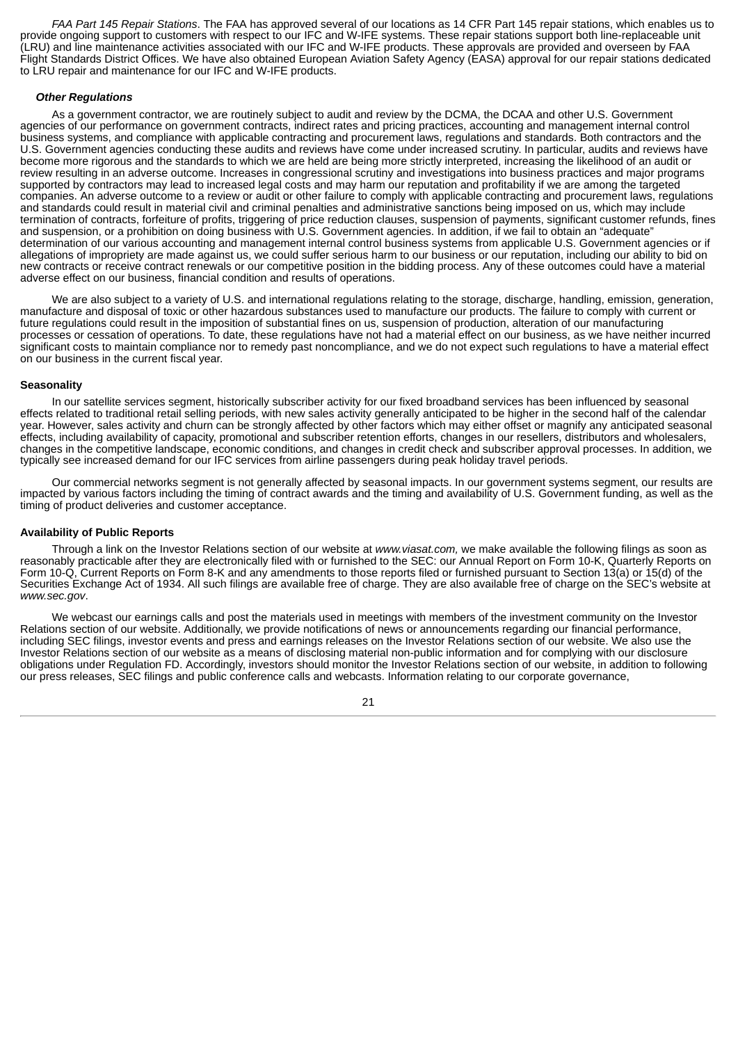*FAA Part 145 Repair Stations*. The FAA has approved several of our locations as 14 CFR Part 145 repair stations, which enables us to provide ongoing support to customers with respect to our IFC and W-IFE systems. These repair stations support both line-replaceable unit (LRU) and line maintenance activities associated with our IFC and W-IFE products. These approvals are provided and overseen by FAA Flight Standards District Offices. We have also obtained European Aviation Safety Agency (EASA) approval for our repair stations dedicated to LRU repair and maintenance for our IFC and W-IFE products.

#### *Other Regulations*

As a government contractor, we are routinely subject to audit and review by the DCMA, the DCAA and other U.S. Government agencies of our performance on government contracts, indirect rates and pricing practices, accounting and management internal control business systems, and compliance with applicable contracting and procurement laws, regulations and standards. Both contractors and the U.S. Government agencies conducting these audits and reviews have come under increased scrutiny. In particular, audits and reviews have become more rigorous and the standards to which we are held are being more strictly interpreted, increasing the likelihood of an audit or review resulting in an adverse outcome. Increases in congressional scrutiny and investigations into business practices and major programs supported by contractors may lead to increased legal costs and may harm our reputation and profitability if we are among the targeted companies. An adverse outcome to a review or audit or other failure to comply with applicable contracting and procurement laws, regulations and standards could result in material civil and criminal penalties and administrative sanctions being imposed on us, which may include termination of contracts, forfeiture of profits, triggering of price reduction clauses, suspension of payments, significant customer refunds, fines and suspension, or a prohibition on doing business with U.S. Government agencies. In addition, if we fail to obtain an "adequate" determination of our various accounting and management internal control business systems from applicable U.S. Government agencies or if allegations of impropriety are made against us, we could suffer serious harm to our business or our reputation, including our ability to bid on new contracts or receive contract renewals or our competitive position in the bidding process. Any of these outcomes could have a material adverse effect on our business, financial condition and results of operations.

We are also subject to a variety of U.S. and international regulations relating to the storage, discharge, handling, emission, generation, manufacture and disposal of toxic or other hazardous substances used to manufacture our products. The failure to comply with current or future regulations could result in the imposition of substantial fines on us, suspension of production, alteration of our manufacturing processes or cessation of operations. To date, these regulations have not had a material effect on our business, as we have neither incurred significant costs to maintain compliance nor to remedy past noncompliance, and we do not expect such regulations to have a material effect on our business in the current fiscal year.

#### **Seasonality**

In our satellite services segment, historically subscriber activity for our fixed broadband services has been influenced by seasonal effects related to traditional retail selling periods, with new sales activity generally anticipated to be higher in the second half of the calendar year. However, sales activity and churn can be strongly affected by other factors which may either offset or magnify any anticipated seasonal effects, including availability of capacity, promotional and subscriber retention efforts, changes in our resellers, distributors and wholesalers, changes in the competitive landscape, economic conditions, and changes in credit check and subscriber approval processes. In addition, we typically see increased demand for our IFC services from airline passengers during peak holiday travel periods.

Our commercial networks segment is not generally affected by seasonal impacts. In our government systems segment, our results are impacted by various factors including the timing of contract awards and the timing and availability of U.S. Government funding, as well as the timing of product deliveries and customer acceptance.

#### **Availability of Public Reports**

Through a link on the Investor Relations section of our website at *www.viasat.com,* we make available the following filings as soon as reasonably practicable after they are electronically filed with or furnished to the SEC: our Annual Report on Form 10-K, Quarterly Reports on Form 10-Q, Current Reports on Form 8-K and any amendments to those reports filed or furnished pursuant to Section 13(a) or 15(d) of the Securities Exchange Act of 1934. All such filings are available free of charge. They are also available free of charge on the SEC's website at *www.sec.gov*.

We webcast our earnings calls and post the materials used in meetings with members of the investment community on the Investor Relations section of our website. Additionally, we provide notifications of news or announcements regarding our financial performance, including SEC filings, investor events and press and earnings releases on the Investor Relations section of our website. We also use the Investor Relations section of our website as a means of disclosing material non-public information and for complying with our disclosure obligations under Regulation FD. Accordingly, investors should monitor the Investor Relations section of our website, in addition to following our press releases, SEC filings and public conference calls and webcasts. Information relating to our corporate governance,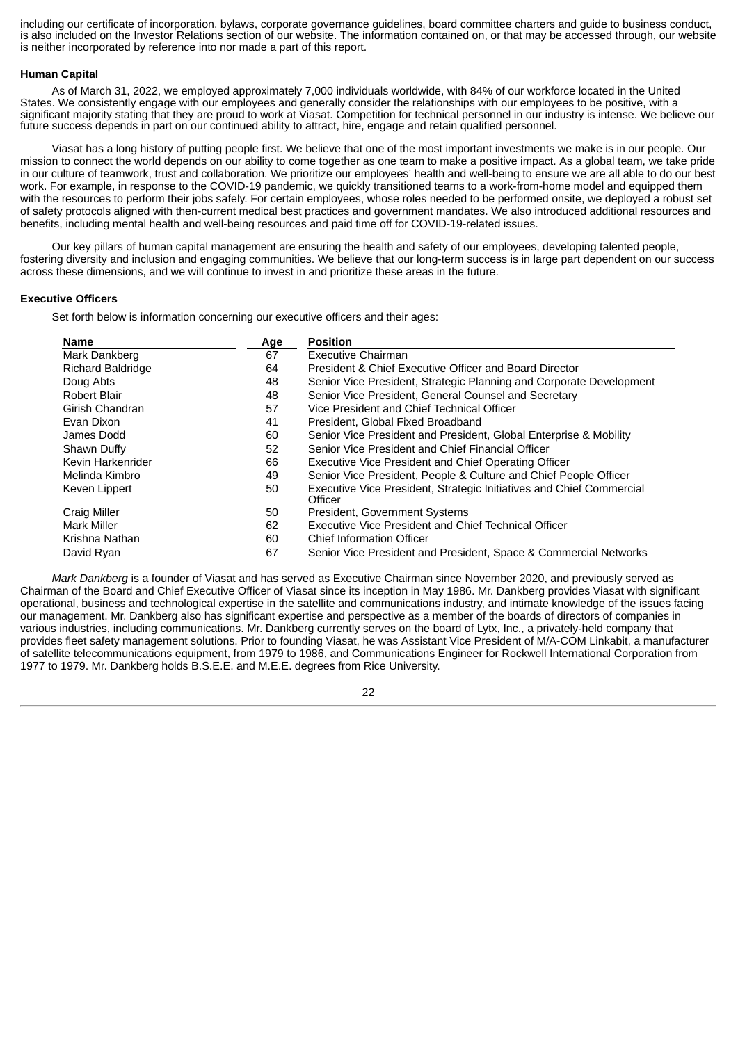including our certificate of incorporation, bylaws, corporate governance guidelines, board committee charters and guide to business conduct, is also included on the Investor Relations section of our website. The information contained on, or that may be accessed through, our website is neither incorporated by reference into nor made a part of this report.

#### **Human Capital**

As of March 31, 2022, we employed approximately 7,000 individuals worldwide, with 84% of our workforce located in the United States. We consistently engage with our employees and generally consider the relationships with our employees to be positive, with a significant majority stating that they are proud to work at Viasat. Competition for technical personnel in our industry is intense. We believe our future success depends in part on our continued ability to attract, hire, engage and retain qualified personnel.

Viasat has a long history of putting people first. We believe that one of the most important investments we make is in our people. Our mission to connect the world depends on our ability to come together as one team to make a positive impact. As a global team, we take pride in our culture of teamwork, trust and collaboration. We prioritize our employees' health and well-being to ensure we are all able to do our best work. For example, in response to the COVID-19 pandemic, we quickly transitioned teams to a work-from-home model and equipped them with the resources to perform their jobs safely. For certain employees, whose roles needed to be performed onsite, we deployed a robust set of safety protocols aligned with then-current medical best practices and government mandates. We also introduced additional resources and benefits, including mental health and well-being resources and paid time off for COVID-19-related issues.

Our key pillars of human capital management are ensuring the health and safety of our employees, developing talented people, fostering diversity and inclusion and engaging communities. We believe that our long-term success is in large part dependent on our success across these dimensions, and we will continue to invest in and prioritize these areas in the future.

# **Executive Officers**

Set forth below is information concerning our executive officers and their ages:

| <b>Name</b>              | Age | <b>Position</b>                                                                 |
|--------------------------|-----|---------------------------------------------------------------------------------|
| Mark Dankberg            | 67  | Executive Chairman                                                              |
| <b>Richard Baldridge</b> | 64  | President & Chief Executive Officer and Board Director                          |
| Doug Abts                | 48  | Senior Vice President, Strategic Planning and Corporate Development             |
| Robert Blair             | 48  | Senior Vice President, General Counsel and Secretary                            |
| Girish Chandran          | 57  | Vice President and Chief Technical Officer                                      |
| Evan Dixon               | 41  | President, Global Fixed Broadband                                               |
| James Dodd               | 60  | Senior Vice President and President, Global Enterprise & Mobility               |
| Shawn Duffy              | 52  | Senior Vice President and Chief Financial Officer                               |
| Kevin Harkenrider        | 66  | Executive Vice President and Chief Operating Officer                            |
| Melinda Kimbro           | 49  | Senior Vice President, People & Culture and Chief People Officer                |
| Keven Lippert            | 50  | Executive Vice President, Strategic Initiatives and Chief Commercial<br>Officer |
| <b>Craig Miller</b>      | 50  | <b>President, Government Systems</b>                                            |
| Mark Miller              | 62  | Executive Vice President and Chief Technical Officer                            |
| Krishna Nathan           | 60  | <b>Chief Information Officer</b>                                                |
| David Ryan               | 67  | Senior Vice President and President, Space & Commercial Networks                |

*Mark Dankberg* is a founder of Viasat and has served as Executive Chairman since November 2020, and previously served as Chairman of the Board and Chief Executive Officer of Viasat since its inception in May 1986. Mr. Dankberg provides Viasat with significant operational, business and technological expertise in the satellite and communications industry, and intimate knowledge of the issues facing our management. Mr. Dankberg also has significant expertise and perspective as a member of the boards of directors of companies in various industries, including communications. Mr. Dankberg currently serves on the board of Lytx, Inc., a privately-held company that provides fleet safety management solutions. Prior to founding Viasat, he was Assistant Vice President of M/A-COM Linkabit, a manufacturer of satellite telecommunications equipment, from 1979 to 1986, and Communications Engineer for Rockwell International Corporation from 1977 to 1979. Mr. Dankberg holds B.S.E.E. and M.E.E. degrees from Rice University.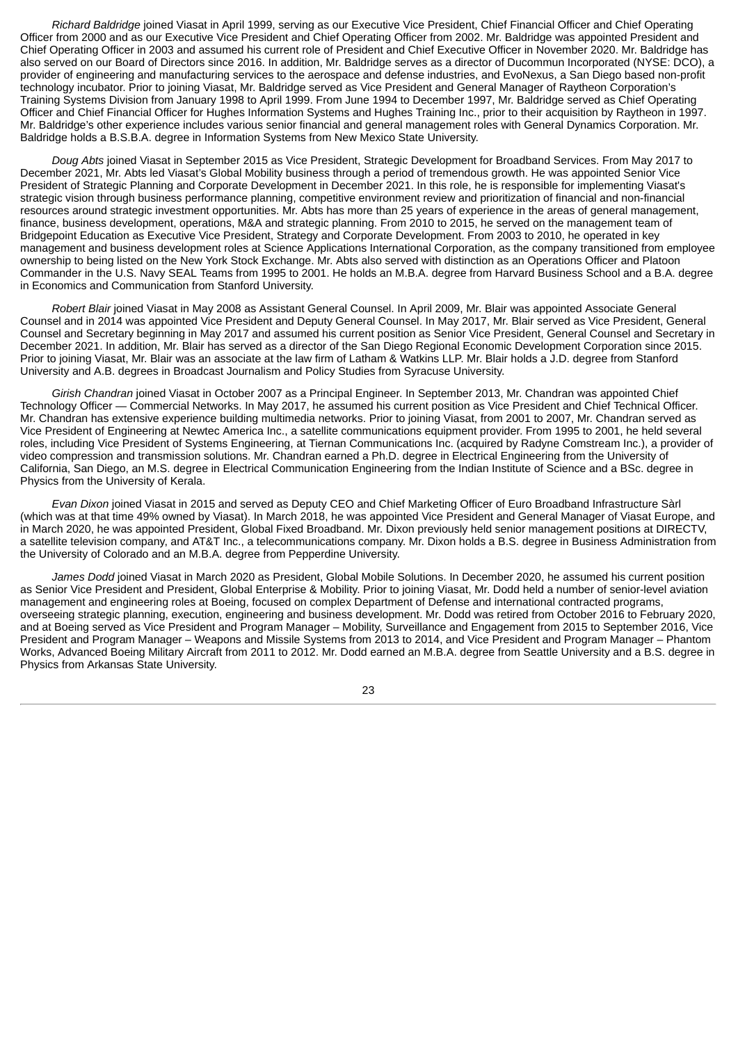*Richard Baldridge* joined Viasat in April 1999, serving as our Executive Vice President, Chief Financial Officer and Chief Operating Officer from 2000 and as our Executive Vice President and Chief Operating Officer from 2002. Mr. Baldridge was appointed President and Chief Operating Officer in 2003 and assumed his current role of President and Chief Executive Officer in November 2020. Mr. Baldridge has also served on our Board of Directors since 2016. In addition, Mr. Baldridge serves as a director of Ducommun Incorporated (NYSE: DCO), a provider of engineering and manufacturing services to the aerospace and defense industries, and EvoNexus, a San Diego based non-profit technology incubator. Prior to joining Viasat, Mr. Baldridge served as Vice President and General Manager of Raytheon Corporation's Training Systems Division from January 1998 to April 1999. From June 1994 to December 1997, Mr. Baldridge served as Chief Operating Officer and Chief Financial Officer for Hughes Information Systems and Hughes Training Inc., prior to their acquisition by Raytheon in 1997. Mr. Baldridge's other experience includes various senior financial and general management roles with General Dynamics Corporation. Mr. Baldridge holds a B.S.B.A. degree in Information Systems from New Mexico State University.

*Doug Abts* joined Viasat in September 2015 as Vice President, Strategic Development for Broadband Services. From May 2017 to December 2021, Mr. Abts led Viasat's Global Mobility business through a period of tremendous growth. He was appointed Senior Vice President of Strategic Planning and Corporate Development in December 2021. In this role, he is responsible for implementing Viasat's strategic vision through business performance planning, competitive environment review and prioritization of financial and non-financial resources around strategic investment opportunities. Mr. Abts has more than 25 years of experience in the areas of general management, finance, business development, operations, M&A and strategic planning. From 2010 to 2015, he served on the management team of Bridgepoint Education as Executive Vice President, Strategy and Corporate Development. From 2003 to 2010, he operated in key management and business development roles at Science Applications International Corporation, as the company transitioned from employee ownership to being listed on the New York Stock Exchange. Mr. Abts also served with distinction as an Operations Officer and Platoon Commander in the U.S. Navy SEAL Teams from 1995 to 2001. He holds an M.B.A. degree from Harvard Business School and a B.A. degree in Economics and Communication from Stanford University.

*Robert Blair* joined Viasat in May 2008 as Assistant General Counsel. In April 2009, Mr. Blair was appointed Associate General Counsel and in 2014 was appointed Vice President and Deputy General Counsel. In May 2017, Mr. Blair served as Vice President, General Counsel and Secretary beginning in May 2017 and assumed his current position as Senior Vice President, General Counsel and Secretary in December 2021. In addition, Mr. Blair has served as a director of the San Diego Regional Economic Development Corporation since 2015. Prior to joining Viasat, Mr. Blair was an associate at the law firm of Latham & Watkins LLP. Mr. Blair holds a J.D. degree from Stanford University and A.B. degrees in Broadcast Journalism and Policy Studies from Syracuse University.

*Girish Chandran* joined Viasat in October 2007 as a Principal Engineer. In September 2013, Mr. Chandran was appointed Chief Technology Officer — Commercial Networks. In May 2017, he assumed his current position as Vice President and Chief Technical Officer. Mr. Chandran has extensive experience building multimedia networks. Prior to joining Viasat, from 2001 to 2007, Mr. Chandran served as Vice President of Engineering at Newtec America Inc., a satellite communications equipment provider. From 1995 to 2001, he held several roles, including Vice President of Systems Engineering, at Tiernan Communications Inc. (acquired by Radyne Comstream Inc.), a provider of video compression and transmission solutions. Mr. Chandran earned a Ph.D. degree in Electrical Engineering from the University of California, San Diego, an M.S. degree in Electrical Communication Engineering from the Indian Institute of Science and a BSc. degree in Physics from the University of Kerala.

*Evan Dixon* joined Viasat in 2015 and served as Deputy CEO and Chief Marketing Officer of Euro Broadband Infrastructure Sàrl (which was at that time 49% owned by Viasat). In March 2018, he was appointed Vice President and General Manager of Viasat Europe, and in March 2020, he was appointed President, Global Fixed Broadband. Mr. Dixon previously held senior management positions at DIRECTV, a satellite television company, and AT&T Inc., a telecommunications company. Mr. Dixon holds a B.S. degree in Business Administration from the University of Colorado and an M.B.A. degree from Pepperdine University.

*James Dodd* joined Viasat in March 2020 as President, Global Mobile Solutions. In December 2020, he assumed his current position as Senior Vice President and President, Global Enterprise & Mobility. Prior to joining Viasat, Mr. Dodd held a number of senior-level aviation management and engineering roles at Boeing, focused on complex Department of Defense and international contracted programs, overseeing strategic planning, execution, engineering and business development. Mr. Dodd was retired from October 2016 to February 2020, and at Boeing served as Vice President and Program Manager – Mobility, Surveillance and Engagement from 2015 to September 2016, Vice President and Program Manager – Weapons and Missile Systems from 2013 to 2014, and Vice President and Program Manager – Phantom Works, Advanced Boeing Military Aircraft from 2011 to 2012. Mr. Dodd earned an M.B.A. degree from Seattle University and a B.S. degree in Physics from Arkansas State University.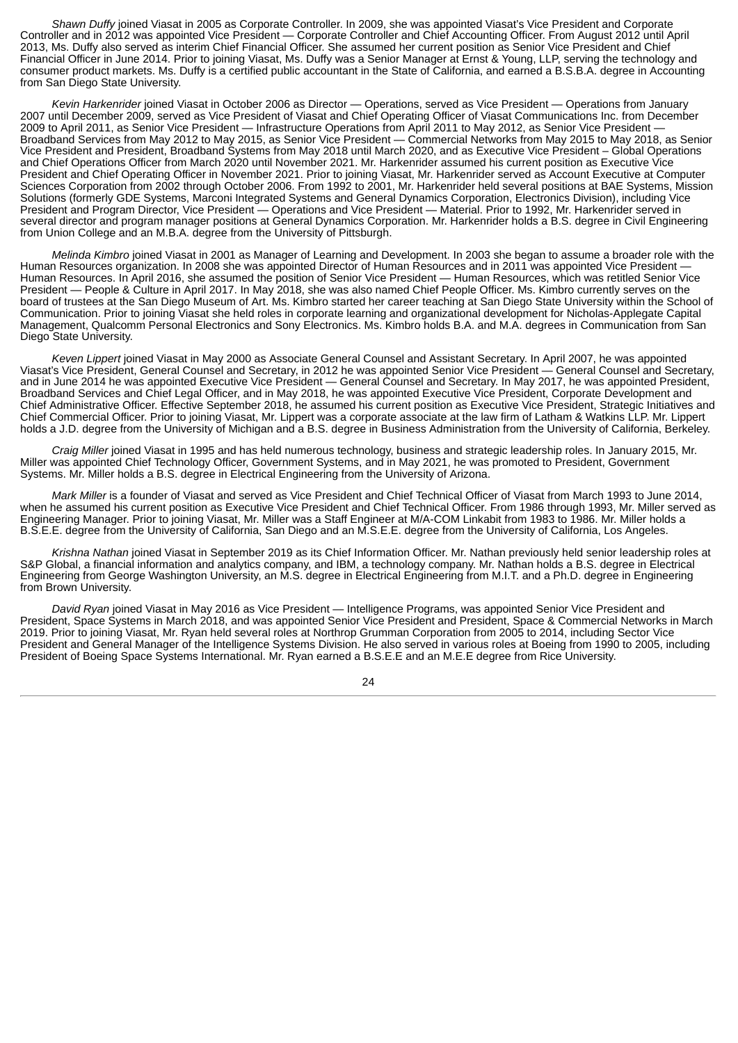*Shawn Duffy* joined Viasat in 2005 as Corporate Controller. In 2009, she was appointed Viasat's Vice President and Corporate Controller and in 2012 was appointed Vice President — Corporate Controller and Chief Accounting Officer. From August 2012 until April 2013, Ms. Duffy also served as interim Chief Financial Officer. She assumed her current position as Senior Vice President and Chief Financial Officer in June 2014. Prior to joining Viasat, Ms. Duffy was a Senior Manager at Ernst & Young, LLP, serving the technology and consumer product markets. Ms. Duffy is a certified public accountant in the State of California, and earned a B.S.B.A. degree in Accounting from San Diego State University.

*Kevin Harkenrider* joined Viasat in October 2006 as Director — Operations, served as Vice President — Operations from January 2007 until December 2009, served as Vice President of Viasat and Chief Operating Officer of Viasat Communications Inc. from December 2009 to April 2011, as Senior Vice President — Infrastructure Operations from April 2011 to May 2012, as Senior Vice President Broadband Services from May 2012 to May 2015, as Senior Vice President — Commercial Networks from May 2015 to May 2018, as Senior Vice President and President, Broadband Systems from May 2018 until March 2020, and as Executive Vice President – Global Operations and Chief Operations Officer from March 2020 until November 2021. Mr. Harkenrider assumed his current position as Executive Vice President and Chief Operating Officer in November 2021. Prior to joining Viasat, Mr. Harkenrider served as Account Executive at Computer Sciences Corporation from 2002 through October 2006. From 1992 to 2001, Mr. Harkenrider held several positions at BAE Systems, Mission Solutions (formerly GDE Systems, Marconi Integrated Systems and General Dynamics Corporation, Electronics Division), including Vice President and Program Director, Vice President — Operations and Vice President — Material. Prior to 1992, Mr. Harkenrider served in several director and program manager positions at General Dynamics Corporation. Mr. Harkenrider holds a B.S. degree in Civil Engineering from Union College and an M.B.A. degree from the University of Pittsburgh.

*Melinda Kimbro* joined Viasat in 2001 as Manager of Learning and Development. In 2003 she began to assume a broader role with the Human Resources organization. In 2008 she was appointed Director of Human Resources and in 2011 was appointed Vice President Human Resources. In April 2016, she assumed the position of Senior Vice President — Human Resources, which was retitled Senior Vice President — People & Culture in April 2017. In May 2018, she was also named Chief People Officer. Ms. Kimbro currently serves on the board of trustees at the San Diego Museum of Art. Ms. Kimbro started her career teaching at San Diego State University within the School of Communication. Prior to joining Viasat she held roles in corporate learning and organizational development for Nicholas-Applegate Capital Management, Qualcomm Personal Electronics and Sony Electronics. Ms. Kimbro holds B.A. and M.A. degrees in Communication from San Diego State University.

*Keven Lippert* joined Viasat in May 2000 as Associate General Counsel and Assistant Secretary. In April 2007, he was appointed Viasat's Vice President, General Counsel and Secretary, in 2012 he was appointed Senior Vice President — General Counsel and Secretary, and in June 2014 he was appointed Executive Vice President — General Counsel and Secretary. In May 2017, he was appointed President, Broadband Services and Chief Legal Officer, and in May 2018, he was appointed Executive Vice President, Corporate Development and Chief Administrative Officer. Effective September 2018, he assumed his current position as Executive Vice President, Strategic Initiatives and Chief Commercial Officer. Prior to joining Viasat, Mr. Lippert was a corporate associate at the law firm of Latham & Watkins LLP. Mr. Lippert holds a J.D. degree from the University of Michigan and a B.S. degree in Business Administration from the University of California, Berkeley.

*Craig Miller* joined Viasat in 1995 and has held numerous technology, business and strategic leadership roles. In January 2015, Mr. Miller was appointed Chief Technology Officer, Government Systems, and in May 2021, he was promoted to President, Government Systems. Mr. Miller holds a B.S. degree in Electrical Engineering from the University of Arizona.

*Mark Miller* is a founder of Viasat and served as Vice President and Chief Technical Officer of Viasat from March 1993 to June 2014, when he assumed his current position as Executive Vice President and Chief Technical Officer. From 1986 through 1993, Mr. Miller served as Engineering Manager. Prior to joining Viasat, Mr. Miller was a Staff Engineer at M/A-COM Linkabit from 1983 to 1986. Mr. Miller holds a B.S.E.E. degree from the University of California, San Diego and an M.S.E.E. degree from the University of California, Los Angeles.

*Krishna Nathan* joined Viasat in September 2019 as its Chief Information Officer. Mr. Nathan previously held senior leadership roles at S&P Global, a financial information and analytics company, and IBM, a technology company. Mr. Nathan holds a B.S. degree in Electrical Engineering from George Washington University, an M.S. degree in Electrical Engineering from M.I.T. and a Ph.D. degree in Engineering from Brown University.

*David Ryan* joined Viasat in May 2016 as Vice President — Intelligence Programs, was appointed Senior Vice President and President, Space Systems in March 2018, and was appointed Senior Vice President and President, Space & Commercial Networks in March 2019. Prior to joining Viasat, Mr. Ryan held several roles at Northrop Grumman Corporation from 2005 to 2014, including Sector Vice President and General Manager of the Intelligence Systems Division. He also served in various roles at Boeing from 1990 to 2005, including President of Boeing Space Systems International. Mr. Ryan earned a B.S.E.E and an M.E.E degree from Rice University.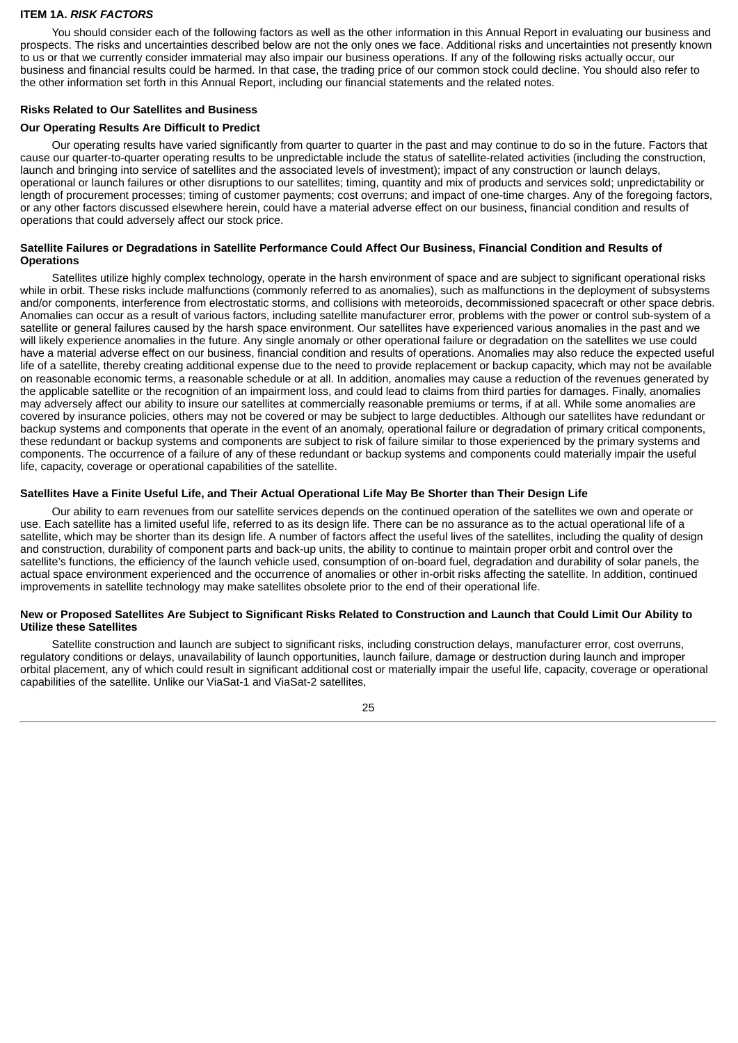# <span id="page-25-0"></span>**ITEM 1A.** *RISK FACTORS*

You should consider each of the following factors as well as the other information in this Annual Report in evaluating our business and prospects. The risks and uncertainties described below are not the only ones we face. Additional risks and uncertainties not presently known to us or that we currently consider immaterial may also impair our business operations. If any of the following risks actually occur, our business and financial results could be harmed. In that case, the trading price of our common stock could decline. You should also refer to the other information set forth in this Annual Report, including our financial statements and the related notes.

# **Risks Related to Our Satellites and Business**

#### **Our Operating Results Are Difficult to Predict**

Our operating results have varied significantly from quarter to quarter in the past and may continue to do so in the future. Factors that cause our quarter-to-quarter operating results to be unpredictable include the status of satellite-related activities (including the construction, launch and bringing into service of satellites and the associated levels of investment); impact of any construction or launch delays, operational or launch failures or other disruptions to our satellites; timing, quantity and mix of products and services sold; unpredictability or length of procurement processes; timing of customer payments; cost overruns; and impact of one-time charges. Any of the foregoing factors, or any other factors discussed elsewhere herein, could have a material adverse effect on our business, financial condition and results of operations that could adversely affect our stock price.

#### Satellite Failures or Degradations in Satellite Performance Could Affect Our Business, Financial Condition and Results of **Operations**

Satellites utilize highly complex technology, operate in the harsh environment of space and are subject to significant operational risks while in orbit. These risks include malfunctions (commonly referred to as anomalies), such as malfunctions in the deployment of subsystems and/or components, interference from electrostatic storms, and collisions with meteoroids, decommissioned spacecraft or other space debris. Anomalies can occur as a result of various factors, including satellite manufacturer error, problems with the power or control sub-system of a satellite or general failures caused by the harsh space environment. Our satellites have experienced various anomalies in the past and we will likely experience anomalies in the future. Any single anomaly or other operational failure or degradation on the satellites we use could have a material adverse effect on our business, financial condition and results of operations. Anomalies may also reduce the expected useful life of a satellite, thereby creating additional expense due to the need to provide replacement or backup capacity, which may not be available on reasonable economic terms, a reasonable schedule or at all. In addition, anomalies may cause a reduction of the revenues generated by the applicable satellite or the recognition of an impairment loss, and could lead to claims from third parties for damages. Finally, anomalies may adversely affect our ability to insure our satellites at commercially reasonable premiums or terms, if at all. While some anomalies are covered by insurance policies, others may not be covered or may be subject to large deductibles. Although our satellites have redundant or backup systems and components that operate in the event of an anomaly, operational failure or degradation of primary critical components, these redundant or backup systems and components are subject to risk of failure similar to those experienced by the primary systems and components. The occurrence of a failure of any of these redundant or backup systems and components could materially impair the useful life, capacity, coverage or operational capabilities of the satellite.

# Satellites Have a Finite Useful Life, and Their Actual Operational Life May Be Shorter than Their Design Life

Our ability to earn revenues from our satellite services depends on the continued operation of the satellites we own and operate or use. Each satellite has a limited useful life, referred to as its design life. There can be no assurance as to the actual operational life of a satellite, which may be shorter than its design life. A number of factors affect the useful lives of the satellites, including the quality of design and construction, durability of component parts and back-up units, the ability to continue to maintain proper orbit and control over the satellite's functions, the efficiency of the launch vehicle used, consumption of on-board fuel, degradation and durability of solar panels, the actual space environment experienced and the occurrence of anomalies or other in-orbit risks affecting the satellite. In addition, continued improvements in satellite technology may make satellites obsolete prior to the end of their operational life.

# New or Proposed Satellites Are Subject to Significant Risks Related to Construction and Launch that Could Limit Our Ability to **Utilize these Satellites**

Satellite construction and launch are subject to significant risks, including construction delays, manufacturer error, cost overruns, regulatory conditions or delays, unavailability of launch opportunities, launch failure, damage or destruction during launch and improper orbital placement, any of which could result in significant additional cost or materially impair the useful life, capacity, coverage or operational capabilities of the satellite. Unlike our ViaSat-1 and ViaSat-2 satellites,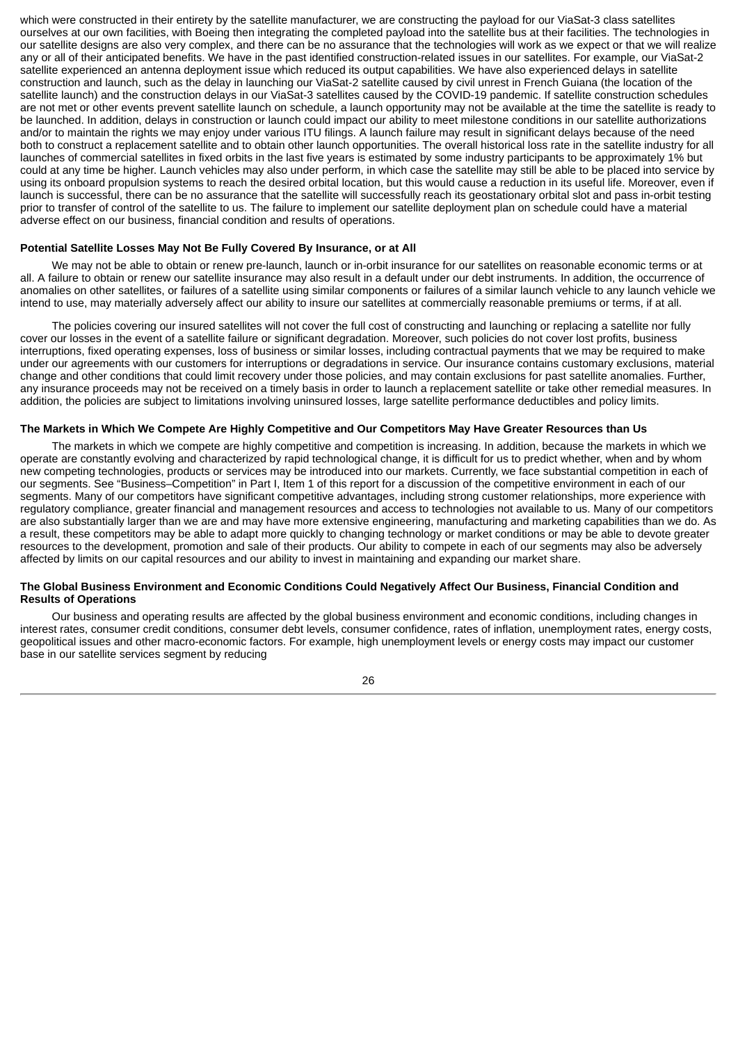which were constructed in their entirety by the satellite manufacturer, we are constructing the payload for our ViaSat-3 class satellites ourselves at our own facilities, with Boeing then integrating the completed payload into the satellite bus at their facilities. The technologies in our satellite designs are also very complex, and there can be no assurance that the technologies will work as we expect or that we will realize any or all of their anticipated benefits. We have in the past identified construction-related issues in our satellites. For example, our ViaSat-2 satellite experienced an antenna deployment issue which reduced its output capabilities. We have also experienced delays in satellite construction and launch, such as the delay in launching our ViaSat-2 satellite caused by civil unrest in French Guiana (the location of the satellite launch) and the construction delays in our ViaSat-3 satellites caused by the COVID-19 pandemic. If satellite construction schedules are not met or other events prevent satellite launch on schedule, a launch opportunity may not be available at the time the satellite is ready to be launched. In addition, delays in construction or launch could impact our ability to meet milestone conditions in our satellite authorizations and/or to maintain the rights we may enjoy under various ITU filings. A launch failure may result in significant delays because of the need both to construct a replacement satellite and to obtain other launch opportunities. The overall historical loss rate in the satellite industry for all launches of commercial satellites in fixed orbits in the last five years is estimated by some industry participants to be approximately 1% but could at any time be higher. Launch vehicles may also under perform, in which case the satellite may still be able to be placed into service by using its onboard propulsion systems to reach the desired orbital location, but this would cause a reduction in its useful life. Moreover, even if launch is successful, there can be no assurance that the satellite will successfully reach its geostationary orbital slot and pass in-orbit testing prior to transfer of control of the satellite to us. The failure to implement our satellite deployment plan on schedule could have a material adverse effect on our business, financial condition and results of operations.

### **Potential Satellite Losses May Not Be Fully Covered By Insurance, or at All**

We may not be able to obtain or renew pre-launch, launch or in-orbit insurance for our satellites on reasonable economic terms or at all. A failure to obtain or renew our satellite insurance may also result in a default under our debt instruments. In addition, the occurrence of anomalies on other satellites, or failures of a satellite using similar components or failures of a similar launch vehicle to any launch vehicle we intend to use, may materially adversely affect our ability to insure our satellites at commercially reasonable premiums or terms, if at all.

The policies covering our insured satellites will not cover the full cost of constructing and launching or replacing a satellite nor fully cover our losses in the event of a satellite failure or significant degradation. Moreover, such policies do not cover lost profits, business interruptions, fixed operating expenses, loss of business or similar losses, including contractual payments that we may be required to make under our agreements with our customers for interruptions or degradations in service. Our insurance contains customary exclusions, material change and other conditions that could limit recovery under those policies, and may contain exclusions for past satellite anomalies. Further, any insurance proceeds may not be received on a timely basis in order to launch a replacement satellite or take other remedial measures. In addition, the policies are subject to limitations involving uninsured losses, large satellite performance deductibles and policy limits.

# The Markets in Which We Compete Are Highly Competitive and Our Competitors May Have Greater Resources than Us

The markets in which we compete are highly competitive and competition is increasing. In addition, because the markets in which we operate are constantly evolving and characterized by rapid technological change, it is difficult for us to predict whether, when and by whom new competing technologies, products or services may be introduced into our markets. Currently, we face substantial competition in each of our segments. See "Business–Competition" in Part I, Item 1 of this report for a discussion of the competitive environment in each of our segments. Many of our competitors have significant competitive advantages, including strong customer relationships, more experience with regulatory compliance, greater financial and management resources and access to technologies not available to us. Many of our competitors are also substantially larger than we are and may have more extensive engineering, manufacturing and marketing capabilities than we do. As a result, these competitors may be able to adapt more quickly to changing technology or market conditions or may be able to devote greater resources to the development, promotion and sale of their products. Our ability to compete in each of our segments may also be adversely affected by limits on our capital resources and our ability to invest in maintaining and expanding our market share.

#### **The Global Business Environment and Economic Conditions Could Negatively Affect Our Business, Financial Condition and Results of Operations**

Our business and operating results are affected by the global business environment and economic conditions, including changes in interest rates, consumer credit conditions, consumer debt levels, consumer confidence, rates of inflation, unemployment rates, energy costs, geopolitical issues and other macro-economic factors. For example, high unemployment levels or energy costs may impact our customer base in our satellite services segment by reducing

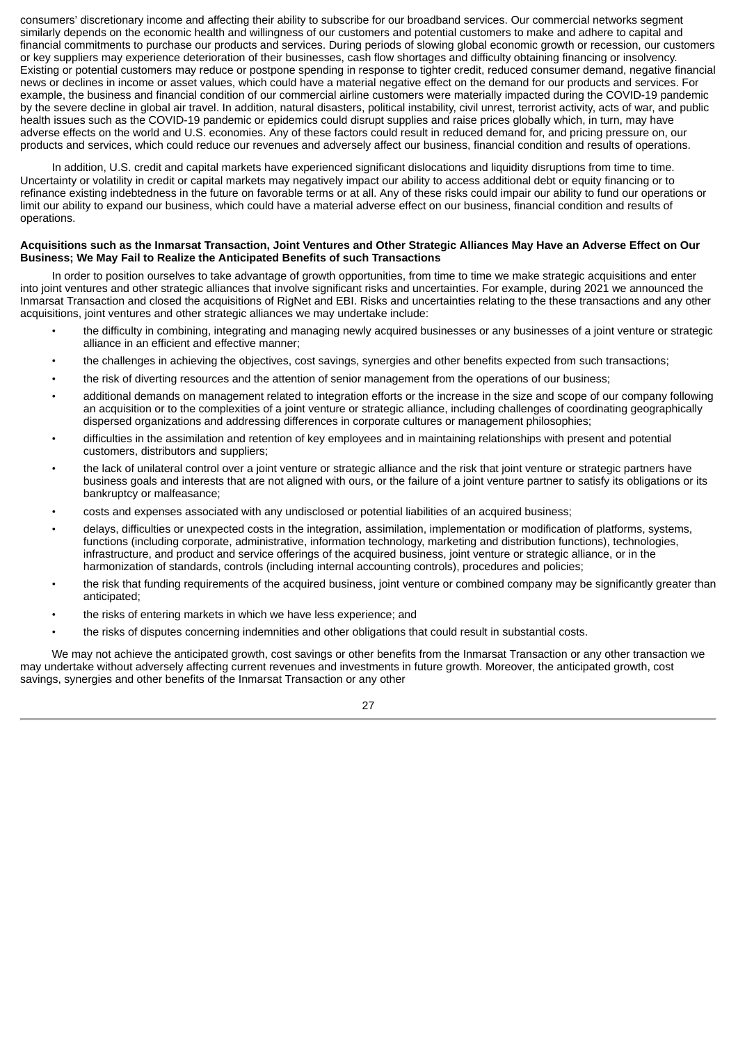consumers' discretionary income and affecting their ability to subscribe for our broadband services. Our commercial networks segment similarly depends on the economic health and willingness of our customers and potential customers to make and adhere to capital and financial commitments to purchase our products and services. During periods of slowing global economic growth or recession, our customers or key suppliers may experience deterioration of their businesses, cash flow shortages and difficulty obtaining financing or insolvency. Existing or potential customers may reduce or postpone spending in response to tighter credit, reduced consumer demand, negative financial news or declines in income or asset values, which could have a material negative effect on the demand for our products and services. For example, the business and financial condition of our commercial airline customers were materially impacted during the COVID-19 pandemic by the severe decline in global air travel. In addition, natural disasters, political instability, civil unrest, terrorist activity, acts of war, and public health issues such as the COVID-19 pandemic or epidemics could disrupt supplies and raise prices globally which, in turn, may have adverse effects on the world and U.S. economies. Any of these factors could result in reduced demand for, and pricing pressure on, our products and services, which could reduce our revenues and adversely affect our business, financial condition and results of operations.

In addition, U.S. credit and capital markets have experienced significant dislocations and liquidity disruptions from time to time. Uncertainty or volatility in credit or capital markets may negatively impact our ability to access additional debt or equity financing or to refinance existing indebtedness in the future on favorable terms or at all. Any of these risks could impair our ability to fund our operations or limit our ability to expand our business, which could have a material adverse effect on our business, financial condition and results of operations.

# Acquisitions such as the Inmarsat Transaction, Joint Ventures and Other Strategic Alliances May Have an Adverse Effect on Our **Business; We May Fail to Realize the Anticipated Benefits of such Transactions**

In order to position ourselves to take advantage of growth opportunities, from time to time we make strategic acquisitions and enter into joint ventures and other strategic alliances that involve significant risks and uncertainties. For example, during 2021 we announced the Inmarsat Transaction and closed the acquisitions of RigNet and EBI. Risks and uncertainties relating to the these transactions and any other acquisitions, joint ventures and other strategic alliances we may undertake include:

- the difficulty in combining, integrating and managing newly acquired businesses or any businesses of a joint venture or strategic alliance in an efficient and effective manner;
- the challenges in achieving the objectives, cost savings, synergies and other benefits expected from such transactions;
- the risk of diverting resources and the attention of senior management from the operations of our business;
- additional demands on management related to integration efforts or the increase in the size and scope of our company following an acquisition or to the complexities of a joint venture or strategic alliance, including challenges of coordinating geographically dispersed organizations and addressing differences in corporate cultures or management philosophies;
- difficulties in the assimilation and retention of key employees and in maintaining relationships with present and potential customers, distributors and suppliers;
- the lack of unilateral control over a joint venture or strategic alliance and the risk that joint venture or strategic partners have business goals and interests that are not aligned with ours, or the failure of a joint venture partner to satisfy its obligations or its bankruptcy or malfeasance;
- costs and expenses associated with any undisclosed or potential liabilities of an acquired business;
- delays, difficulties or unexpected costs in the integration, assimilation, implementation or modification of platforms, systems, functions (including corporate, administrative, information technology, marketing and distribution functions), technologies, infrastructure, and product and service offerings of the acquired business, joint venture or strategic alliance, or in the harmonization of standards, controls (including internal accounting controls), procedures and policies;
- the risk that funding requirements of the acquired business, joint venture or combined company may be significantly greater than anticipated;
- the risks of entering markets in which we have less experience; and
- the risks of disputes concerning indemnities and other obligations that could result in substantial costs.

We may not achieve the anticipated growth, cost savings or other benefits from the Inmarsat Transaction or any other transaction we may undertake without adversely affecting current revenues and investments in future growth. Moreover, the anticipated growth, cost savings, synergies and other benefits of the Inmarsat Transaction or any other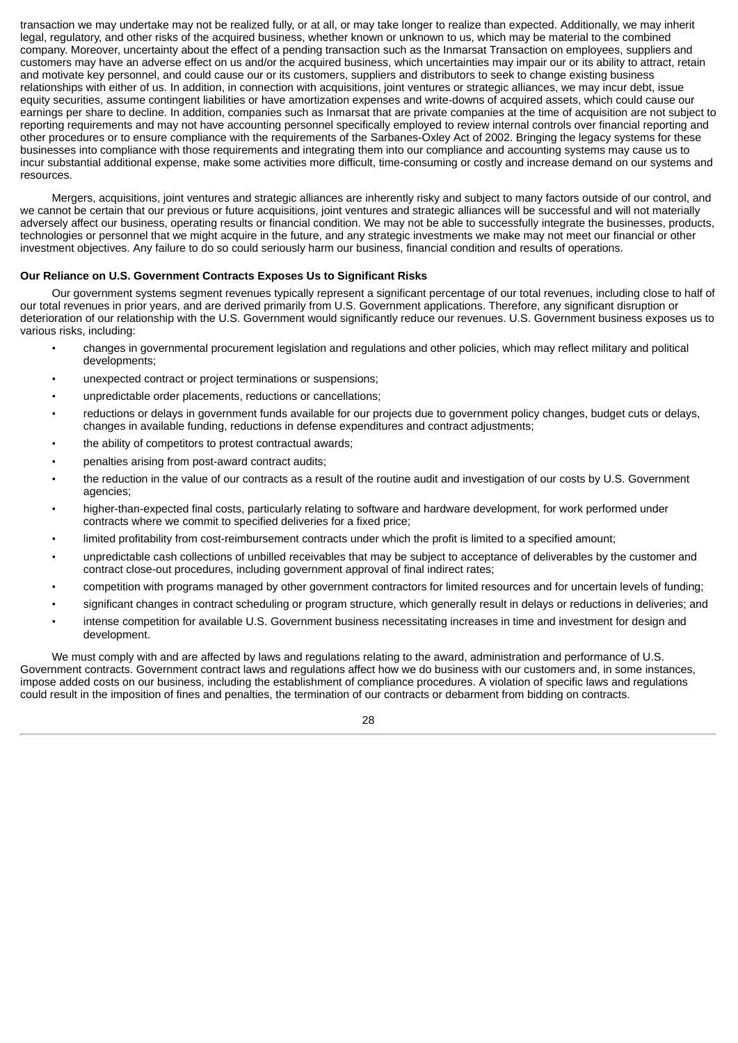transaction we may undertake may not be realized fully, or at all, or may take longer to realize than expected. Additionally, we may inherit legal, regulatory, and other risks of the acquired business, whether known or unknown to us, which may be material to the combined company. Moreover, uncertainty about the effect of a pending transaction such as the Inmarsat Transaction on employees, suppliers and customers may have an adverse effect on us and/or the acquired business, which uncertainties may impair our or its ability to attract, retain and motivate key personnel, and could cause our or its customers, suppliers and distributors to seek to change existing business relationships with either of us. In addition, in connection with acquisitions, joint ventures or strategic alliances, we may incur debt, issue equity securities, assume contingent liabilities or have amortization expenses and write-downs of acquired assets, which could cause our earnings per share to decline. In addition, companies such as Inmarsat that are private companies at the time of acquisition are not subject to reporting requirements and may not have accounting personnel specifically employed to review internal controls over financial reporting and other procedures or to ensure compliance with the requirements of the Sarbanes-Oxley Act of 2002. Bringing the legacy systems for these businesses into compliance with those requirements and integrating them into our compliance and accounting systems may cause us to incur substantial additional expense, make some activities more difficult, time-consuming or costly and increase demand on our systems and resources.

Mergers, acquisitions, joint ventures and strategic alliances are inherently risky and subject to many factors outside of our control, and we cannot be certain that our previous or future acquisitions, joint ventures and strategic alliances will be successful and will not materially adversely affect our business, operating results or financial condition. We may not be able to successfully integrate the businesses, products, technologies or personnel that we might acquire in the future, and any strategic investments we make may not meet our financial or other investment objectives. Any failure to do so could seriously harm our business, financial condition and results of operations.

# **Our Reliance on U.S. Government Contracts Exposes Us to Significant Risks**

Our government systems segment revenues typically represent a significant percentage of our total revenues, including close to half of our total revenues in prior years, and are derived primarily from U.S. Government applications. Therefore, any significant disruption or deterioration of our relationship with the U.S. Government would significantly reduce our revenues. U.S. Government business exposes us to various risks, including:

- changes in governmental procurement legislation and regulations and other policies, which may reflect military and political developments;
- unexpected contract or project terminations or suspensions;
- unpredictable order placements, reductions or cancellations;
- reductions or delays in government funds available for our projects due to government policy changes, budget cuts or delays, changes in available funding, reductions in defense expenditures and contract adjustments;
- the ability of competitors to protest contractual awards;
- penalties arising from post-award contract audits;
- the reduction in the value of our contracts as a result of the routine audit and investigation of our costs by U.S. Government agencies;
- higher-than-expected final costs, particularly relating to software and hardware development, for work performed under contracts where we commit to specified deliveries for a fixed price;
- limited profitability from cost-reimbursement contracts under which the profit is limited to a specified amount;
- unpredictable cash collections of unbilled receivables that may be subject to acceptance of deliverables by the customer and contract close-out procedures, including government approval of final indirect rates;
- competition with programs managed by other government contractors for limited resources and for uncertain levels of funding;
- significant changes in contract scheduling or program structure, which generally result in delays or reductions in deliveries; and
- intense competition for available U.S. Government business necessitating increases in time and investment for design and development.

We must comply with and are affected by laws and regulations relating to the award, administration and performance of U.S. Government contracts. Government contract laws and regulations affect how we do business with our customers and, in some instances, impose added costs on our business, including the establishment of compliance procedures. A violation of specific laws and regulations could result in the imposition of fines and penalties, the termination of our contracts or debarment from bidding on contracts.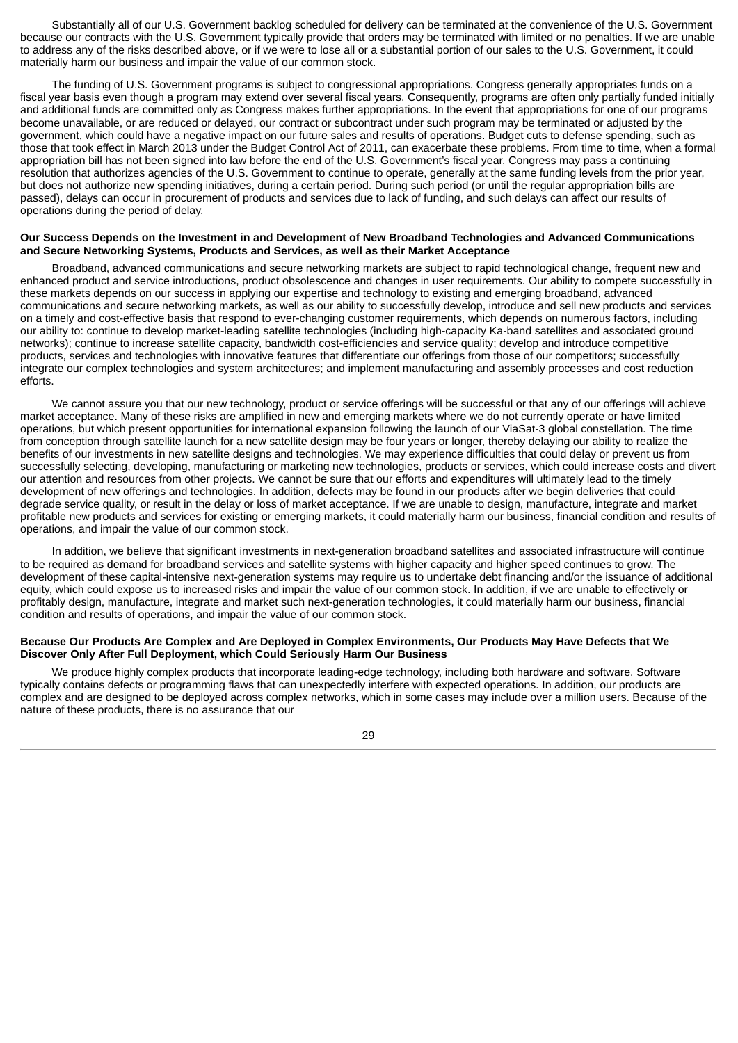Substantially all of our U.S. Government backlog scheduled for delivery can be terminated at the convenience of the U.S. Government because our contracts with the U.S. Government typically provide that orders may be terminated with limited or no penalties. If we are unable to address any of the risks described above, or if we were to lose all or a substantial portion of our sales to the U.S. Government, it could materially harm our business and impair the value of our common stock.

The funding of U.S. Government programs is subject to congressional appropriations. Congress generally appropriates funds on a fiscal year basis even though a program may extend over several fiscal years. Consequently, programs are often only partially funded initially and additional funds are committed only as Congress makes further appropriations. In the event that appropriations for one of our programs become unavailable, or are reduced or delayed, our contract or subcontract under such program may be terminated or adjusted by the government, which could have a negative impact on our future sales and results of operations. Budget cuts to defense spending, such as those that took effect in March 2013 under the Budget Control Act of 2011, can exacerbate these problems. From time to time, when a formal appropriation bill has not been signed into law before the end of the U.S. Government's fiscal year, Congress may pass a continuing resolution that authorizes agencies of the U.S. Government to continue to operate, generally at the same funding levels from the prior year, but does not authorize new spending initiatives, during a certain period. During such period (or until the regular appropriation bills are passed), delays can occur in procurement of products and services due to lack of funding, and such delays can affect our results of operations during the period of delay.

#### Our Success Depends on the Investment in and Development of New Broadband Technologies and Advanced Communications **and Secure Networking Systems, Products and Services, as well as their Market Acceptance**

Broadband, advanced communications and secure networking markets are subject to rapid technological change, frequent new and enhanced product and service introductions, product obsolescence and changes in user requirements. Our ability to compete successfully in these markets depends on our success in applying our expertise and technology to existing and emerging broadband, advanced communications and secure networking markets, as well as our ability to successfully develop, introduce and sell new products and services on a timely and cost-effective basis that respond to ever-changing customer requirements, which depends on numerous factors, including our ability to: continue to develop market-leading satellite technologies (including high-capacity Ka-band satellites and associated ground networks); continue to increase satellite capacity, bandwidth cost-efficiencies and service quality; develop and introduce competitive products, services and technologies with innovative features that differentiate our offerings from those of our competitors; successfully integrate our complex technologies and system architectures; and implement manufacturing and assembly processes and cost reduction efforts.

We cannot assure you that our new technology, product or service offerings will be successful or that any of our offerings will achieve market acceptance. Many of these risks are amplified in new and emerging markets where we do not currently operate or have limited operations, but which present opportunities for international expansion following the launch of our ViaSat-3 global constellation. The time from conception through satellite launch for a new satellite design may be four years or longer, thereby delaying our ability to realize the benefits of our investments in new satellite designs and technologies. We may experience difficulties that could delay or prevent us from successfully selecting, developing, manufacturing or marketing new technologies, products or services, which could increase costs and divert our attention and resources from other projects. We cannot be sure that our efforts and expenditures will ultimately lead to the timely development of new offerings and technologies. In addition, defects may be found in our products after we begin deliveries that could degrade service quality, or result in the delay or loss of market acceptance. If we are unable to design, manufacture, integrate and market profitable new products and services for existing or emerging markets, it could materially harm our business, financial condition and results of operations, and impair the value of our common stock.

In addition, we believe that significant investments in next-generation broadband satellites and associated infrastructure will continue to be required as demand for broadband services and satellite systems with higher capacity and higher speed continues to grow. The development of these capital-intensive next-generation systems may require us to undertake debt financing and/or the issuance of additional equity, which could expose us to increased risks and impair the value of our common stock. In addition, if we are unable to effectively or profitably design, manufacture, integrate and market such next-generation technologies, it could materially harm our business, financial condition and results of operations, and impair the value of our common stock.

# Because Our Products Are Complex and Are Deployed in Complex Environments, Our Products May Have Defects that We **Discover Only After Full Deployment, which Could Seriously Harm Our Business**

We produce highly complex products that incorporate leading-edge technology, including both hardware and software. Software typically contains defects or programming flaws that can unexpectedly interfere with expected operations. In addition, our products are complex and are designed to be deployed across complex networks, which in some cases may include over a million users. Because of the nature of these products, there is no assurance that our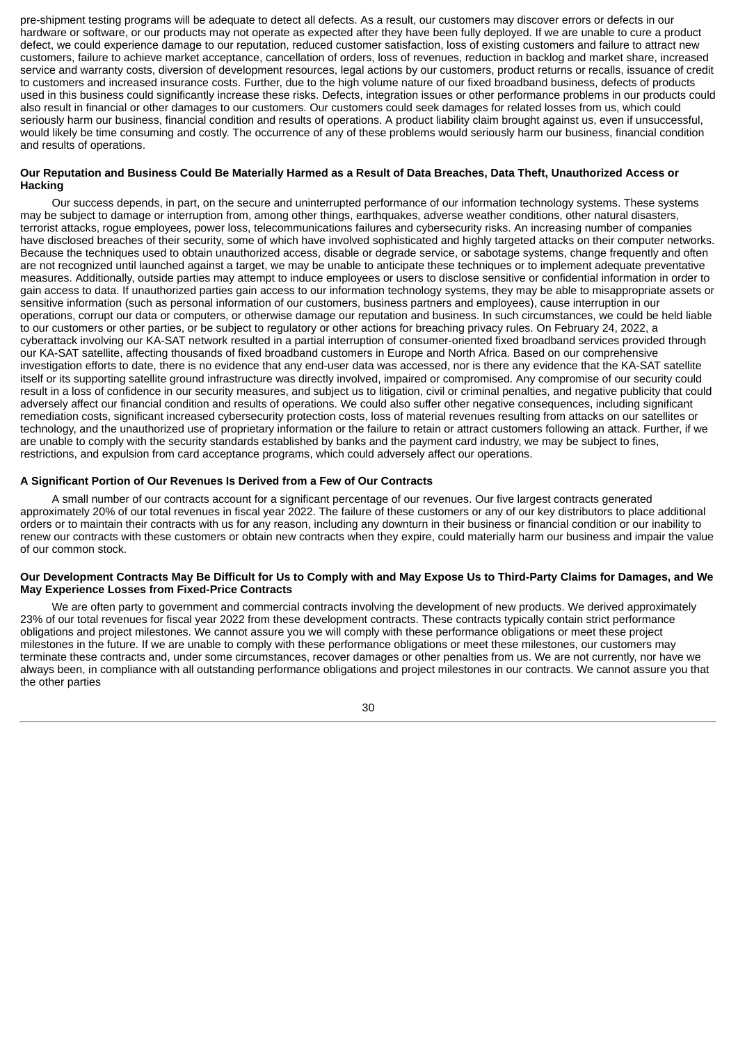pre-shipment testing programs will be adequate to detect all defects. As a result, our customers may discover errors or defects in our hardware or software, or our products may not operate as expected after they have been fully deployed. If we are unable to cure a product defect, we could experience damage to our reputation, reduced customer satisfaction, loss of existing customers and failure to attract new customers, failure to achieve market acceptance, cancellation of orders, loss of revenues, reduction in backlog and market share, increased service and warranty costs, diversion of development resources, legal actions by our customers, product returns or recalls, issuance of credit to customers and increased insurance costs. Further, due to the high volume nature of our fixed broadband business, defects of products used in this business could significantly increase these risks. Defects, integration issues or other performance problems in our products could also result in financial or other damages to our customers. Our customers could seek damages for related losses from us, which could seriously harm our business, financial condition and results of operations. A product liability claim brought against us, even if unsuccessful, would likely be time consuming and costly. The occurrence of any of these problems would seriously harm our business, financial condition and results of operations.

# Our Reputation and Business Could Be Materially Harmed as a Result of Data Breaches. Data Theft, Unauthorized Access or **Hacking**

Our success depends, in part, on the secure and uninterrupted performance of our information technology systems. These systems may be subject to damage or interruption from, among other things, earthquakes, adverse weather conditions, other natural disasters, terrorist attacks, rogue employees, power loss, telecommunications failures and cybersecurity risks. An increasing number of companies have disclosed breaches of their security, some of which have involved sophisticated and highly targeted attacks on their computer networks. Because the techniques used to obtain unauthorized access, disable or degrade service, or sabotage systems, change frequently and often are not recognized until launched against a target, we may be unable to anticipate these techniques or to implement adequate preventative measures. Additionally, outside parties may attempt to induce employees or users to disclose sensitive or confidential information in order to gain access to data. If unauthorized parties gain access to our information technology systems, they may be able to misappropriate assets or sensitive information (such as personal information of our customers, business partners and employees), cause interruption in our operations, corrupt our data or computers, or otherwise damage our reputation and business. In such circumstances, we could be held liable to our customers or other parties, or be subject to regulatory or other actions for breaching privacy rules. On February 24, 2022, a cyberattack involving our KA-SAT network resulted in a partial interruption of consumer-oriented fixed broadband services provided through our KA-SAT satellite, affecting thousands of fixed broadband customers in Europe and North Africa. Based on our comprehensive investigation efforts to date, there is no evidence that any end-user data was accessed, nor is there any evidence that the KA-SAT satellite itself or its supporting satellite ground infrastructure was directly involved, impaired or compromised. Any compromise of our security could result in a loss of confidence in our security measures, and subject us to litigation, civil or criminal penalties, and negative publicity that could adversely affect our financial condition and results of operations. We could also suffer other negative consequences, including significant remediation costs, significant increased cybersecurity protection costs, loss of material revenues resulting from attacks on our satellites or technology, and the unauthorized use of proprietary information or the failure to retain or attract customers following an attack. Further, if we are unable to comply with the security standards established by banks and the payment card industry, we may be subject to fines, restrictions, and expulsion from card acceptance programs, which could adversely affect our operations.

# **A Significant Portion of Our Revenues Is Derived from a Few of Our Contracts**

A small number of our contracts account for a significant percentage of our revenues. Our five largest contracts generated approximately 20% of our total revenues in fiscal year 2022. The failure of these customers or any of our key distributors to place additional orders or to maintain their contracts with us for any reason, including any downturn in their business or financial condition or our inability to renew our contracts with these customers or obtain new contracts when they expire, could materially harm our business and impair the value of our common stock.

# Our Development Contracts May Be Difficult for Us to Comply with and May Expose Us to Third-Party Claims for Damages, and We **May Experience Losses from Fixed-Price Contracts**

We are often party to government and commercial contracts involving the development of new products. We derived approximately 23% of our total revenues for fiscal year 2022 from these development contracts. These contracts typically contain strict performance obligations and project milestones. We cannot assure you we will comply with these performance obligations or meet these project milestones in the future. If we are unable to comply with these performance obligations or meet these milestones, our customers may terminate these contracts and, under some circumstances, recover damages or other penalties from us. We are not currently, nor have we always been, in compliance with all outstanding performance obligations and project milestones in our contracts. We cannot assure you that the other parties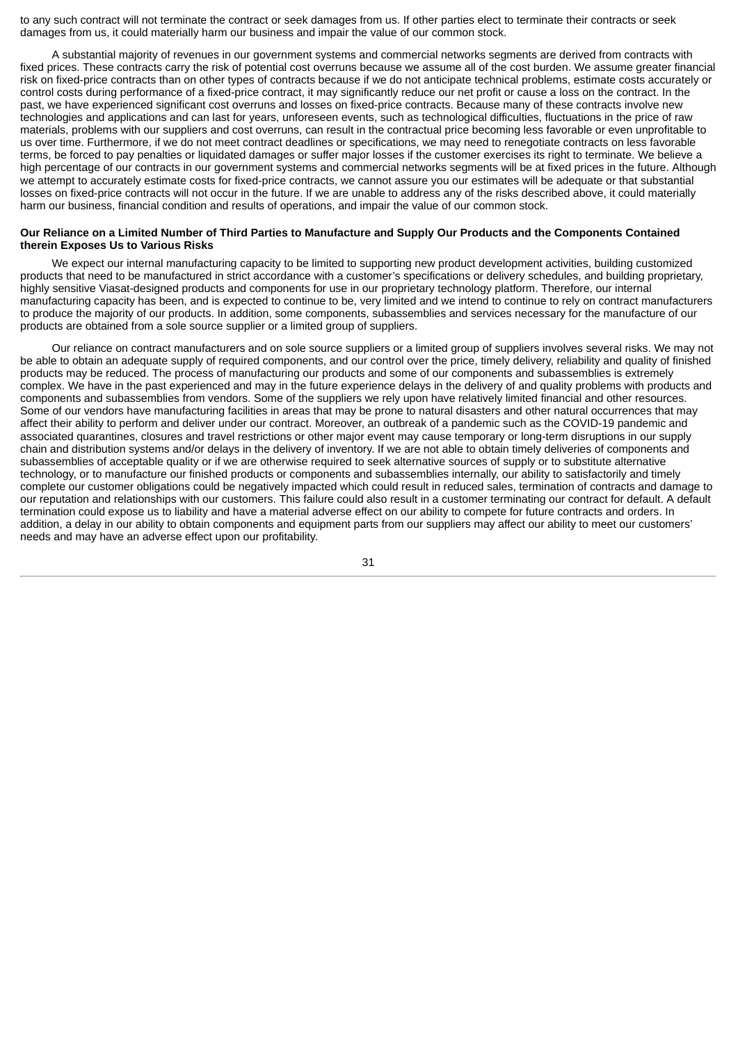to any such contract will not terminate the contract or seek damages from us. If other parties elect to terminate their contracts or seek damages from us, it could materially harm our business and impair the value of our common stock.

A substantial majority of revenues in our government systems and commercial networks segments are derived from contracts with fixed prices. These contracts carry the risk of potential cost overruns because we assume all of the cost burden. We assume greater financial risk on fixed-price contracts than on other types of contracts because if we do not anticipate technical problems, estimate costs accurately or control costs during performance of a fixed-price contract, it may significantly reduce our net profit or cause a loss on the contract. In the past, we have experienced significant cost overruns and losses on fixed-price contracts. Because many of these contracts involve new technologies and applications and can last for years, unforeseen events, such as technological difficulties, fluctuations in the price of raw materials, problems with our suppliers and cost overruns, can result in the contractual price becoming less favorable or even unprofitable to us over time. Furthermore, if we do not meet contract deadlines or specifications, we may need to renegotiate contracts on less favorable terms, be forced to pay penalties or liquidated damages or suffer major losses if the customer exercises its right to terminate. We believe a high percentage of our contracts in our government systems and commercial networks segments will be at fixed prices in the future. Although we attempt to accurately estimate costs for fixed-price contracts, we cannot assure you our estimates will be adequate or that substantial losses on fixed-price contracts will not occur in the future. If we are unable to address any of the risks described above, it could materially harm our business, financial condition and results of operations, and impair the value of our common stock.

#### Our Reliance on a Limited Number of Third Parties to Manufacture and Supply Our Products and the Components Contained **therein Exposes Us to Various Risks**

We expect our internal manufacturing capacity to be limited to supporting new product development activities, building customized products that need to be manufactured in strict accordance with a customer's specifications or delivery schedules, and building proprietary, highly sensitive Viasat-designed products and components for use in our proprietary technology platform. Therefore, our internal manufacturing capacity has been, and is expected to continue to be, very limited and we intend to continue to rely on contract manufacturers to produce the majority of our products. In addition, some components, subassemblies and services necessary for the manufacture of our products are obtained from a sole source supplier or a limited group of suppliers.

Our reliance on contract manufacturers and on sole source suppliers or a limited group of suppliers involves several risks. We may not be able to obtain an adequate supply of required components, and our control over the price, timely delivery, reliability and quality of finished products may be reduced. The process of manufacturing our products and some of our components and subassemblies is extremely complex. We have in the past experienced and may in the future experience delays in the delivery of and quality problems with products and components and subassemblies from vendors. Some of the suppliers we rely upon have relatively limited financial and other resources. Some of our vendors have manufacturing facilities in areas that may be prone to natural disasters and other natural occurrences that may affect their ability to perform and deliver under our contract. Moreover, an outbreak of a pandemic such as the COVID-19 pandemic and associated quarantines, closures and travel restrictions or other major event may cause temporary or long-term disruptions in our supply chain and distribution systems and/or delays in the delivery of inventory. If we are not able to obtain timely deliveries of components and subassemblies of acceptable quality or if we are otherwise required to seek alternative sources of supply or to substitute alternative technology, or to manufacture our finished products or components and subassemblies internally, our ability to satisfactorily and timely complete our customer obligations could be negatively impacted which could result in reduced sales, termination of contracts and damage to our reputation and relationships with our customers. This failure could also result in a customer terminating our contract for default. A default termination could expose us to liability and have a material adverse effect on our ability to compete for future contracts and orders. In addition, a delay in our ability to obtain components and equipment parts from our suppliers may affect our ability to meet our customers' needs and may have an adverse effect upon our profitability.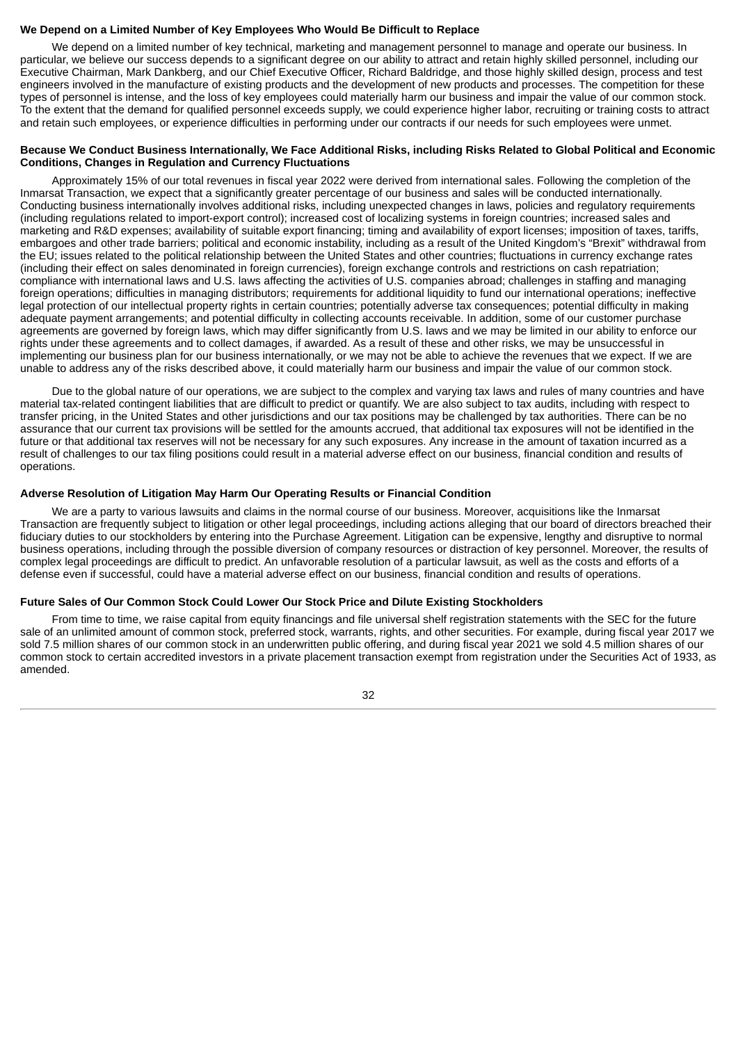#### **We Depend on a Limited Number of Key Employees Who Would Be Difficult to Replace**

We depend on a limited number of key technical, marketing and management personnel to manage and operate our business. In particular, we believe our success depends to a significant degree on our ability to attract and retain highly skilled personnel, including our Executive Chairman, Mark Dankberg, and our Chief Executive Officer, Richard Baldridge, and those highly skilled design, process and test engineers involved in the manufacture of existing products and the development of new products and processes. The competition for these types of personnel is intense, and the loss of key employees could materially harm our business and impair the value of our common stock. To the extent that the demand for qualified personnel exceeds supply, we could experience higher labor, recruiting or training costs to attract and retain such employees, or experience difficulties in performing under our contracts if our needs for such employees were unmet.

## Because We Conduct Business Internationally, We Face Additional Risks, including Risks Related to Global Political and Economic **Conditions, Changes in Regulation and Currency Fluctuations**

Approximately 15% of our total revenues in fiscal year 2022 were derived from international sales. Following the completion of the Inmarsat Transaction, we expect that a significantly greater percentage of our business and sales will be conducted internationally. Conducting business internationally involves additional risks, including unexpected changes in laws, policies and regulatory requirements (including regulations related to import-export control); increased cost of localizing systems in foreign countries; increased sales and marketing and R&D expenses; availability of suitable export financing; timing and availability of export licenses; imposition of taxes, tariffs, embargoes and other trade barriers; political and economic instability, including as a result of the United Kingdom's "Brexit" withdrawal from the EU; issues related to the political relationship between the United States and other countries; fluctuations in currency exchange rates (including their effect on sales denominated in foreign currencies), foreign exchange controls and restrictions on cash repatriation; compliance with international laws and U.S. laws affecting the activities of U.S. companies abroad; challenges in staffing and managing foreign operations; difficulties in managing distributors; requirements for additional liquidity to fund our international operations; ineffective legal protection of our intellectual property rights in certain countries; potentially adverse tax consequences; potential difficulty in making adequate payment arrangements; and potential difficulty in collecting accounts receivable. In addition, some of our customer purchase agreements are governed by foreign laws, which may differ significantly from U.S. laws and we may be limited in our ability to enforce our rights under these agreements and to collect damages, if awarded. As a result of these and other risks, we may be unsuccessful in implementing our business plan for our business internationally, or we may not be able to achieve the revenues that we expect. If we are unable to address any of the risks described above, it could materially harm our business and impair the value of our common stock.

Due to the global nature of our operations, we are subject to the complex and varying tax laws and rules of many countries and have material tax-related contingent liabilities that are difficult to predict or quantify. We are also subject to tax audits, including with respect to transfer pricing, in the United States and other jurisdictions and our tax positions may be challenged by tax authorities. There can be no assurance that our current tax provisions will be settled for the amounts accrued, that additional tax exposures will not be identified in the future or that additional tax reserves will not be necessary for any such exposures. Any increase in the amount of taxation incurred as a result of challenges to our tax filing positions could result in a material adverse effect on our business, financial condition and results of operations.

# **Adverse Resolution of Litigation May Harm Our Operating Results or Financial Condition**

We are a party to various lawsuits and claims in the normal course of our business. Moreover, acquisitions like the Inmarsat Transaction are frequently subject to litigation or other legal proceedings, including actions alleging that our board of directors breached their fiduciary duties to our stockholders by entering into the Purchase Agreement. Litigation can be expensive, lengthy and disruptive to normal business operations, including through the possible diversion of company resources or distraction of key personnel. Moreover, the results of complex legal proceedings are difficult to predict. An unfavorable resolution of a particular lawsuit, as well as the costs and efforts of a defense even if successful, could have a material adverse effect on our business, financial condition and results of operations.

#### **Future Sales of Our Common Stock Could Lower Our Stock Price and Dilute Existing Stockholders**

From time to time, we raise capital from equity financings and file universal shelf registration statements with the SEC for the future sale of an unlimited amount of common stock, preferred stock, warrants, rights, and other securities. For example, during fiscal year 2017 we sold 7.5 million shares of our common stock in an underwritten public offering, and during fiscal year 2021 we sold 4.5 million shares of our common stock to certain accredited investors in a private placement transaction exempt from registration under the Securities Act of 1933, as amended.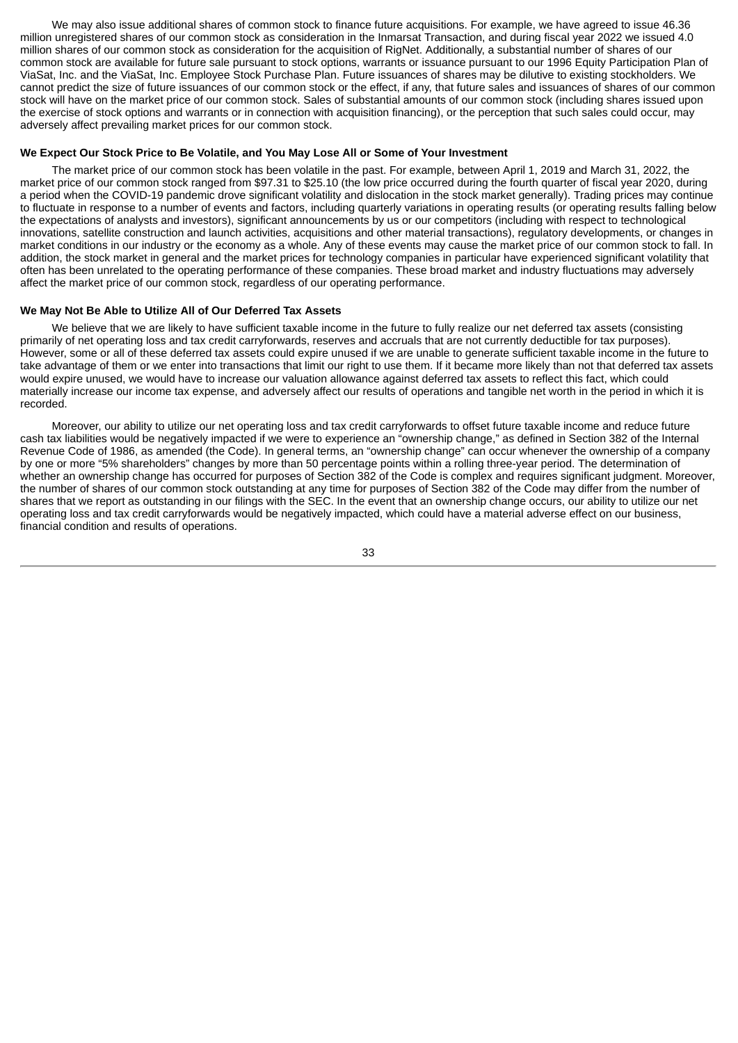We may also issue additional shares of common stock to finance future acquisitions. For example, we have agreed to issue 46.36 million unregistered shares of our common stock as consideration in the Inmarsat Transaction, and during fiscal year 2022 we issued 4.0 million shares of our common stock as consideration for the acquisition of RigNet. Additionally, a substantial number of shares of our common stock are available for future sale pursuant to stock options, warrants or issuance pursuant to our 1996 Equity Participation Plan of ViaSat, Inc. and the ViaSat, Inc. Employee Stock Purchase Plan. Future issuances of shares may be dilutive to existing stockholders. We cannot predict the size of future issuances of our common stock or the effect, if any, that future sales and issuances of shares of our common stock will have on the market price of our common stock. Sales of substantial amounts of our common stock (including shares issued upon the exercise of stock options and warrants or in connection with acquisition financing), or the perception that such sales could occur, may adversely affect prevailing market prices for our common stock.

#### **We Expect Our Stock Price to Be Volatile, and You May Lose All or Some of Your Investment**

The market price of our common stock has been volatile in the past. For example, between April 1, 2019 and March 31, 2022, the market price of our common stock ranged from \$97.31 to \$25.10 (the low price occurred during the fourth quarter of fiscal year 2020, during a period when the COVID-19 pandemic drove significant volatility and dislocation in the stock market generally). Trading prices may continue to fluctuate in response to a number of events and factors, including quarterly variations in operating results (or operating results falling below the expectations of analysts and investors), significant announcements by us or our competitors (including with respect to technological innovations, satellite construction and launch activities, acquisitions and other material transactions), regulatory developments, or changes in market conditions in our industry or the economy as a whole. Any of these events may cause the market price of our common stock to fall. In addition, the stock market in general and the market prices for technology companies in particular have experienced significant volatility that often has been unrelated to the operating performance of these companies. These broad market and industry fluctuations may adversely affect the market price of our common stock, regardless of our operating performance.

# **We May Not Be Able to Utilize All of Our Deferred Tax Assets**

We believe that we are likely to have sufficient taxable income in the future to fully realize our net deferred tax assets (consisting primarily of net operating loss and tax credit carryforwards, reserves and accruals that are not currently deductible for tax purposes). However, some or all of these deferred tax assets could expire unused if we are unable to generate sufficient taxable income in the future to take advantage of them or we enter into transactions that limit our right to use them. If it became more likely than not that deferred tax assets would expire unused, we would have to increase our valuation allowance against deferred tax assets to reflect this fact, which could materially increase our income tax expense, and adversely affect our results of operations and tangible net worth in the period in which it is recorded.

Moreover, our ability to utilize our net operating loss and tax credit carryforwards to offset future taxable income and reduce future cash tax liabilities would be negatively impacted if we were to experience an "ownership change," as defined in Section 382 of the Internal Revenue Code of 1986, as amended (the Code). In general terms, an "ownership change" can occur whenever the ownership of a company by one or more "5% shareholders" changes by more than 50 percentage points within a rolling three-year period. The determination of whether an ownership change has occurred for purposes of Section 382 of the Code is complex and requires significant judgment. Moreover, the number of shares of our common stock outstanding at any time for purposes of Section 382 of the Code may differ from the number of shares that we report as outstanding in our filings with the SEC. In the event that an ownership change occurs, our ability to utilize our net operating loss and tax credit carryforwards would be negatively impacted, which could have a material adverse effect on our business, financial condition and results of operations.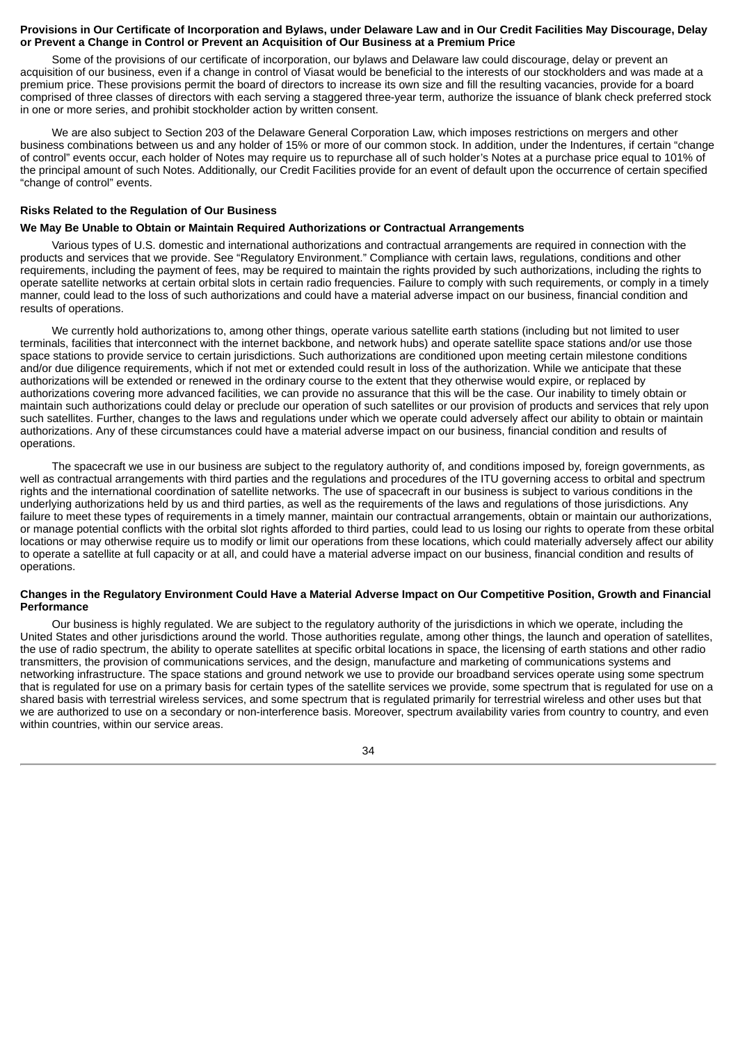# Provisions in Our Certificate of Incorporation and Bylaws, under Delaware Law and in Our Credit Facilities May Discourage, Delay **or Prevent a Change in Control or Prevent an Acquisition of Our Business at a Premium Price**

Some of the provisions of our certificate of incorporation, our bylaws and Delaware law could discourage, delay or prevent an acquisition of our business, even if a change in control of Viasat would be beneficial to the interests of our stockholders and was made at a premium price. These provisions permit the board of directors to increase its own size and fill the resulting vacancies, provide for a board comprised of three classes of directors with each serving a staggered three-year term, authorize the issuance of blank check preferred stock in one or more series, and prohibit stockholder action by written consent.

We are also subject to Section 203 of the Delaware General Corporation Law, which imposes restrictions on mergers and other business combinations between us and any holder of 15% or more of our common stock. In addition, under the Indentures, if certain "change of control" events occur, each holder of Notes may require us to repurchase all of such holder's Notes at a purchase price equal to 101% of the principal amount of such Notes. Additionally, our Credit Facilities provide for an event of default upon the occurrence of certain specified "change of control" events.

# **Risks Related to the Regulation of Our Business**

# **We May Be Unable to Obtain or Maintain Required Authorizations or Contractual Arrangements**

Various types of U.S. domestic and international authorizations and contractual arrangements are required in connection with the products and services that we provide. See "Regulatory Environment." Compliance with certain laws, regulations, conditions and other requirements, including the payment of fees, may be required to maintain the rights provided by such authorizations, including the rights to operate satellite networks at certain orbital slots in certain radio frequencies. Failure to comply with such requirements, or comply in a timely manner, could lead to the loss of such authorizations and could have a material adverse impact on our business, financial condition and results of operations.

We currently hold authorizations to, among other things, operate various satellite earth stations (including but not limited to user terminals, facilities that interconnect with the internet backbone, and network hubs) and operate satellite space stations and/or use those space stations to provide service to certain jurisdictions. Such authorizations are conditioned upon meeting certain milestone conditions and/or due diligence requirements, which if not met or extended could result in loss of the authorization. While we anticipate that these authorizations will be extended or renewed in the ordinary course to the extent that they otherwise would expire, or replaced by authorizations covering more advanced facilities, we can provide no assurance that this will be the case. Our inability to timely obtain or maintain such authorizations could delay or preclude our operation of such satellites or our provision of products and services that rely upon such satellites. Further, changes to the laws and regulations under which we operate could adversely affect our ability to obtain or maintain authorizations. Any of these circumstances could have a material adverse impact on our business, financial condition and results of operations.

The spacecraft we use in our business are subject to the regulatory authority of, and conditions imposed by, foreign governments, as well as contractual arrangements with third parties and the regulations and procedures of the ITU governing access to orbital and spectrum rights and the international coordination of satellite networks. The use of spacecraft in our business is subject to various conditions in the underlying authorizations held by us and third parties, as well as the requirements of the laws and regulations of those jurisdictions. Any failure to meet these types of requirements in a timely manner, maintain our contractual arrangements, obtain or maintain our authorizations, or manage potential conflicts with the orbital slot rights afforded to third parties, could lead to us losing our rights to operate from these orbital locations or may otherwise require us to modify or limit our operations from these locations, which could materially adversely affect our ability to operate a satellite at full capacity or at all, and could have a material adverse impact on our business, financial condition and results of operations.

# Changes in the Regulatory Environment Could Have a Material Adverse Impact on Our Competitive Position, Growth and Financial **Performance**

Our business is highly regulated. We are subject to the regulatory authority of the jurisdictions in which we operate, including the United States and other jurisdictions around the world. Those authorities regulate, among other things, the launch and operation of satellites, the use of radio spectrum, the ability to operate satellites at specific orbital locations in space, the licensing of earth stations and other radio transmitters, the provision of communications services, and the design, manufacture and marketing of communications systems and networking infrastructure. The space stations and ground network we use to provide our broadband services operate using some spectrum that is regulated for use on a primary basis for certain types of the satellite services we provide, some spectrum that is regulated for use on a shared basis with terrestrial wireless services, and some spectrum that is regulated primarily for terrestrial wireless and other uses but that we are authorized to use on a secondary or non-interference basis. Moreover, spectrum availability varies from country to country, and even within countries, within our service areas.

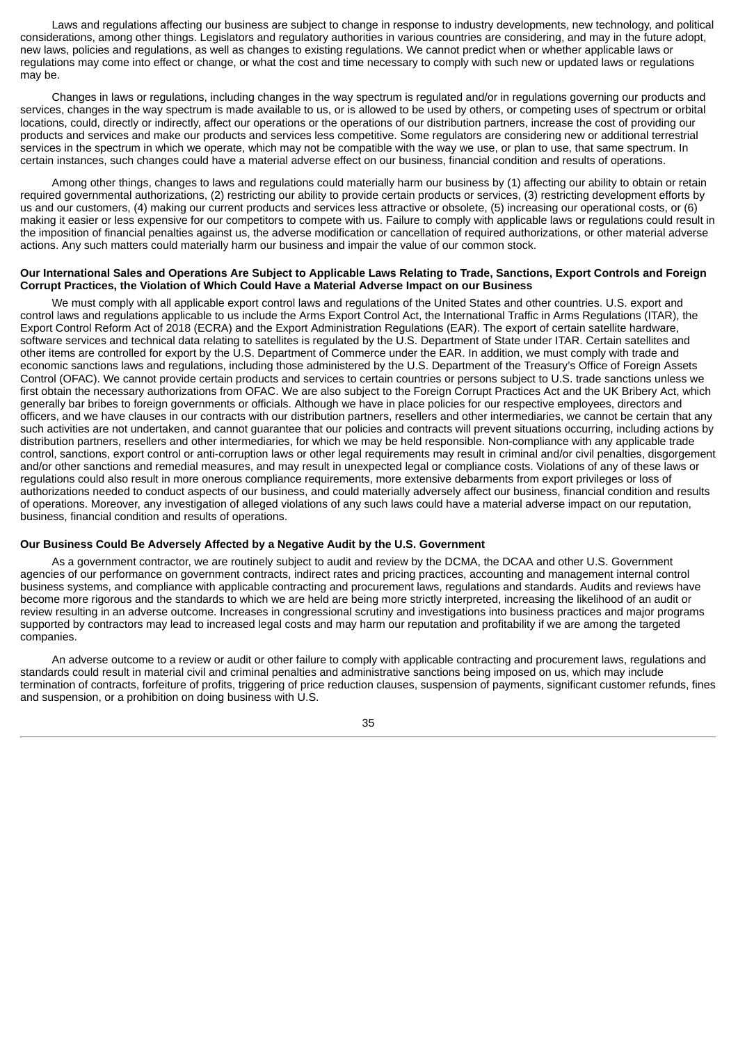Laws and regulations affecting our business are subject to change in response to industry developments, new technology, and political considerations, among other things. Legislators and regulatory authorities in various countries are considering, and may in the future adopt, new laws, policies and regulations, as well as changes to existing regulations. We cannot predict when or whether applicable laws or regulations may come into effect or change, or what the cost and time necessary to comply with such new or updated laws or regulations may be.

Changes in laws or regulations, including changes in the way spectrum is regulated and/or in regulations governing our products and services, changes in the way spectrum is made available to us, or is allowed to be used by others, or competing uses of spectrum or orbital locations, could, directly or indirectly, affect our operations or the operations of our distribution partners, increase the cost of providing our products and services and make our products and services less competitive. Some regulators are considering new or additional terrestrial services in the spectrum in which we operate, which may not be compatible with the way we use, or plan to use, that same spectrum. In certain instances, such changes could have a material adverse effect on our business, financial condition and results of operations.

Among other things, changes to laws and regulations could materially harm our business by (1) affecting our ability to obtain or retain required governmental authorizations, (2) restricting our ability to provide certain products or services, (3) restricting development efforts by us and our customers, (4) making our current products and services less attractive or obsolete, (5) increasing our operational costs, or (6) making it easier or less expensive for our competitors to compete with us. Failure to comply with applicable laws or regulations could result in the imposition of financial penalties against us, the adverse modification or cancellation of required authorizations, or other material adverse actions. Any such matters could materially harm our business and impair the value of our common stock.

# Our International Sales and Operations Are Subject to Applicable Laws Relating to Trade, Sanctions, Export Controls and Foreign **Corrupt Practices, the Violation of Which Could Have a Material Adverse Impact on our Business**

We must comply with all applicable export control laws and regulations of the United States and other countries. U.S. export and control laws and regulations applicable to us include the Arms Export Control Act, the International Traffic in Arms Regulations (ITAR), the Export Control Reform Act of 2018 (ECRA) and the Export Administration Regulations (EAR). The export of certain satellite hardware, software services and technical data relating to satellites is regulated by the U.S. Department of State under ITAR. Certain satellites and other items are controlled for export by the U.S. Department of Commerce under the EAR. In addition, we must comply with trade and economic sanctions laws and regulations, including those administered by the U.S. Department of the Treasury's Office of Foreign Assets Control (OFAC). We cannot provide certain products and services to certain countries or persons subject to U.S. trade sanctions unless we first obtain the necessary authorizations from OFAC. We are also subject to the Foreign Corrupt Practices Act and the UK Bribery Act, which generally bar bribes to foreign governments or officials. Although we have in place policies for our respective employees, directors and officers, and we have clauses in our contracts with our distribution partners, resellers and other intermediaries, we cannot be certain that any such activities are not undertaken, and cannot guarantee that our policies and contracts will prevent situations occurring, including actions by distribution partners, resellers and other intermediaries, for which we may be held responsible. Non-compliance with any applicable trade control, sanctions, export control or anti-corruption laws or other legal requirements may result in criminal and/or civil penalties, disgorgement and/or other sanctions and remedial measures, and may result in unexpected legal or compliance costs. Violations of any of these laws or regulations could also result in more onerous compliance requirements, more extensive debarments from export privileges or loss of authorizations needed to conduct aspects of our business, and could materially adversely affect our business, financial condition and results of operations. Moreover, any investigation of alleged violations of any such laws could have a material adverse impact on our reputation, business, financial condition and results of operations.

#### **Our Business Could Be Adversely Affected by a Negative Audit by the U.S. Government**

As a government contractor, we are routinely subject to audit and review by the DCMA, the DCAA and other U.S. Government agencies of our performance on government contracts, indirect rates and pricing practices, accounting and management internal control business systems, and compliance with applicable contracting and procurement laws, regulations and standards. Audits and reviews have become more rigorous and the standards to which we are held are being more strictly interpreted, increasing the likelihood of an audit or review resulting in an adverse outcome. Increases in congressional scrutiny and investigations into business practices and major programs supported by contractors may lead to increased legal costs and may harm our reputation and profitability if we are among the targeted companies.

An adverse outcome to a review or audit or other failure to comply with applicable contracting and procurement laws, regulations and standards could result in material civil and criminal penalties and administrative sanctions being imposed on us, which may include termination of contracts, forfeiture of profits, triggering of price reduction clauses, suspension of payments, significant customer refunds, fines and suspension, or a prohibition on doing business with U.S.

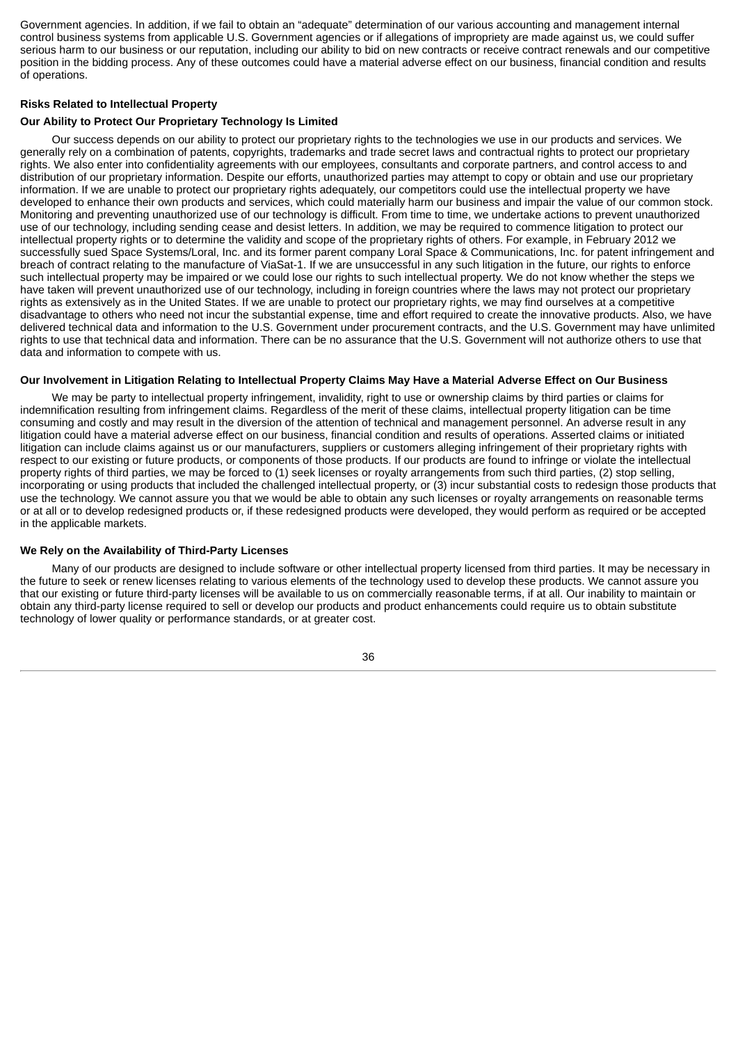Government agencies. In addition, if we fail to obtain an "adequate" determination of our various accounting and management internal control business systems from applicable U.S. Government agencies or if allegations of impropriety are made against us, we could suffer serious harm to our business or our reputation, including our ability to bid on new contracts or receive contract renewals and our competitive position in the bidding process. Any of these outcomes could have a material adverse effect on our business, financial condition and results of operations.

## **Risks Related to Intellectual Property**

#### **Our Ability to Protect Our Proprietary Technology Is Limited**

Our success depends on our ability to protect our proprietary rights to the technologies we use in our products and services. We generally rely on a combination of patents, copyrights, trademarks and trade secret laws and contractual rights to protect our proprietary rights. We also enter into confidentiality agreements with our employees, consultants and corporate partners, and control access to and distribution of our proprietary information. Despite our efforts, unauthorized parties may attempt to copy or obtain and use our proprietary information. If we are unable to protect our proprietary rights adequately, our competitors could use the intellectual property we have developed to enhance their own products and services, which could materially harm our business and impair the value of our common stock. Monitoring and preventing unauthorized use of our technology is difficult. From time to time, we undertake actions to prevent unauthorized use of our technology, including sending cease and desist letters. In addition, we may be required to commence litigation to protect our intellectual property rights or to determine the validity and scope of the proprietary rights of others. For example, in February 2012 we successfully sued Space Systems/Loral, Inc. and its former parent company Loral Space & Communications, Inc. for patent infringement and breach of contract relating to the manufacture of ViaSat-1. If we are unsuccessful in any such litigation in the future, our rights to enforce such intellectual property may be impaired or we could lose our rights to such intellectual property. We do not know whether the steps we have taken will prevent unauthorized use of our technology, including in foreign countries where the laws may not protect our proprietary rights as extensively as in the United States. If we are unable to protect our proprietary rights, we may find ourselves at a competitive disadvantage to others who need not incur the substantial expense, time and effort required to create the innovative products. Also, we have delivered technical data and information to the U.S. Government under procurement contracts, and the U.S. Government may have unlimited rights to use that technical data and information. There can be no assurance that the U.S. Government will not authorize others to use that data and information to compete with us.

#### Our Involvement in Litigation Relating to Intellectual Property Claims May Have a Material Adverse Effect on Our Business

We may be party to intellectual property infringement, invalidity, right to use or ownership claims by third parties or claims for indemnification resulting from infringement claims. Regardless of the merit of these claims, intellectual property litigation can be time consuming and costly and may result in the diversion of the attention of technical and management personnel. An adverse result in any litigation could have a material adverse effect on our business, financial condition and results of operations. Asserted claims or initiated litigation can include claims against us or our manufacturers, suppliers or customers alleging infringement of their proprietary rights with respect to our existing or future products, or components of those products. If our products are found to infringe or violate the intellectual property rights of third parties, we may be forced to (1) seek licenses or royalty arrangements from such third parties, (2) stop selling, incorporating or using products that included the challenged intellectual property, or (3) incur substantial costs to redesign those products that use the technology. We cannot assure you that we would be able to obtain any such licenses or royalty arrangements on reasonable terms or at all or to develop redesigned products or, if these redesigned products were developed, they would perform as required or be accepted in the applicable markets.

#### **We Rely on the Availability of Third-Party Licenses**

Many of our products are designed to include software or other intellectual property licensed from third parties. It may be necessary in the future to seek or renew licenses relating to various elements of the technology used to develop these products. We cannot assure you that our existing or future third-party licenses will be available to us on commercially reasonable terms, if at all. Our inability to maintain or obtain any third-party license required to sell or develop our products and product enhancements could require us to obtain substitute technology of lower quality or performance standards, or at greater cost.

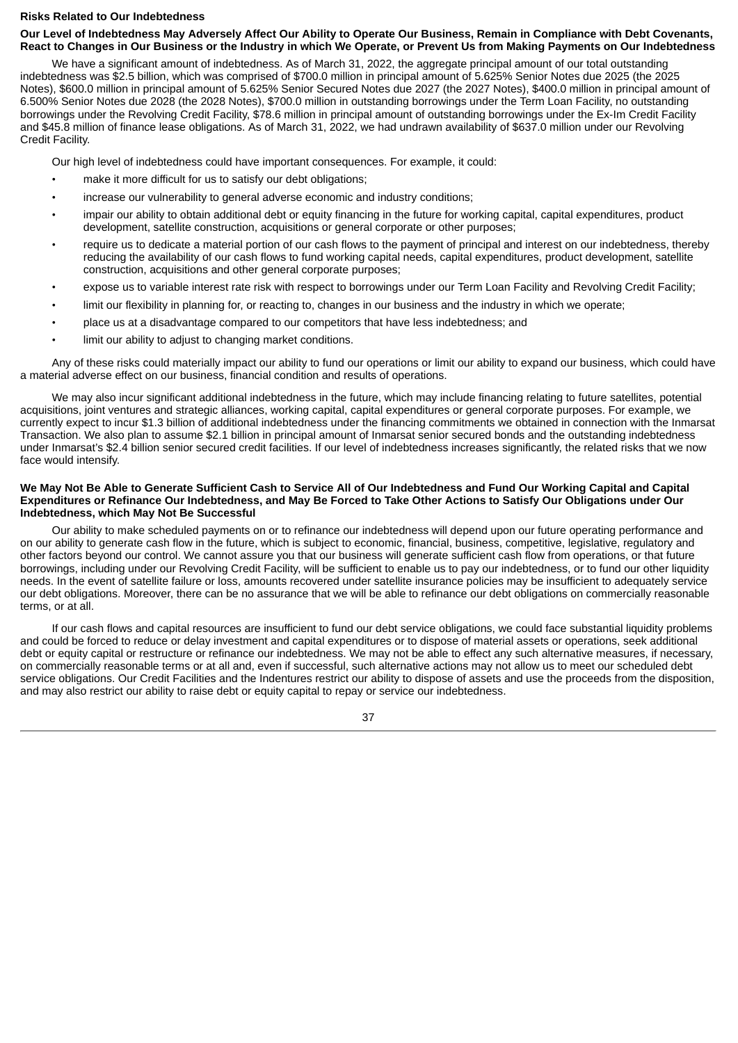#### **Risks Related to Our Indebtedness**

### Our Level of Indebtedness May Adversely Affect Our Ability to Operate Our Business, Remain in Compliance with Debt Covenants, React to Changes in Our Business or the Industry in which We Operate, or Prevent Us from Making Payments on Our Indebtedness

We have a significant amount of indebtedness. As of March 31, 2022, the aggregate principal amount of our total outstanding indebtedness was \$2.5 billion, which was comprised of \$700.0 million in principal amount of 5.625% Senior Notes due 2025 (the 2025 Notes), \$600.0 million in principal amount of 5.625% Senior Secured Notes due 2027 (the 2027 Notes), \$400.0 million in principal amount of 6.500% Senior Notes due 2028 (the 2028 Notes), \$700.0 million in outstanding borrowings under the Term Loan Facility, no outstanding borrowings under the Revolving Credit Facility, \$78.6 million in principal amount of outstanding borrowings under the Ex-Im Credit Facility and \$45.8 million of finance lease obligations. As of March 31, 2022, we had undrawn availability of \$637.0 million under our Revolving Credit Facility.

Our high level of indebtedness could have important consequences. For example, it could:

- make it more difficult for us to satisfy our debt obligations;
- increase our vulnerability to general adverse economic and industry conditions;
- impair our ability to obtain additional debt or equity financing in the future for working capital, capital expenditures, product development, satellite construction, acquisitions or general corporate or other purposes;
- require us to dedicate a material portion of our cash flows to the payment of principal and interest on our indebtedness, thereby reducing the availability of our cash flows to fund working capital needs, capital expenditures, product development, satellite construction, acquisitions and other general corporate purposes;
- expose us to variable interest rate risk with respect to borrowings under our Term Loan Facility and Revolving Credit Facility;
- limit our flexibility in planning for, or reacting to, changes in our business and the industry in which we operate;
- place us at a disadvantage compared to our competitors that have less indebtedness; and
- limit our ability to adjust to changing market conditions.

Any of these risks could materially impact our ability to fund our operations or limit our ability to expand our business, which could have a material adverse effect on our business, financial condition and results of operations.

We may also incur significant additional indebtedness in the future, which may include financing relating to future satellites, potential acquisitions, joint ventures and strategic alliances, working capital, capital expenditures or general corporate purposes. For example, we currently expect to incur \$1.3 billion of additional indebtedness under the financing commitments we obtained in connection with the Inmarsat Transaction. We also plan to assume \$2.1 billion in principal amount of Inmarsat senior secured bonds and the outstanding indebtedness under Inmarsat's \$2.4 billion senior secured credit facilities. If our level of indebtedness increases significantly, the related risks that we now face would intensify.

## We May Not Be Able to Generate Sufficient Cash to Service All of Our Indebtedness and Fund Our Working Capital and Capital Expenditures or Refinance Our Indebtedness, and May Be Forced to Take Other Actions to Satisfy Our Obligations under Our **Indebtedness, which May Not Be Successful**

Our ability to make scheduled payments on or to refinance our indebtedness will depend upon our future operating performance and on our ability to generate cash flow in the future, which is subject to economic, financial, business, competitive, legislative, regulatory and other factors beyond our control. We cannot assure you that our business will generate sufficient cash flow from operations, or that future borrowings, including under our Revolving Credit Facility, will be sufficient to enable us to pay our indebtedness, or to fund our other liquidity needs. In the event of satellite failure or loss, amounts recovered under satellite insurance policies may be insufficient to adequately service our debt obligations. Moreover, there can be no assurance that we will be able to refinance our debt obligations on commercially reasonable terms, or at all.

If our cash flows and capital resources are insufficient to fund our debt service obligations, we could face substantial liquidity problems and could be forced to reduce or delay investment and capital expenditures or to dispose of material assets or operations, seek additional debt or equity capital or restructure or refinance our indebtedness. We may not be able to effect any such alternative measures, if necessary, on commercially reasonable terms or at all and, even if successful, such alternative actions may not allow us to meet our scheduled debt service obligations. Our Credit Facilities and the Indentures restrict our ability to dispose of assets and use the proceeds from the disposition, and may also restrict our ability to raise debt or equity capital to repay or service our indebtedness.

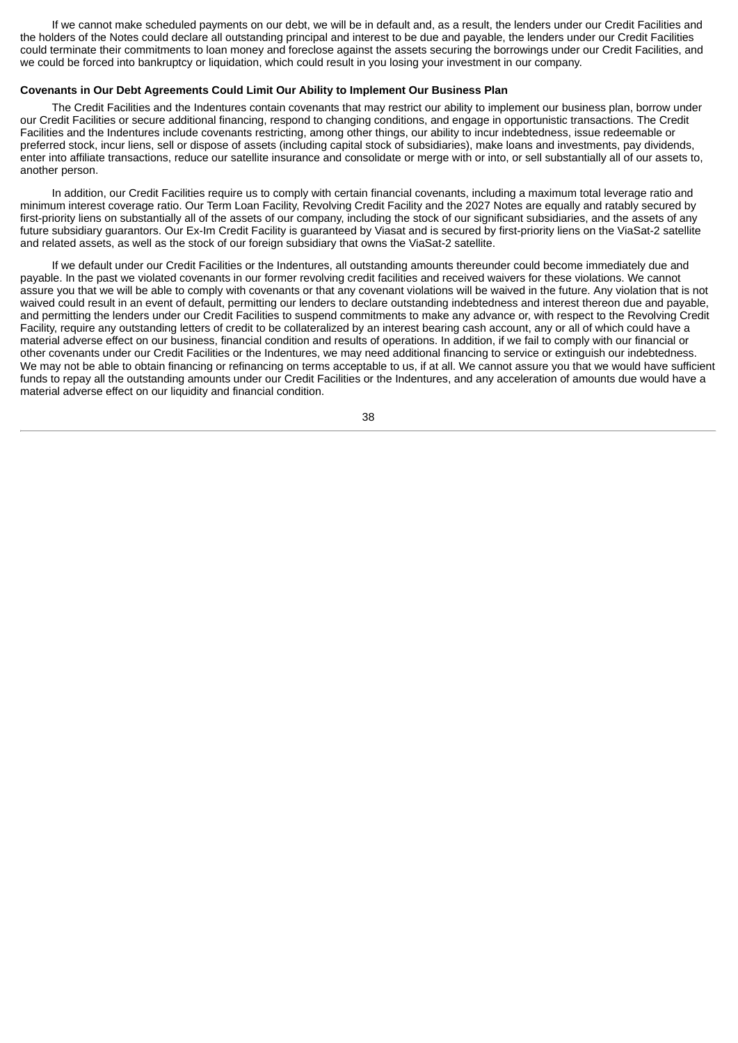If we cannot make scheduled payments on our debt, we will be in default and, as a result, the lenders under our Credit Facilities and the holders of the Notes could declare all outstanding principal and interest to be due and payable, the lenders under our Credit Facilities could terminate their commitments to loan money and foreclose against the assets securing the borrowings under our Credit Facilities, and we could be forced into bankruptcy or liquidation, which could result in you losing your investment in our company.

#### **Covenants in Our Debt Agreements Could Limit Our Ability to Implement Our Business Plan**

The Credit Facilities and the Indentures contain covenants that may restrict our ability to implement our business plan, borrow under our Credit Facilities or secure additional financing, respond to changing conditions, and engage in opportunistic transactions. The Credit Facilities and the Indentures include covenants restricting, among other things, our ability to incur indebtedness, issue redeemable or preferred stock, incur liens, sell or dispose of assets (including capital stock of subsidiaries), make loans and investments, pay dividends, enter into affiliate transactions, reduce our satellite insurance and consolidate or merge with or into, or sell substantially all of our assets to, another person.

In addition, our Credit Facilities require us to comply with certain financial covenants, including a maximum total leverage ratio and minimum interest coverage ratio. Our Term Loan Facility, Revolving Credit Facility and the 2027 Notes are equally and ratably secured by first-priority liens on substantially all of the assets of our company, including the stock of our significant subsidiaries, and the assets of any future subsidiary quarantors. Our Ex-Im Credit Facility is quaranteed by Viasat and is secured by first-priority liens on the ViaSat-2 satellite and related assets, as well as the stock of our foreign subsidiary that owns the ViaSat-2 satellite.

If we default under our Credit Facilities or the Indentures, all outstanding amounts thereunder could become immediately due and payable. In the past we violated covenants in our former revolving credit facilities and received waivers for these violations. We cannot assure you that we will be able to comply with covenants or that any covenant violations will be waived in the future. Any violation that is not waived could result in an event of default, permitting our lenders to declare outstanding indebtedness and interest thereon due and payable, and permitting the lenders under our Credit Facilities to suspend commitments to make any advance or, with respect to the Revolving Credit Facility, require any outstanding letters of credit to be collateralized by an interest bearing cash account, any or all of which could have a material adverse effect on our business, financial condition and results of operations. In addition, if we fail to comply with our financial or other covenants under our Credit Facilities or the Indentures, we may need additional financing to service or extinguish our indebtedness. We may not be able to obtain financing or refinancing on terms acceptable to us, if at all. We cannot assure you that we would have sufficient funds to repay all the outstanding amounts under our Credit Facilities or the Indentures, and any acceleration of amounts due would have a material adverse effect on our liquidity and financial condition.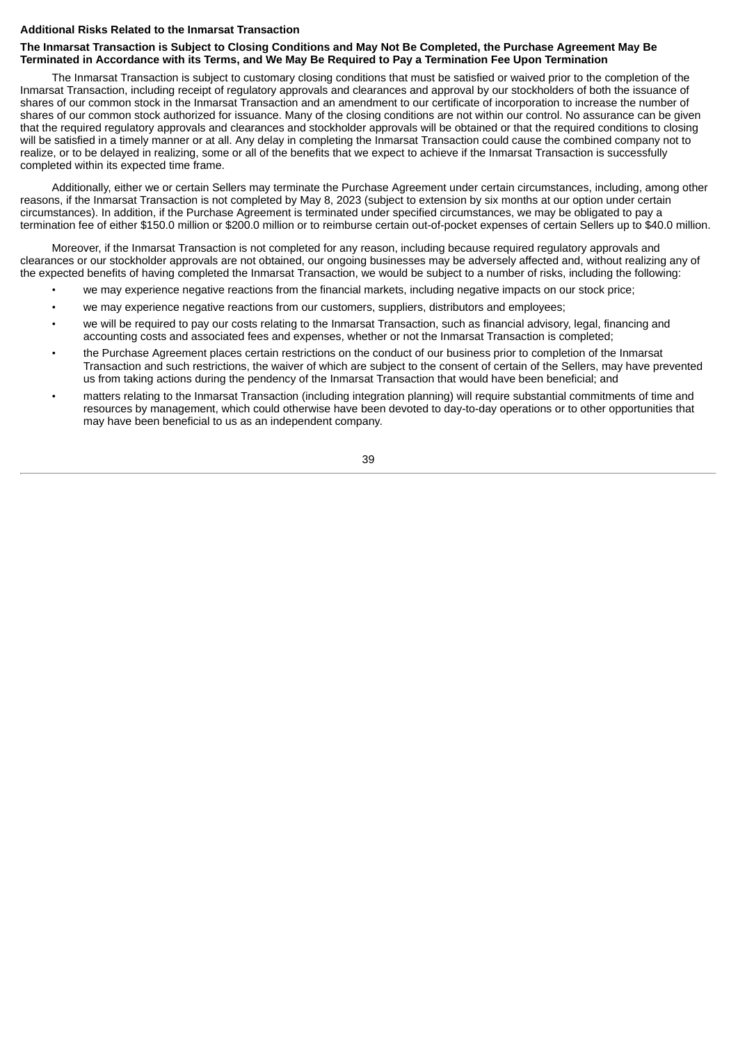### **Additional Risks Related to the Inmarsat Transaction**

The Inmarsat Transaction is Subject to Closing Conditions and May Not Be Completed, the Purchase Agreement May Be Terminated in Accordance with its Terms, and We May Be Required to Pay a Termination Fee Upon Termination

The Inmarsat Transaction is subject to customary closing conditions that must be satisfied or waived prior to the completion of the Inmarsat Transaction, including receipt of regulatory approvals and clearances and approval by our stockholders of both the issuance of shares of our common stock in the Inmarsat Transaction and an amendment to our certificate of incorporation to increase the number of shares of our common stock authorized for issuance. Many of the closing conditions are not within our control. No assurance can be given that the required regulatory approvals and clearances and stockholder approvals will be obtained or that the required conditions to closing will be satisfied in a timely manner or at all. Any delay in completing the Inmarsat Transaction could cause the combined company not to realize, or to be delayed in realizing, some or all of the benefits that we expect to achieve if the Inmarsat Transaction is successfully completed within its expected time frame.

Additionally, either we or certain Sellers may terminate the Purchase Agreement under certain circumstances, including, among other reasons, if the Inmarsat Transaction is not completed by May 8, 2023 (subject to extension by six months at our option under certain circumstances). In addition, if the Purchase Agreement is terminated under specified circumstances, we may be obligated to pay a termination fee of either \$150.0 million or \$200.0 million or to reimburse certain out-of-pocket expenses of certain Sellers up to \$40.0 million.

Moreover, if the Inmarsat Transaction is not completed for any reason, including because required regulatory approvals and clearances or our stockholder approvals are not obtained, our ongoing businesses may be adversely affected and, without realizing any of the expected benefits of having completed the Inmarsat Transaction, we would be subject to a number of risks, including the following:

- we may experience negative reactions from the financial markets, including negative impacts on our stock price;
- we may experience negative reactions from our customers, suppliers, distributors and employees;
- we will be required to pay our costs relating to the Inmarsat Transaction, such as financial advisory, legal, financing and accounting costs and associated fees and expenses, whether or not the Inmarsat Transaction is completed;
- the Purchase Agreement places certain restrictions on the conduct of our business prior to completion of the Inmarsat Transaction and such restrictions, the waiver of which are subject to the consent of certain of the Sellers, may have prevented us from taking actions during the pendency of the Inmarsat Transaction that would have been beneficial; and
- matters relating to the Inmarsat Transaction (including integration planning) will require substantial commitments of time and resources by management, which could otherwise have been devoted to day-to-day operations or to other opportunities that may have been beneficial to us as an independent company.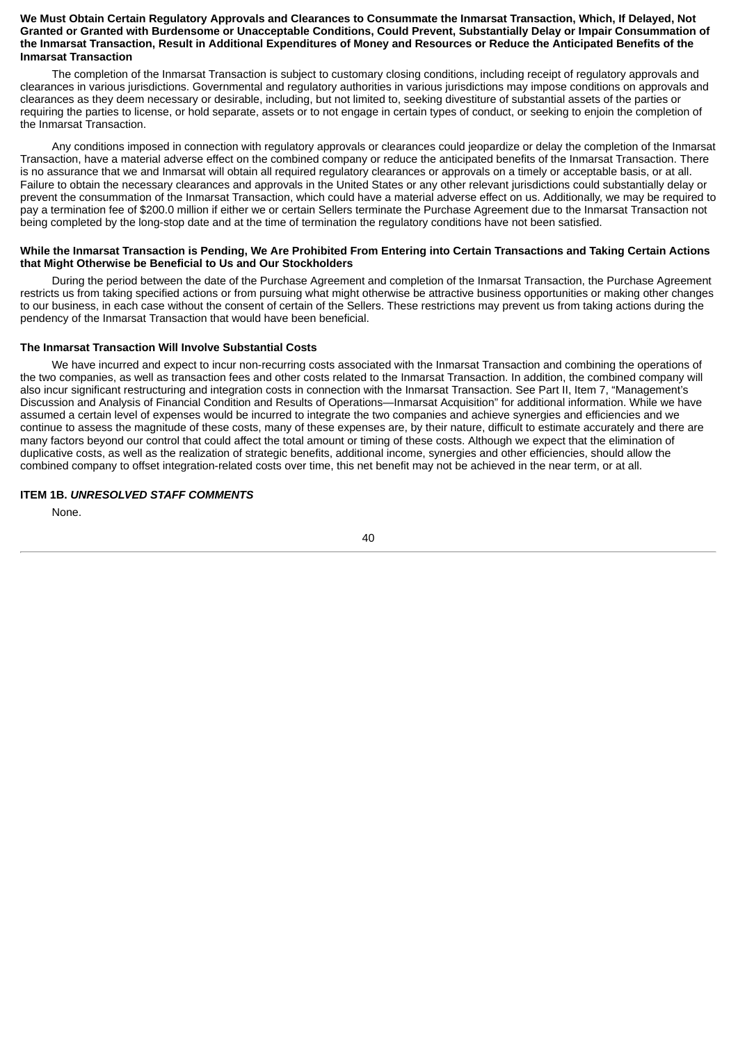### We Must Obtain Certain Regulatory Approvals and Clearances to Consummate the Inmarsat Transaction, Which, If Delayed, Not Granted or Granted with Burdensome or Unacceptable Conditions, Could Prevent, Substantially Delay or Impair Consummation of the Inmarsat Transaction, Result in Additional Expenditures of Money and Resources or Reduce the Anticipated Benefits of the **Inmarsat Transaction**

The completion of the Inmarsat Transaction is subject to customary closing conditions, including receipt of regulatory approvals and clearances in various jurisdictions. Governmental and regulatory authorities in various jurisdictions may impose conditions on approvals and clearances as they deem necessary or desirable, including, but not limited to, seeking divestiture of substantial assets of the parties or requiring the parties to license, or hold separate, assets or to not engage in certain types of conduct, or seeking to enjoin the completion of the Inmarsat Transaction.

Any conditions imposed in connection with regulatory approvals or clearances could jeopardize or delay the completion of the Inmarsat Transaction, have a material adverse effect on the combined company or reduce the anticipated benefits of the Inmarsat Transaction. There is no assurance that we and Inmarsat will obtain all required regulatory clearances or approvals on a timely or acceptable basis, or at all. Failure to obtain the necessary clearances and approvals in the United States or any other relevant jurisdictions could substantially delay or prevent the consummation of the Inmarsat Transaction, which could have a material adverse effect on us. Additionally, we may be required to pay a termination fee of \$200.0 million if either we or certain Sellers terminate the Purchase Agreement due to the Inmarsat Transaction not being completed by the long-stop date and at the time of termination the regulatory conditions have not been satisfied.

# While the Inmarsat Transaction is Pending, We Are Prohibited From Entering into Certain Transactions and Taking Certain Actions **that Might Otherwise be Beneficial to Us and Our Stockholders**

During the period between the date of the Purchase Agreement and completion of the Inmarsat Transaction, the Purchase Agreement restricts us from taking specified actions or from pursuing what might otherwise be attractive business opportunities or making other changes to our business, in each case without the consent of certain of the Sellers. These restrictions may prevent us from taking actions during the pendency of the Inmarsat Transaction that would have been beneficial.

# **The Inmarsat Transaction Will Involve Substantial Costs**

We have incurred and expect to incur non-recurring costs associated with the Inmarsat Transaction and combining the operations of the two companies, as well as transaction fees and other costs related to the Inmarsat Transaction. In addition, the combined company will also incur significant restructuring and integration costs in connection with the Inmarsat Transaction. See Part II, Item 7, "Management's Discussion and Analysis of Financial Condition and Results of Operations—Inmarsat Acquisition" for additional information. While we have assumed a certain level of expenses would be incurred to integrate the two companies and achieve synergies and efficiencies and we continue to assess the magnitude of these costs, many of these expenses are, by their nature, difficult to estimate accurately and there are many factors beyond our control that could affect the total amount or timing of these costs. Although we expect that the elimination of duplicative costs, as well as the realization of strategic benefits, additional income, synergies and other efficiencies, should allow the combined company to offset integration-related costs over time, this net benefit may not be achieved in the near term, or at all.

# **ITEM 1B.** *UNRESOLVED STAFF COMMENTS*

None.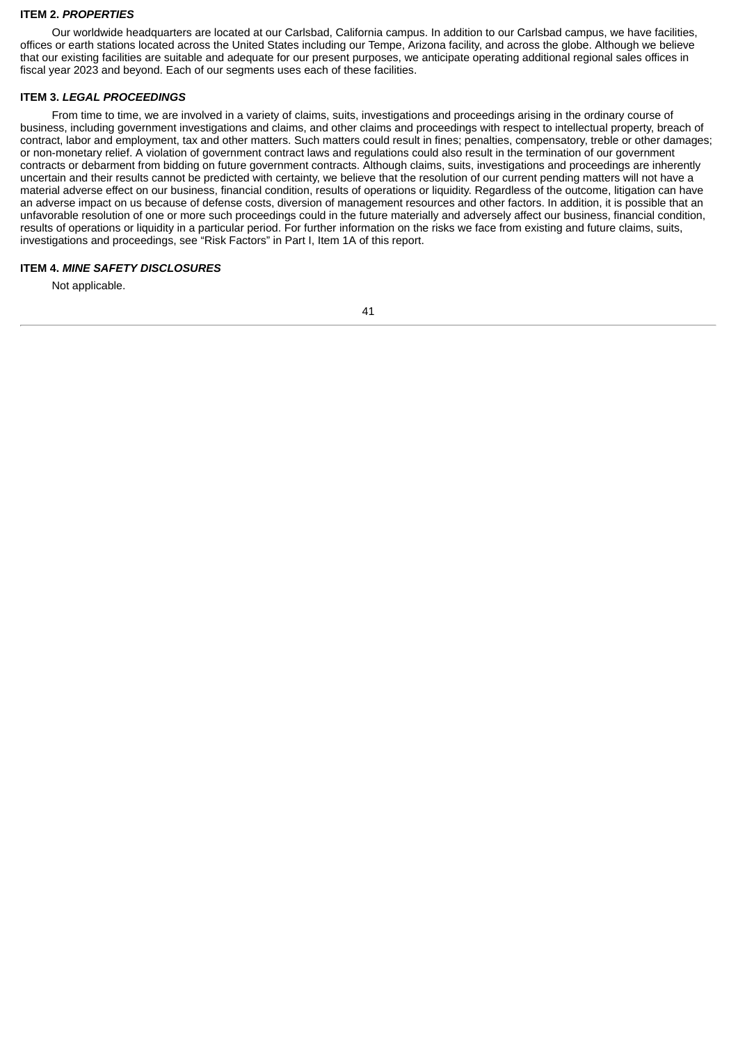#### **ITEM 2.** *PROPERTIES*

Our worldwide headquarters are located at our Carlsbad, California campus. In addition to our Carlsbad campus, we have facilities, offices or earth stations located across the United States including our Tempe, Arizona facility, and across the globe. Although we believe that our existing facilities are suitable and adequate for our present purposes, we anticipate operating additional regional sales offices in fiscal year 2023 and beyond. Each of our segments uses each of these facilities.

#### **ITEM 3.** *LEGAL PROCEEDINGS*

From time to time, we are involved in a variety of claims, suits, investigations and proceedings arising in the ordinary course of business, including government investigations and claims, and other claims and proceedings with respect to intellectual property, breach of contract, labor and employment, tax and other matters. Such matters could result in fines; penalties, compensatory, treble or other damages; or non-monetary relief. A violation of government contract laws and regulations could also result in the termination of our government contracts or debarment from bidding on future government contracts. Although claims, suits, investigations and proceedings are inherently uncertain and their results cannot be predicted with certainty, we believe that the resolution of our current pending matters will not have a material adverse effect on our business, financial condition, results of operations or liquidity. Regardless of the outcome, litigation can have an adverse impact on us because of defense costs, diversion of management resources and other factors. In addition, it is possible that an unfavorable resolution of one or more such proceedings could in the future materially and adversely affect our business, financial condition, results of operations or liquidity in a particular period. For further information on the risks we face from existing and future claims, suits, investigations and proceedings, see "Risk Factors" in Part I, Item 1A of this report.

# **ITEM 4.** *MINE SAFETY DISCLOSURES*

Not applicable.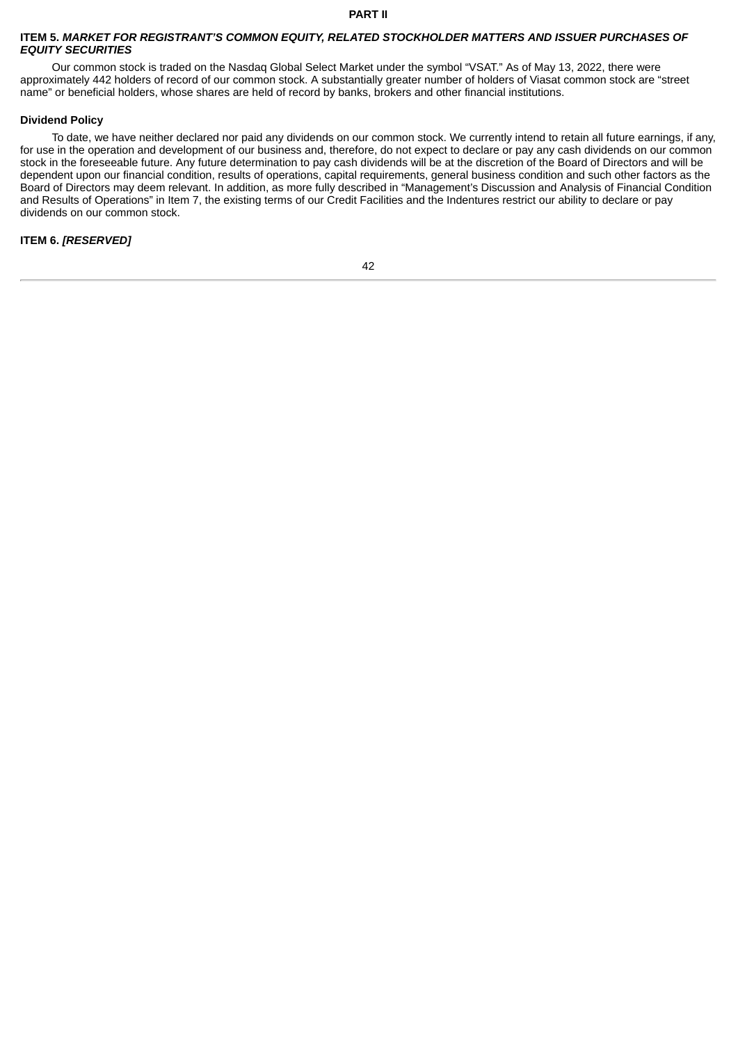# **PART II**

# **ITEM 5.** *MARKET FOR REGISTRANT'S COMMON EQUITY, RELATED STOCKHOLDER MATTERS AND ISSUER PURCHASES OF EQUITY SECURITIES*

Our common stock is traded on the Nasdaq Global Select Market under the symbol "VSAT." As of May 13, 2022, there were approximately 442 holders of record of our common stock. A substantially greater number of holders of Viasat common stock are "street name" or beneficial holders, whose shares are held of record by banks, brokers and other financial institutions.

#### **Dividend Policy**

To date, we have neither declared nor paid any dividends on our common stock. We currently intend to retain all future earnings, if any, for use in the operation and development of our business and, therefore, do not expect to declare or pay any cash dividends on our common stock in the foreseeable future. Any future determination to pay cash dividends will be at the discretion of the Board of Directors and will be dependent upon our financial condition, results of operations, capital requirements, general business condition and such other factors as the Board of Directors may deem relevant. In addition, as more fully described in "Management's Discussion and Analysis of Financial Condition and Results of Operations" in Item 7, the existing terms of our Credit Facilities and the Indentures restrict our ability to declare or pay dividends on our common stock.

# **ITEM 6.** *[RESERVED]*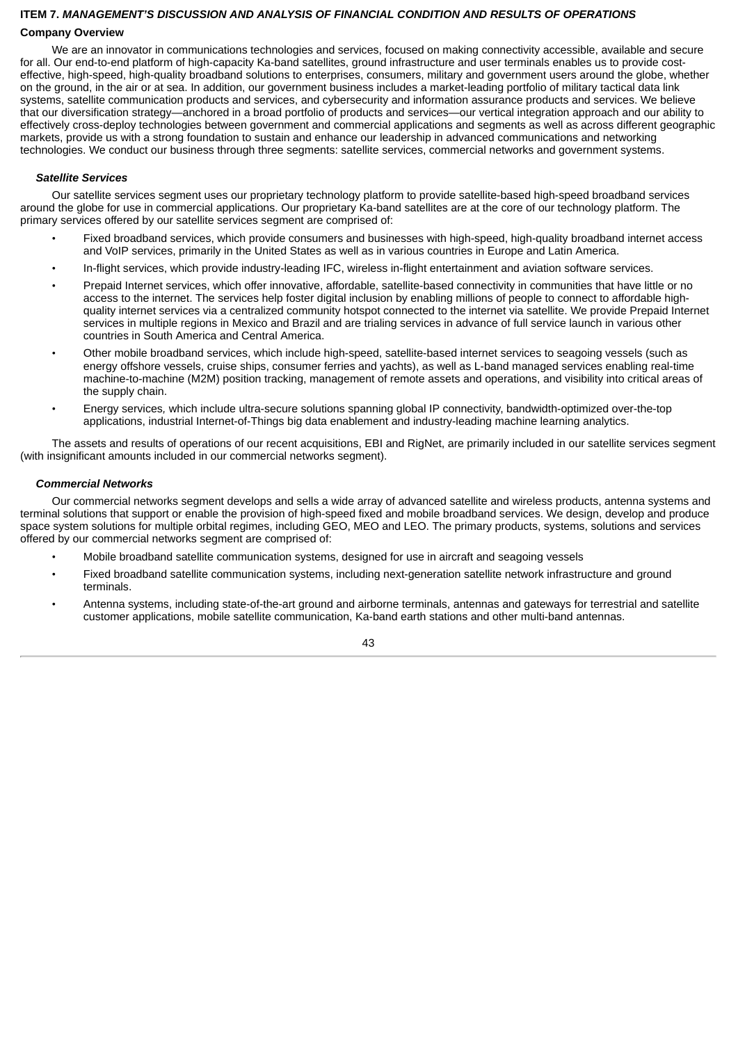# **ITEM 7.** *MANAGEMENT'S DISCUSSION AND ANALYSIS OF FINANCIAL CONDITION AND RESULTS OF OPERATIONS*

## **Company Overview**

We are an innovator in communications technologies and services, focused on making connectivity accessible, available and secure for all. Our end-to-end platform of high-capacity Ka-band satellites, ground infrastructure and user terminals enables us to provide costeffective, high-speed, high-quality broadband solutions to enterprises, consumers, military and government users around the globe, whether on the ground, in the air or at sea. In addition, our government business includes a market-leading portfolio of military tactical data link systems, satellite communication products and services, and cybersecurity and information assurance products and services. We believe that our diversification strategy—anchored in a broad portfolio of products and services—our vertical integration approach and our ability to effectively cross-deploy technologies between government and commercial applications and segments as well as across different geographic markets, provide us with a strong foundation to sustain and enhance our leadership in advanced communications and networking technologies. We conduct our business through three segments: satellite services, commercial networks and government systems.

#### *Satellite Services*

Our satellite services segment uses our proprietary technology platform to provide satellite-based high-speed broadband services around the globe for use in commercial applications. Our proprietary Ka-band satellites are at the core of our technology platform. The primary services offered by our satellite services segment are comprised of:

- Fixed broadband services, which provide consumers and businesses with high-speed, high-quality broadband internet access and VoIP services, primarily in the United States as well as in various countries in Europe and Latin America.
- In-flight services, which provide industry-leading IFC, wireless in-flight entertainment and aviation software services.
- Prepaid Internet services, which offer innovative, affordable, satellite-based connectivity in communities that have little or no access to the internet. The services help foster digital inclusion by enabling millions of people to connect to affordable highquality internet services via a centralized community hotspot connected to the internet via satellite. We provide Prepaid Internet services in multiple regions in Mexico and Brazil and are trialing services in advance of full service launch in various other countries in South America and Central America.
- Other mobile broadband services, which include high-speed, satellite-based internet services to seagoing vessels (such as energy offshore vessels, cruise ships, consumer ferries and yachts), as well as L-band managed services enabling real-time machine-to-machine (M2M) position tracking, management of remote assets and operations, and visibility into critical areas of the supply chain.
- Energy services*,* which include ultra-secure solutions spanning global IP connectivity, bandwidth-optimized over-the-top applications, industrial Internet-of-Things big data enablement and industry-leading machine learning analytics.

The assets and results of operations of our recent acquisitions, EBI and RigNet, are primarily included in our satellite services segment (with insignificant amounts included in our commercial networks segment).

## *Commercial Networks*

Our commercial networks segment develops and sells a wide array of advanced satellite and wireless products, antenna systems and terminal solutions that support or enable the provision of high-speed fixed and mobile broadband services. We design, develop and produce space system solutions for multiple orbital regimes, including GEO, MEO and LEO. The primary products, systems, solutions and services offered by our commercial networks segment are comprised of:

- Mobile broadband satellite communication systems, designed for use in aircraft and seagoing vessels
- Fixed broadband satellite communication systems, including next-generation satellite network infrastructure and ground terminals.
- Antenna systems, including state-of-the-art ground and airborne terminals, antennas and gateways for terrestrial and satellite customer applications, mobile satellite communication, Ka-band earth stations and other multi-band antennas.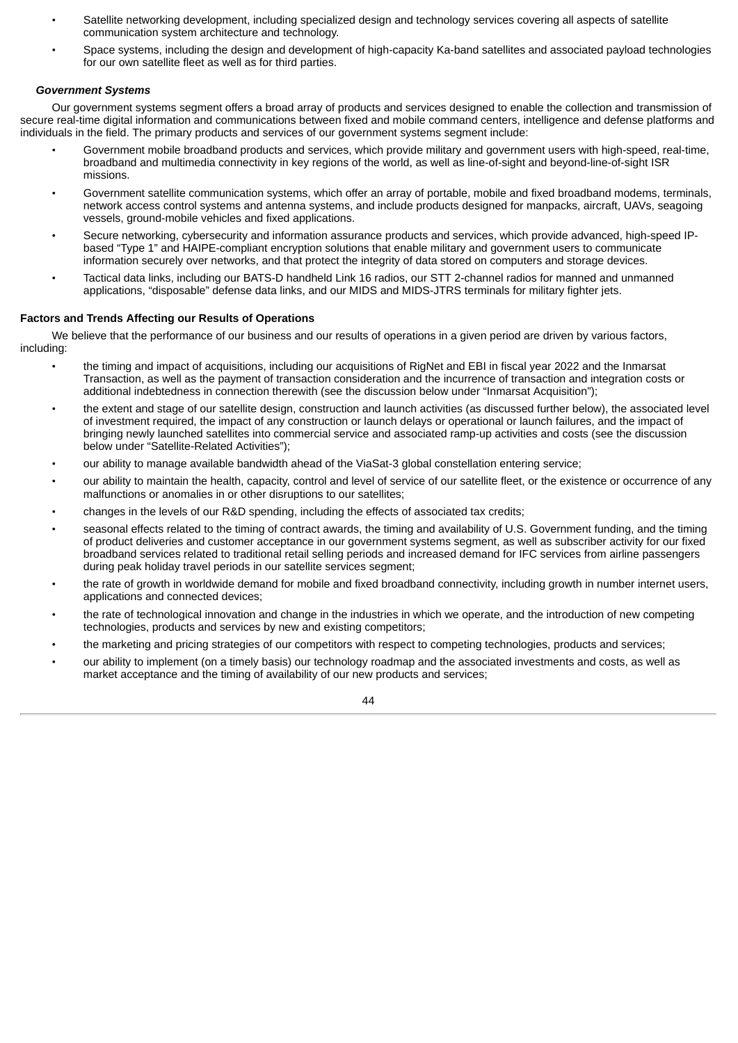- Satellite networking development, including specialized design and technology services covering all aspects of satellite communication system architecture and technology.
- Space systems, including the design and development of high-capacity Ka-band satellites and associated payload technologies for our own satellite fleet as well as for third parties.

# *Government Systems*

Our government systems segment offers a broad array of products and services designed to enable the collection and transmission of secure real-time digital information and communications between fixed and mobile command centers, intelligence and defense platforms and individuals in the field. The primary products and services of our government systems segment include:

- Government mobile broadband products and services, which provide military and government users with high-speed, real-time, broadband and multimedia connectivity in key regions of the world, as well as line-of-sight and beyond-line-of-sight ISR missions.
- Government satellite communication systems, which offer an array of portable, mobile and fixed broadband modems, terminals, network access control systems and antenna systems, and include products designed for manpacks, aircraft, UAVs, seagoing vessels, ground-mobile vehicles and fixed applications.
- Secure networking, cybersecurity and information assurance products and services, which provide advanced, high-speed IPbased "Type 1" and HAIPE-compliant encryption solutions that enable military and government users to communicate information securely over networks, and that protect the integrity of data stored on computers and storage devices.
- Tactical data links, including our BATS-D handheld Link 16 radios, our STT 2-channel radios for manned and unmanned applications, "disposable" defense data links, and our MIDS and MIDS-JTRS terminals for military fighter jets.

# **Factors and Trends Affecting our Results of Operations**

We believe that the performance of our business and our results of operations in a given period are driven by various factors, including:

- the timing and impact of acquisitions, including our acquisitions of RigNet and EBI in fiscal year 2022 and the Inmarsat Transaction, as well as the payment of transaction consideration and the incurrence of transaction and integration costs or additional indebtedness in connection therewith (see the discussion below under "Inmarsat Acquisition");
- the extent and stage of our satellite design, construction and launch activities (as discussed further below), the associated level of investment required, the impact of any construction or launch delays or operational or launch failures, and the impact of bringing newly launched satellites into commercial service and associated ramp-up activities and costs (see the discussion below under "Satellite-Related Activities");
- our ability to manage available bandwidth ahead of the ViaSat-3 global constellation entering service;
- our ability to maintain the health, capacity, control and level of service of our satellite fleet, or the existence or occurrence of any malfunctions or anomalies in or other disruptions to our satellites;
- changes in the levels of our R&D spending, including the effects of associated tax credits;
- seasonal effects related to the timing of contract awards, the timing and availability of U.S. Government funding, and the timing of product deliveries and customer acceptance in our government systems segment, as well as subscriber activity for our fixed broadband services related to traditional retail selling periods and increased demand for IFC services from airline passengers during peak holiday travel periods in our satellite services segment;
- the rate of growth in worldwide demand for mobile and fixed broadband connectivity, including growth in number internet users, applications and connected devices;
- the rate of technological innovation and change in the industries in which we operate, and the introduction of new competing technologies, products and services by new and existing competitors;
- the marketing and pricing strategies of our competitors with respect to competing technologies, products and services;
- our ability to implement (on a timely basis) our technology roadmap and the associated investments and costs, as well as market acceptance and the timing of availability of our new products and services;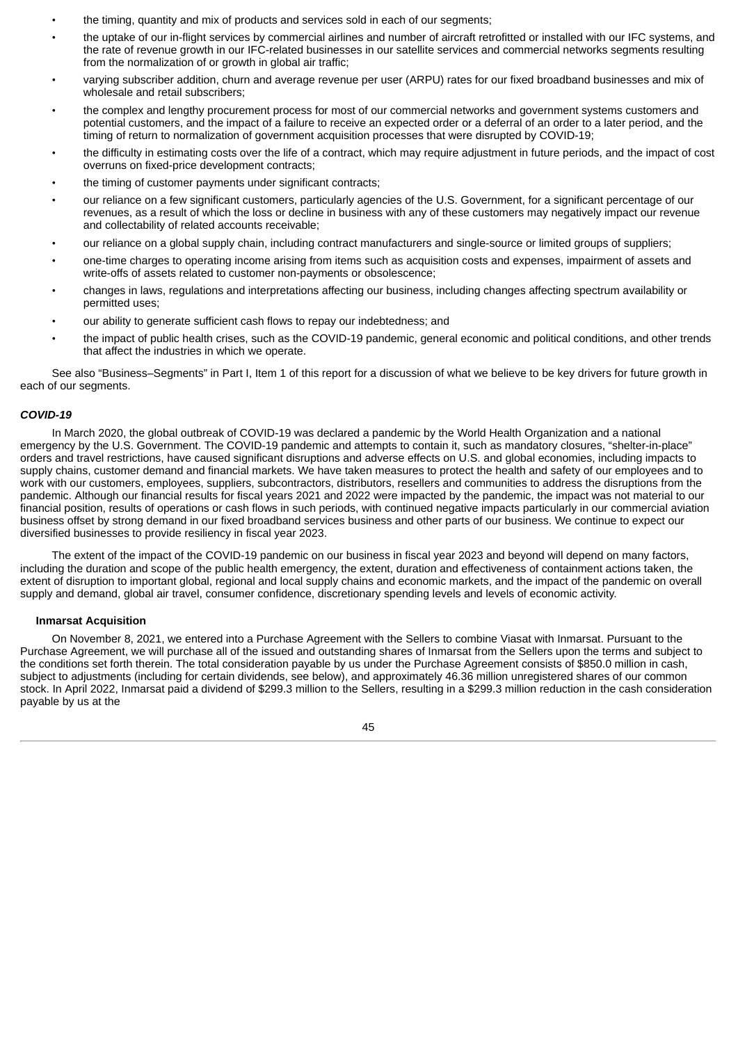- the timing, quantity and mix of products and services sold in each of our segments;
- the uptake of our in-flight services by commercial airlines and number of aircraft retrofitted or installed with our IFC systems, and the rate of revenue growth in our IFC-related businesses in our satellite services and commercial networks segments resulting from the normalization of or growth in global air traffic;
- varying subscriber addition, churn and average revenue per user (ARPU) rates for our fixed broadband businesses and mix of wholesale and retail subscribers;
- the complex and lengthy procurement process for most of our commercial networks and government systems customers and potential customers, and the impact of a failure to receive an expected order or a deferral of an order to a later period, and the timing of return to normalization of government acquisition processes that were disrupted by COVID-19;
- the difficulty in estimating costs over the life of a contract, which may require adjustment in future periods, and the impact of cost overruns on fixed-price development contracts;
- the timing of customer payments under significant contracts;
- our reliance on a few significant customers, particularly agencies of the U.S. Government, for a significant percentage of our revenues, as a result of which the loss or decline in business with any of these customers may negatively impact our revenue and collectability of related accounts receivable;
- our reliance on a global supply chain, including contract manufacturers and single-source or limited groups of suppliers;
- one-time charges to operating income arising from items such as acquisition costs and expenses, impairment of assets and write-offs of assets related to customer non-payments or obsolescence;
- changes in laws, regulations and interpretations affecting our business, including changes affecting spectrum availability or permitted uses;
- our ability to generate sufficient cash flows to repay our indebtedness; and
- the impact of public health crises, such as the COVID-19 pandemic, general economic and political conditions, and other trends that affect the industries in which we operate.

See also "Business–Segments" in Part I, Item 1 of this report for a discussion of what we believe to be key drivers for future growth in each of our segments.

# *COVID-19*

In March 2020, the global outbreak of COVID-19 was declared a pandemic by the World Health Organization and a national emergency by the U.S. Government. The COVID-19 pandemic and attempts to contain it, such as mandatory closures, "shelter-in-place" orders and travel restrictions, have caused significant disruptions and adverse effects on U.S. and global economies, including impacts to supply chains, customer demand and financial markets. We have taken measures to protect the health and safety of our employees and to work with our customers, employees, suppliers, subcontractors, distributors, resellers and communities to address the disruptions from the pandemic. Although our financial results for fiscal years 2021 and 2022 were impacted by the pandemic, the impact was not material to our financial position, results of operations or cash flows in such periods, with continued negative impacts particularly in our commercial aviation business offset by strong demand in our fixed broadband services business and other parts of our business. We continue to expect our diversified businesses to provide resiliency in fiscal year 2023.

The extent of the impact of the COVID-19 pandemic on our business in fiscal year 2023 and beyond will depend on many factors, including the duration and scope of the public health emergency, the extent, duration and effectiveness of containment actions taken, the extent of disruption to important global, regional and local supply chains and economic markets, and the impact of the pandemic on overall supply and demand, global air travel, consumer confidence, discretionary spending levels and levels of economic activity.

#### **Inmarsat Acquisition**

On November 8, 2021, we entered into a Purchase Agreement with the Sellers to combine Viasat with Inmarsat. Pursuant to the Purchase Agreement, we will purchase all of the issued and outstanding shares of Inmarsat from the Sellers upon the terms and subject to the conditions set forth therein. The total consideration payable by us under the Purchase Agreement consists of \$850.0 million in cash, subject to adjustments (including for certain dividends, see below), and approximately 46.36 million unregistered shares of our common stock. In April 2022, Inmarsat paid a dividend of \$299.3 million to the Sellers, resulting in a \$299.3 million reduction in the cash consideration payable by us at the

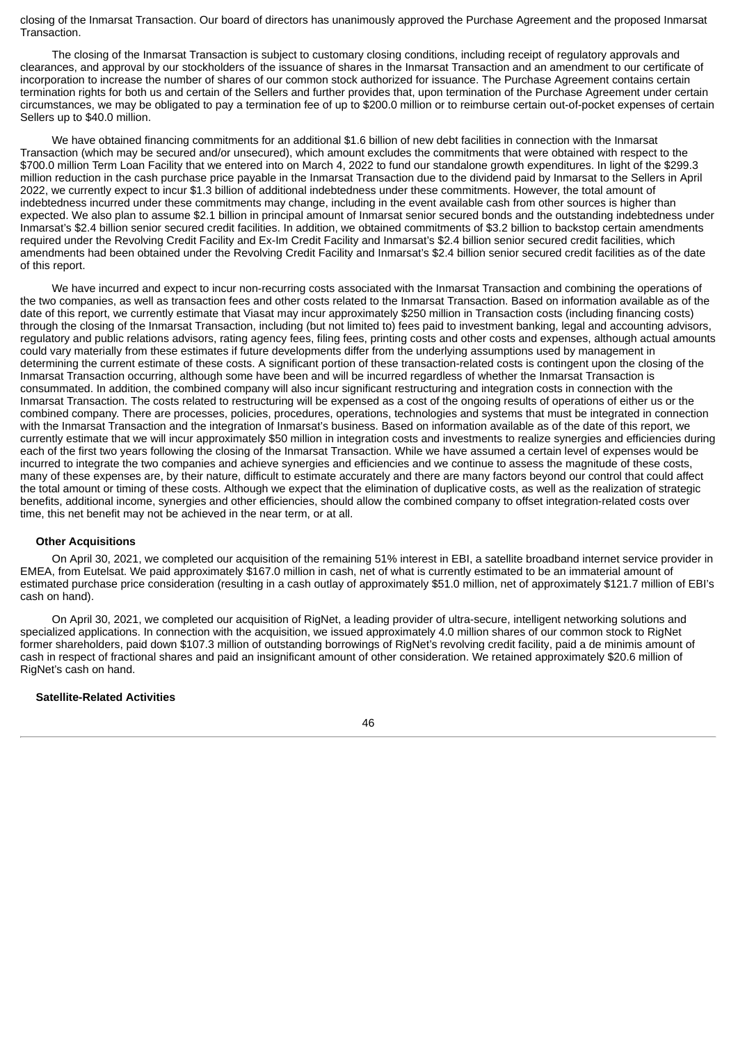closing of the Inmarsat Transaction. Our board of directors has unanimously approved the Purchase Agreement and the proposed Inmarsat **Transaction** 

The closing of the Inmarsat Transaction is subject to customary closing conditions, including receipt of regulatory approvals and clearances, and approval by our stockholders of the issuance of shares in the Inmarsat Transaction and an amendment to our certificate of incorporation to increase the number of shares of our common stock authorized for issuance. The Purchase Agreement contains certain termination rights for both us and certain of the Sellers and further provides that, upon termination of the Purchase Agreement under certain circumstances, we may be obligated to pay a termination fee of up to \$200.0 million or to reimburse certain out-of-pocket expenses of certain Sellers up to \$40.0 million.

We have obtained financing commitments for an additional \$1.6 billion of new debt facilities in connection with the Inmarsat Transaction (which may be secured and/or unsecured), which amount excludes the commitments that were obtained with respect to the \$700.0 million Term Loan Facility that we entered into on March 4, 2022 to fund our standalone growth expenditures. In light of the \$299.3 million reduction in the cash purchase price payable in the Inmarsat Transaction due to the dividend paid by Inmarsat to the Sellers in April 2022, we currently expect to incur \$1.3 billion of additional indebtedness under these commitments. However, the total amount of indebtedness incurred under these commitments may change, including in the event available cash from other sources is higher than expected. We also plan to assume \$2.1 billion in principal amount of Inmarsat senior secured bonds and the outstanding indebtedness under Inmarsat's \$2.4 billion senior secured credit facilities. In addition, we obtained commitments of \$3.2 billion to backstop certain amendments required under the Revolving Credit Facility and Ex-Im Credit Facility and Inmarsat's \$2.4 billion senior secured credit facilities, which amendments had been obtained under the Revolving Credit Facility and Inmarsat's \$2.4 billion senior secured credit facilities as of the date of this report.

We have incurred and expect to incur non-recurring costs associated with the Inmarsat Transaction and combining the operations of the two companies, as well as transaction fees and other costs related to the Inmarsat Transaction. Based on information available as of the date of this report, we currently estimate that Viasat may incur approximately \$250 million in Transaction costs (including financing costs) through the closing of the Inmarsat Transaction, including (but not limited to) fees paid to investment banking, legal and accounting advisors, regulatory and public relations advisors, rating agency fees, filing fees, printing costs and other costs and expenses, although actual amounts could vary materially from these estimates if future developments differ from the underlying assumptions used by management in determining the current estimate of these costs. A significant portion of these transaction-related costs is contingent upon the closing of the Inmarsat Transaction occurring, although some have been and will be incurred regardless of whether the Inmarsat Transaction is consummated. In addition, the combined company will also incur significant restructuring and integration costs in connection with the Inmarsat Transaction. The costs related to restructuring will be expensed as a cost of the ongoing results of operations of either us or the combined company. There are processes, policies, procedures, operations, technologies and systems that must be integrated in connection with the Inmarsat Transaction and the integration of Inmarsat's business. Based on information available as of the date of this report, we currently estimate that we will incur approximately \$50 million in integration costs and investments to realize synergies and efficiencies during each of the first two years following the closing of the Inmarsat Transaction. While we have assumed a certain level of expenses would be incurred to integrate the two companies and achieve synergies and efficiencies and we continue to assess the magnitude of these costs, many of these expenses are, by their nature, difficult to estimate accurately and there are many factors beyond our control that could affect the total amount or timing of these costs. Although we expect that the elimination of duplicative costs, as well as the realization of strategic benefits, additional income, synergies and other efficiencies, should allow the combined company to offset integration-related costs over time, this net benefit may not be achieved in the near term, or at all.

#### **Other Acquisitions**

On April 30, 2021, we completed our acquisition of the remaining 51% interest in EBI, a satellite broadband internet service provider in EMEA, from Eutelsat. We paid approximately \$167.0 million in cash, net of what is currently estimated to be an immaterial amount of estimated purchase price consideration (resulting in a cash outlay of approximately \$51.0 million, net of approximately \$121.7 million of EBI's cash on hand).

On April 30, 2021, we completed our acquisition of RigNet, a leading provider of ultra-secure, intelligent networking solutions and specialized applications. In connection with the acquisition, we issued approximately 4.0 million shares of our common stock to RigNet former shareholders, paid down \$107.3 million of outstanding borrowings of RigNet's revolving credit facility, paid a de minimis amount of cash in respect of fractional shares and paid an insignificant amount of other consideration. We retained approximately \$20.6 million of RigNet's cash on hand.

# **Satellite-Related Activities**

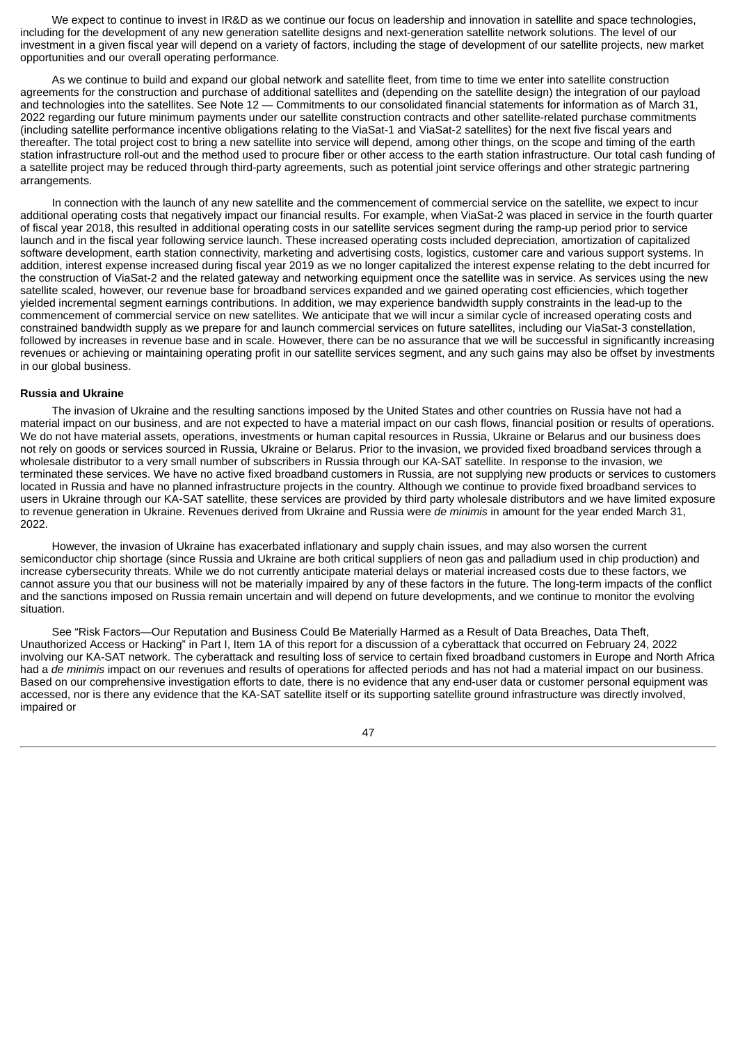We expect to continue to invest in IR&D as we continue our focus on leadership and innovation in satellite and space technologies, including for the development of any new generation satellite designs and next-generation satellite network solutions. The level of our investment in a given fiscal year will depend on a variety of factors, including the stage of development of our satellite projects, new market opportunities and our overall operating performance.

As we continue to build and expand our global network and satellite fleet, from time to time we enter into satellite construction agreements for the construction and purchase of additional satellites and (depending on the satellite design) the integration of our payload and technologies into the satellites. See Note 12 — Commitments to our consolidated financial statements for information as of March 31, 2022 regarding our future minimum payments under our satellite construction contracts and other satellite-related purchase commitments (including satellite performance incentive obligations relating to the ViaSat-1 and ViaSat-2 satellites) for the next five fiscal years and thereafter. The total project cost to bring a new satellite into service will depend, among other things, on the scope and timing of the earth station infrastructure roll-out and the method used to procure fiber or other access to the earth station infrastructure. Our total cash funding of a satellite project may be reduced through third-party agreements, such as potential joint service offerings and other strategic partnering arrangements.

In connection with the launch of any new satellite and the commencement of commercial service on the satellite, we expect to incur additional operating costs that negatively impact our financial results. For example, when ViaSat-2 was placed in service in the fourth quarter of fiscal year 2018, this resulted in additional operating costs in our satellite services segment during the ramp-up period prior to service launch and in the fiscal year following service launch. These increased operating costs included depreciation, amortization of capitalized software development, earth station connectivity, marketing and advertising costs, logistics, customer care and various support systems. In addition, interest expense increased during fiscal year 2019 as we no longer capitalized the interest expense relating to the debt incurred for the construction of ViaSat-2 and the related gateway and networking equipment once the satellite was in service. As services using the new satellite scaled, however, our revenue base for broadband services expanded and we gained operating cost efficiencies, which together yielded incremental segment earnings contributions. In addition, we may experience bandwidth supply constraints in the lead-up to the commencement of commercial service on new satellites. We anticipate that we will incur a similar cycle of increased operating costs and constrained bandwidth supply as we prepare for and launch commercial services on future satellites, including our ViaSat-3 constellation, followed by increases in revenue base and in scale. However, there can be no assurance that we will be successful in significantly increasing revenues or achieving or maintaining operating profit in our satellite services segment, and any such gains may also be offset by investments in our global business.

#### **Russia and Ukraine**

The invasion of Ukraine and the resulting sanctions imposed by the United States and other countries on Russia have not had a material impact on our business, and are not expected to have a material impact on our cash flows, financial position or results of operations. We do not have material assets, operations, investments or human capital resources in Russia, Ukraine or Belarus and our business does not rely on goods or services sourced in Russia, Ukraine or Belarus. Prior to the invasion, we provided fixed broadband services through a wholesale distributor to a very small number of subscribers in Russia through our KA-SAT satellite. In response to the invasion, we terminated these services. We have no active fixed broadband customers in Russia, are not supplying new products or services to customers located in Russia and have no planned infrastructure projects in the country. Although we continue to provide fixed broadband services to users in Ukraine through our KA-SAT satellite, these services are provided by third party wholesale distributors and we have limited exposure to revenue generation in Ukraine. Revenues derived from Ukraine and Russia were *de minimis* in amount for the year ended March 31, 2022.

However, the invasion of Ukraine has exacerbated inflationary and supply chain issues, and may also worsen the current semiconductor chip shortage (since Russia and Ukraine are both critical suppliers of neon gas and palladium used in chip production) and increase cybersecurity threats. While we do not currently anticipate material delays or material increased costs due to these factors, we cannot assure you that our business will not be materially impaired by any of these factors in the future. The long-term impacts of the conflict and the sanctions imposed on Russia remain uncertain and will depend on future developments, and we continue to monitor the evolving situation.

See "Risk Factors—Our Reputation and Business Could Be Materially Harmed as a Result of Data Breaches, Data Theft, Unauthorized Access or Hacking" in Part I, Item 1A of this report for a discussion of a cyberattack that occurred on February 24, 2022 involving our KA-SAT network. The cyberattack and resulting loss of service to certain fixed broadband customers in Europe and North Africa had a *de minimis* impact on our revenues and results of operations for affected periods and has not had a material impact on our business. Based on our comprehensive investigation efforts to date, there is no evidence that any end-user data or customer personal equipment was accessed, nor is there any evidence that the KA-SAT satellite itself or its supporting satellite ground infrastructure was directly involved, impaired or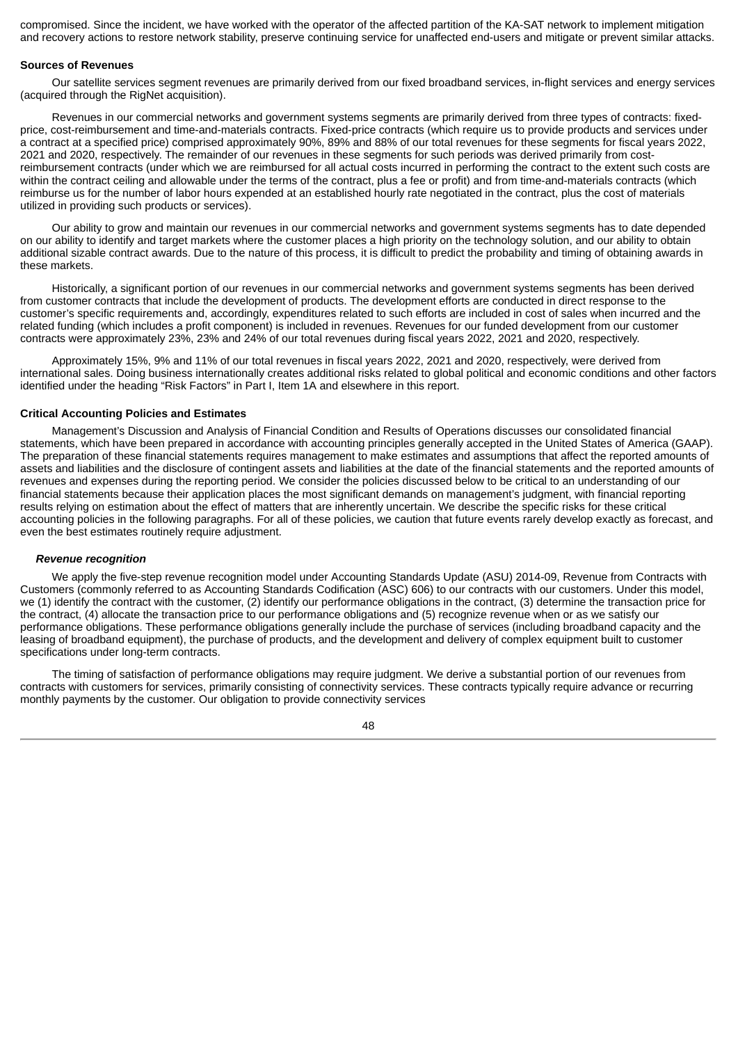compromised. Since the incident, we have worked with the operator of the affected partition of the KA-SAT network to implement mitigation and recovery actions to restore network stability, preserve continuing service for unaffected end-users and mitigate or prevent similar attacks.

#### **Sources of Revenues**

Our satellite services segment revenues are primarily derived from our fixed broadband services, in-flight services and energy services (acquired through the RigNet acquisition).

Revenues in our commercial networks and government systems segments are primarily derived from three types of contracts: fixedprice, cost-reimbursement and time-and-materials contracts. Fixed-price contracts (which require us to provide products and services under a contract at a specified price) comprised approximately 90%, 89% and 88% of our total revenues for these segments for fiscal years 2022, 2021 and 2020, respectively. The remainder of our revenues in these segments for such periods was derived primarily from costreimbursement contracts (under which we are reimbursed for all actual costs incurred in performing the contract to the extent such costs are within the contract ceiling and allowable under the terms of the contract, plus a fee or profit) and from time-and-materials contracts (which reimburse us for the number of labor hours expended at an established hourly rate negotiated in the contract, plus the cost of materials utilized in providing such products or services).

Our ability to grow and maintain our revenues in our commercial networks and government systems segments has to date depended on our ability to identify and target markets where the customer places a high priority on the technology solution, and our ability to obtain additional sizable contract awards. Due to the nature of this process, it is difficult to predict the probability and timing of obtaining awards in these markets.

Historically, a significant portion of our revenues in our commercial networks and government systems segments has been derived from customer contracts that include the development of products. The development efforts are conducted in direct response to the customer's specific requirements and, accordingly, expenditures related to such efforts are included in cost of sales when incurred and the related funding (which includes a profit component) is included in revenues. Revenues for our funded development from our customer contracts were approximately 23%, 23% and 24% of our total revenues during fiscal years 2022, 2021 and 2020, respectively.

Approximately 15%, 9% and 11% of our total revenues in fiscal years 2022, 2021 and 2020, respectively, were derived from international sales. Doing business internationally creates additional risks related to global political and economic conditions and other factors identified under the heading "Risk Factors" in Part I, Item 1A and elsewhere in this report.

# **Critical Accounting Policies and Estimates**

Management's Discussion and Analysis of Financial Condition and Results of Operations discusses our consolidated financial statements, which have been prepared in accordance with accounting principles generally accepted in the United States of America (GAAP). The preparation of these financial statements requires management to make estimates and assumptions that affect the reported amounts of assets and liabilities and the disclosure of contingent assets and liabilities at the date of the financial statements and the reported amounts of revenues and expenses during the reporting period. We consider the policies discussed below to be critical to an understanding of our financial statements because their application places the most significant demands on management's judgment, with financial reporting results relying on estimation about the effect of matters that are inherently uncertain. We describe the specific risks for these critical accounting policies in the following paragraphs. For all of these policies, we caution that future events rarely develop exactly as forecast, and even the best estimates routinely require adjustment.

#### *Revenue recognition*

We apply the five-step revenue recognition model under Accounting Standards Update (ASU) 2014-09, Revenue from Contracts with Customers (commonly referred to as Accounting Standards Codification (ASC) 606) to our contracts with our customers. Under this model, we (1) identify the contract with the customer, (2) identify our performance obligations in the contract, (3) determine the transaction price for the contract, (4) allocate the transaction price to our performance obligations and (5) recognize revenue when or as we satisfy our performance obligations. These performance obligations generally include the purchase of services (including broadband capacity and the leasing of broadband equipment), the purchase of products, and the development and delivery of complex equipment built to customer specifications under long-term contracts.

The timing of satisfaction of performance obligations may require judgment. We derive a substantial portion of our revenues from contracts with customers for services, primarily consisting of connectivity services. These contracts typically require advance or recurring monthly payments by the customer. Our obligation to provide connectivity services

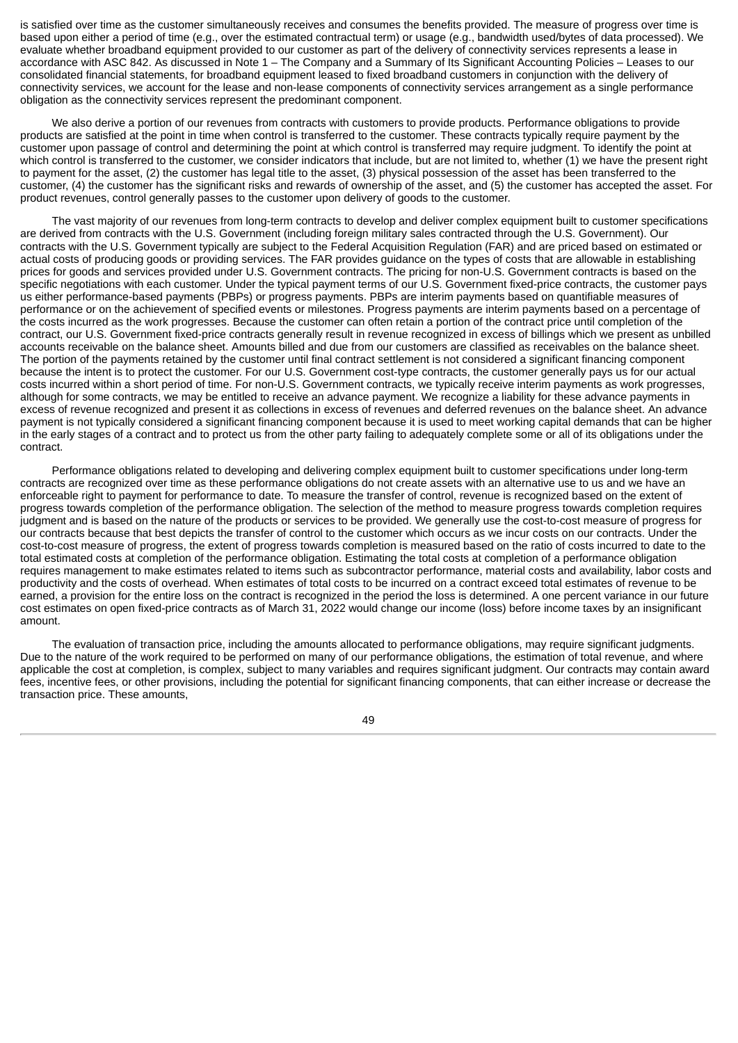is satisfied over time as the customer simultaneously receives and consumes the benefits provided. The measure of progress over time is based upon either a period of time (e.g., over the estimated contractual term) or usage (e.g., bandwidth used/bytes of data processed). We evaluate whether broadband equipment provided to our customer as part of the delivery of connectivity services represents a lease in accordance with ASC 842. As discussed in Note 1 – The Company and a Summary of Its Significant Accounting Policies – Leases to our consolidated financial statements, for broadband equipment leased to fixed broadband customers in conjunction with the delivery of connectivity services, we account for the lease and non-lease components of connectivity services arrangement as a single performance obligation as the connectivity services represent the predominant component.

We also derive a portion of our revenues from contracts with customers to provide products. Performance obligations to provide products are satisfied at the point in time when control is transferred to the customer. These contracts typically require payment by the customer upon passage of control and determining the point at which control is transferred may require judgment. To identify the point at which control is transferred to the customer, we consider indicators that include, but are not limited to, whether (1) we have the present right to payment for the asset, (2) the customer has legal title to the asset, (3) physical possession of the asset has been transferred to the customer, (4) the customer has the significant risks and rewards of ownership of the asset, and (5) the customer has accepted the asset. For product revenues, control generally passes to the customer upon delivery of goods to the customer.

The vast majority of our revenues from long-term contracts to develop and deliver complex equipment built to customer specifications are derived from contracts with the U.S. Government (including foreign military sales contracted through the U.S. Government). Our contracts with the U.S. Government typically are subject to the Federal Acquisition Regulation (FAR) and are priced based on estimated or actual costs of producing goods or providing services. The FAR provides guidance on the types of costs that are allowable in establishing prices for goods and services provided under U.S. Government contracts. The pricing for non-U.S. Government contracts is based on the specific negotiations with each customer. Under the typical payment terms of our U.S. Government fixed-price contracts, the customer pays us either performance-based payments (PBPs) or progress payments. PBPs are interim payments based on quantifiable measures of performance or on the achievement of specified events or milestones. Progress payments are interim payments based on a percentage of the costs incurred as the work progresses. Because the customer can often retain a portion of the contract price until completion of the contract, our U.S. Government fixed-price contracts generally result in revenue recognized in excess of billings which we present as unbilled accounts receivable on the balance sheet. Amounts billed and due from our customers are classified as receivables on the balance sheet. The portion of the payments retained by the customer until final contract settlement is not considered a significant financing component because the intent is to protect the customer. For our U.S. Government cost-type contracts, the customer generally pays us for our actual costs incurred within a short period of time. For non-U.S. Government contracts, we typically receive interim payments as work progresses, although for some contracts, we may be entitled to receive an advance payment. We recognize a liability for these advance payments in excess of revenue recognized and present it as collections in excess of revenues and deferred revenues on the balance sheet. An advance payment is not typically considered a significant financing component because it is used to meet working capital demands that can be higher in the early stages of a contract and to protect us from the other party failing to adequately complete some or all of its obligations under the contract.

Performance obligations related to developing and delivering complex equipment built to customer specifications under long-term contracts are recognized over time as these performance obligations do not create assets with an alternative use to us and we have an enforceable right to payment for performance to date. To measure the transfer of control, revenue is recognized based on the extent of progress towards completion of the performance obligation. The selection of the method to measure progress towards completion requires judgment and is based on the nature of the products or services to be provided. We generally use the cost-to-cost measure of progress for our contracts because that best depicts the transfer of control to the customer which occurs as we incur costs on our contracts. Under the cost-to-cost measure of progress, the extent of progress towards completion is measured based on the ratio of costs incurred to date to the total estimated costs at completion of the performance obligation. Estimating the total costs at completion of a performance obligation requires management to make estimates related to items such as subcontractor performance, material costs and availability, labor costs and productivity and the costs of overhead. When estimates of total costs to be incurred on a contract exceed total estimates of revenue to be earned, a provision for the entire loss on the contract is recognized in the period the loss is determined. A one percent variance in our future cost estimates on open fixed-price contracts as of March 31, 2022 would change our income (loss) before income taxes by an insignificant amount.

The evaluation of transaction price, including the amounts allocated to performance obligations, may require significant judgments. Due to the nature of the work required to be performed on many of our performance obligations, the estimation of total revenue, and where applicable the cost at completion, is complex, subject to many variables and requires significant judgment. Our contracts may contain award fees, incentive fees, or other provisions, including the potential for significant financing components, that can either increase or decrease the transaction price. These amounts,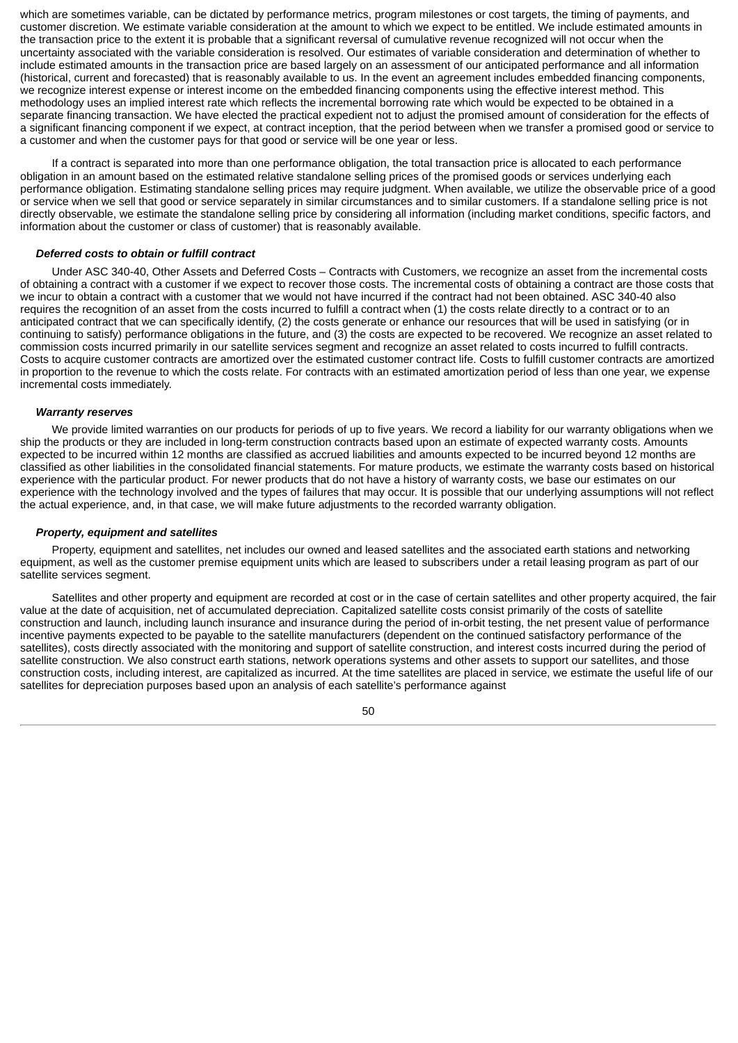which are sometimes variable, can be dictated by performance metrics, program milestones or cost targets, the timing of payments, and customer discretion. We estimate variable consideration at the amount to which we expect to be entitled. We include estimated amounts in the transaction price to the extent it is probable that a significant reversal of cumulative revenue recognized will not occur when the uncertainty associated with the variable consideration is resolved. Our estimates of variable consideration and determination of whether to include estimated amounts in the transaction price are based largely on an assessment of our anticipated performance and all information (historical, current and forecasted) that is reasonably available to us. In the event an agreement includes embedded financing components, we recognize interest expense or interest income on the embedded financing components using the effective interest method. This methodology uses an implied interest rate which reflects the incremental borrowing rate which would be expected to be obtained in a separate financing transaction. We have elected the practical expedient not to adjust the promised amount of consideration for the effects of a significant financing component if we expect, at contract inception, that the period between when we transfer a promised good or service to a customer and when the customer pays for that good or service will be one year or less.

If a contract is separated into more than one performance obligation, the total transaction price is allocated to each performance obligation in an amount based on the estimated relative standalone selling prices of the promised goods or services underlying each performance obligation. Estimating standalone selling prices may require judgment. When available, we utilize the observable price of a good or service when we sell that good or service separately in similar circumstances and to similar customers. If a standalone selling price is not directly observable, we estimate the standalone selling price by considering all information (including market conditions, specific factors, and information about the customer or class of customer) that is reasonably available.

#### *Deferred costs to obtain or fulfill contract*

Under ASC 340-40, Other Assets and Deferred Costs – Contracts with Customers, we recognize an asset from the incremental costs of obtaining a contract with a customer if we expect to recover those costs. The incremental costs of obtaining a contract are those costs that we incur to obtain a contract with a customer that we would not have incurred if the contract had not been obtained. ASC 340-40 also requires the recognition of an asset from the costs incurred to fulfill a contract when (1) the costs relate directly to a contract or to an anticipated contract that we can specifically identify, (2) the costs generate or enhance our resources that will be used in satisfying (or in continuing to satisfy) performance obligations in the future, and (3) the costs are expected to be recovered. We recognize an asset related to commission costs incurred primarily in our satellite services segment and recognize an asset related to costs incurred to fulfill contracts. Costs to acquire customer contracts are amortized over the estimated customer contract life. Costs to fulfill customer contracts are amortized in proportion to the revenue to which the costs relate. For contracts with an estimated amortization period of less than one year, we expense incremental costs immediately.

#### *Warranty reserves*

We provide limited warranties on our products for periods of up to five years. We record a liability for our warranty obligations when we ship the products or they are included in long-term construction contracts based upon an estimate of expected warranty costs. Amounts expected to be incurred within 12 months are classified as accrued liabilities and amounts expected to be incurred beyond 12 months are classified as other liabilities in the consolidated financial statements. For mature products, we estimate the warranty costs based on historical experience with the particular product. For newer products that do not have a history of warranty costs, we base our estimates on our experience with the technology involved and the types of failures that may occur. It is possible that our underlying assumptions will not reflect the actual experience, and, in that case, we will make future adjustments to the recorded warranty obligation.

#### *Property, equipment and satellites*

Property, equipment and satellites, net includes our owned and leased satellites and the associated earth stations and networking equipment, as well as the customer premise equipment units which are leased to subscribers under a retail leasing program as part of our satellite services segment.

Satellites and other property and equipment are recorded at cost or in the case of certain satellites and other property acquired, the fair value at the date of acquisition, net of accumulated depreciation. Capitalized satellite costs consist primarily of the costs of satellite construction and launch, including launch insurance and insurance during the period of in-orbit testing, the net present value of performance incentive payments expected to be payable to the satellite manufacturers (dependent on the continued satisfactory performance of the satellites), costs directly associated with the monitoring and support of satellite construction, and interest costs incurred during the period of satellite construction. We also construct earth stations, network operations systems and other assets to support our satellites, and those construction costs, including interest, are capitalized as incurred. At the time satellites are placed in service, we estimate the useful life of our satellites for depreciation purposes based upon an analysis of each satellite's performance against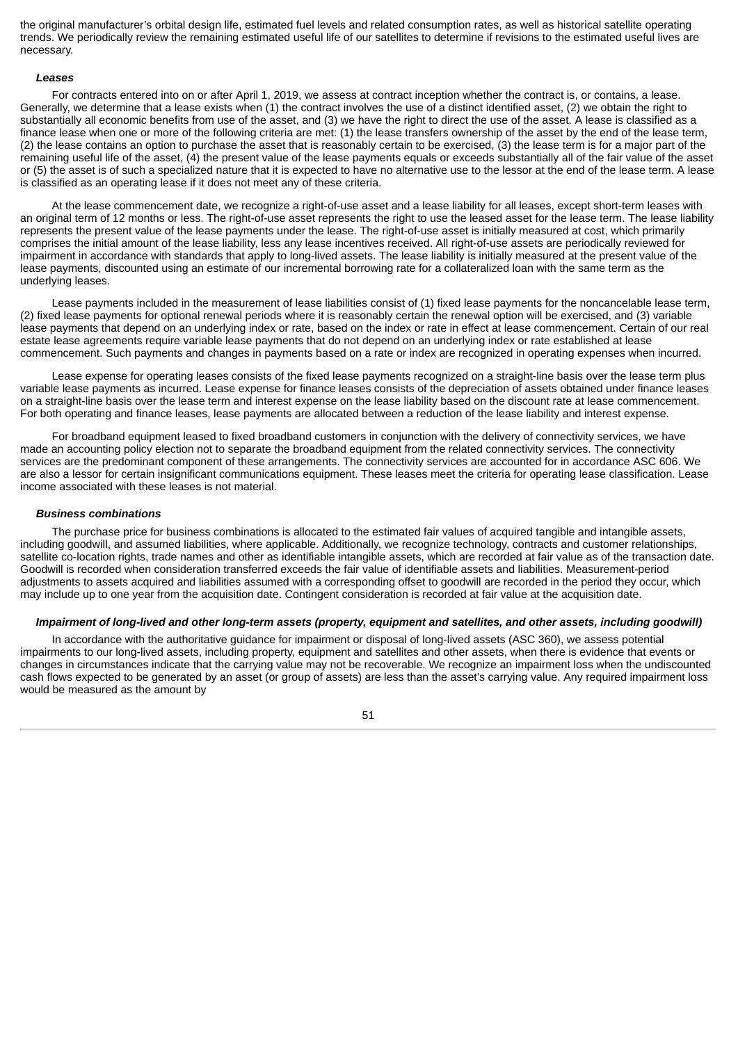the original manufacturer's orbital design life, estimated fuel levels and related consumption rates, as well as historical satellite operating trends. We periodically review the remaining estimated useful life of our satellites to determine if revisions to the estimated useful lives are necessary.

#### *Leases*

For contracts entered into on or after April 1, 2019, we assess at contract inception whether the contract is, or contains, a lease. Generally, we determine that a lease exists when (1) the contract involves the use of a distinct identified asset, (2) we obtain the right to substantially all economic benefits from use of the asset, and (3) we have the right to direct the use of the asset. A lease is classified as a finance lease when one or more of the following criteria are met: (1) the lease transfers ownership of the asset by the end of the lease term, (2) the lease contains an option to purchase the asset that is reasonably certain to be exercised, (3) the lease term is for a major part of the remaining useful life of the asset, (4) the present value of the lease payments equals or exceeds substantially all of the fair value of the asset or (5) the asset is of such a specialized nature that it is expected to have no alternative use to the lessor at the end of the lease term. A lease is classified as an operating lease if it does not meet any of these criteria.

At the lease commencement date, we recognize a right-of-use asset and a lease liability for all leases, except short-term leases with an original term of 12 months or less. The right-of-use asset represents the right to use the leased asset for the lease term. The lease liability represents the present value of the lease payments under the lease. The right-of-use asset is initially measured at cost, which primarily comprises the initial amount of the lease liability, less any lease incentives received. All right-of-use assets are periodically reviewed for impairment in accordance with standards that apply to long-lived assets. The lease liability is initially measured at the present value of the lease payments, discounted using an estimate of our incremental borrowing rate for a collateralized loan with the same term as the underlying leases.

Lease payments included in the measurement of lease liabilities consist of (1) fixed lease payments for the noncancelable lease term, (2) fixed lease payments for optional renewal periods where it is reasonably certain the renewal option will be exercised, and (3) variable lease payments that depend on an underlying index or rate, based on the index or rate in effect at lease commencement. Certain of our real estate lease agreements require variable lease payments that do not depend on an underlying index or rate established at lease commencement. Such payments and changes in payments based on a rate or index are recognized in operating expenses when incurred.

Lease expense for operating leases consists of the fixed lease payments recognized on a straight-line basis over the lease term plus variable lease payments as incurred. Lease expense for finance leases consists of the depreciation of assets obtained under finance leases on a straight-line basis over the lease term and interest expense on the lease liability based on the discount rate at lease commencement. For both operating and finance leases, lease payments are allocated between a reduction of the lease liability and interest expense.

For broadband equipment leased to fixed broadband customers in conjunction with the delivery of connectivity services, we have made an accounting policy election not to separate the broadband equipment from the related connectivity services. The connectivity services are the predominant component of these arrangements. The connectivity services are accounted for in accordance ASC 606. We are also a lessor for certain insignificant communications equipment. These leases meet the criteria for operating lease classification. Lease income associated with these leases is not material.

#### *Business combinations*

The purchase price for business combinations is allocated to the estimated fair values of acquired tangible and intangible assets, including goodwill, and assumed liabilities, where applicable. Additionally, we recognize technology, contracts and customer relationships, satellite co-location rights, trade names and other as identifiable intangible assets, which are recorded at fair value as of the transaction date. Goodwill is recorded when consideration transferred exceeds the fair value of identifiable assets and liabilities. Measurement-period adjustments to assets acquired and liabilities assumed with a corresponding offset to goodwill are recorded in the period they occur, which may include up to one year from the acquisition date. Contingent consideration is recorded at fair value at the acquisition date.

#### Impairment of long-lived and other long-term assets (property, equipment and satellites, and other assets, including goodwill)

In accordance with the authoritative guidance for impairment or disposal of long-lived assets (ASC 360), we assess potential impairments to our long-lived assets, including property, equipment and satellites and other assets, when there is evidence that events or changes in circumstances indicate that the carrying value may not be recoverable. We recognize an impairment loss when the undiscounted cash flows expected to be generated by an asset (or group of assets) are less than the asset's carrying value. Any required impairment loss would be measured as the amount by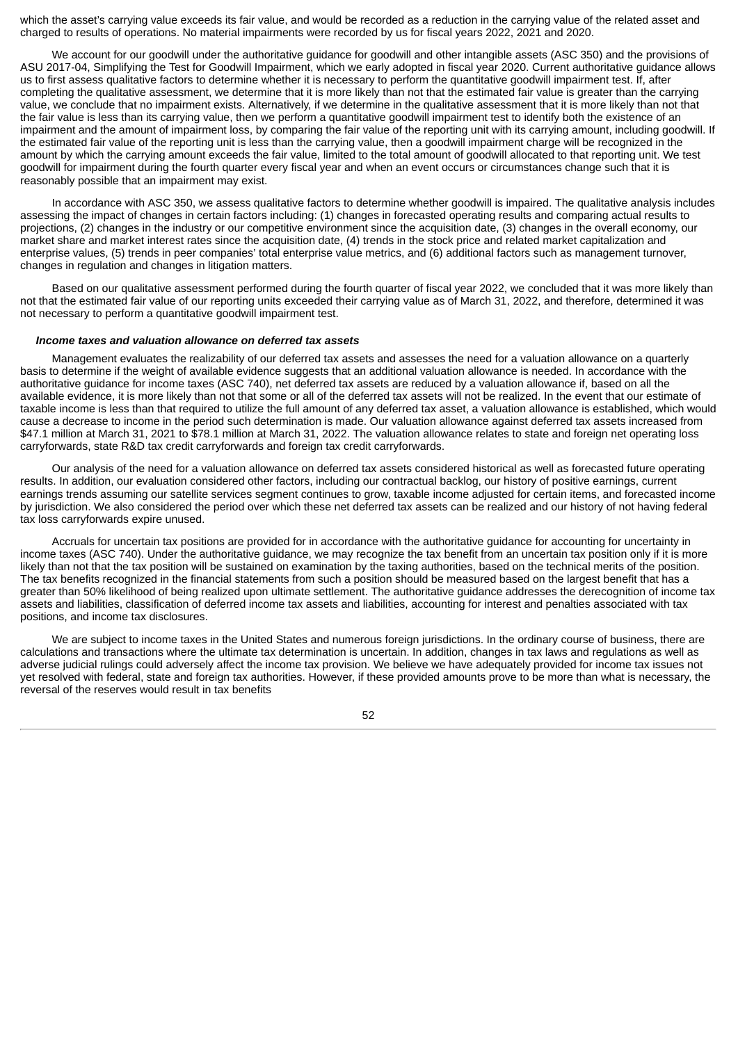which the asset's carrying value exceeds its fair value, and would be recorded as a reduction in the carrying value of the related asset and charged to results of operations. No material impairments were recorded by us for fiscal years 2022, 2021 and 2020.

We account for our goodwill under the authoritative guidance for goodwill and other intangible assets (ASC 350) and the provisions of ASU 2017-04, Simplifying the Test for Goodwill Impairment, which we early adopted in fiscal year 2020. Current authoritative guidance allows us to first assess qualitative factors to determine whether it is necessary to perform the quantitative goodwill impairment test. If, after completing the qualitative assessment, we determine that it is more likely than not that the estimated fair value is greater than the carrying value, we conclude that no impairment exists. Alternatively, if we determine in the qualitative assessment that it is more likely than not that the fair value is less than its carrying value, then we perform a quantitative goodwill impairment test to identify both the existence of an impairment and the amount of impairment loss, by comparing the fair value of the reporting unit with its carrying amount, including goodwill. If the estimated fair value of the reporting unit is less than the carrying value, then a goodwill impairment charge will be recognized in the amount by which the carrying amount exceeds the fair value, limited to the total amount of goodwill allocated to that reporting unit. We test goodwill for impairment during the fourth quarter every fiscal year and when an event occurs or circumstances change such that it is reasonably possible that an impairment may exist.

In accordance with ASC 350, we assess qualitative factors to determine whether goodwill is impaired. The qualitative analysis includes assessing the impact of changes in certain factors including: (1) changes in forecasted operating results and comparing actual results to projections, (2) changes in the industry or our competitive environment since the acquisition date, (3) changes in the overall economy, our market share and market interest rates since the acquisition date, (4) trends in the stock price and related market capitalization and enterprise values, (5) trends in peer companies' total enterprise value metrics, and (6) additional factors such as management turnover, changes in regulation and changes in litigation matters.

Based on our qualitative assessment performed during the fourth quarter of fiscal year 2022, we concluded that it was more likely than not that the estimated fair value of our reporting units exceeded their carrying value as of March 31, 2022, and therefore, determined it was not necessary to perform a quantitative goodwill impairment test.

#### *Income taxes and valuation allowance on deferred tax assets*

Management evaluates the realizability of our deferred tax assets and assesses the need for a valuation allowance on a quarterly basis to determine if the weight of available evidence suggests that an additional valuation allowance is needed. In accordance with the authoritative guidance for income taxes (ASC 740), net deferred tax assets are reduced by a valuation allowance if, based on all the available evidence, it is more likely than not that some or all of the deferred tax assets will not be realized. In the event that our estimate of taxable income is less than that required to utilize the full amount of any deferred tax asset, a valuation allowance is established, which would cause a decrease to income in the period such determination is made. Our valuation allowance against deferred tax assets increased from \$47.1 million at March 31, 2021 to \$78.1 million at March 31, 2022. The valuation allowance relates to state and foreign net operating loss carryforwards, state R&D tax credit carryforwards and foreign tax credit carryforwards.

Our analysis of the need for a valuation allowance on deferred tax assets considered historical as well as forecasted future operating results. In addition, our evaluation considered other factors, including our contractual backlog, our history of positive earnings, current earnings trends assuming our satellite services segment continues to grow, taxable income adjusted for certain items, and forecasted income by jurisdiction. We also considered the period over which these net deferred tax assets can be realized and our history of not having federal tax loss carryforwards expire unused.

Accruals for uncertain tax positions are provided for in accordance with the authoritative guidance for accounting for uncertainty in income taxes (ASC 740). Under the authoritative guidance, we may recognize the tax benefit from an uncertain tax position only if it is more likely than not that the tax position will be sustained on examination by the taxing authorities, based on the technical merits of the position. The tax benefits recognized in the financial statements from such a position should be measured based on the largest benefit that has a greater than 50% likelihood of being realized upon ultimate settlement. The authoritative guidance addresses the derecognition of income tax assets and liabilities, classification of deferred income tax assets and liabilities, accounting for interest and penalties associated with tax positions, and income tax disclosures.

We are subject to income taxes in the United States and numerous foreign jurisdictions. In the ordinary course of business, there are calculations and transactions where the ultimate tax determination is uncertain. In addition, changes in tax laws and regulations as well as adverse judicial rulings could adversely affect the income tax provision. We believe we have adequately provided for income tax issues not yet resolved with federal, state and foreign tax authorities. However, if these provided amounts prove to be more than what is necessary, the reversal of the reserves would result in tax benefits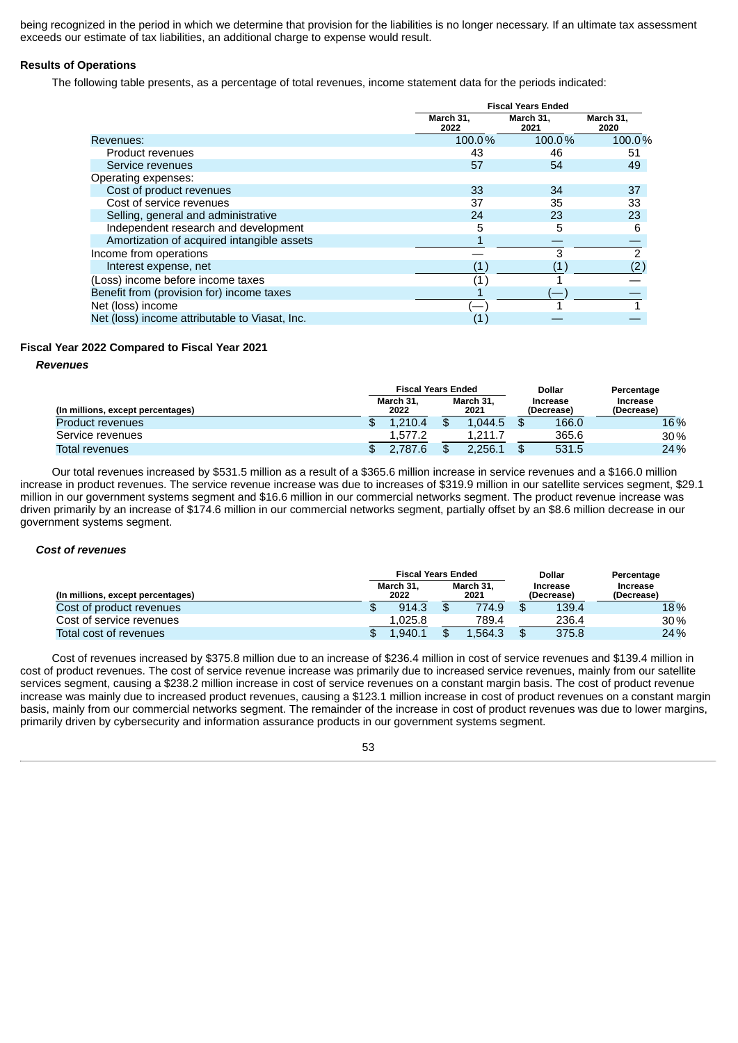being recognized in the period in which we determine that provision for the liabilities is no longer necessary. If an ultimate tax assessment exceeds our estimate of tax liabilities, an additional charge to expense would result.

# **Results of Operations**

The following table presents, as a percentage of total revenues, income statement data for the periods indicated:

|                                                |                   | <b>Fiscal Years Ended</b> |                   |  |  |  |  |  |  |
|------------------------------------------------|-------------------|---------------------------|-------------------|--|--|--|--|--|--|
|                                                | March 31,<br>2022 | March 31,<br>2021         | March 31,<br>2020 |  |  |  |  |  |  |
| Revenues:                                      | 100.0%            | 100.0%                    | 100.0%            |  |  |  |  |  |  |
| Product revenues                               | 43                | 46                        | 51                |  |  |  |  |  |  |
| Service revenues                               | 57                | 54                        | 49                |  |  |  |  |  |  |
| Operating expenses:                            |                   |                           |                   |  |  |  |  |  |  |
| Cost of product revenues                       | 33                | 34                        | 37                |  |  |  |  |  |  |
| Cost of service revenues                       | 37                | 35                        | 33                |  |  |  |  |  |  |
| Selling, general and administrative            | 24                | 23                        | 23                |  |  |  |  |  |  |
| Independent research and development           | 5                 | 5                         | 6                 |  |  |  |  |  |  |
| Amortization of acquired intangible assets     |                   |                           |                   |  |  |  |  |  |  |
| Income from operations                         |                   | 3                         | 2                 |  |  |  |  |  |  |
| Interest expense, net                          | (1)               | (1)                       | (2)               |  |  |  |  |  |  |
| (Loss) income before income taxes              | (1)               |                           |                   |  |  |  |  |  |  |
| Benefit from (provision for) income taxes      |                   |                           |                   |  |  |  |  |  |  |
| Net (loss) income                              |                   |                           |                   |  |  |  |  |  |  |
| Net (loss) income attributable to Viasat, Inc. | (1                |                           |                   |  |  |  |  |  |  |

# **Fiscal Year 2022 Compared to Fiscal Year 2021**

#### *Revenues*

|                                   | <b>Fiscal Years Ended</b> |   |                   | Dollar |                               | Percentage                    |  |
|-----------------------------------|---------------------------|---|-------------------|--------|-------------------------------|-------------------------------|--|
| (In millions, except percentages) | March 31.<br>2022         |   | March 31.<br>2021 |        | <b>Increase</b><br>(Decrease) | <b>Increase</b><br>(Decrease) |  |
| <b>Product revenues</b>           | 1.210.4                   |   | 1.044.5           |        | 166.0                         | 16%                           |  |
| Service revenues                  | 1.577.2                   |   | 1.211.            |        | 365.6                         | 30%                           |  |
| Total revenues                    | 2.787.6                   | ሖ | 2.256.1           |        | 531.5                         | 24%                           |  |

Our total revenues increased by \$531.5 million as a result of a \$365.6 million increase in service revenues and a \$166.0 million increase in product revenues. The service revenue increase was due to increases of \$319.9 million in our satellite services segment, \$29.1 million in our government systems segment and \$16.6 million in our commercial networks segment. The product revenue increase was driven primarily by an increase of \$174.6 million in our commercial networks segment, partially offset by an \$8.6 million decrease in our government systems segment.

# *Cost of revenues*

|                                   | <b>Fiscal Years Ended</b> |         |                   |         |                               | <b>Dollar</b> | Percentage                    |  |
|-----------------------------------|---------------------------|---------|-------------------|---------|-------------------------------|---------------|-------------------------------|--|
| (In millions, except percentages) | March 31.<br>2022         |         | March 31.<br>2021 |         | <b>Increase</b><br>(Decrease) |               | <b>Increase</b><br>(Decrease) |  |
| Cost of product revenues          |                           | 914.3   |                   | 774.9   |                               | 139.4         | 18%                           |  |
| Cost of service revenues          |                           | 1.025.8 |                   | 789.4   |                               | 236.4         | $30\%$                        |  |
| Total cost of revenues            |                           | 1.940.1 | \$                | 1.564.3 |                               | 375.8         | 24%                           |  |

Cost of revenues increased by \$375.8 million due to an increase of \$236.4 million in cost of service revenues and \$139.4 million in cost of product revenues. The cost of service revenue increase was primarily due to increased service revenues, mainly from our satellite services segment, causing a \$238.2 million increase in cost of service revenues on a constant margin basis. The cost of product revenue increase was mainly due to increased product revenues, causing a \$123.1 million increase in cost of product revenues on a constant margin basis, mainly from our commercial networks segment. The remainder of the increase in cost of product revenues was due to lower margins, primarily driven by cybersecurity and information assurance products in our government systems segment.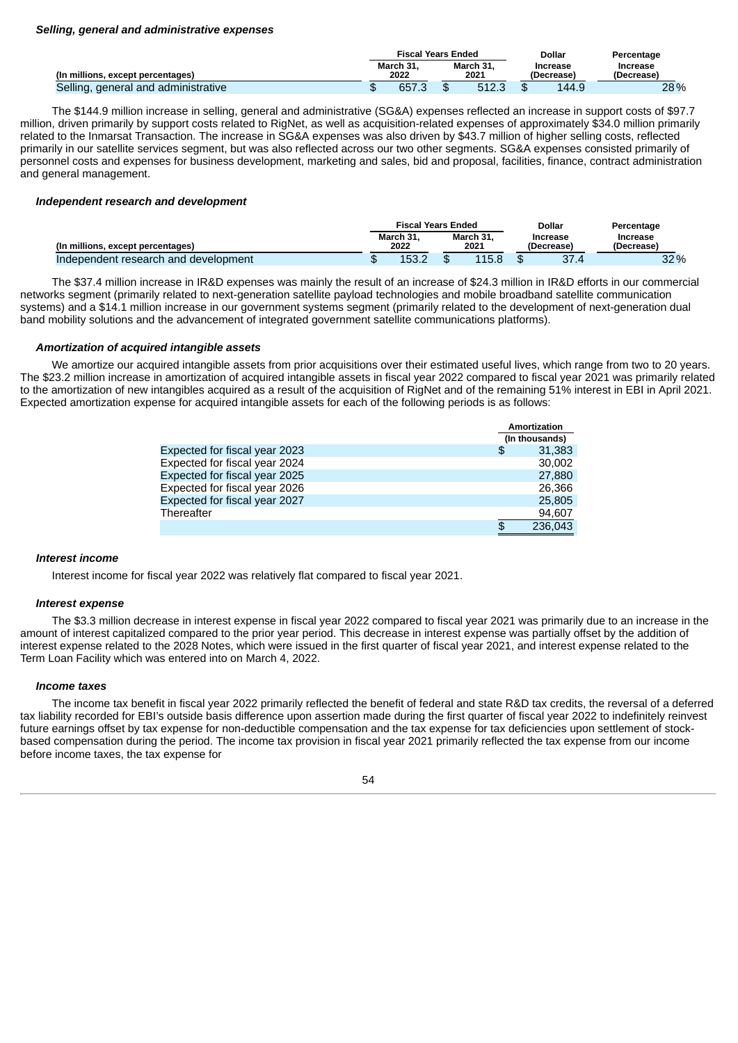## *Selling, general and administrative expenses*

|                                     | <b>Fiscal Years Ended</b> |                  |  |      |                               | <b>Dollar</b> | Percentage                    |  |
|-------------------------------------|---------------------------|------------------|--|------|-------------------------------|---------------|-------------------------------|--|
| (In millions, except percentages)   |                           | March 31<br>2022 |  |      | <b>Increase</b><br>(Decrease) |               | <b>Increase</b><br>(Decrease) |  |
| Selling, general and administrative |                           | 657.3            |  | にゅつつ |                               | 144.9         | 28%                           |  |

The \$144.9 million increase in selling, general and administrative (SG&A) expenses reflected an increase in support costs of \$97.7 million, driven primarily by support costs related to RigNet, as well as acquisition-related expenses of approximately \$34.0 million primarily related to the Inmarsat Transaction. The increase in SG&A expenses was also driven by \$43.7 million of higher selling costs, reflected primarily in our satellite services segment, but was also reflected across our two other segments. SG&A expenses consisted primarily of personnel costs and expenses for business development, marketing and sales, bid and proposal, facilities, finance, contract administration and general management.

#### *Independent research and development*

|                                      | <b>Fiscal Years Ended</b> |       |                 |       |                 | Dollar       | Percentage |  |
|--------------------------------------|---------------------------|-------|-----------------|-------|-----------------|--------------|------------|--|
|                                      | March 31<br>March 31.     |       | <b>Increase</b> |       | <b>Increase</b> |              |            |  |
| (In millions, except percentages)    | 2022                      |       | 2021            |       | (Decrease)      |              | (Decrease) |  |
| Independent research and development |                           | 153.2 |                 | 115.8 |                 | דכ<br>-. ، د | 32%        |  |

The \$37.4 million increase in IR&D expenses was mainly the result of an increase of \$24.3 million in IR&D efforts in our commercial networks segment (primarily related to next-generation satellite payload technologies and mobile broadband satellite communication systems) and a \$14.1 million increase in our government systems segment (primarily related to the development of next-generation dual band mobility solutions and the advancement of integrated government satellite communications platforms).

#### *Amortization of acquired intangible assets*

We amortize our acquired intangible assets from prior acquisitions over their estimated useful lives, which range from two to 20 years. The \$23.2 million increase in amortization of acquired intangible assets in fiscal year 2022 compared to fiscal year 2021 was primarily related to the amortization of new intangibles acquired as a result of the acquisition of RigNet and of the remaining 51% interest in EBI in April 2021. Expected amortization expense for acquired intangible assets for each of the following periods is as follows:

**Amortization**

|                               |    | ,,,,,,,,,,,,,,,,, |
|-------------------------------|----|-------------------|
|                               |    | (In thousands)    |
| Expected for fiscal year 2023 | \$ | 31.383            |
| Expected for fiscal year 2024 |    | 30,002            |
| Expected for fiscal year 2025 |    | 27,880            |
| Expected for fiscal year 2026 |    | 26.366            |
| Expected for fiscal year 2027 |    | 25,805            |
| Thereafter                    |    | 94.607            |
|                               | £. | 236,043           |

#### *Interest income*

Interest income for fiscal year 2022 was relatively flat compared to fiscal year 2021.

#### *Interest expense*

The \$3.3 million decrease in interest expense in fiscal year 2022 compared to fiscal year 2021 was primarily due to an increase in the amount of interest capitalized compared to the prior year period. This decrease in interest expense was partially offset by the addition of interest expense related to the 2028 Notes, which were issued in the first quarter of fiscal year 2021, and interest expense related to the Term Loan Facility which was entered into on March 4, 2022.

#### *Income taxes*

The income tax benefit in fiscal year 2022 primarily reflected the benefit of federal and state R&D tax credits, the reversal of a deferred tax liability recorded for EBI's outside basis difference upon assertion made during the first quarter of fiscal year 2022 to indefinitely reinvest future earnings offset by tax expense for non-deductible compensation and the tax expense for tax deficiencies upon settlement of stockbased compensation during the period. The income tax provision in fiscal year 2021 primarily reflected the tax expense from our income before income taxes, the tax expense for

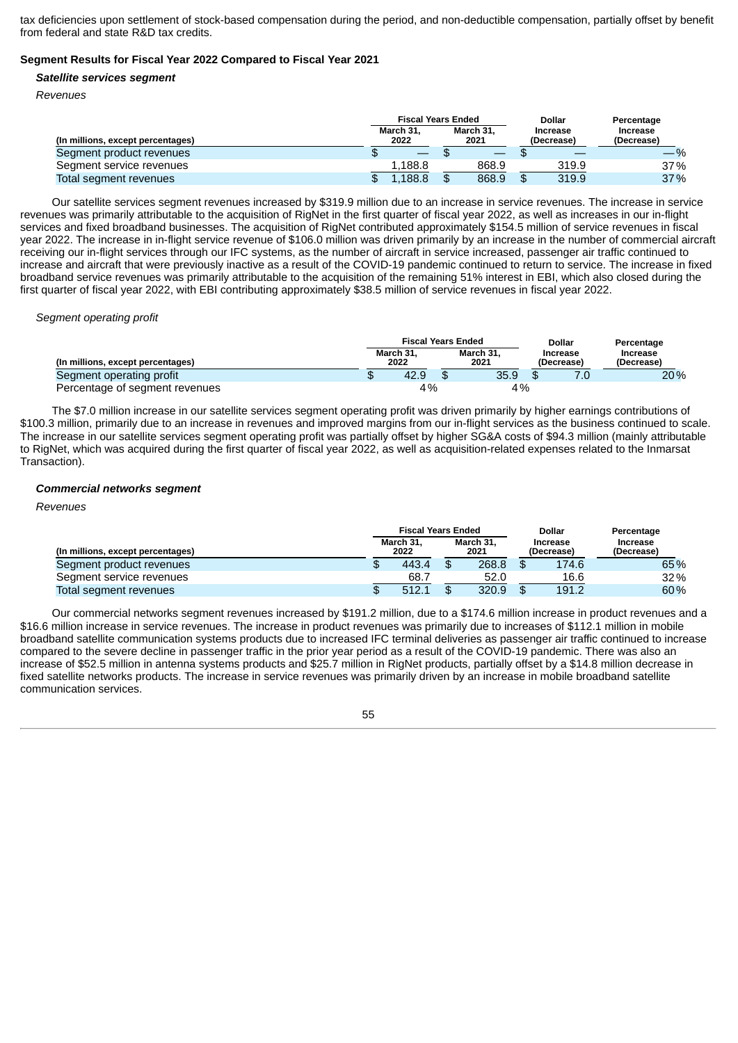tax deficiencies upon settlement of stock-based compensation during the period, and non-deductible compensation, partially offset by benefit from federal and state R&D tax credits.

# **Segment Results for Fiscal Year 2022 Compared to Fiscal Year 2021**

## *Satellite services segment*

*Revenues*

|                                   | <b>Fiscal Years Ended</b> |         |                   |       |                               |       | Percentage                    |  |
|-----------------------------------|---------------------------|---------|-------------------|-------|-------------------------------|-------|-------------------------------|--|
| (In millions, except percentages) | March 31.<br>2022         |         | March 31.<br>2021 |       | <b>Increase</b><br>(Decrease) |       | <b>Increase</b><br>(Decrease) |  |
| Segment product revenues          |                           | $-$     |                   | —     |                               |       | $-\%$                         |  |
| Segment service revenues          |                           | 1.188.8 |                   | 868.9 |                               | 319.9 | 37%                           |  |
| Total segment revenues            |                           | .188.8  | \$                | 868.9 |                               | 319.9 | 37%                           |  |

Our satellite services segment revenues increased by \$319.9 million due to an increase in service revenues. The increase in service revenues was primarily attributable to the acquisition of RigNet in the first quarter of fiscal year 2022, as well as increases in our in-flight services and fixed broadband businesses. The acquisition of RigNet contributed approximately \$154.5 million of service revenues in fiscal year 2022. The increase in in-flight service revenue of \$106.0 million was driven primarily by an increase in the number of commercial aircraft receiving our in-flight services through our IFC systems, as the number of aircraft in service increased, passenger air traffic continued to increase and aircraft that were previously inactive as a result of the COVID-19 pandemic continued to return to service. The increase in fixed broadband service revenues was primarily attributable to the acquisition of the remaining 51% interest in EBI, which also closed during the first quarter of fiscal year 2022, with EBI contributing approximately \$38.5 million of service revenues in fiscal year 2022.

## *Segment operating profit*

|                                   | <b>Fiscal Years Ended</b> |  |                   |  |                               | Percentage                    |  |
|-----------------------------------|---------------------------|--|-------------------|--|-------------------------------|-------------------------------|--|
| (In millions, except percentages) | March 31.<br>2022         |  | March 31.<br>2021 |  | <b>Increase</b><br>(Decrease) | <b>Increase</b><br>(Decrease) |  |
| Segment operating profit          | 42.9                      |  | 35.9              |  |                               | 20%                           |  |
| Percentage of segment revenues    | 4%                        |  | 4%                |  |                               |                               |  |

The \$7.0 million increase in our satellite services segment operating profit was driven primarily by higher earnings contributions of \$100.3 million, primarily due to an increase in revenues and improved margins from our in-flight services as the business continued to scale. The increase in our satellite services segment operating profit was partially offset by higher SG&A costs of \$94.3 million (mainly attributable to RigNet, which was acquired during the first quarter of fiscal year 2022, as well as acquisition-related expenses related to the Inmarsat Transaction).

#### *Commercial networks segment*

#### *Revenues*

|                                   | <b>Fiscal Years Ended</b> |       |                   |       |                               |       | Percentage                    |
|-----------------------------------|---------------------------|-------|-------------------|-------|-------------------------------|-------|-------------------------------|
| (In millions, except percentages) | March 31,<br>2022         |       | March 31.<br>2021 |       | <b>Increase</b><br>(Decrease) |       | <b>Increase</b><br>(Decrease) |
| Segment product revenues          |                           | 443.4 |                   | 268.8 |                               | 174.6 | 65%                           |
| Segment service revenues          |                           | 68.7  |                   | 52.0  |                               | 16.6  | 32%                           |
| Total segment revenues            |                           | 512.1 | \$                | 320.9 |                               | 191.2 | 60%                           |

Our commercial networks segment revenues increased by \$191.2 million, due to a \$174.6 million increase in product revenues and a \$16.6 million increase in service revenues. The increase in product revenues was primarily due to increases of \$112.1 million in mobile broadband satellite communication systems products due to increased IFC terminal deliveries as passenger air traffic continued to increase compared to the severe decline in passenger traffic in the prior year period as a result of the COVID-19 pandemic. There was also an increase of \$52.5 million in antenna systems products and \$25.7 million in RigNet products, partially offset by a \$14.8 million decrease in fixed satellite networks products. The increase in service revenues was primarily driven by an increase in mobile broadband satellite communication services.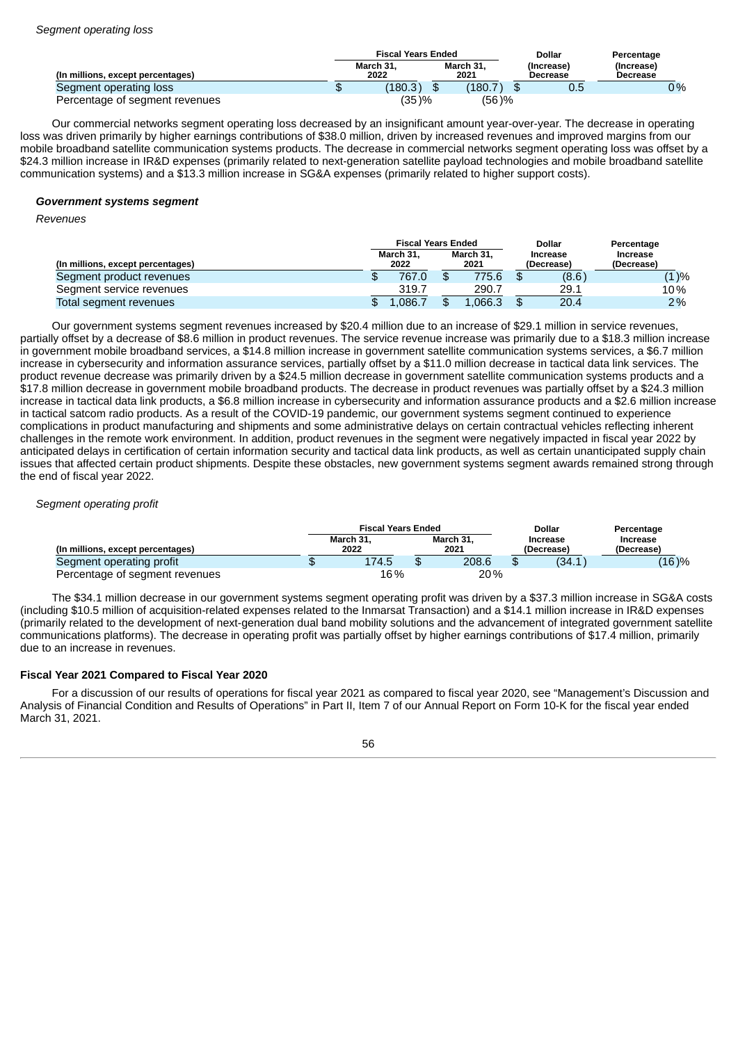|                                   |    | <b>Fiscal Years Ended</b> |           | Dollar          | Percentage      |    |
|-----------------------------------|----|---------------------------|-----------|-----------------|-----------------|----|
|                                   |    | March 31.                 | March 31. | (Increase)      | (Increase)      |    |
| (In millions, except percentages) |    | 2022                      | 2021      | <b>Decrease</b> | <b>Decrease</b> |    |
| Segment operating loss            | ۰D | (180.3)                   | 180.7     | 0.5             |                 | 0% |
| Percentage of segment revenues    |    | (35)%                     | $(56)$ %  |                 |                 |    |

Our commercial networks segment operating loss decreased by an insignificant amount year-over-year. The decrease in operating loss was driven primarily by higher earnings contributions of \$38.0 million, driven by increased revenues and improved margins from our mobile broadband satellite communication systems products. The decrease in commercial networks segment operating loss was offset by a \$24.3 million increase in IR&D expenses (primarily related to next-generation satellite payload technologies and mobile broadband satellite communication systems) and a \$13.3 million increase in SG&A expenses (primarily related to higher support costs).

#### *Government systems segment*

#### *Revenues*

|                                   | <b>Fiscal Years Ended</b> |       |  |                          |  | <b>Dollar</b>                 | Percentage                    |
|-----------------------------------|---------------------------|-------|--|--------------------------|--|-------------------------------|-------------------------------|
| (In millions, except percentages) | March 31.<br>2022         |       |  | <b>March 31.</b><br>2021 |  | <b>Increase</b><br>(Decrease) | <b>Increase</b><br>(Decrease) |
| Segment product revenues          |                           | 767.0 |  | 775.6                    |  | (8.6)                         | (1)%                          |
| Segment service revenues          |                           | 319.7 |  | 290.7                    |  | 29.1                          | 10%                           |
| Total segment revenues            |                           | .086. |  | .066.3                   |  | 20.4                          | 2%                            |

Our government systems segment revenues increased by \$20.4 million due to an increase of \$29.1 million in service revenues, partially offset by a decrease of \$8.6 million in product revenues. The service revenue increase was primarily due to a \$18.3 million increase in government mobile broadband services, a \$14.8 million increase in government satellite communication systems services, a \$6.7 million increase in cybersecurity and information assurance services, partially offset by a \$11.0 million decrease in tactical data link services. The product revenue decrease was primarily driven by a \$24.5 million decrease in government satellite communication systems products and a \$17.8 million decrease in government mobile broadband products. The decrease in product revenues was partially offset by a \$24.3 million increase in tactical data link products, a \$6.8 million increase in cybersecurity and information assurance products and a \$2.6 million increase in tactical satcom radio products. As a result of the COVID-19 pandemic, our government systems segment continued to experience complications in product manufacturing and shipments and some administrative delays on certain contractual vehicles reflecting inherent challenges in the remote work environment. In addition, product revenues in the segment were negatively impacted in fiscal year 2022 by anticipated delays in certification of certain information security and tactical data link products, as well as certain unanticipated supply chain issues that affected certain product shipments. Despite these obstacles, new government systems segment awards remained strong through the end of fiscal year 2022.

#### *Segment operating profit*

|                                   |   | <b>Fiscal Years Ended</b> |                   |       |                               | <b>Dollar</b> | Percentage                    |  |
|-----------------------------------|---|---------------------------|-------------------|-------|-------------------------------|---------------|-------------------------------|--|
| (In millions, except percentages) |   | March 31.<br>2022         | March 31.<br>2021 |       | <b>Increase</b><br>(Decrease) |               | <b>Increase</b><br>(Decrease) |  |
| Segment operating profit          | Φ | 174.5                     |                   | 208.6 | £                             | (34.1)        | (16)%                         |  |
| Percentage of segment revenues    |   | 16%                       |                   | 20%   |                               |               |                               |  |

The \$34.1 million decrease in our government systems segment operating profit was driven by a \$37.3 million increase in SG&A costs (including \$10.5 million of acquisition-related expenses related to the Inmarsat Transaction) and a \$14.1 million increase in IR&D expenses (primarily related to the development of next-generation dual band mobility solutions and the advancement of integrated government satellite communications platforms). The decrease in operating profit was partially offset by higher earnings contributions of \$17.4 million, primarily due to an increase in revenues.

# **Fiscal Year 2021 Compared to Fiscal Year 2020**

For a discussion of our results of operations for fiscal year 2021 as compared to fiscal year 2020, see "Management's Discussion and Analysis of Financial Condition and Results of Operations" in Part II, Item 7 of our Annual Report on Form 10-K for the fiscal year ended March 31, 2021.

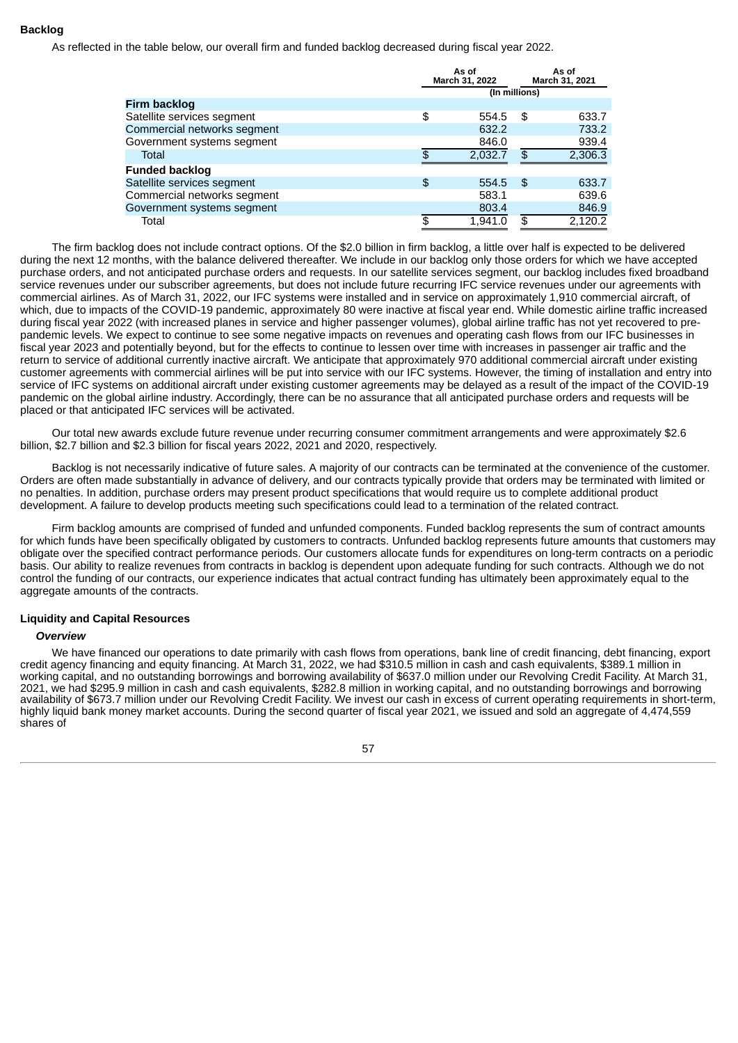#### **Backlog**

As reflected in the table below, our overall firm and funded backlog decreased during fiscal year 2022.

|                             | As of<br>March 31, 2022 |         | As of<br>March 31, 2021 |         |
|-----------------------------|-------------------------|---------|-------------------------|---------|
|                             |                         |         | (In millions)           |         |
| Firm backlog                |                         |         |                         |         |
| Satellite services segment  | \$                      | 554.5   | \$                      | 633.7   |
| Commercial networks segment |                         | 632.2   |                         | 733.2   |
| Government systems segment  |                         | 846.0   |                         | 939.4   |
| Total                       | \$                      | 2,032.7 | \$                      | 2,306.3 |
| <b>Funded backlog</b>       |                         |         |                         |         |
| Satellite services segment  | \$                      | 554.5   | \$                      | 633.7   |
| Commercial networks segment |                         | 583.1   |                         | 639.6   |
| Government systems segment  |                         | 803.4   |                         | 846.9   |
| Total                       | \$                      | 1,941.0 | \$                      | 2,120.2 |

The firm backlog does not include contract options. Of the \$2.0 billion in firm backlog, a little over half is expected to be delivered during the next 12 months, with the balance delivered thereafter. We include in our backlog only those orders for which we have accepted purchase orders, and not anticipated purchase orders and requests. In our satellite services segment, our backlog includes fixed broadband service revenues under our subscriber agreements, but does not include future recurring IFC service revenues under our agreements with commercial airlines. As of March 31, 2022, our IFC systems were installed and in service on approximately 1,910 commercial aircraft, of which, due to impacts of the COVID-19 pandemic, approximately 80 were inactive at fiscal year end. While domestic airline traffic increased during fiscal year 2022 (with increased planes in service and higher passenger volumes), global airline traffic has not yet recovered to prepandemic levels. We expect to continue to see some negative impacts on revenues and operating cash flows from our IFC businesses in fiscal year 2023 and potentially beyond, but for the effects to continue to lessen over time with increases in passenger air traffic and the return to service of additional currently inactive aircraft. We anticipate that approximately 970 additional commercial aircraft under existing customer agreements with commercial airlines will be put into service with our IFC systems. However, the timing of installation and entry into service of IFC systems on additional aircraft under existing customer agreements may be delayed as a result of the impact of the COVID-19 pandemic on the global airline industry. Accordingly, there can be no assurance that all anticipated purchase orders and requests will be placed or that anticipated IFC services will be activated.

Our total new awards exclude future revenue under recurring consumer commitment arrangements and were approximately \$2.6 billion, \$2.7 billion and \$2.3 billion for fiscal years 2022, 2021 and 2020, respectively.

Backlog is not necessarily indicative of future sales. A majority of our contracts can be terminated at the convenience of the customer. Orders are often made substantially in advance of delivery, and our contracts typically provide that orders may be terminated with limited or no penalties. In addition, purchase orders may present product specifications that would require us to complete additional product development. A failure to develop products meeting such specifications could lead to a termination of the related contract.

Firm backlog amounts are comprised of funded and unfunded components. Funded backlog represents the sum of contract amounts for which funds have been specifically obligated by customers to contracts. Unfunded backlog represents future amounts that customers may obligate over the specified contract performance periods. Our customers allocate funds for expenditures on long-term contracts on a periodic basis. Our ability to realize revenues from contracts in backlog is dependent upon adequate funding for such contracts. Although we do not control the funding of our contracts, our experience indicates that actual contract funding has ultimately been approximately equal to the aggregate amounts of the contracts.

#### **Liquidity and Capital Resources**

#### *Overview*

We have financed our operations to date primarily with cash flows from operations, bank line of credit financing, debt financing, export credit agency financing and equity financing. At March 31, 2022, we had \$310.5 million in cash and cash equivalents, \$389.1 million in working capital, and no outstanding borrowings and borrowing availability of \$637.0 million under our Revolving Credit Facility. At March 31, 2021, we had \$295.9 million in cash and cash equivalents, \$282.8 million in working capital, and no outstanding borrowings and borrowing availability of \$673.7 million under our Revolving Credit Facility. We invest our cash in excess of current operating requirements in short-term, highly liquid bank money market accounts. During the second quarter of fiscal year 2021, we issued and sold an aggregate of 4,474,559 shares of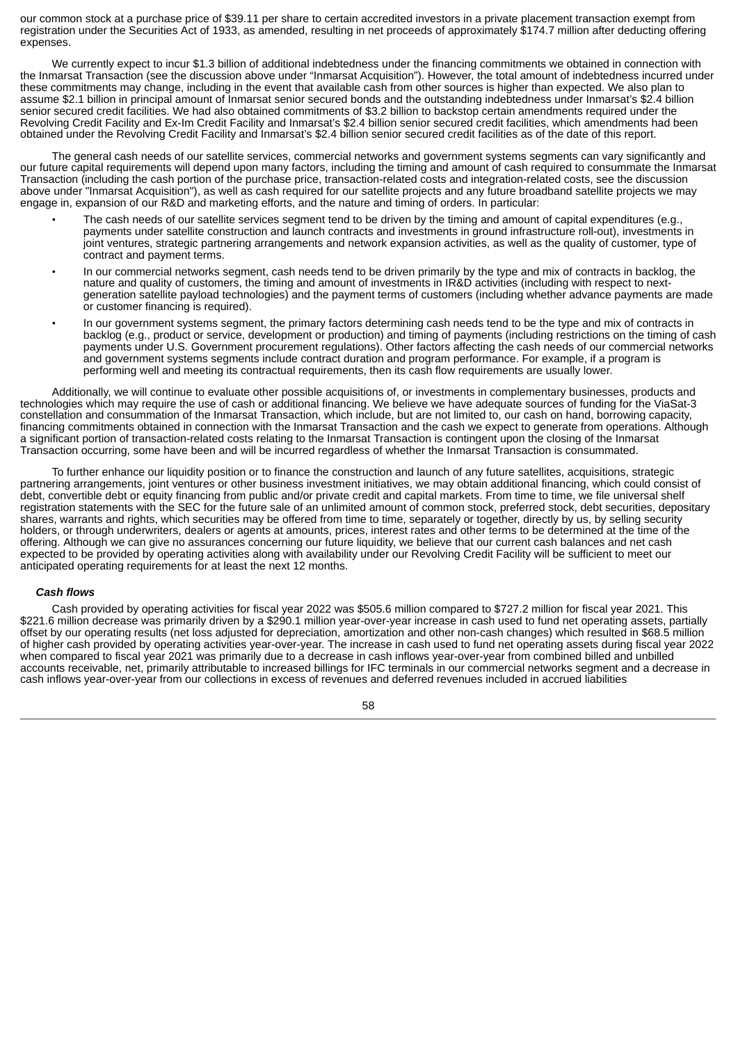our common stock at a purchase price of \$39.11 per share to certain accredited investors in a private placement transaction exempt from registration under the Securities Act of 1933, as amended, resulting in net proceeds of approximately \$174.7 million after deducting offering expenses.

We currently expect to incur \$1.3 billion of additional indebtedness under the financing commitments we obtained in connection with the Inmarsat Transaction (see the discussion above under "Inmarsat Acquisition"). However, the total amount of indebtedness incurred under these commitments may change, including in the event that available cash from other sources is higher than expected. We also plan to assume \$2.1 billion in principal amount of Inmarsat senior secured bonds and the outstanding indebtedness under Inmarsat's \$2.4 billion senior secured credit facilities. We had also obtained commitments of \$3.2 billion to backstop certain amendments required under the Revolving Credit Facility and Ex-Im Credit Facility and Inmarsat's \$2.4 billion senior secured credit facilities, which amendments had been obtained under the Revolving Credit Facility and Inmarsat's \$2.4 billion senior secured credit facilities as of the date of this report.

The general cash needs of our satellite services, commercial networks and government systems segments can vary significantly and our future capital requirements will depend upon many factors, including the timing and amount of cash required to consummate the Inmarsat Transaction (including the cash portion of the purchase price, transaction-related costs and integration-related costs, see the discussion above under "Inmarsat Acquisition"), as well as cash required for our satellite projects and any future broadband satellite projects we may engage in, expansion of our R&D and marketing efforts, and the nature and timing of orders. In particular:

- The cash needs of our satellite services segment tend to be driven by the timing and amount of capital expenditures (e.g., payments under satellite construction and launch contracts and investments in ground infrastructure roll-out), investments in joint ventures, strategic partnering arrangements and network expansion activities, as well as the quality of customer, type of contract and payment terms.
- In our commercial networks segment, cash needs tend to be driven primarily by the type and mix of contracts in backlog, the nature and quality of customers, the timing and amount of investments in IR&D activities (including with respect to nextgeneration satellite payload technologies) and the payment terms of customers (including whether advance payments are made or customer financing is required).
- In our government systems segment, the primary factors determining cash needs tend to be the type and mix of contracts in backlog (e.g., product or service, development or production) and timing of payments (including restrictions on the timing of cash payments under U.S. Government procurement regulations). Other factors affecting the cash needs of our commercial networks and government systems segments include contract duration and program performance. For example, if a program is performing well and meeting its contractual requirements, then its cash flow requirements are usually lower.

Additionally, we will continue to evaluate other possible acquisitions of, or investments in complementary businesses, products and technologies which may require the use of cash or additional financing. We believe we have adequate sources of funding for the ViaSat-3 constellation and consummation of the Inmarsat Transaction, which include, but are not limited to, our cash on hand, borrowing capacity, financing commitments obtained in connection with the Inmarsat Transaction and the cash we expect to generate from operations. Although a significant portion of transaction-related costs relating to the Inmarsat Transaction is contingent upon the closing of the Inmarsat Transaction occurring, some have been and will be incurred regardless of whether the Inmarsat Transaction is consummated.

To further enhance our liquidity position or to finance the construction and launch of any future satellites, acquisitions, strategic partnering arrangements, joint ventures or other business investment initiatives, we may obtain additional financing, which could consist of debt, convertible debt or equity financing from public and/or private credit and capital markets. From time to time, we file universal shelf registration statements with the SEC for the future sale of an unlimited amount of common stock, preferred stock, debt securities, depositary shares, warrants and rights, which securities may be offered from time to time, separately or together, directly by us, by selling security holders, or through underwriters, dealers or agents at amounts, prices, interest rates and other terms to be determined at the time of the offering. Although we can give no assurances concerning our future liquidity, we believe that our current cash balances and net cash expected to be provided by operating activities along with availability under our Revolving Credit Facility will be sufficient to meet our anticipated operating requirements for at least the next 12 months.

# *Cash flows*

Cash provided by operating activities for fiscal year 2022 was \$505.6 million compared to \$727.2 million for fiscal year 2021. This \$221.6 million decrease was primarily driven by a \$290.1 million year-over-year increase in cash used to fund net operating assets, partially offset by our operating results (net loss adjusted for depreciation, amortization and other non-cash changes) which resulted in \$68.5 million of higher cash provided by operating activities year-over-year. The increase in cash used to fund net operating assets during fiscal year 2022 when compared to fiscal year 2021 was primarily due to a decrease in cash inflows year-over-year from combined billed and unbilled accounts receivable, net, primarily attributable to increased billings for IFC terminals in our commercial networks segment and a decrease in cash inflows year-over-year from our collections in excess of revenues and deferred revenues included in accrued liabilities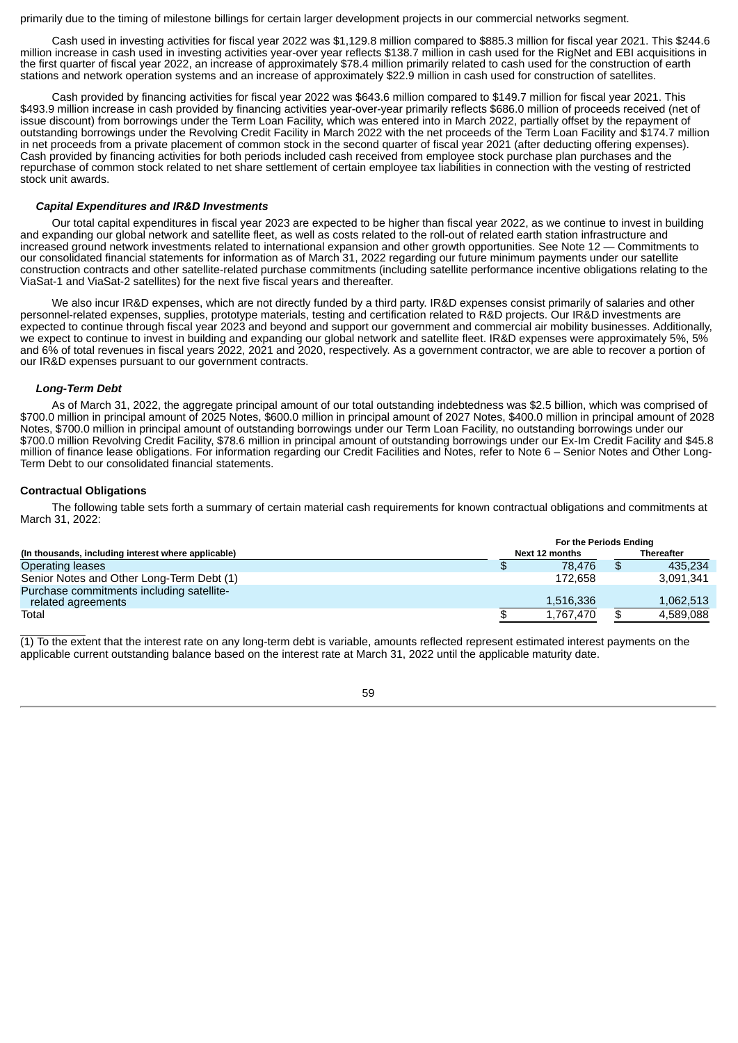primarily due to the timing of milestone billings for certain larger development projects in our commercial networks segment.

Cash used in investing activities for fiscal year 2022 was \$1,129.8 million compared to \$885.3 million for fiscal year 2021. This \$244.6 million increase in cash used in investing activities year-over year reflects \$138.7 million in cash used for the RigNet and EBI acquisitions in the first quarter of fiscal year 2022, an increase of approximately \$78.4 million primarily related to cash used for the construction of earth stations and network operation systems and an increase of approximately \$22.9 million in cash used for construction of satellites.

Cash provided by financing activities for fiscal year 2022 was \$643.6 million compared to \$149.7 million for fiscal year 2021. This \$493.9 million increase in cash provided by financing activities year-over-year primarily reflects \$686.0 million of proceeds received (net of issue discount) from borrowings under the Term Loan Facility, which was entered into in March 2022, partially offset by the repayment of outstanding borrowings under the Revolving Credit Facility in March 2022 with the net proceeds of the Term Loan Facility and \$174.7 million in net proceeds from a private placement of common stock in the second quarter of fiscal year 2021 (after deducting offering expenses). Cash provided by financing activities for both periods included cash received from employee stock purchase plan purchases and the repurchase of common stock related to net share settlement of certain employee tax liabilities in connection with the vesting of restricted stock unit awards.

#### *Capital Expenditures and IR&D Investments*

Our total capital expenditures in fiscal year 2023 are expected to be higher than fiscal year 2022, as we continue to invest in building and expanding our global network and satellite fleet, as well as costs related to the roll-out of related earth station infrastructure and increased ground network investments related to international expansion and other growth opportunities. See Note 12 — Commitments to our consolidated financial statements for information as of March 31, 2022 regarding our future minimum payments under our satellite construction contracts and other satellite-related purchase commitments (including satellite performance incentive obligations relating to the ViaSat-1 and ViaSat-2 satellites) for the next five fiscal years and thereafter.

We also incur IR&D expenses, which are not directly funded by a third party. IR&D expenses consist primarily of salaries and other personnel-related expenses, supplies, prototype materials, testing and certification related to R&D projects. Our IR&D investments are expected to continue through fiscal year 2023 and beyond and support our government and commercial air mobility businesses. Additionally, we expect to continue to invest in building and expanding our global network and satellite fleet. IR&D expenses were approximately 5%, 5% and 6% of total revenues in fiscal years 2022, 2021 and 2020, respectively. As a government contractor, we are able to recover a portion of our IR&D expenses pursuant to our government contracts.

#### *Long-Term Debt*

As of March 31, 2022, the aggregate principal amount of our total outstanding indebtedness was \$2.5 billion, which was comprised of \$700.0 million in principal amount of 2025 Notes, \$600.0 million in principal amount of 2027 Notes, \$400.0 million in principal amount of 2028 Notes, \$700.0 million in principal amount of outstanding borrowings under our Term Loan Facility, no outstanding borrowings under our \$700.0 million Revolving Credit Facility, \$78.6 million in principal amount of outstanding borrowings under our Ex-Im Credit Facility and \$45.8 million of finance lease obligations. For information regarding our Credit Facilities and Notes, refer to Note 6 – Senior Notes and Other Long-Term Debt to our consolidated financial statements.

#### **Contractual Obligations**

The following table sets forth a summary of certain material cash requirements for known contractual obligations and commitments at March 31, 2022:

|                                                                 | For the Periods Ending |                |  |                   |
|-----------------------------------------------------------------|------------------------|----------------|--|-------------------|
| (In thousands, including interest where applicable)             |                        | Next 12 months |  | <b>Thereafter</b> |
| Operating leases                                                |                        | 78.476         |  | 435.234           |
| Senior Notes and Other Long-Term Debt (1)                       |                        | 172.658        |  | 3.091.341         |
| Purchase commitments including satellite-<br>related agreements |                        | 1,516,336      |  | 1,062,513         |
| Total                                                           |                        | 1.767.470      |  | 4.589.088         |

(1) To the extent that the interest rate on any long-term debt is variable, amounts reflected represent estimated interest payments on the applicable current outstanding balance based on the interest rate at March 31, 2022 until the applicable maturity date.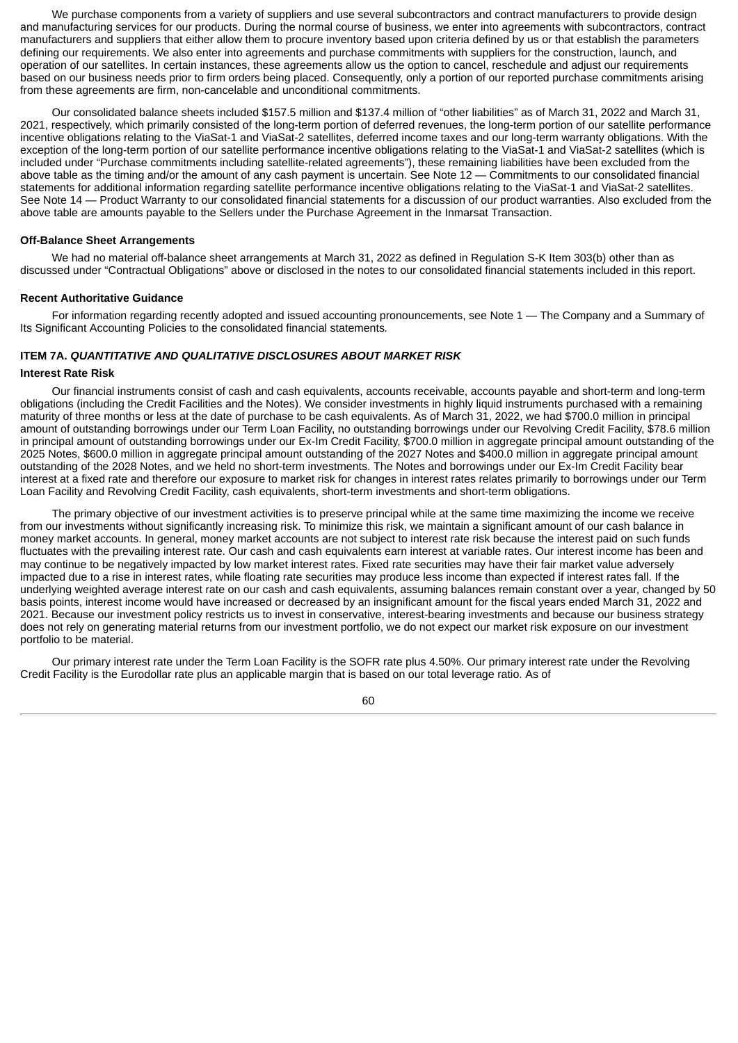We purchase components from a variety of suppliers and use several subcontractors and contract manufacturers to provide design and manufacturing services for our products. During the normal course of business, we enter into agreements with subcontractors, contract manufacturers and suppliers that either allow them to procure inventory based upon criteria defined by us or that establish the parameters defining our requirements. We also enter into agreements and purchase commitments with suppliers for the construction, launch, and operation of our satellites. In certain instances, these agreements allow us the option to cancel, reschedule and adjust our requirements based on our business needs prior to firm orders being placed. Consequently, only a portion of our reported purchase commitments arising from these agreements are firm, non-cancelable and unconditional commitments.

Our consolidated balance sheets included \$157.5 million and \$137.4 million of "other liabilities" as of March 31, 2022 and March 31, 2021, respectively, which primarily consisted of the long-term portion of deferred revenues, the long-term portion of our satellite performance incentive obligations relating to the ViaSat-1 and ViaSat-2 satellites, deferred income taxes and our long-term warranty obligations. With the exception of the long-term portion of our satellite performance incentive obligations relating to the ViaSat-1 and ViaSat-2 satellites (which is included under "Purchase commitments including satellite-related agreements"), these remaining liabilities have been excluded from the above table as the timing and/or the amount of any cash payment is uncertain. See Note 12 — Commitments to our consolidated financial statements for additional information regarding satellite performance incentive obligations relating to the ViaSat-1 and ViaSat-2 satellites. See Note 14 — Product Warranty to our consolidated financial statements for a discussion of our product warranties. Also excluded from the above table are amounts payable to the Sellers under the Purchase Agreement in the Inmarsat Transaction.

#### **Off-Balance Sheet Arrangements**

We had no material off-balance sheet arrangements at March 31, 2022 as defined in Regulation S-K Item 303(b) other than as discussed under "Contractual Obligations" above or disclosed in the notes to our consolidated financial statements included in this report.

#### **Recent Authoritative Guidance**

For information regarding recently adopted and issued accounting pronouncements, see Note 1 — The Company and a Summary of Its Significant Accounting Policies to the consolidated financial statements*.*

#### **ITEM 7A.** *QUANTITATIVE AND QUALITATIVE DISCLOSURES ABOUT MARKET RISK*

# **Interest Rate Risk**

Our financial instruments consist of cash and cash equivalents, accounts receivable, accounts payable and short-term and long-term obligations (including the Credit Facilities and the Notes). We consider investments in highly liquid instruments purchased with a remaining maturity of three months or less at the date of purchase to be cash equivalents. As of March 31, 2022, we had \$700.0 million in principal amount of outstanding borrowings under our Term Loan Facility, no outstanding borrowings under our Revolving Credit Facility, \$78.6 million in principal amount of outstanding borrowings under our Ex-Im Credit Facility, \$700.0 million in aggregate principal amount outstanding of the 2025 Notes, \$600.0 million in aggregate principal amount outstanding of the 2027 Notes and \$400.0 million in aggregate principal amount outstanding of the 2028 Notes, and we held no short-term investments. The Notes and borrowings under our Ex-Im Credit Facility bear interest at a fixed rate and therefore our exposure to market risk for changes in interest rates relates primarily to borrowings under our Term Loan Facility and Revolving Credit Facility, cash equivalents, short-term investments and short-term obligations.

The primary objective of our investment activities is to preserve principal while at the same time maximizing the income we receive from our investments without significantly increasing risk. To minimize this risk, we maintain a significant amount of our cash balance in money market accounts. In general, money market accounts are not subject to interest rate risk because the interest paid on such funds fluctuates with the prevailing interest rate. Our cash and cash equivalents earn interest at variable rates. Our interest income has been and may continue to be negatively impacted by low market interest rates. Fixed rate securities may have their fair market value adversely impacted due to a rise in interest rates, while floating rate securities may produce less income than expected if interest rates fall. If the underlying weighted average interest rate on our cash and cash equivalents, assuming balances remain constant over a year, changed by 50 basis points, interest income would have increased or decreased by an insignificant amount for the fiscal years ended March 31, 2022 and 2021. Because our investment policy restricts us to invest in conservative, interest-bearing investments and because our business strategy does not rely on generating material returns from our investment portfolio, we do not expect our market risk exposure on our investment portfolio to be material.

Our primary interest rate under the Term Loan Facility is the SOFR rate plus 4.50%. Our primary interest rate under the Revolving Credit Facility is the Eurodollar rate plus an applicable margin that is based on our total leverage ratio. As of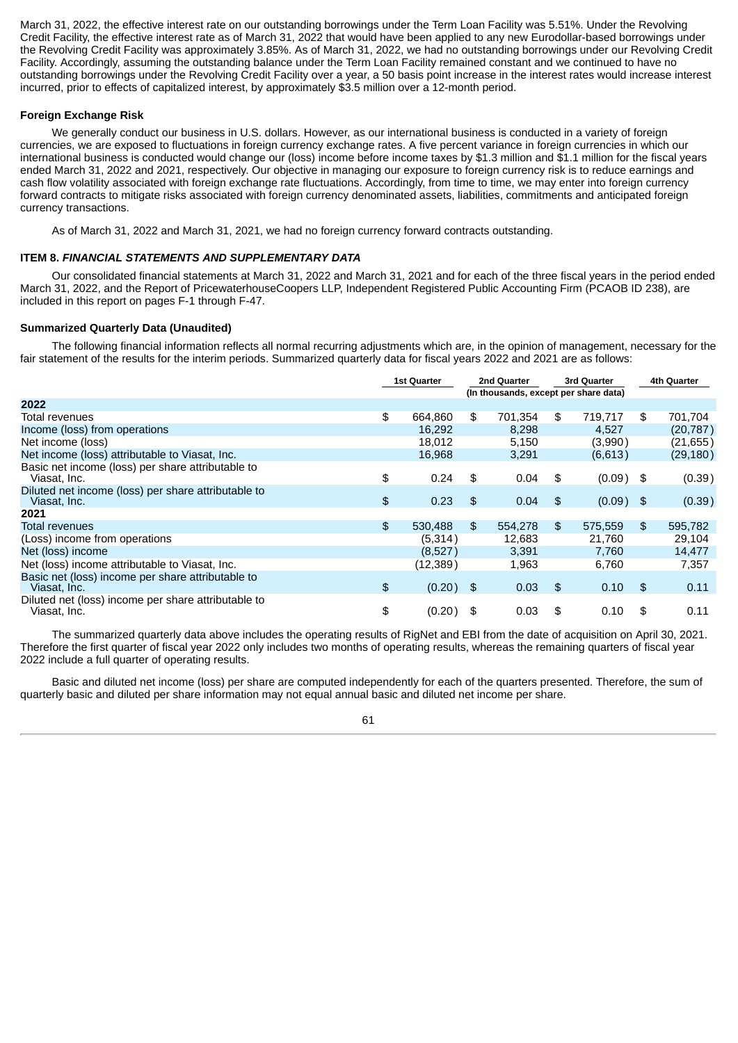March 31, 2022, the effective interest rate on our outstanding borrowings under the Term Loan Facility was 5.51%. Under the Revolving Credit Facility, the effective interest rate as of March 31, 2022 that would have been applied to any new Eurodollar-based borrowings under the Revolving Credit Facility was approximately 3.85%. As of March 31, 2022, we had no outstanding borrowings under our Revolving Credit Facility. Accordingly, assuming the outstanding balance under the Term Loan Facility remained constant and we continued to have no outstanding borrowings under the Revolving Credit Facility over a year, a 50 basis point increase in the interest rates would increase interest incurred, prior to effects of capitalized interest, by approximately \$3.5 million over a 12-month period.

# **Foreign Exchange Risk**

We generally conduct our business in U.S. dollars. However, as our international business is conducted in a variety of foreign currencies, we are exposed to fluctuations in foreign currency exchange rates. A five percent variance in foreign currencies in which our international business is conducted would change our (loss) income before income taxes by \$1.3 million and \$1.1 million for the fiscal years ended March 31, 2022 and 2021, respectively. Our objective in managing our exposure to foreign currency risk is to reduce earnings and cash flow volatility associated with foreign exchange rate fluctuations. Accordingly, from time to time, we may enter into foreign currency forward contracts to mitigate risks associated with foreign currency denominated assets, liabilities, commitments and anticipated foreign currency transactions.

As of March 31, 2022 and March 31, 2021, we had no foreign currency forward contracts outstanding.

# **ITEM 8.** *FINANCIAL STATEMENTS AND SUPPLEMENTARY DATA*

Our consolidated financial statements at March 31, 2022 and March 31, 2021 and for each of the three fiscal years in the period ended March 31, 2022, and the Report of PricewaterhouseCoopers LLP, Independent Registered Public Accounting Firm (PCAOB ID 238), are included in this report on pages F-1 through F-47.

# **Summarized Quarterly Data (Unaudited)**

The following financial information reflects all normal recurring adjustments which are, in the opinion of management, necessary for the fair statement of the results for the interim periods. Summarized quarterly data for fiscal years 2022 and 2021 are as follows:

|                                                                     | <b>1st Quarter</b> | 2nd Quarter<br>(In thousands, except per share data) | 3rd Ouarter       | 4th Quarter   |
|---------------------------------------------------------------------|--------------------|------------------------------------------------------|-------------------|---------------|
| 2022                                                                |                    |                                                      |                   |               |
| Total revenues                                                      | \$<br>664.860      | \$<br>701.354                                        | \$<br>719,717     | \$<br>701,704 |
| Income (loss) from operations                                       | 16,292             | 8,298                                                | 4,527             | (20, 787)     |
| Net income (loss)                                                   | 18,012             | 5,150                                                | (3,990)           | (21, 655)     |
| Net income (loss) attributable to Viasat, Inc.                      | 16,968             | 3,291                                                | (6,613)           | (29, 180)     |
| Basic net income (loss) per share attributable to<br>Viasat, Inc.   | \$<br>0.24         | \$<br>0.04                                           | \$<br>$(0.09)$ \$ | (0.39)        |
| Diluted net income (loss) per share attributable to<br>Viasat, Inc. | \$<br>0.23         | \$<br>0.04                                           | \$<br>$(0.09)$ \$ | (0.39)        |
| 2021                                                                |                    |                                                      |                   |               |
| <b>Total revenues</b>                                               | \$<br>530,488      | \$<br>554,278                                        | \$<br>575,559     | \$<br>595,782 |
| (Loss) income from operations                                       | (5,314)            | 12,683                                               | 21,760            | 29,104        |
| Net (loss) income                                                   | (8,527)            | 3,391                                                | 7,760             | 14,477        |
| Net (loss) income attributable to Viasat, Inc.                      | (12, 389)          | 1,963                                                | 6,760             | 7,357         |
| Basic net (loss) income per share attributable to<br>Viasat, Inc.   | \$<br>$(0.20)$ \$  | 0.03                                                 | \$<br>0.10        | \$<br>0.11    |
| Diluted net (loss) income per share attributable to<br>Viasat, Inc. | \$<br>(0.20)       | \$<br>0.03                                           | \$<br>0.10        | \$<br>0.11    |

The summarized quarterly data above includes the operating results of RigNet and EBI from the date of acquisition on April 30, 2021. Therefore the first quarter of fiscal year 2022 only includes two months of operating results, whereas the remaining quarters of fiscal year 2022 include a full quarter of operating results.

Basic and diluted net income (loss) per share are computed independently for each of the quarters presented. Therefore, the sum of quarterly basic and diluted per share information may not equal annual basic and diluted net income per share.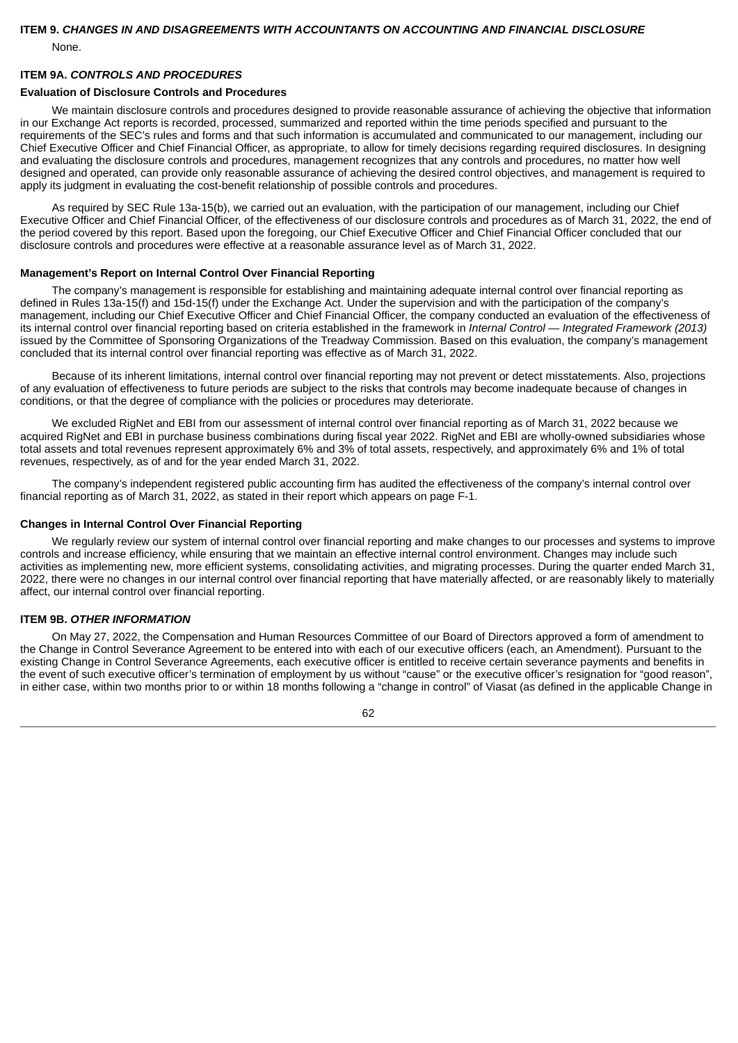# **ITEM 9.** *CHANGES IN AND DISAGREEMENTS WITH ACCOUNTANTS ON ACCOUNTING AND FINANCIAL DISCLOSURE*

None.

# **ITEM 9A.** *CONTROLS AND PROCEDURES*

## **Evaluation of Disclosure Controls and Procedures**

We maintain disclosure controls and procedures designed to provide reasonable assurance of achieving the objective that information in our Exchange Act reports is recorded, processed, summarized and reported within the time periods specified and pursuant to the requirements of the SEC's rules and forms and that such information is accumulated and communicated to our management, including our Chief Executive Officer and Chief Financial Officer, as appropriate, to allow for timely decisions regarding required disclosures. In designing and evaluating the disclosure controls and procedures, management recognizes that any controls and procedures, no matter how well designed and operated, can provide only reasonable assurance of achieving the desired control objectives, and management is required to apply its judgment in evaluating the cost-benefit relationship of possible controls and procedures.

As required by SEC Rule 13a-15(b), we carried out an evaluation, with the participation of our management, including our Chief Executive Officer and Chief Financial Officer, of the effectiveness of our disclosure controls and procedures as of March 31, 2022, the end of the period covered by this report. Based upon the foregoing, our Chief Executive Officer and Chief Financial Officer concluded that our disclosure controls and procedures were effective at a reasonable assurance level as of March 31, 2022.

# **Management's Report on Internal Control Over Financial Reporting**

The company's management is responsible for establishing and maintaining adequate internal control over financial reporting as defined in Rules 13a-15(f) and 15d-15(f) under the Exchange Act. Under the supervision and with the participation of the company's management, including our Chief Executive Officer and Chief Financial Officer, the company conducted an evaluation of the effectiveness of its internal control over financial reporting based on criteria established in the framework in *Internal Control — Integrated Framework (2013)* issued by the Committee of Sponsoring Organizations of the Treadway Commission. Based on this evaluation, the company's management concluded that its internal control over financial reporting was effective as of March 31, 2022.

Because of its inherent limitations, internal control over financial reporting may not prevent or detect misstatements. Also, projections of any evaluation of effectiveness to future periods are subject to the risks that controls may become inadequate because of changes in conditions, or that the degree of compliance with the policies or procedures may deteriorate.

We excluded RigNet and EBI from our assessment of internal control over financial reporting as of March 31, 2022 because we acquired RigNet and EBI in purchase business combinations during fiscal year 2022. RigNet and EBI are wholly-owned subsidiaries whose total assets and total revenues represent approximately 6% and 3% of total assets, respectively, and approximately 6% and 1% of total revenues, respectively, as of and for the year ended March 31, 2022.

The company's independent registered public accounting firm has audited the effectiveness of the company's internal control over financial reporting as of March 31, 2022, as stated in their report which appears on page F-1.

#### **Changes in Internal Control Over Financial Reporting**

We regularly review our system of internal control over financial reporting and make changes to our processes and systems to improve controls and increase efficiency, while ensuring that we maintain an effective internal control environment. Changes may include such activities as implementing new, more efficient systems, consolidating activities, and migrating processes. During the quarter ended March 31, 2022, there were no changes in our internal control over financial reporting that have materially affected, or are reasonably likely to materially affect, our internal control over financial reporting.

# **ITEM 9B.** *OTHER INFORMATION*

On May 27, 2022, the Compensation and Human Resources Committee of our Board of Directors approved a form of amendment to the Change in Control Severance Agreement to be entered into with each of our executive officers (each, an Amendment). Pursuant to the existing Change in Control Severance Agreements, each executive officer is entitled to receive certain severance payments and benefits in the event of such executive officer's termination of employment by us without "cause" or the executive officer's resignation for "good reason", in either case, within two months prior to or within 18 months following a "change in control" of Viasat (as defined in the applicable Change in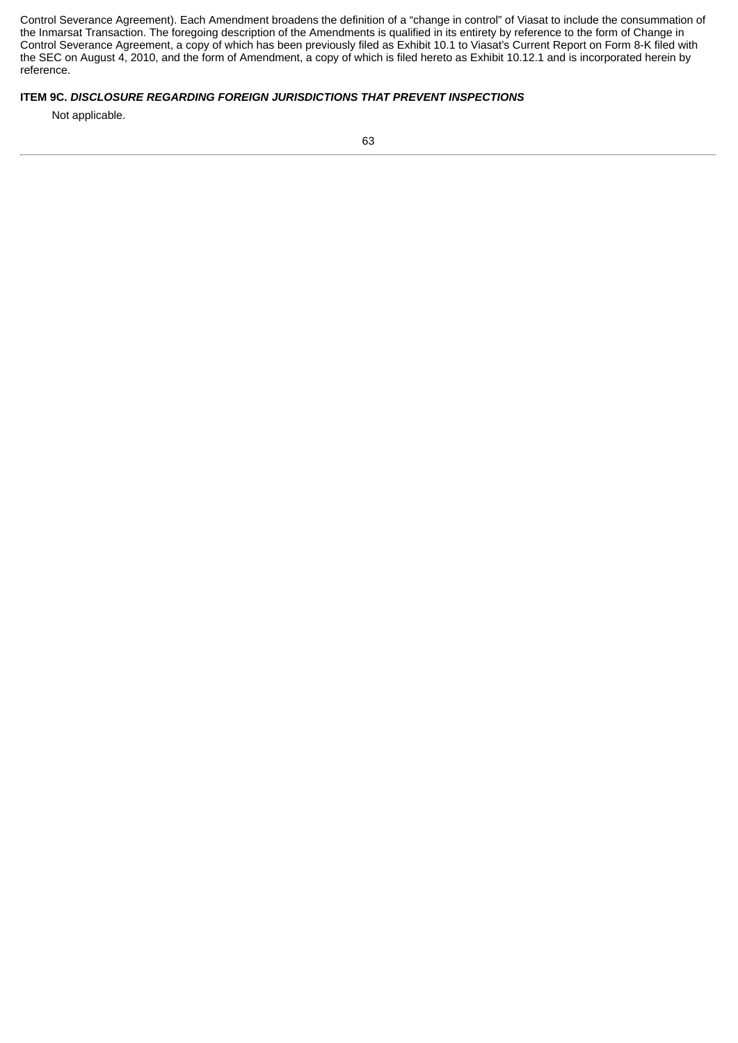Control Severance Agreement). Each Amendment broadens the definition of a "change in control" of Viasat to include the consummation of the Inmarsat Transaction. The foregoing description of the Amendments is qualified in its entirety by reference to the form of Change in Control Severance Agreement, a copy of which has been previously filed as Exhibit 10.1 to Viasat's Current Report on Form 8-K filed with the SEC on August 4, 2010, and the form of Amendment, a copy of which is filed hereto as Exhibit 10.12.1 and is incorporated herein by reference.

# **ITEM 9C.** *DISCLOSURE REGARDING FOREIGN JURISDICTIONS THAT PREVENT INSPECTIONS*

Not applicable.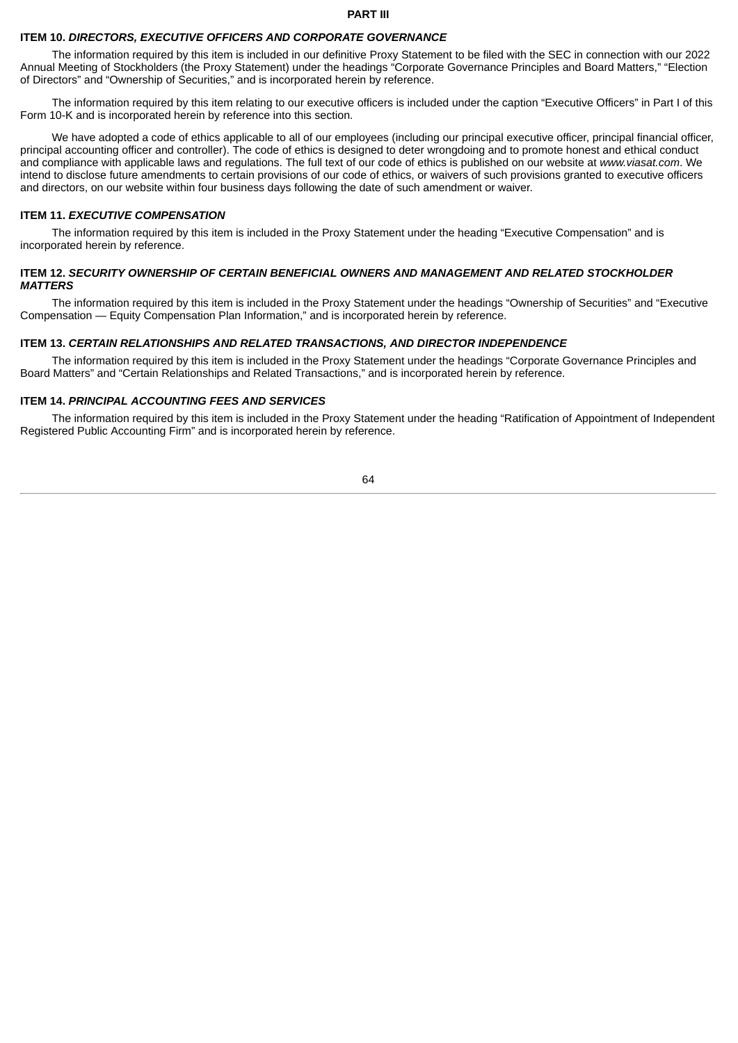#### **PART III**

# **ITEM 10.** *DIRECTORS, EXECUTIVE OFFICERS AND CORPORATE GOVERNANCE*

The information required by this item is included in our definitive Proxy Statement to be filed with the SEC in connection with our 2022 Annual Meeting of Stockholders (the Proxy Statement) under the headings "Corporate Governance Principles and Board Matters," "Election of Directors" and "Ownership of Securities," and is incorporated herein by reference.

The information required by this item relating to our executive officers is included under the caption "Executive Officers" in Part I of this Form 10-K and is incorporated herein by reference into this section.

We have adopted a code of ethics applicable to all of our employees (including our principal executive officer, principal financial officer, principal accounting officer and controller). The code of ethics is designed to deter wrongdoing and to promote honest and ethical conduct and compliance with applicable laws and regulations. The full text of our code of ethics is published on our website at *www.viasat.com*. We intend to disclose future amendments to certain provisions of our code of ethics, or waivers of such provisions granted to executive officers and directors, on our website within four business days following the date of such amendment or waiver.

# **ITEM 11.** *EXECUTIVE COMPENSATION*

The information required by this item is included in the Proxy Statement under the heading "Executive Compensation" and is incorporated herein by reference.

# **ITEM 12.** *SECURITY OWNERSHIP OF CERTAIN BENEFICIAL OWNERS AND MANAGEMENT AND RELATED STOCKHOLDER MATTERS*

The information required by this item is included in the Proxy Statement under the headings "Ownership of Securities" and "Executive Compensation — Equity Compensation Plan Information," and is incorporated herein by reference.

# **ITEM 13.** *CERTAIN RELATIONSHIPS AND RELATED TRANSACTIONS, AND DIRECTOR INDEPENDENCE*

The information required by this item is included in the Proxy Statement under the headings "Corporate Governance Principles and Board Matters" and "Certain Relationships and Related Transactions," and is incorporated herein by reference.

# **ITEM 14.** *PRINCIPAL ACCOUNTING FEES AND SERVICES*

The information required by this item is included in the Proxy Statement under the heading "Ratification of Appointment of Independent Registered Public Accounting Firm" and is incorporated herein by reference.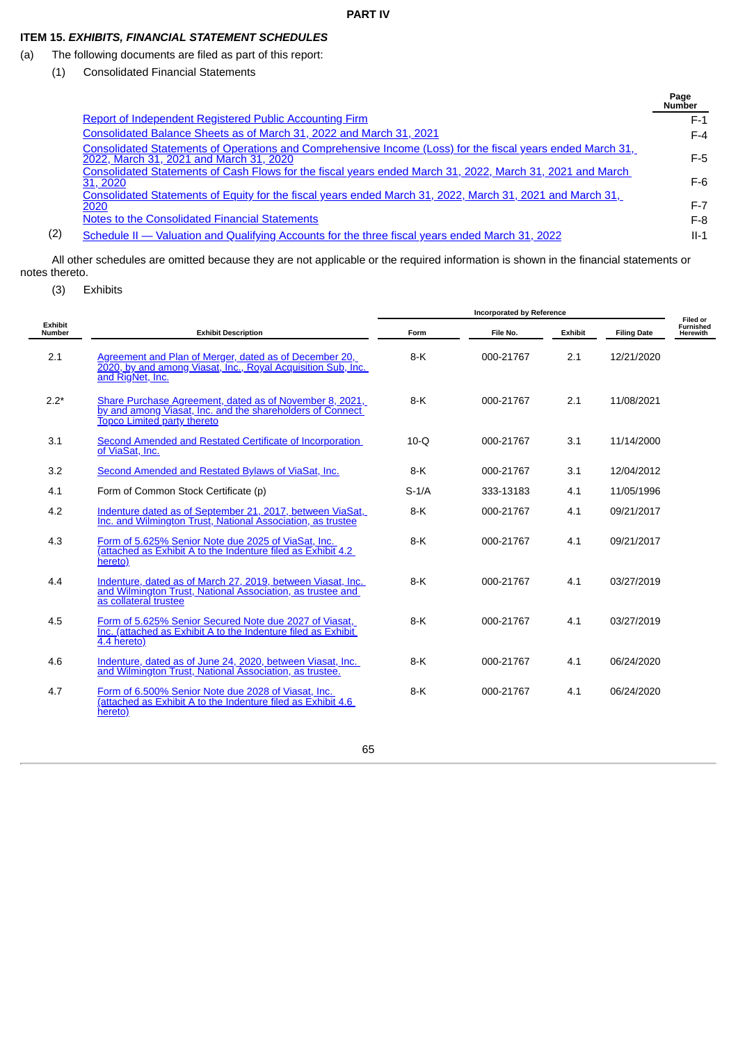# **PART IV**

# **ITEM 15.** *EXHIBITS, FINANCIAL STATEMENT SCHEDULES*

- (a) The following documents are filed as part of this report:
	- (1) Consolidated Financial Statements

|                                                                                                                                                       | Page<br>Number |
|-------------------------------------------------------------------------------------------------------------------------------------------------------|----------------|
| <b>Report of Independent Registered Public Accounting Firm</b>                                                                                        | $F-1$          |
| Consolidated Balance Sheets as of March 31, 2022 and March 31, 2021                                                                                   | $F - 4$        |
| Consolidated Statements of Operations and Comprehensive Income (Loss) for the fiscal years ended March 31,<br>2022, March 31, 2021 and March 31, 2020 | $F-5$          |
| Consolidated Statements of Cash Flows for the fiscal years ended March 31, 2022, March 31, 2021 and March<br>31, 2020                                 | $F-6$          |
| Consolidated Statements of Equity for the fiscal years ended March 31, 2022, March 31, 2021 and March 31,<br>2020                                     | $F-7$          |
| <b>Notes to the Consolidated Financial Statements</b>                                                                                                 | $F-8$          |
| (2)<br>Schedule II - Valuation and Qualifying Accounts for the three fiscal years ended March 31, 2022                                                | $II-1$         |

All other schedules are omitted because they are not applicable or the required information is shown in the financial statements or notes thereto.

(3) Exhibits

|                          |                                                                                                                                                            | <b>Incorporated by Reference</b> |           |         |                    |                                                 |
|--------------------------|------------------------------------------------------------------------------------------------------------------------------------------------------------|----------------------------------|-----------|---------|--------------------|-------------------------------------------------|
| <b>Exhibit</b><br>Number | <b>Exhibit Description</b>                                                                                                                                 | Form                             | File No.  | Exhibit | <b>Filing Date</b> | Filed or<br><b>Furnished</b><br><b>Herewith</b> |
| 2.1                      | Agreement and Plan of Merger, dated as of December 20,<br>2020, by and among Viasat, Inc., Royal Acquisition Sub, Inc.<br>and RigNet, Inc.                 | $8-K$                            | 000-21767 | 2.1     | 12/21/2020         |                                                 |
| $2.2*$                   | Share Purchase Agreement, dated as of November 8, 2021,<br>by and among Viasat, Inc. and the shareholders of Connect<br><b>Topco Limited party thereto</b> | $8-K$                            | 000-21767 | 2.1     | 11/08/2021         |                                                 |
| 3.1                      | Second Amended and Restated Certificate of Incorporation<br>of ViaSat, Inc.                                                                                | $10-°$                           | 000-21767 | 3.1     | 11/14/2000         |                                                 |
| 3.2                      | Second Amended and Restated Bylaws of ViaSat, Inc.                                                                                                         | $8-K$                            | 000-21767 | 3.1     | 12/04/2012         |                                                 |
| 4.1                      | Form of Common Stock Certificate (p)                                                                                                                       | $S-1/A$                          | 333-13183 | 4.1     | 11/05/1996         |                                                 |
| 4.2                      | Indenture dated as of September 21, 2017, between ViaSat,<br>Inc. and Wilmington Trust. National Association, as trustee                                   | $8-K$                            | 000-21767 | 4.1     | 09/21/2017         |                                                 |
| 4.3                      | Form of 5.625% Senior Note due 2025 of ViaSat, Inc.<br>(attached as Exhibit A to the Indenture filed as Exhibit 4.2<br>hereto)                             | $8-K$                            | 000-21767 | 4.1     | 09/21/2017         |                                                 |
| 4.4                      | Indenture, dated as of March 27, 2019, between Viasat, Inc.<br>and Wilmington Trust, National Association, as trustee and<br>as collateral trustee         | $8-K$                            | 000-21767 | 4.1     | 03/27/2019         |                                                 |
| 4.5                      | Form of 5.625% Senior Secured Note due 2027 of Viasat,<br>Inc. (attached as Exhibit A to the Indenture filed as Exhibit<br>4.4 hereto)                     | $8-K$                            | 000-21767 | 4.1     | 03/27/2019         |                                                 |
| 4.6                      | Indenture, dated as of June 24, 2020, between Viasat, Inc.<br>and Wilmington Trust, National Association, as trustee.                                      | $8-K$                            | 000-21767 | 4.1     | 06/24/2020         |                                                 |
| 4.7                      | Form of 6.500% Senior Note due 2028 of Viasat, Inc.<br>(attached as Exhibit A to the Indenture filed as Exhibit 4.6<br>hereto)                             | $8-K$                            | 000-21767 | 4.1     | 06/24/2020         |                                                 |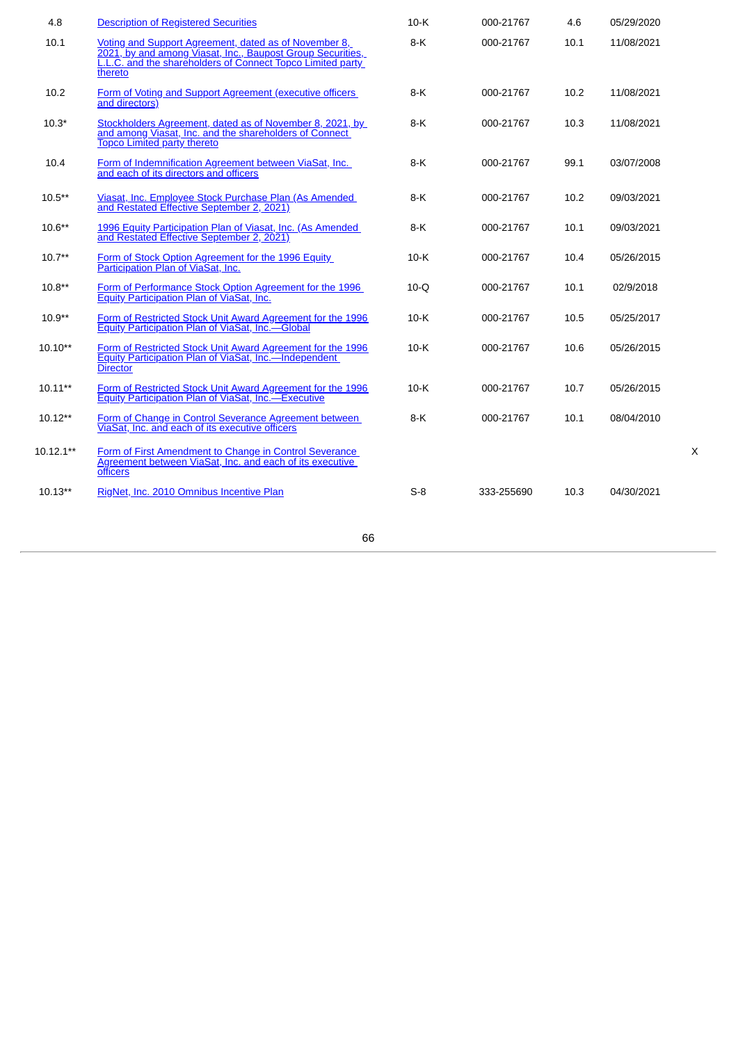| 4.8         | <b>Description of Registered Securities</b>                                                                                                                                                  | $10-K$ | 000-21767  | 4.6  | 05/29/2020 |
|-------------|----------------------------------------------------------------------------------------------------------------------------------------------------------------------------------------------|--------|------------|------|------------|
| 10.1        | Voting and Support Agreement, dated as of November 8,<br>2021, by and among Viasat, Inc., Baupost Group Securities,<br>L.L.C. and the shareholders of Connect Topco Limited party<br>thereto | $8-K$  | 000-21767  | 10.1 | 11/08/2021 |
| 10.2        | Form of Voting and Support Agreement (executive officers<br>and directors)                                                                                                                   | $8-K$  | 000-21767  | 10.2 | 11/08/2021 |
| $10.3*$     | Stockholders Agreement, dated as of November 8, 2021, by<br>and among Viasat, Inc. and the shareholders of Connect<br><b>Topco Limited party thereto</b>                                     | $8-K$  | 000-21767  | 10.3 | 11/08/2021 |
| 10.4        | Form of Indemnification Agreement between ViaSat, Inc.<br>and each of its directors and officers                                                                                             | $8-K$  | 000-21767  | 99.1 | 03/07/2008 |
| $10.5***$   | Viasat, Inc. Employee Stock Purchase Plan (As Amended<br>and Restated Effective September 2, 2021)                                                                                           | $8-K$  | 000-21767  | 10.2 | 09/03/2021 |
| $10.6**$    | 1996 Equity Participation Plan of Viasat, Inc. (As Amended<br>and Restated Effective September 2, 2021)                                                                                      | $8-K$  | 000-21767  | 10.1 | 09/03/2021 |
| $10.7**$    | Form of Stock Option Agreement for the 1996 Equity<br>Participation Plan of ViaSat, Inc.                                                                                                     | $10-K$ | 000-21767  | 10.4 | 05/26/2015 |
| $10.8**$    | Form of Performance Stock Option Agreement for the 1996<br>Equity Participation Plan of ViaSat, Inc.                                                                                         | $10-°$ | 000-21767  | 10.1 | 02/9/2018  |
| $10.9**$    | Form of Restricted Stock Unit Award Agreement for the 1996<br>Equity Participation Plan of ViaSat, Inc.-Global                                                                               | $10-K$ | 000-21767  | 10.5 | 05/25/2017 |
| $10.10**$   | Form of Restricted Stock Unit Award Agreement for the 1996<br>Equity Participation Plan of ViaSat, Inc.—Independent<br><b>Director</b>                                                       | $10-K$ | 000-21767  | 10.6 | 05/26/2015 |
| $10.11**$   | Form of Restricted Stock Unit Award Agreement for the 1996<br>Equity Participation Plan of ViaSat, Inc.-Executive                                                                            | $10-K$ | 000-21767  | 10.7 | 05/26/2015 |
| $10.12**$   | Form of Change in Control Severance Agreement between<br>ViaSat. Inc. and each of its executive officers                                                                                     | $8-K$  | 000-21767  | 10.1 | 08/04/2010 |
| $10.12.1**$ | Form of First Amendment to Change in Control Severance<br>Agreement between ViaSat, Inc. and each of its executive<br>officers                                                               |        |            |      |            |
| $10.13**$   | RigNet, Inc. 2010 Omnibus Incentive Plan                                                                                                                                                     | $S-8$  | 333-255690 | 10.3 | 04/30/2021 |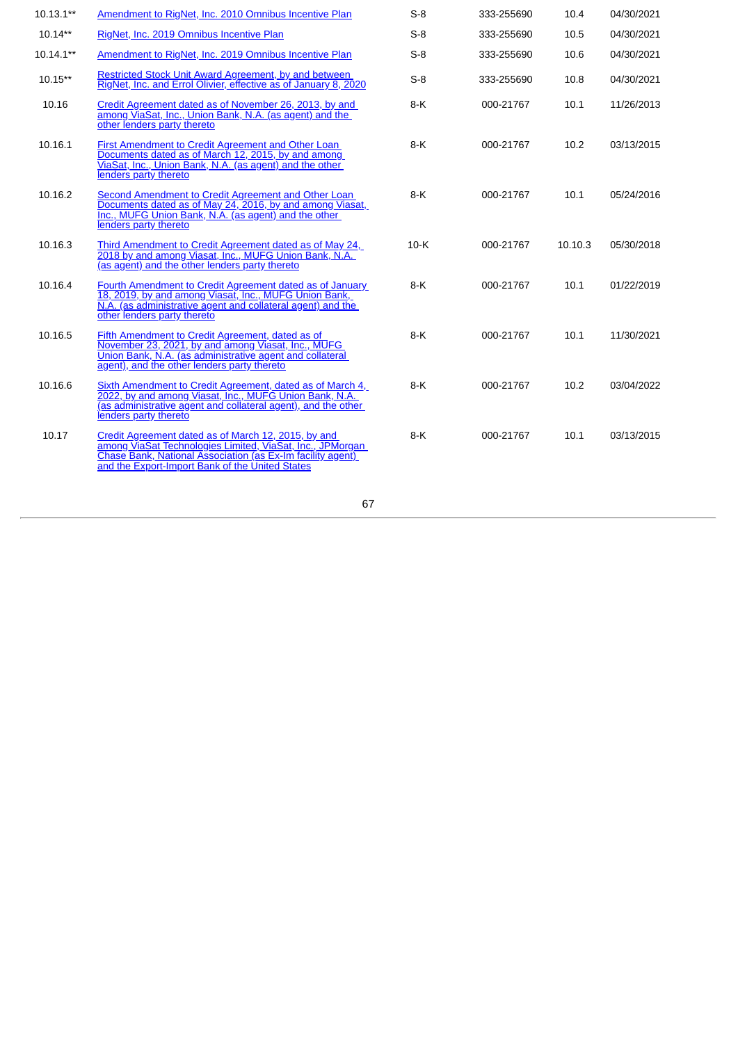| $10.13.1**$ | Amendment to RigNet, Inc. 2010 Omnibus Incentive Plan                                                                                                                                                                             | $S-8$  | 333-255690 | 10.4    | 04/30/2021 |
|-------------|-----------------------------------------------------------------------------------------------------------------------------------------------------------------------------------------------------------------------------------|--------|------------|---------|------------|
| $10.14**$   | RigNet, Inc. 2019 Omnibus Incentive Plan                                                                                                                                                                                          | $S-8$  | 333-255690 | 10.5    | 04/30/2021 |
| $10.14.1**$ | Amendment to RigNet, Inc. 2019 Omnibus Incentive Plan                                                                                                                                                                             | $S-8$  | 333-255690 | 10.6    | 04/30/2021 |
| $10.15**$   | Restricted Stock Unit Award Agreement, by and between<br>RigNet, Inc. and Errol Olivier, effective as of January 8, 2020                                                                                                          | $S-8$  | 333-255690 | 10.8    | 04/30/2021 |
| 10.16       | Credit Agreement dated as of November 26, 2013, by and<br>among ViaSat, Inc., Union Bank, N.A. (as agent) and the<br>other lenders party thereto                                                                                  | $8-K$  | 000-21767  | 10.1    | 11/26/2013 |
| 10.16.1     | First Amendment to Credit Agreement and Other Loan<br>Documents dated as of March 12, 2015, by and among<br>ViaSat, Inc., Union Bank, N.A. (as agent) and the other<br>lenders party thereto                                      | $8-K$  | 000-21767  | 10.2    | 03/13/2015 |
| 10.16.2     | Second Amendment to Credit Agreement and Other Loan<br>Documents dated as of May 24, 2016, by and among Viasat,<br>Inc., MUFG Union Bank, N.A. (as agent) and the other<br>lenders party thereto                                  | $8-K$  | 000-21767  | 10.1    | 05/24/2016 |
| 10.16.3     | Third Amendment to Credit Agreement dated as of May 24,<br>2018 by and among Viasat, Inc., MUFG Union Bank, N.A.<br>(as agent) and the other lenders party thereto                                                                | $10-K$ | 000-21767  | 10.10.3 | 05/30/2018 |
| 10.16.4     | Fourth Amendment to Credit Agreement dated as of January<br>18, 2019, by and among Viasat, Inc., MUFG Union Bank,<br>N.A. (as administrative agent and collateral agent) and the<br>other lenders party thereto                   | $8-K$  | 000-21767  | 10.1    | 01/22/2019 |
| 10.16.5     | Fifth Amendment to Credit Agreement, dated as of<br>November 23, 2021, by and among Viasat, Inc., MUFG<br>Union Bank, N.A. (as administrative agent and collateral<br>agent), and the other lenders party thereto                 | $8-K$  | 000-21767  | 10.1    | 11/30/2021 |
| 10.16.6     | Sixth Amendment to Credit Agreement, dated as of March 4,<br>2022, by and among Viasat, Inc., MUFG Union Bank, N.A.<br>(as administrative agent and collateral agent), and the other<br>lenders party thereto                     | $8-K$  | 000-21767  | 10.2    | 03/04/2022 |
| 10.17       | Credit Agreement dated as of March 12, 2015, by and<br>among ViaSat Technologies Limited, ViaSat, Inc., JPMorgan<br>Chase Bank, National Association (as Ex-Im facility agent)<br>and the Export-Import Bank of the United States | $8-K$  | 000-21767  | 10.1    | 03/13/2015 |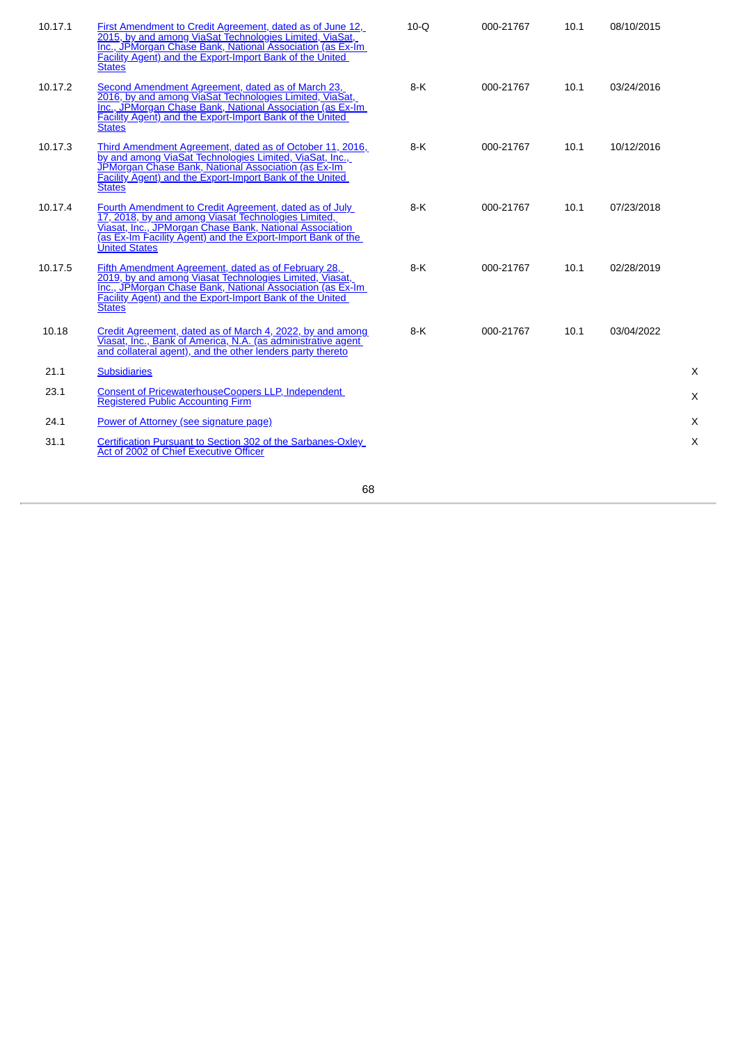| 10.17.1 | First Amendment to Credit Agreement, dated as of June 12,<br>2015, by and among ViaSat Technologies Limited, ViaSat,<br><u>Inc., JPMorgan Chase Bank, National Association (as Ex-Im-</u><br><b>Facility Agent) and the Export-Import Bank of the United</b><br><b>States</b> | $10-°$ | 000-21767 | 10.1 | 08/10/2015 |          |
|---------|-------------------------------------------------------------------------------------------------------------------------------------------------------------------------------------------------------------------------------------------------------------------------------|--------|-----------|------|------------|----------|
| 10.17.2 | Second Amendment Agreement, dated as of March 23,<br>2016, by and among ViaSat Technologies Limited, ViaSat,<br>Inc., JPM organ Chase Bank, National Association (as Ex-Im<br>Facility Agent) and the Export-Import Bank of the United<br><b>States</b>                       | $8-K$  | 000-21767 | 10.1 | 03/24/2016 |          |
| 10.17.3 | Third Amendment Agreement, dated as of October 11, 2016,<br>by and among ViaSat Technologies Limited, ViaSat, Inc.,<br>JPMorgan Chase Bank, National Association (as Ex-Im<br><b>Facility Agent) and the Export-Import Bank of the United</b><br><b>States</b>                | $8-K$  | 000-21767 | 10.1 | 10/12/2016 |          |
| 10.17.4 | Fourth Amendment to Credit Agreement, dated as of July<br>17, 2018, by and among Viasat Technologies Limited,<br>Viasat, Inc., JPMorgan Chase Bank, National Association<br>(as Ex-Im Facility Agent) and the Export-Import Bank of the<br><b>United States</b>               | $8-K$  | 000-21767 | 10.1 | 07/23/2018 |          |
| 10.17.5 | Fifth Amendment Agreement, dated as of February 28,<br>2019, by and among Viasat Technologies Limited, Viasat,<br>Inc., JPMorgan Chase Bank, National Association (as Ex-Im<br><b>Facility Agent) and the Export-Import Bank of the United</b><br><b>States</b>               | $8-K$  | 000-21767 | 10.1 | 02/28/2019 |          |
| 10.18   | Credit Agreement, dated as of March 4, 2022, by and among<br>Viasat, Inc., Bank of America, N.A. (as administrative agent<br>and collateral agent), and the other lenders party thereto                                                                                       | $8-K$  | 000-21767 | 10.1 | 03/04/2022 |          |
| 21.1    | <b>Subsidiaries</b>                                                                                                                                                                                                                                                           |        |           |      |            | X        |
| 23.1    | <b>Consent of PricewaterhouseCoopers LLP, Independent</b><br><b>Registered Public Accounting Firm</b>                                                                                                                                                                         |        |           |      |            | $\times$ |
| 24.1    | Power of Attorney (see signature page)                                                                                                                                                                                                                                        |        |           |      |            | X        |
| 31.1    | <b>Certification Pursuant to Section 302 of the Sarbanes-Oxley</b><br>Act of 2002 of Chief Executive Officer                                                                                                                                                                  |        |           |      |            | X        |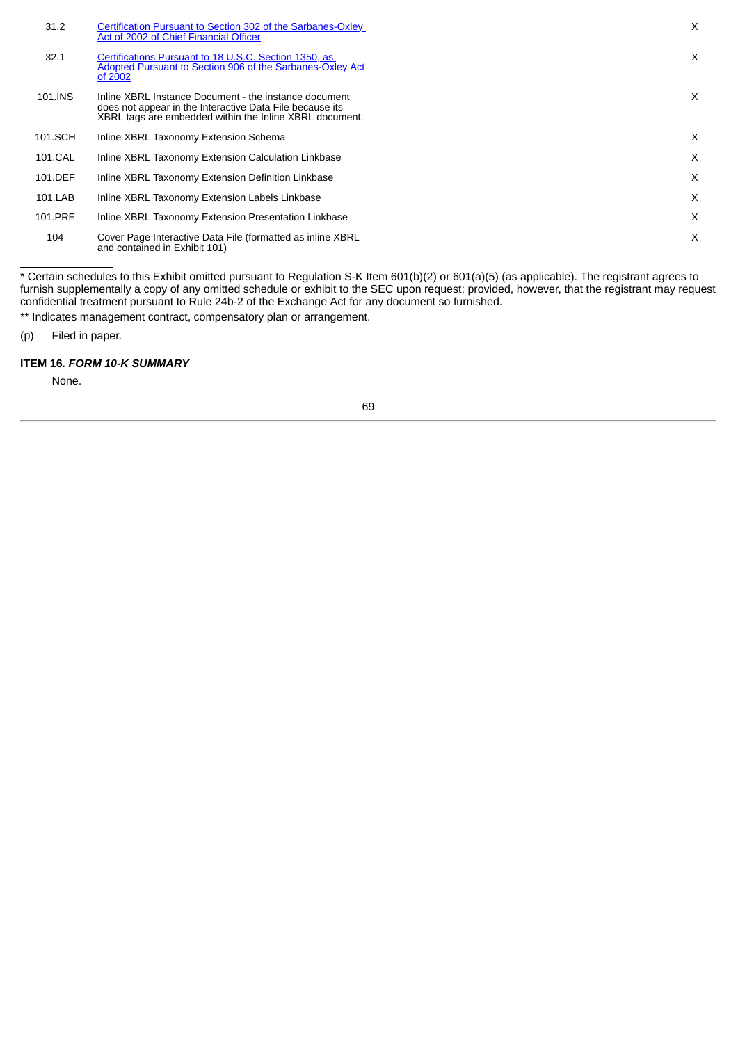| 31.2    | Certification Pursuant to Section 302 of the Sarbanes-Oxley<br>Act of 2002 of Chief Financial Officer                                                                        | X        |
|---------|------------------------------------------------------------------------------------------------------------------------------------------------------------------------------|----------|
| 32.1    | Certifications Pursuant to 18 U.S.C. Section 1350, as<br>Adopted Pursuant to Section 906 of the Sarbanes-Oxley Act<br>of 2002                                                | $\times$ |
| 101.INS | Inline XBRL Instance Document - the instance document<br>does not appear in the Interactive Data File because its<br>XBRL tags are embedded within the Inline XBRL document. | X        |
| 101.SCH | Inline XBRL Taxonomy Extension Schema                                                                                                                                        | $\times$ |
| 101.CAL | Inline XBRL Taxonomy Extension Calculation Linkbase                                                                                                                          | $\times$ |
| 101.DEF | Inline XBRL Taxonomy Extension Definition Linkbase                                                                                                                           | $\times$ |
| 101.LAB | Inline XBRL Taxonomy Extension Labels Linkbase                                                                                                                               | $\times$ |
| 101.PRE | Inline XBRL Taxonomy Extension Presentation Linkbase                                                                                                                         | $\times$ |
| 104     | Cover Page Interactive Data File (formatted as inline XBRL<br>and contained in Exhibit 101)                                                                                  | $\times$ |

\* Certain schedules to this Exhibit omitted pursuant to Regulation S-K Item 601(b)(2) or 601(a)(5) (as applicable). The registrant agrees to furnish supplementally a copy of any omitted schedule or exhibit to the SEC upon request; provided, however, that the registrant may request confidential treatment pursuant to Rule 24b-2 of the Exchange Act for any document so furnished.

\*\* Indicates management contract, compensatory plan or arrangement.

(p) Filed in paper.

# **ITEM 16***. FORM 10-K SUMMARY*

None.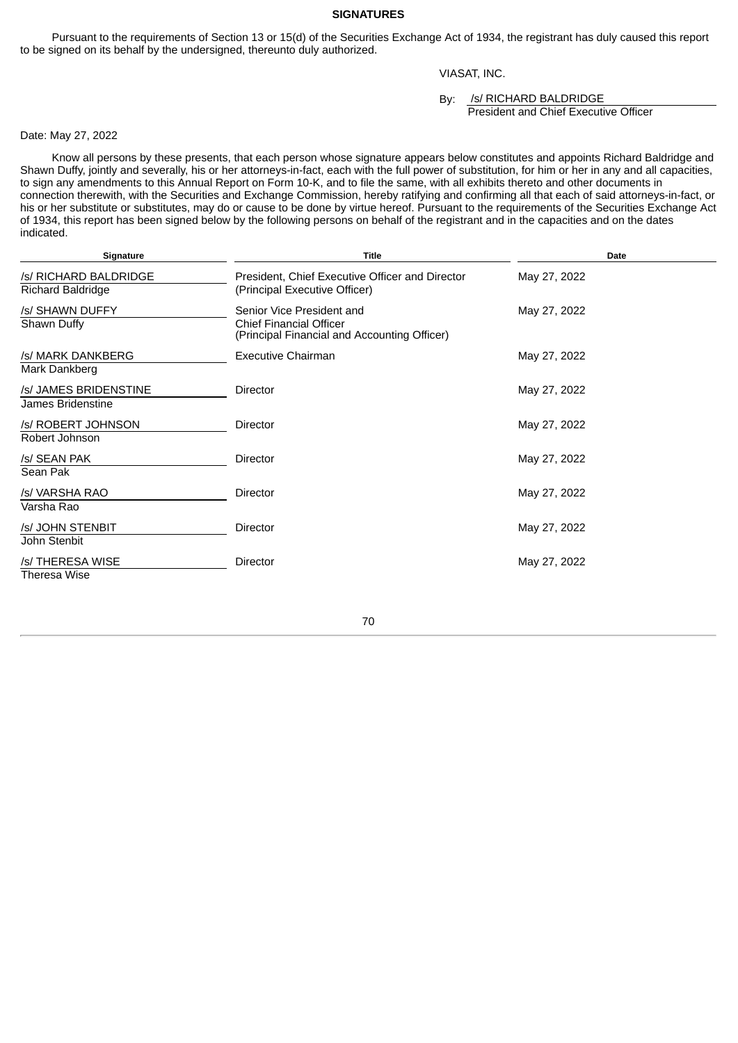# **SIGNATURES**

Pursuant to the requirements of Section 13 or 15(d) of the Securities Exchange Act of 1934, the registrant has duly caused this report to be signed on its behalf by the undersigned, thereunto duly authorized.

## VIASAT, INC.

By: /s/ RICHARD BALDRIDGE

President and Chief Executive Officer

Date: May 27, 2022

<span id="page-70-0"></span>Know all persons by these presents, that each person whose signature appears below constitutes and appoints Richard Baldridge and Shawn Duffy, jointly and severally, his or her attorneys-in-fact, each with the full power of substitution, for him or her in any and all capacities, to sign any amendments to this Annual Report on Form 10-K, and to file the same, with all exhibits thereto and other documents in connection therewith, with the Securities and Exchange Commission, hereby ratifying and confirming all that each of said attorneys-in-fact, or his or her substitute or substitutes, may do or cause to be done by virtue hereof. Pursuant to the requirements of the Securities Exchange Act of 1934, this report has been signed below by the following persons on behalf of the registrant and in the capacities and on the dates indicated.

| Signature                                  | <b>Title</b>                                                                                                | Date         |
|--------------------------------------------|-------------------------------------------------------------------------------------------------------------|--------------|
| /s/ RICHARD BALDRIDGE<br>Richard Baldridge | President, Chief Executive Officer and Director<br>(Principal Executive Officer)                            | May 27, 2022 |
| /s/ SHAWN DUFFY<br>Shawn Duffy             | Senior Vice President and<br><b>Chief Financial Officer</b><br>(Principal Financial and Accounting Officer) | May 27, 2022 |
| /s/ MARK DANKBERG<br>Mark Dankberg         | Executive Chairman                                                                                          | May 27, 2022 |
| /s/ JAMES BRIDENSTINE<br>James Bridenstine | <b>Director</b>                                                                                             | May 27, 2022 |
| /s/ ROBERT JOHNSON<br>Robert Johnson       | Director                                                                                                    | May 27, 2022 |
| /s/ SEAN PAK<br>Sean Pak                   | Director                                                                                                    | May 27, 2022 |
| /s/ VARSHA RAO<br>Varsha Rao               | Director                                                                                                    | May 27, 2022 |
| /s/ JOHN STENBIT<br>John Stenbit           | Director                                                                                                    | May 27, 2022 |
| /s/ THERESA WISE<br>Theresa Wise           | <b>Director</b>                                                                                             | May 27, 2022 |

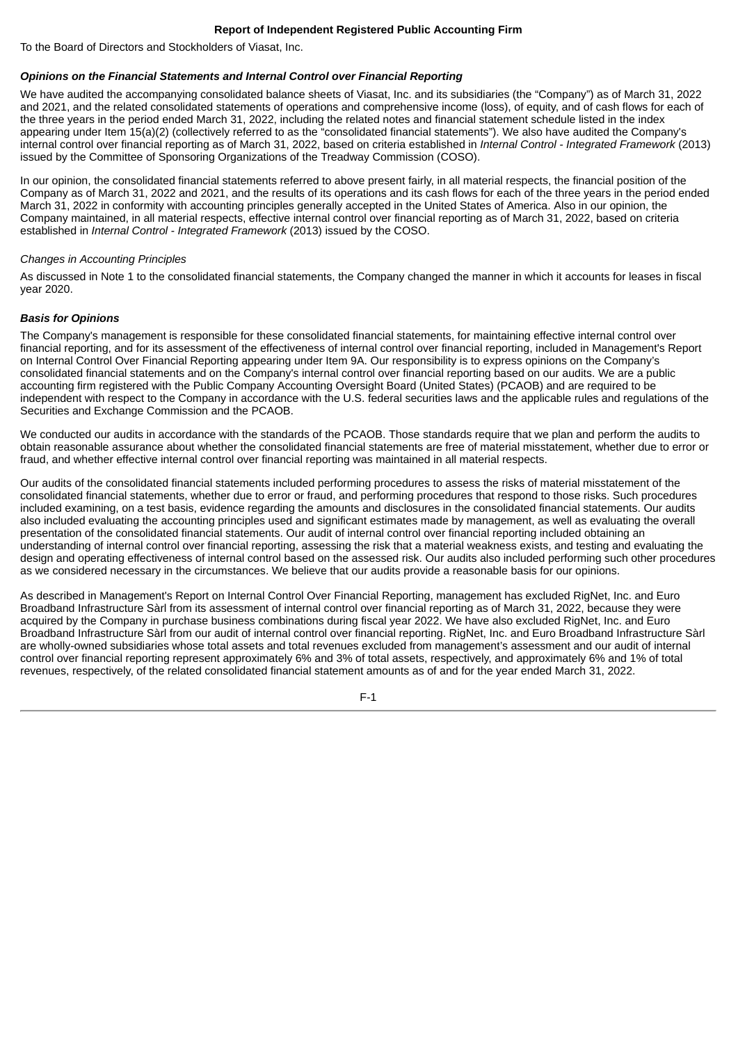# **Report of Independent Registered Public Accounting Firm**

<span id="page-71-0"></span>To the Board of Directors and Stockholders of Viasat, Inc.

# *Opinions on the Financial Statements and Internal Control over Financial Reporting*

We have audited the accompanying consolidated balance sheets of Viasat, Inc. and its subsidiaries (the "Company") as of March 31, 2022 and 2021, and the related consolidated statements of operations and comprehensive income (loss), of equity, and of cash flows for each of the three years in the period ended March 31, 2022, including the related notes and financial statement schedule listed in the index appearing under Item 15(a)(2) (collectively referred to as the "consolidated financial statements"). We also have audited the Company's internal control over financial reporting as of March 31, 2022, based on criteria established in *Internal Control - Integrated Framework* (2013) issued by the Committee of Sponsoring Organizations of the Treadway Commission (COSO).

In our opinion, the consolidated financial statements referred to above present fairly, in all material respects, the financial position of the Company as of March 31, 2022 and 2021, and the results of its operations and its cash flows for each of the three years in the period ended March 31, 2022 in conformity with accounting principles generally accepted in the United States of America. Also in our opinion, the Company maintained, in all material respects, effective internal control over financial reporting as of March 31, 2022, based on criteria established in *Internal Control - Integrated Framework* (2013) issued by the COSO.

# *Changes in Accounting Principles*

As discussed in Note 1 to the consolidated financial statements, the Company changed the manner in which it accounts for leases in fiscal year 2020.

# *Basis for Opinions*

The Company's management is responsible for these consolidated financial statements, for maintaining effective internal control over financial reporting, and for its assessment of the effectiveness of internal control over financial reporting, included in Management's Report on Internal Control Over Financial Reporting appearing under Item 9A. Our responsibility is to express opinions on the Company's consolidated financial statements and on the Company's internal control over financial reporting based on our audits. We are a public accounting firm registered with the Public Company Accounting Oversight Board (United States) (PCAOB) and are required to be independent with respect to the Company in accordance with the U.S. federal securities laws and the applicable rules and regulations of the Securities and Exchange Commission and the PCAOB.

We conducted our audits in accordance with the standards of the PCAOB. Those standards require that we plan and perform the audits to obtain reasonable assurance about whether the consolidated financial statements are free of material misstatement, whether due to error or fraud, and whether effective internal control over financial reporting was maintained in all material respects.

Our audits of the consolidated financial statements included performing procedures to assess the risks of material misstatement of the consolidated financial statements, whether due to error or fraud, and performing procedures that respond to those risks. Such procedures included examining, on a test basis, evidence regarding the amounts and disclosures in the consolidated financial statements. Our audits also included evaluating the accounting principles used and significant estimates made by management, as well as evaluating the overall presentation of the consolidated financial statements. Our audit of internal control over financial reporting included obtaining an understanding of internal control over financial reporting, assessing the risk that a material weakness exists, and testing and evaluating the design and operating effectiveness of internal control based on the assessed risk. Our audits also included performing such other procedures as we considered necessary in the circumstances. We believe that our audits provide a reasonable basis for our opinions.

As described in Management's Report on Internal Control Over Financial Reporting, management has excluded RigNet, Inc. and Euro Broadband Infrastructure Sàrl from its assessment of internal control over financial reporting as of March 31, 2022, because they were acquired by the Company in purchase business combinations during fiscal year 2022. We have also excluded RigNet, Inc. and Euro Broadband Infrastructure Sàrl from our audit of internal control over financial reporting. RigNet, Inc. and Euro Broadband Infrastructure Sàrl are wholly-owned subsidiaries whose total assets and total revenues excluded from management's assessment and our audit of internal control over financial reporting represent approximately 6% and 3% of total assets, respectively, and approximately 6% and 1% of total revenues, respectively, of the related consolidated financial statement amounts as of and for the year ended March 31, 2022.

F-1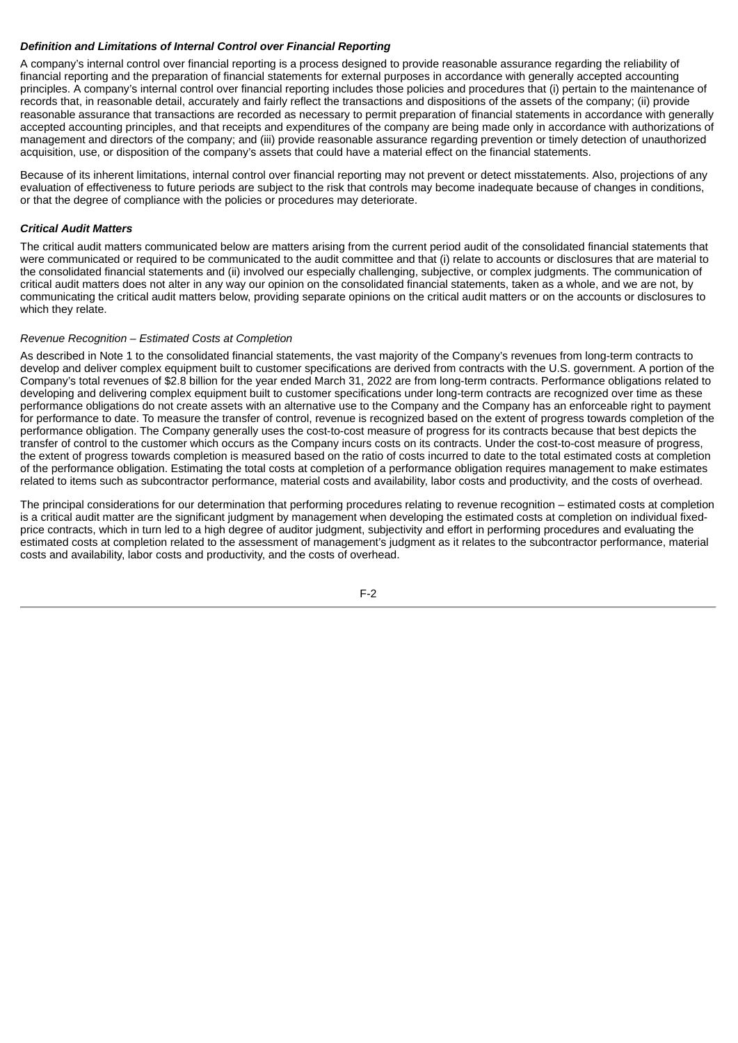# *Definition and Limitations of Internal Control over Financial Reporting*

A company's internal control over financial reporting is a process designed to provide reasonable assurance regarding the reliability of financial reporting and the preparation of financial statements for external purposes in accordance with generally accepted accounting principles. A company's internal control over financial reporting includes those policies and procedures that (i) pertain to the maintenance of records that, in reasonable detail, accurately and fairly reflect the transactions and dispositions of the assets of the company; (ii) provide reasonable assurance that transactions are recorded as necessary to permit preparation of financial statements in accordance with generally accepted accounting principles, and that receipts and expenditures of the company are being made only in accordance with authorizations of management and directors of the company; and (iii) provide reasonable assurance regarding prevention or timely detection of unauthorized acquisition, use, or disposition of the company's assets that could have a material effect on the financial statements.

Because of its inherent limitations, internal control over financial reporting may not prevent or detect misstatements. Also, projections of any evaluation of effectiveness to future periods are subject to the risk that controls may become inadequate because of changes in conditions, or that the degree of compliance with the policies or procedures may deteriorate.

# *Critical Audit Matters*

The critical audit matters communicated below are matters arising from the current period audit of the consolidated financial statements that were communicated or required to be communicated to the audit committee and that (i) relate to accounts or disclosures that are material to the consolidated financial statements and (ii) involved our especially challenging, subjective, or complex judgments. The communication of critical audit matters does not alter in any way our opinion on the consolidated financial statements, taken as a whole, and we are not, by communicating the critical audit matters below, providing separate opinions on the critical audit matters or on the accounts or disclosures to which they relate.

### *Revenue Recognition – Estimated Costs at Completion*

As described in Note 1 to the consolidated financial statements, the vast majority of the Company's revenues from long-term contracts to develop and deliver complex equipment built to customer specifications are derived from contracts with the U.S. government. A portion of the Company's total revenues of \$2.8 billion for the year ended March 31, 2022 are from long-term contracts. Performance obligations related to developing and delivering complex equipment built to customer specifications under long-term contracts are recognized over time as these performance obligations do not create assets with an alternative use to the Company and the Company has an enforceable right to payment for performance to date. To measure the transfer of control, revenue is recognized based on the extent of progress towards completion of the performance obligation. The Company generally uses the cost-to-cost measure of progress for its contracts because that best depicts the transfer of control to the customer which occurs as the Company incurs costs on its contracts. Under the cost-to-cost measure of progress, the extent of progress towards completion is measured based on the ratio of costs incurred to date to the total estimated costs at completion of the performance obligation. Estimating the total costs at completion of a performance obligation requires management to make estimates related to items such as subcontractor performance, material costs and availability, labor costs and productivity, and the costs of overhead.

The principal considerations for our determination that performing procedures relating to revenue recognition – estimated costs at completion is a critical audit matter are the significant judgment by management when developing the estimated costs at completion on individual fixedprice contracts, which in turn led to a high degree of auditor judgment, subjectivity and effort in performing procedures and evaluating the estimated costs at completion related to the assessment of management's judgment as it relates to the subcontractor performance, material costs and availability, labor costs and productivity, and the costs of overhead.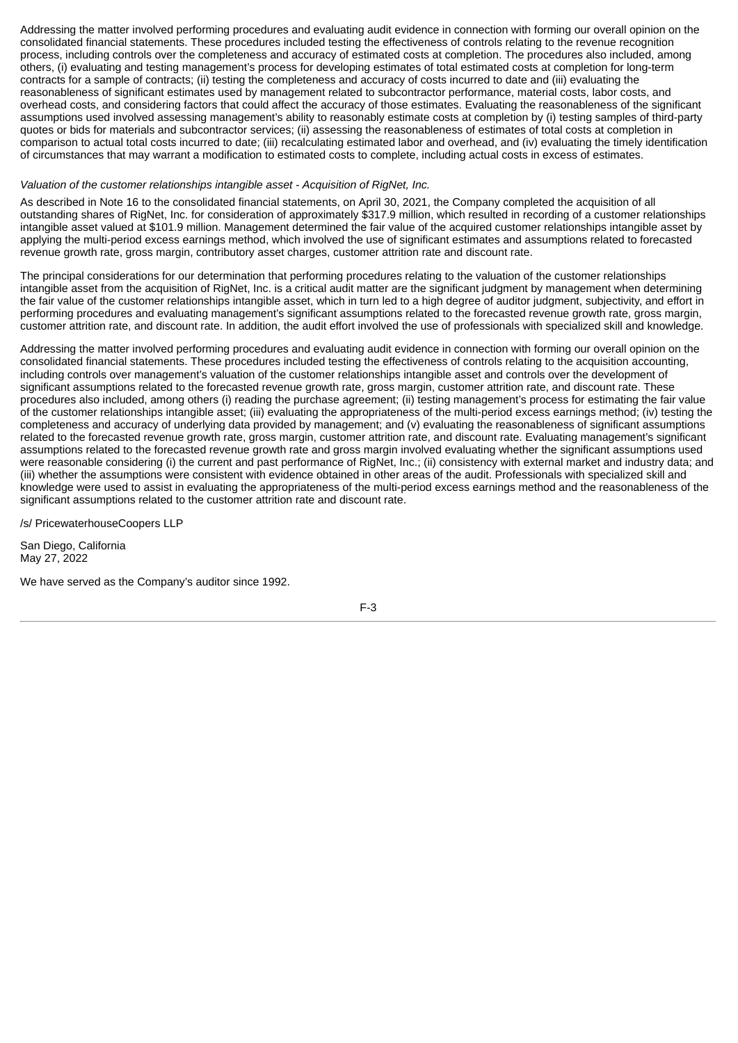Addressing the matter involved performing procedures and evaluating audit evidence in connection with forming our overall opinion on the consolidated financial statements. These procedures included testing the effectiveness of controls relating to the revenue recognition process, including controls over the completeness and accuracy of estimated costs at completion. The procedures also included, among others, (i) evaluating and testing management's process for developing estimates of total estimated costs at completion for long-term contracts for a sample of contracts; (ii) testing the completeness and accuracy of costs incurred to date and (iii) evaluating the reasonableness of significant estimates used by management related to subcontractor performance, material costs, labor costs, and overhead costs, and considering factors that could affect the accuracy of those estimates. Evaluating the reasonableness of the significant assumptions used involved assessing management's ability to reasonably estimate costs at completion by (i) testing samples of third-party quotes or bids for materials and subcontractor services; (ii) assessing the reasonableness of estimates of total costs at completion in comparison to actual total costs incurred to date; (iii) recalculating estimated labor and overhead, and (iv) evaluating the timely identification of circumstances that may warrant a modification to estimated costs to complete, including actual costs in excess of estimates.

### *Valuation of the customer relationships intangible asset - Acquisition of RigNet, Inc.*

As described in Note 16 to the consolidated financial statements, on April 30, 2021, the Company completed the acquisition of all outstanding shares of RigNet, Inc. for consideration of approximately \$317.9 million, which resulted in recording of a customer relationships intangible asset valued at \$101.9 million. Management determined the fair value of the acquired customer relationships intangible asset by applying the multi-period excess earnings method, which involved the use of significant estimates and assumptions related to forecasted revenue growth rate, gross margin, contributory asset charges, customer attrition rate and discount rate.

The principal considerations for our determination that performing procedures relating to the valuation of the customer relationships intangible asset from the acquisition of RigNet, Inc. is a critical audit matter are the significant judgment by management when determining the fair value of the customer relationships intangible asset, which in turn led to a high degree of auditor judgment, subjectivity, and effort in performing procedures and evaluating management's significant assumptions related to the forecasted revenue growth rate, gross margin, customer attrition rate, and discount rate. In addition, the audit effort involved the use of professionals with specialized skill and knowledge.

Addressing the matter involved performing procedures and evaluating audit evidence in connection with forming our overall opinion on the consolidated financial statements. These procedures included testing the effectiveness of controls relating to the acquisition accounting, including controls over management's valuation of the customer relationships intangible asset and controls over the development of significant assumptions related to the forecasted revenue growth rate, gross margin, customer attrition rate, and discount rate. These procedures also included, among others (i) reading the purchase agreement; (ii) testing management's process for estimating the fair value of the customer relationships intangible asset; (iii) evaluating the appropriateness of the multi-period excess earnings method; (iv) testing the completeness and accuracy of underlying data provided by management; and (v) evaluating the reasonableness of significant assumptions related to the forecasted revenue growth rate, gross margin, customer attrition rate, and discount rate. Evaluating management's significant assumptions related to the forecasted revenue growth rate and gross margin involved evaluating whether the significant assumptions used were reasonable considering (i) the current and past performance of RigNet, Inc.; (ii) consistency with external market and industry data; and (iii) whether the assumptions were consistent with evidence obtained in other areas of the audit. Professionals with specialized skill and knowledge were used to assist in evaluating the appropriateness of the multi-period excess earnings method and the reasonableness of the significant assumptions related to the customer attrition rate and discount rate.

/s/ PricewaterhouseCoopers LLP

San Diego, California May 27, 2022

We have served as the Company's auditor since 1992.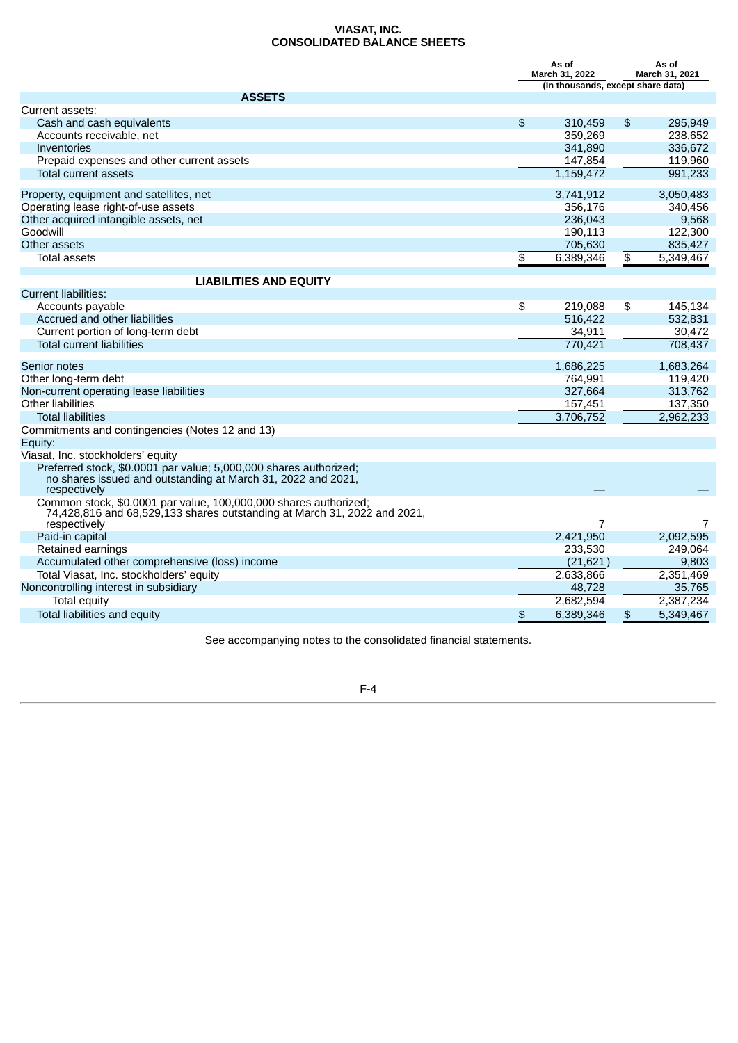# **VIASAT, INC. CONSOLIDATED BALANCE SHEETS**

|                                                                                                                                   | As of<br>March 31, 2022 |                                   |                | As of<br>March 31, 2021 |
|-----------------------------------------------------------------------------------------------------------------------------------|-------------------------|-----------------------------------|----------------|-------------------------|
|                                                                                                                                   |                         | (In thousands, except share data) |                |                         |
| <b>ASSETS</b>                                                                                                                     |                         |                                   |                |                         |
| Current assets:                                                                                                                   |                         |                                   |                |                         |
| Cash and cash equivalents                                                                                                         | \$                      | 310.459                           | \$             | 295.949                 |
| Accounts receivable, net                                                                                                          |                         | 359,269                           |                | 238,652                 |
| Inventories                                                                                                                       |                         | 341,890                           |                | 336,672                 |
| Prepaid expenses and other current assets                                                                                         |                         | 147,854                           |                | 119,960                 |
| <b>Total current assets</b>                                                                                                       |                         | 1,159,472                         |                | 991,233                 |
| Property, equipment and satellites, net                                                                                           |                         | 3,741,912                         |                | 3,050,483               |
| Operating lease right-of-use assets                                                                                               |                         | 356,176                           |                | 340,456                 |
| Other acquired intangible assets, net                                                                                             |                         | 236,043                           |                | 9,568                   |
| Goodwill                                                                                                                          |                         | 190,113                           |                | 122,300                 |
| Other assets                                                                                                                      |                         | 705,630                           |                | 835.427                 |
| <b>Total assets</b>                                                                                                               | \$                      | 6,389,346                         | \$             | 5,349,467               |
|                                                                                                                                   |                         |                                   |                |                         |
| <b>LIABILITIES AND EQUITY</b>                                                                                                     |                         |                                   |                |                         |
| <b>Current liabilities:</b>                                                                                                       |                         |                                   |                |                         |
| Accounts payable                                                                                                                  | \$                      | 219,088                           | \$             | 145,134                 |
| Accrued and other liabilities                                                                                                     |                         | 516.422                           |                | 532,831                 |
| Current portion of long-term debt                                                                                                 |                         | 34,911                            |                | 30,472                  |
| <b>Total current liabilities</b>                                                                                                  |                         | 770,421                           |                | 708,437                 |
| Senior notes                                                                                                                      |                         | 1,686,225                         |                | 1,683,264               |
| Other long-term debt                                                                                                              |                         | 764,991                           |                | 119,420                 |
| Non-current operating lease liabilities                                                                                           |                         | 327,664                           |                | 313,762                 |
| Other liabilities                                                                                                                 |                         | 157,451                           |                | 137,350                 |
| <b>Total liabilities</b>                                                                                                          |                         | 3,706,752                         |                | 2,962,233               |
| Commitments and contingencies (Notes 12 and 13)                                                                                   |                         |                                   |                |                         |
| Equity:                                                                                                                           |                         |                                   |                |                         |
| Viasat, Inc. stockholders' equity                                                                                                 |                         |                                   |                |                         |
| Preferred stock, \$0.0001 par value; 5,000,000 shares authorized;<br>no shares issued and outstanding at March 31, 2022 and 2021, |                         |                                   |                |                         |
| respectively<br>Common stock, \$0.0001 par value, 100,000,000 shares authorized;                                                  |                         |                                   |                |                         |
| 74,428,816 and 68,529,133 shares outstanding at March 31, 2022 and 2021,<br>respectively                                          |                         | $\overline{7}$                    |                | 7                       |
| Paid-in capital                                                                                                                   |                         | 2,421,950                         |                | 2,092,595               |
| Retained earnings                                                                                                                 |                         | 233,530                           |                | 249,064                 |
| Accumulated other comprehensive (loss) income                                                                                     |                         | (21, 621)                         |                | 9,803                   |
| Total Viasat, Inc. stockholders' equity                                                                                           |                         | 2,633,866                         |                | 2,351,469               |
| Noncontrolling interest in subsidiary                                                                                             |                         | 48,728                            |                | 35,765                  |
| <b>Total equity</b>                                                                                                               |                         | 2,682,594                         |                | 2,387,234               |
| Total liabilities and equity                                                                                                      | \$                      | 6,389,346                         | $\mathfrak{D}$ | 5,349,467               |
|                                                                                                                                   |                         |                                   |                |                         |

See accompanying notes to the consolidated financial statements.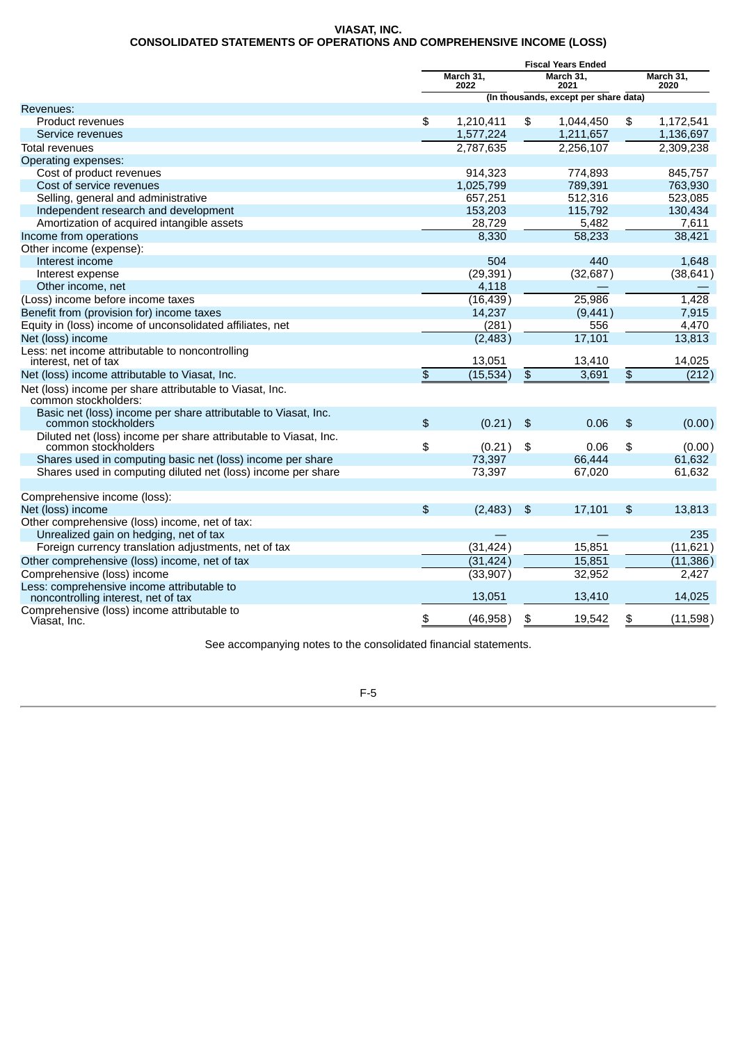# **VIASAT, INC. CONSOLIDATED STATEMENTS OF OPERATIONS AND COMPREHENSIVE INCOME (LOSS)**

|                                                                                   |    |                   |               | <b>Fiscal Years Ended</b>             |                   |  |  |
|-----------------------------------------------------------------------------------|----|-------------------|---------------|---------------------------------------|-------------------|--|--|
|                                                                                   |    | March 31,<br>2022 |               | March 31,<br>2021                     | March 31,<br>2020 |  |  |
|                                                                                   |    |                   |               | (In thousands, except per share data) |                   |  |  |
| Revenues:                                                                         |    |                   |               |                                       |                   |  |  |
| <b>Product revenues</b>                                                           | \$ | 1,210,411         | \$            | 1,044,450                             | \$<br>1,172,541   |  |  |
| Service revenues                                                                  |    | 1,577,224         |               | 1,211,657                             | 1,136,697         |  |  |
| Total revenues                                                                    |    | 2,787,635         |               | 2.256.107                             | 2,309,238         |  |  |
| Operating expenses:                                                               |    |                   |               |                                       |                   |  |  |
| Cost of product revenues                                                          |    | 914,323           |               | 774,893                               | 845,757           |  |  |
| Cost of service revenues                                                          |    | 1,025,799         |               | 789,391                               | 763,930           |  |  |
| Selling, general and administrative                                               |    | 657,251           |               | 512,316                               | 523,085           |  |  |
| Independent research and development                                              |    | 153,203           |               | 115,792                               | 130,434           |  |  |
| Amortization of acquired intangible assets                                        |    | 28,729            |               | 5,482                                 | 7,611             |  |  |
| Income from operations                                                            |    | 8,330             |               | 58,233                                | 38,421            |  |  |
| Other income (expense):                                                           |    |                   |               |                                       |                   |  |  |
| Interest income                                                                   |    | 504               |               | 440                                   | 1,648             |  |  |
| Interest expense                                                                  |    | (29, 391)         |               | (32, 687)                             | (38, 641)         |  |  |
| Other income, net                                                                 |    | 4,118             |               |                                       |                   |  |  |
| (Loss) income before income taxes                                                 |    | (16, 439)         |               | 25,986                                | 1,428             |  |  |
| Benefit from (provision for) income taxes                                         |    | 14,237            |               | (9,441)                               | 7,915             |  |  |
| Equity in (loss) income of unconsolidated affiliates, net                         |    | (281)             |               | 556                                   | 4.470             |  |  |
| Net (loss) income                                                                 |    | (2, 483)          |               | 17,101                                | 13,813            |  |  |
| Less: net income attributable to noncontrolling                                   |    |                   |               |                                       |                   |  |  |
| interest, net of tax                                                              |    | 13,051            |               | 13,410                                | 14,025            |  |  |
| Net (loss) income attributable to Viasat, Inc.                                    | \$ | (15, 534)         | $\frac{1}{2}$ | 3,691                                 | \$<br>(212)       |  |  |
| Net (loss) income per share attributable to Viasat, Inc.<br>common stockholders:  |    |                   |               |                                       |                   |  |  |
| Basic net (loss) income per share attributable to Viasat, Inc.                    |    |                   |               |                                       |                   |  |  |
| common stockholders                                                               | \$ | (0.21)            | \$            | 0.06                                  | \$<br>(0.00)      |  |  |
| Diluted net (loss) income per share attributable to Viasat, Inc.                  |    |                   |               |                                       |                   |  |  |
| common stockholders                                                               | \$ | (0.21)            | \$            | 0.06                                  | \$<br>(0.00)      |  |  |
| Shares used in computing basic net (loss) income per share                        |    | 73,397            |               | 66,444                                | 61,632            |  |  |
| Shares used in computing diluted net (loss) income per share                      |    | 73,397            |               | 67,020                                | 61,632            |  |  |
|                                                                                   |    |                   |               |                                       |                   |  |  |
| Comprehensive income (loss):                                                      |    |                   |               |                                       |                   |  |  |
| Net (loss) income                                                                 | \$ | (2,483)           | \$            | 17,101                                | \$<br>13,813      |  |  |
| Other comprehensive (loss) income, net of tax:                                    |    |                   |               |                                       |                   |  |  |
| Unrealized gain on hedging, net of tax                                            |    |                   |               |                                       | 235               |  |  |
| Foreign currency translation adjustments, net of tax                              |    | (31, 424)         |               | 15,851                                | (11, 621)         |  |  |
| Other comprehensive (loss) income, net of tax                                     |    | (31, 424)         |               | 15,851                                | (11, 386)         |  |  |
| Comprehensive (loss) income                                                       |    | (33,907)          |               | 32,952                                | 2,427             |  |  |
| Less: comprehensive income attributable to<br>noncontrolling interest, net of tax |    | 13,051            |               | 13,410                                | 14,025            |  |  |
| Comprehensive (loss) income attributable to<br>Viasat, Inc.                       | \$ | (46, 958)         | \$            | 19,542                                | \$<br>(11,598)    |  |  |

See accompanying notes to the consolidated financial statements.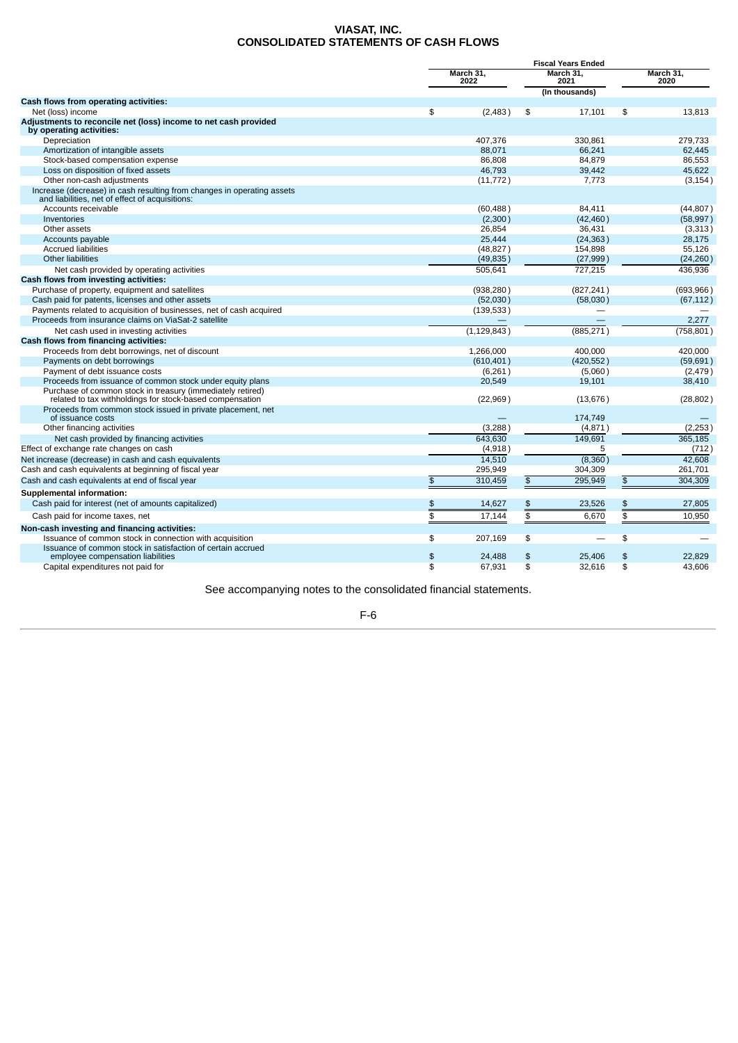### **VIASAT, INC. CONSOLIDATED STATEMENTS OF CASH FLOWS**

|                                                                                                                           |                           |                   |                | <b>Fiscal Years Ended</b> |                         |                   |
|---------------------------------------------------------------------------------------------------------------------------|---------------------------|-------------------|----------------|---------------------------|-------------------------|-------------------|
|                                                                                                                           |                           | March 31,<br>2022 |                | March 31,<br>2021         |                         | March 31,<br>2020 |
|                                                                                                                           |                           |                   |                | (In thousands)            |                         |                   |
| Cash flows from operating activities:                                                                                     |                           |                   |                |                           |                         |                   |
| Net (loss) income                                                                                                         | \$                        | (2,483)           | \$             | 17,101                    | \$                      | 13,813            |
| Adjustments to reconcile net (loss) income to net cash provided<br>by operating activities:                               |                           |                   |                |                           |                         |                   |
| Depreciation                                                                                                              |                           | 407.376           |                | 330.861                   |                         | 279.733           |
| Amortization of intangible assets                                                                                         |                           | 88,071            |                | 66,241                    |                         | 62,445            |
| Stock-based compensation expense                                                                                          |                           | 86.808            |                | 84.879                    |                         | 86.553            |
| Loss on disposition of fixed assets                                                                                       |                           | 46.793            |                | 39,442                    |                         | 45,622            |
| Other non-cash adjustments                                                                                                |                           | (11, 772)         |                | 7,773                     |                         | (3, 154)          |
| Increase (decrease) in cash resulting from changes in operating assets<br>and liabilities, net of effect of acquisitions: |                           |                   |                |                           |                         |                   |
| Accounts receivable                                                                                                       |                           | (60, 488)         |                | 84,411                    |                         | (44, 807)         |
| Inventories                                                                                                               |                           | (2,300)           |                | (42, 460)                 |                         | (58, 997)         |
| Other assets                                                                                                              |                           | 26,854            |                | 36,431                    |                         | (3,313)           |
| Accounts payable                                                                                                          |                           | 25,444            |                | (24, 363)                 |                         | 28,175            |
| <b>Accrued liabilities</b>                                                                                                |                           | (48, 827)         |                | 154.898                   |                         | 55.126            |
| <b>Other liabilities</b>                                                                                                  |                           | (49, 835)         |                | (27,999)                  |                         | (24, 260)         |
| Net cash provided by operating activities                                                                                 |                           | 505.641           |                | 727.215                   |                         | 436.936           |
| Cash flows from investing activities:                                                                                     |                           |                   |                |                           |                         |                   |
| Purchase of property, equipment and satellites                                                                            |                           | (938, 280)        |                | (827, 241)                |                         | (693, 966)        |
| Cash paid for patents, licenses and other assets                                                                          |                           | (52,030)          |                | (58.030)                  |                         | (67, 112)         |
| Payments related to acquisition of businesses, net of cash acquired                                                       |                           | (139, 533)        |                | $\overline{\phantom{a}}$  |                         |                   |
| Proceeds from insurance claims on ViaSat-2 satellite                                                                      |                           |                   |                |                           |                         | 2,277             |
| Net cash used in investing activities                                                                                     |                           | (1, 129, 843)     |                | (885, 271)                |                         | (758, 801)        |
| Cash flows from financing activities:                                                                                     |                           |                   |                |                           |                         |                   |
| Proceeds from debt borrowings, net of discount                                                                            |                           | 1,266,000         |                | 400.000                   |                         | 420,000           |
| Payments on debt borrowings                                                                                               |                           | (610, 401)        |                | (420, 552)                |                         | (59, 691)         |
| Payment of debt issuance costs                                                                                            |                           | (6, 261)          |                | (5,060)                   |                         | (2,479)           |
| Proceeds from issuance of common stock under equity plans                                                                 |                           | 20,549            |                | 19,101                    |                         | 38,410            |
| Purchase of common stock in treasury (immediately retired)<br>related to tax withholdings for stock-based compensation    |                           | (22, 969)         |                | (13,676)                  |                         | (28, 802)         |
| Proceeds from common stock issued in private placement, net<br>of issuance costs                                          |                           |                   |                | 174.749                   |                         |                   |
| Other financing activities                                                                                                |                           | (3,288)           |                | (4,871)                   |                         | (2,253)           |
| Net cash provided by financing activities                                                                                 |                           | 643.630           |                | 149.691                   |                         | 365.185           |
| Effect of exchange rate changes on cash                                                                                   |                           | (4,918)           |                | 5                         |                         | (712)             |
| Net increase (decrease) in cash and cash equivalents                                                                      |                           | 14.510            |                | (8,360)                   |                         | 42.608            |
| Cash and cash equivalents at beginning of fiscal year                                                                     |                           | 295,949           |                | 304,309                   |                         | 261,701           |
| Cash and cash equivalents at end of fiscal year                                                                           | $\mathfrak{L}$            | 310,459           | \$             | 295.949                   | $\overline{\mathbf{3}}$ | 304.309           |
| Supplemental information:                                                                                                 |                           |                   |                |                           |                         |                   |
| Cash paid for interest (net of amounts capitalized)                                                                       | \$                        | 14,627            | \$             | 23,526                    | \$                      | 27,805            |
| Cash paid for income taxes, net                                                                                           | $\overline{\mathfrak{s}}$ | 17,144            | \$             | 6,670                     | $\overline{\mathbf{s}}$ | 10,950            |
| Non-cash investing and financing activities:                                                                              |                           |                   |                |                           |                         |                   |
| Issuance of common stock in connection with acquisition                                                                   | \$                        | 207,169           | \$             |                           | \$                      |                   |
| Issuance of common stock in satisfaction of certain accrued<br>employee compensation liabilities                          | \$                        | 24.488            | $\mathfrak{S}$ | 25.406                    | $\mathfrak{S}$          | 22.829            |
| Capital expenditures not paid for                                                                                         | \$                        | 67.931            | \$             | 32.616                    | \$                      | 43.606            |

See accompanying notes to the consolidated financial statements.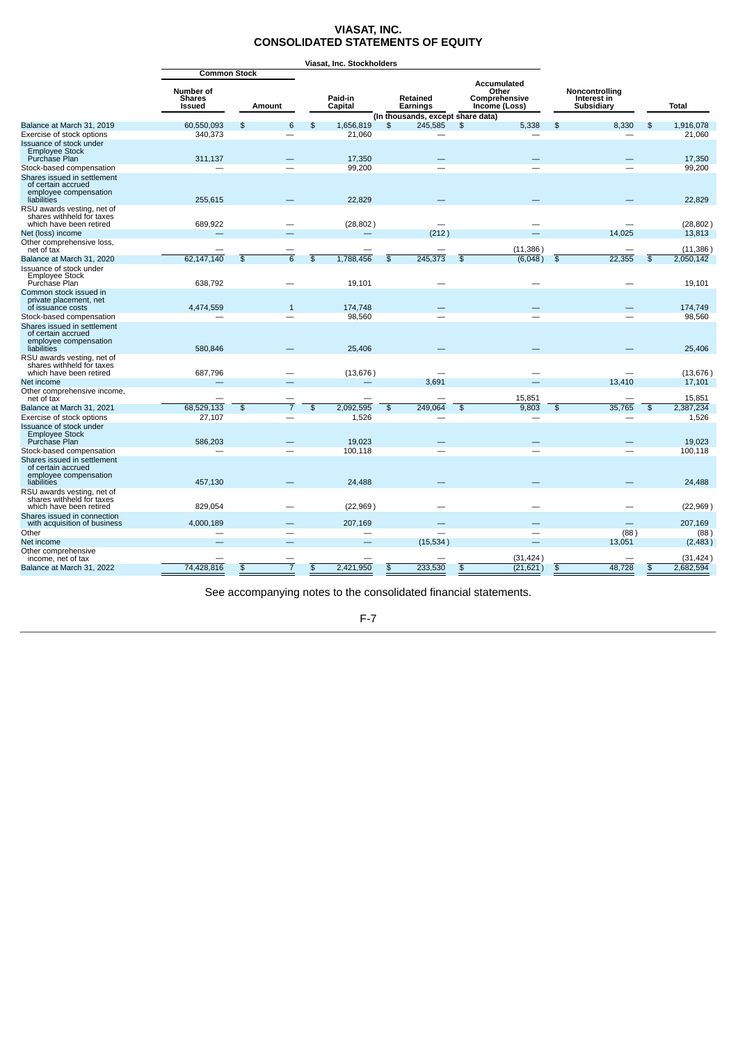# **VIASAT, INC. CONSOLIDATED STATEMENTS OF EQUITY**

|                                                                                           |                                  |                |                | Viasat, Inc. Stockholders            |                         |                                   |                                |                |                           |                         |              |
|-------------------------------------------------------------------------------------------|----------------------------------|----------------|----------------|--------------------------------------|-------------------------|-----------------------------------|--------------------------------|----------------|---------------------------|-------------------------|--------------|
|                                                                                           | <b>Common Stock</b><br>Number of |                |                | Paid-in                              |                         | Retained                          | Accumulated<br>Other           |                | <b>Noncontrolling</b>     |                         |              |
|                                                                                           | <b>Shares</b><br><b>Issued</b>   | Amount         |                | Capital                              |                         | <b>Earnings</b>                   | Comprehensive<br>Income (Loss) |                | Interest in<br>Subsidiary |                         | <b>Total</b> |
|                                                                                           |                                  |                |                |                                      |                         | (In thousands, except share data) |                                |                |                           |                         |              |
| Balance at March 31, 2019                                                                 | 60.550.093                       | $\mathfrak{L}$ | 6              | 1,656,819<br>\$                      | $\mathbf{\hat{z}}$      | 245.585                           | $\mathbf{\hat{z}}$<br>5.338    | $\mathfrak{L}$ | 8.330                     | \$                      | 1.916.078    |
| Exercise of stock options                                                                 | 340,373                          |                |                | 21,060                               |                         |                                   |                                |                |                           |                         | 21,060       |
| Issuance of stock under<br><b>Employee Stock</b><br>Purchase Plan                         | 311,137                          |                |                | 17,350                               |                         |                                   |                                |                |                           |                         | 17,350       |
| Stock-based compensation                                                                  |                                  |                |                | 99,200                               |                         |                                   |                                |                |                           |                         | 99,200       |
| Shares issued in settlement<br>of certain accrued<br>employee compensation<br>liabilities | 255,615                          |                |                | 22,829                               |                         |                                   |                                |                |                           |                         | 22,829       |
| RSU awards vesting, net of<br>shares withheld for taxes<br>which have been retired        | 689,922                          |                |                | (28, 802)                            |                         |                                   |                                |                |                           |                         | (28, 802)    |
| Net (loss) income                                                                         |                                  |                |                |                                      |                         | (212)                             |                                |                | 14.025                    |                         | 13,813       |
| Other comprehensive loss,<br>net of tax                                                   |                                  |                |                |                                      |                         |                                   | (11, 386)                      |                |                           |                         | (11, 386)    |
| Balance at March 31, 2020                                                                 | 62.147.140                       | $\mathfrak{L}$ | 6              | $\overline{\mathbf{s}}$<br>1.788.456 | $\overline{\mathbf{3}}$ | 245.373                           | \$<br>(6,048)                  | \$             | 22,355                    | $\overline{\mathbf{3}}$ | 2.050.142    |
| Issuance of stock under<br><b>Employee Stock</b><br>Purchase Plan                         | 638,792                          |                |                | 19,101                               |                         |                                   |                                |                |                           |                         | 19,101       |
| Common stock issued in<br>private placement, net<br>of issuance costs                     | 4,474,559                        |                | $\mathbf{1}$   | 174,748                              |                         |                                   |                                |                |                           |                         | 174,749      |
| Stock-based compensation                                                                  |                                  |                |                | 98,560                               |                         | $\overline{\phantom{0}}$          | $\overline{\phantom{0}}$       |                |                           |                         | 98,560       |
| Shares issued in settlement<br>of certain accrued<br>employee compensation<br>liabilities | 580.846                          |                |                | 25,406                               |                         |                                   |                                |                |                           |                         | 25,406       |
| RSU awards vesting, net of<br>shares withheld for taxes<br>which have been retired        | 687,796                          |                |                | (13, 676)                            |                         |                                   |                                |                |                           |                         | (13, 676)    |
| Net income                                                                                |                                  |                |                |                                      |                         | 3.691                             |                                |                | 13.410                    |                         | 17.101       |
| Other comprehensive income,<br>net of tax                                                 |                                  |                |                |                                      |                         |                                   | 15,851                         |                |                           |                         | 15,851       |
| Balance at March 31, 2021                                                                 | 68,529,133                       | $\mathfrak{S}$ | $\overline{7}$ | 2,092,595<br>\$                      | $\mathfrak{s}$          | 249.064                           | $\mathfrak{s}$<br>9.803        | \$             | 35,765                    | $\frac{1}{2}$           | 2,387,234    |
| Exercise of stock options                                                                 | 27,107                           |                |                | 1,526                                |                         |                                   |                                |                |                           |                         | 1,526        |
| Issuance of stock under<br><b>Employee Stock</b><br>Purchase Plan                         | 586,203                          |                |                | 19,023                               |                         |                                   |                                |                |                           |                         | 19,023       |
| Stock-based compensation                                                                  |                                  |                |                | 100,118                              |                         |                                   |                                |                |                           |                         | 100,118      |
| Shares issued in settlement<br>of certain accrued<br>employee compensation<br>liabilities | 457,130                          |                |                | 24,488                               |                         |                                   |                                |                |                           |                         | 24,488       |
| RSU awards vesting, net of<br>shares withheld for taxes<br>which have been retired        | 829,054                          |                |                | (22, 969)                            |                         |                                   |                                |                |                           |                         | (22, 969)    |
| Shares issued in connection<br>with acquisition of business                               | 4,000,189                        |                |                | 207,169                              |                         |                                   |                                |                |                           |                         | 207,169      |
| Other                                                                                     |                                  |                | –              |                                      |                         | $\overline{\phantom{0}}$          |                                |                | (88)                      |                         | (88)         |
| Net income                                                                                |                                  |                |                |                                      |                         | (15,534)                          |                                |                | 13,051                    |                         | (2,483)      |
| Other comprehensive<br>income, net of tax                                                 |                                  |                |                |                                      |                         |                                   | (31, 424)                      |                |                           |                         | (31, 424)    |
| Balance at March 31, 2022                                                                 | 74,428,816                       | \$             | $\overline{7}$ | 2,421,950<br>\$                      | $\frac{1}{2}$           | 233,530                           | (21, 621)<br>\$                | $\mathfrak{s}$ | 48,728                    | $\mathfrak{S}$          | 2,682,594    |

See accompanying notes to the consolidated financial statements.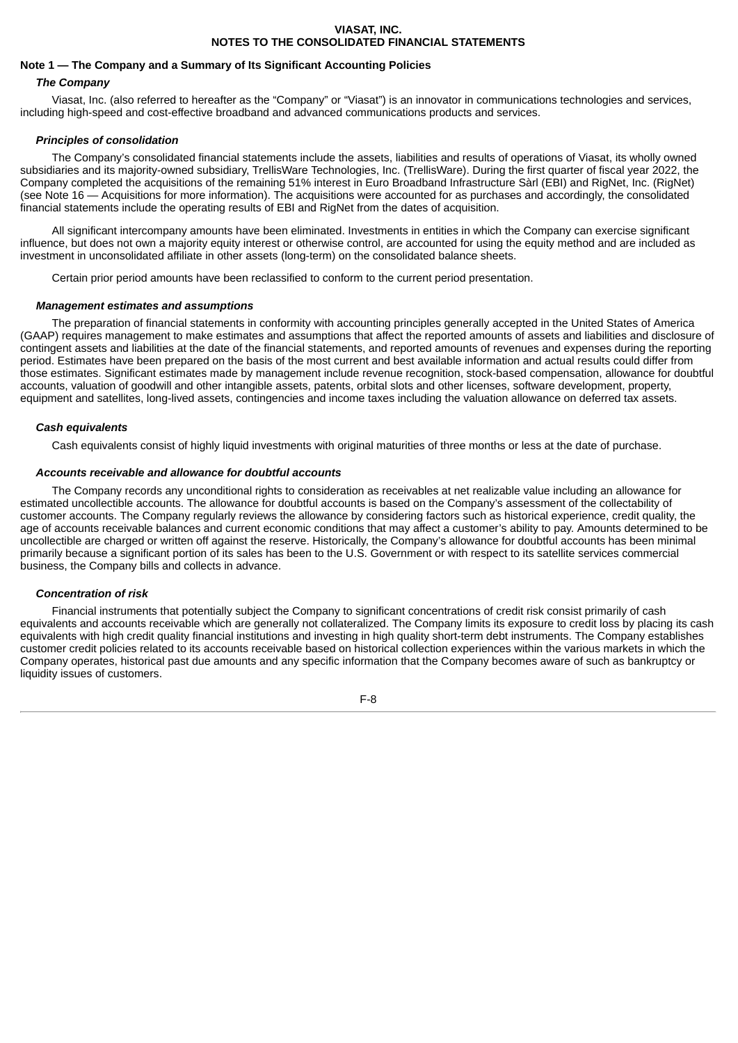### **VIASAT, INC. NOTES TO THE CONSOLIDATED FINANCIAL STATEMENTS**

# **Note 1 — The Company and a Summary of Its Significant Accounting Policies**

### *The Company*

Viasat, Inc. (also referred to hereafter as the "Company" or "Viasat") is an innovator in communications technologies and services, including high-speed and cost-effective broadband and advanced communications products and services.

#### *Principles of consolidation*

The Company's consolidated financial statements include the assets, liabilities and results of operations of Viasat, its wholly owned subsidiaries and its majority-owned subsidiary, TrellisWare Technologies, Inc. (TrellisWare). During the first quarter of fiscal year 2022, the Company completed the acquisitions of the remaining 51% interest in Euro Broadband Infrastructure Sàrl (EBI) and RigNet, Inc. (RigNet) (see Note 16 — Acquisitions for more information). The acquisitions were accounted for as purchases and accordingly, the consolidated financial statements include the operating results of EBI and RigNet from the dates of acquisition.

All significant intercompany amounts have been eliminated. Investments in entities in which the Company can exercise significant influence, but does not own a majority equity interest or otherwise control, are accounted for using the equity method and are included as investment in unconsolidated affiliate in other assets (long-term) on the consolidated balance sheets.

Certain prior period amounts have been reclassified to conform to the current period presentation.

#### *Management estimates and assumptions*

The preparation of financial statements in conformity with accounting principles generally accepted in the United States of America (GAAP) requires management to make estimates and assumptions that affect the reported amounts of assets and liabilities and disclosure of contingent assets and liabilities at the date of the financial statements, and reported amounts of revenues and expenses during the reporting period. Estimates have been prepared on the basis of the most current and best available information and actual results could differ from those estimates. Significant estimates made by management include revenue recognition, stock-based compensation, allowance for doubtful accounts, valuation of goodwill and other intangible assets, patents, orbital slots and other licenses, software development, property, equipment and satellites, long-lived assets, contingencies and income taxes including the valuation allowance on deferred tax assets.

#### *Cash equivalents*

Cash equivalents consist of highly liquid investments with original maturities of three months or less at the date of purchase.

### *Accounts receivable and allowance for doubtful accounts*

The Company records any unconditional rights to consideration as receivables at net realizable value including an allowance for estimated uncollectible accounts. The allowance for doubtful accounts is based on the Company's assessment of the collectability of customer accounts. The Company regularly reviews the allowance by considering factors such as historical experience, credit quality, the age of accounts receivable balances and current economic conditions that may affect a customer's ability to pay. Amounts determined to be uncollectible are charged or written off against the reserve. Historically, the Company's allowance for doubtful accounts has been minimal primarily because a significant portion of its sales has been to the U.S. Government or with respect to its satellite services commercial business, the Company bills and collects in advance.

### *Concentration of risk*

Financial instruments that potentially subject the Company to significant concentrations of credit risk consist primarily of cash equivalents and accounts receivable which are generally not collateralized. The Company limits its exposure to credit loss by placing its cash equivalents with high credit quality financial institutions and investing in high quality short-term debt instruments. The Company establishes customer credit policies related to its accounts receivable based on historical collection experiences within the various markets in which the Company operates, historical past due amounts and any specific information that the Company becomes aware of such as bankruptcy or liquidity issues of customers.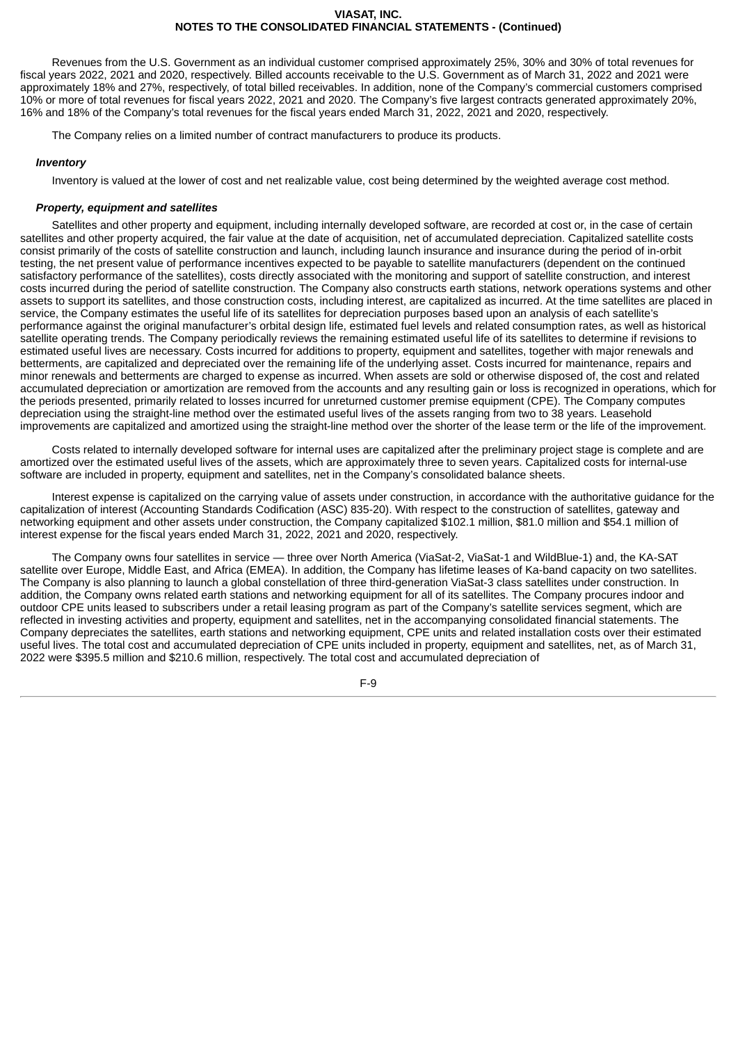Revenues from the U.S. Government as an individual customer comprised approximately 25%, 30% and 30% of total revenues for fiscal years 2022, 2021 and 2020, respectively. Billed accounts receivable to the U.S. Government as of March 31, 2022 and 2021 were approximately 18% and 27%, respectively, of total billed receivables. In addition, none of the Company's commercial customers comprised 10% or more of total revenues for fiscal years 2022, 2021 and 2020. The Company's five largest contracts generated approximately 20%, 16% and 18% of the Company's total revenues for the fiscal years ended March 31, 2022, 2021 and 2020, respectively.

The Company relies on a limited number of contract manufacturers to produce its products.

#### *Inventory*

Inventory is valued at the lower of cost and net realizable value, cost being determined by the weighted average cost method.

### *Property, equipment and satellites*

Satellites and other property and equipment, including internally developed software, are recorded at cost or, in the case of certain satellites and other property acquired, the fair value at the date of acquisition, net of accumulated depreciation. Capitalized satellite costs consist primarily of the costs of satellite construction and launch, including launch insurance and insurance during the period of in-orbit testing, the net present value of performance incentives expected to be payable to satellite manufacturers (dependent on the continued satisfactory performance of the satellites), costs directly associated with the monitoring and support of satellite construction, and interest costs incurred during the period of satellite construction. The Company also constructs earth stations, network operations systems and other assets to support its satellites, and those construction costs, including interest, are capitalized as incurred. At the time satellites are placed in service, the Company estimates the useful life of its satellites for depreciation purposes based upon an analysis of each satellite's performance against the original manufacturer's orbital design life, estimated fuel levels and related consumption rates, as well as historical satellite operating trends. The Company periodically reviews the remaining estimated useful life of its satellites to determine if revisions to estimated useful lives are necessary. Costs incurred for additions to property, equipment and satellites, together with major renewals and betterments, are capitalized and depreciated over the remaining life of the underlying asset. Costs incurred for maintenance, repairs and minor renewals and betterments are charged to expense as incurred. When assets are sold or otherwise disposed of, the cost and related accumulated depreciation or amortization are removed from the accounts and any resulting gain or loss is recognized in operations, which for the periods presented, primarily related to losses incurred for unreturned customer premise equipment (CPE). The Company computes depreciation using the straight-line method over the estimated useful lives of the assets ranging from two to 38 years. Leasehold improvements are capitalized and amortized using the straight-line method over the shorter of the lease term or the life of the improvement.

Costs related to internally developed software for internal uses are capitalized after the preliminary project stage is complete and are amortized over the estimated useful lives of the assets, which are approximately three to seven years. Capitalized costs for internal-use software are included in property, equipment and satellites, net in the Company's consolidated balance sheets.

Interest expense is capitalized on the carrying value of assets under construction, in accordance with the authoritative guidance for the capitalization of interest (Accounting Standards Codification (ASC) 835-20). With respect to the construction of satellites, gateway and networking equipment and other assets under construction, the Company capitalized \$102.1 million, \$81.0 million and \$54.1 million of interest expense for the fiscal years ended March 31, 2022, 2021 and 2020, respectively.

The Company owns four satellites in service — three over North America (ViaSat-2, ViaSat-1 and WildBlue-1) and, the KA-SAT satellite over Europe, Middle East, and Africa (EMEA). In addition, the Company has lifetime leases of Ka-band capacity on two satellites. The Company is also planning to launch a global constellation of three third-generation ViaSat-3 class satellites under construction. In addition, the Company owns related earth stations and networking equipment for all of its satellites. The Company procures indoor and outdoor CPE units leased to subscribers under a retail leasing program as part of the Company's satellite services segment, which are reflected in investing activities and property, equipment and satellites, net in the accompanying consolidated financial statements. The Company depreciates the satellites, earth stations and networking equipment, CPE units and related installation costs over their estimated useful lives. The total cost and accumulated depreciation of CPE units included in property, equipment and satellites, net, as of March 31, 2022 were \$395.5 million and \$210.6 million, respectively. The total cost and accumulated depreciation of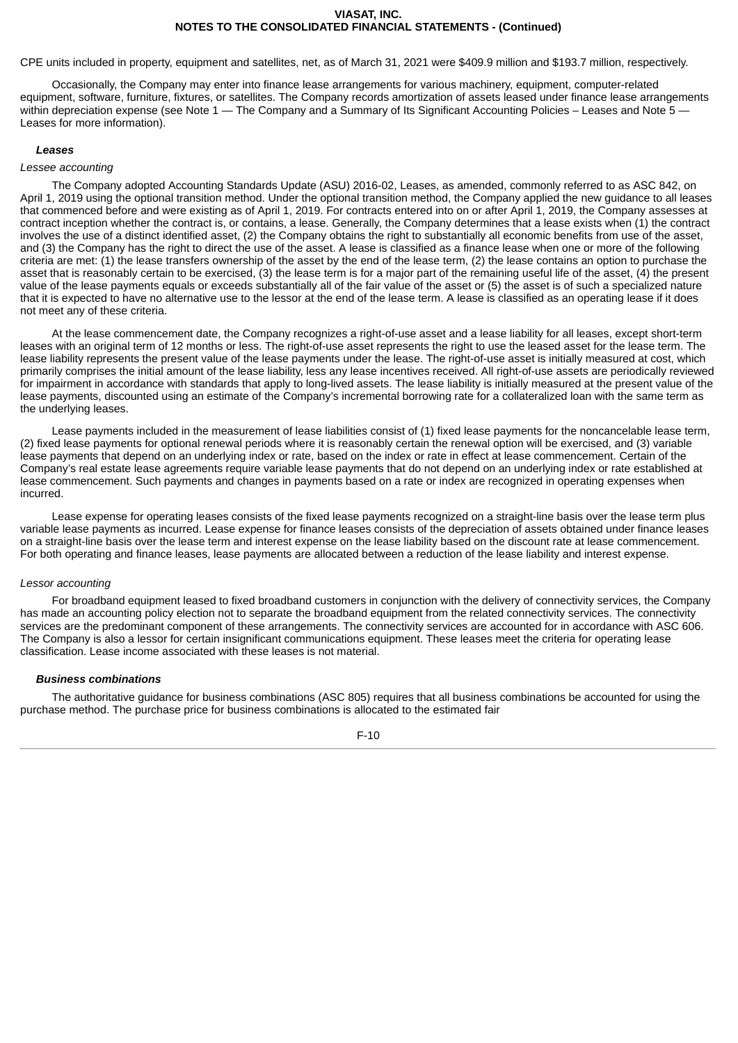CPE units included in property, equipment and satellites, net, as of March 31, 2021 were \$409.9 million and \$193.7 million, respectively.

Occasionally, the Company may enter into finance lease arrangements for various machinery, equipment, computer-related equipment, software, furniture, fixtures, or satellites. The Company records amortization of assets leased under finance lease arrangements within depreciation expense (see Note 1 — The Company and a Summary of Its Significant Accounting Policies – Leases and Note 5 -Leases for more information).

#### *Leases*

### *Lessee accounting*

The Company adopted Accounting Standards Update (ASU) 2016-02, Leases, as amended, commonly referred to as ASC 842, on April 1, 2019 using the optional transition method. Under the optional transition method, the Company applied the new guidance to all leases that commenced before and were existing as of April 1, 2019. For contracts entered into on or after April 1, 2019, the Company assesses at contract inception whether the contract is, or contains, a lease. Generally, the Company determines that a lease exists when (1) the contract involves the use of a distinct identified asset, (2) the Company obtains the right to substantially all economic benefits from use of the asset, and (3) the Company has the right to direct the use of the asset. A lease is classified as a finance lease when one or more of the following criteria are met: (1) the lease transfers ownership of the asset by the end of the lease term, (2) the lease contains an option to purchase the asset that is reasonably certain to be exercised, (3) the lease term is for a major part of the remaining useful life of the asset, (4) the present value of the lease payments equals or exceeds substantially all of the fair value of the asset or (5) the asset is of such a specialized nature that it is expected to have no alternative use to the lessor at the end of the lease term. A lease is classified as an operating lease if it does not meet any of these criteria.

At the lease commencement date, the Company recognizes a right-of-use asset and a lease liability for all leases, except short-term leases with an original term of 12 months or less. The right-of-use asset represents the right to use the leased asset for the lease term. The lease liability represents the present value of the lease payments under the lease. The right-of-use asset is initially measured at cost, which primarily comprises the initial amount of the lease liability, less any lease incentives received. All right-of-use assets are periodically reviewed for impairment in accordance with standards that apply to long-lived assets. The lease liability is initially measured at the present value of the lease payments, discounted using an estimate of the Company's incremental borrowing rate for a collateralized loan with the same term as the underlying leases.

Lease payments included in the measurement of lease liabilities consist of (1) fixed lease payments for the noncancelable lease term, (2) fixed lease payments for optional renewal periods where it is reasonably certain the renewal option will be exercised, and (3) variable lease payments that depend on an underlying index or rate, based on the index or rate in effect at lease commencement. Certain of the Company's real estate lease agreements require variable lease payments that do not depend on an underlying index or rate established at lease commencement. Such payments and changes in payments based on a rate or index are recognized in operating expenses when incurred.

Lease expense for operating leases consists of the fixed lease payments recognized on a straight-line basis over the lease term plus variable lease payments as incurred. Lease expense for finance leases consists of the depreciation of assets obtained under finance leases on a straight-line basis over the lease term and interest expense on the lease liability based on the discount rate at lease commencement. For both operating and finance leases, lease payments are allocated between a reduction of the lease liability and interest expense.

#### *Lessor accounting*

For broadband equipment leased to fixed broadband customers in conjunction with the delivery of connectivity services, the Company has made an accounting policy election not to separate the broadband equipment from the related connectivity services. The connectivity services are the predominant component of these arrangements. The connectivity services are accounted for in accordance with ASC 606. The Company is also a lessor for certain insignificant communications equipment. These leases meet the criteria for operating lease classification. Lease income associated with these leases is not material.

#### *Business combinations*

The authoritative guidance for business combinations (ASC 805) requires that all business combinations be accounted for using the purchase method. The purchase price for business combinations is allocated to the estimated fair

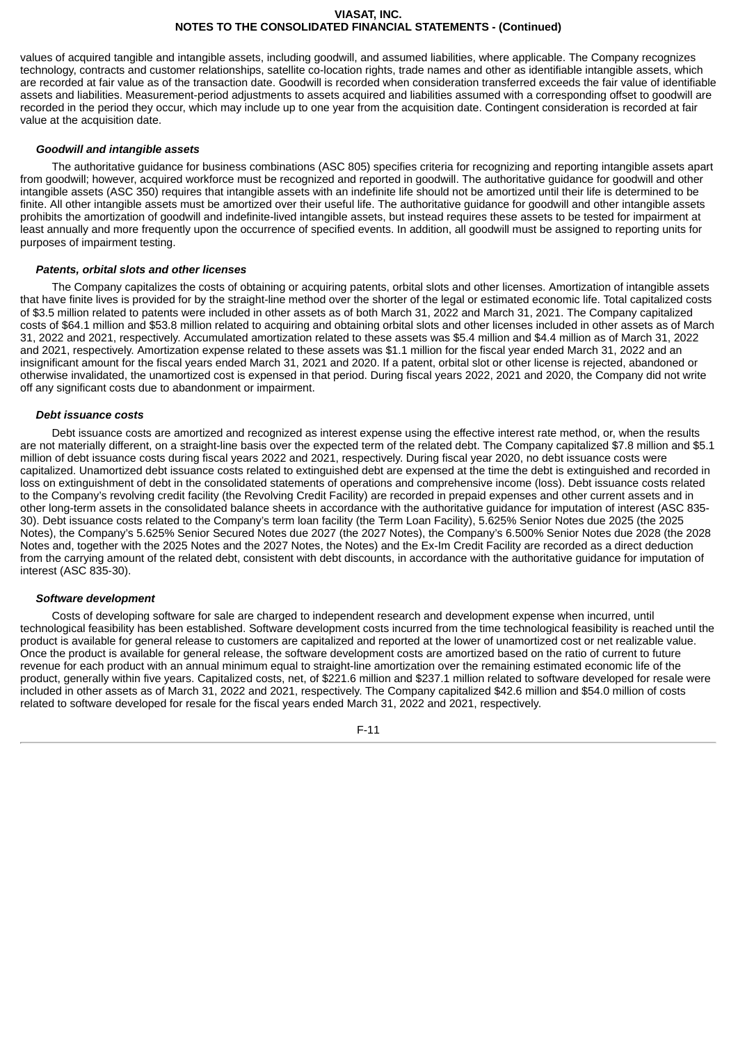values of acquired tangible and intangible assets, including goodwill, and assumed liabilities, where applicable. The Company recognizes technology, contracts and customer relationships, satellite co-location rights, trade names and other as identifiable intangible assets, which are recorded at fair value as of the transaction date. Goodwill is recorded when consideration transferred exceeds the fair value of identifiable assets and liabilities. Measurement-period adjustments to assets acquired and liabilities assumed with a corresponding offset to goodwill are recorded in the period they occur, which may include up to one year from the acquisition date. Contingent consideration is recorded at fair value at the acquisition date.

#### *Goodwill and intangible assets*

The authoritative guidance for business combinations (ASC 805) specifies criteria for recognizing and reporting intangible assets apart from goodwill; however, acquired workforce must be recognized and reported in goodwill. The authoritative guidance for goodwill and other intangible assets (ASC 350) requires that intangible assets with an indefinite life should not be amortized until their life is determined to be finite. All other intangible assets must be amortized over their useful life. The authoritative guidance for goodwill and other intangible assets prohibits the amortization of goodwill and indefinite-lived intangible assets, but instead requires these assets to be tested for impairment at least annually and more frequently upon the occurrence of specified events. In addition, all goodwill must be assigned to reporting units for purposes of impairment testing.

#### *Patents, orbital slots and other licenses*

The Company capitalizes the costs of obtaining or acquiring patents, orbital slots and other licenses. Amortization of intangible assets that have finite lives is provided for by the straight-line method over the shorter of the legal or estimated economic life. Total capitalized costs of \$3.5 million related to patents were included in other assets as of both March 31, 2022 and March 31, 2021. The Company capitalized costs of \$64.1 million and \$53.8 million related to acquiring and obtaining orbital slots and other licenses included in other assets as of March 31, 2022 and 2021, respectively. Accumulated amortization related to these assets was \$5.4 million and \$4.4 million as of March 31, 2022 and 2021, respectively. Amortization expense related to these assets was \$1.1 million for the fiscal year ended March 31, 2022 and an insignificant amount for the fiscal years ended March 31, 2021 and 2020. If a patent, orbital slot or other license is rejected, abandoned or otherwise invalidated, the unamortized cost is expensed in that period. During fiscal years 2022, 2021 and 2020, the Company did not write off any significant costs due to abandonment or impairment.

### *Debt issuance costs*

Debt issuance costs are amortized and recognized as interest expense using the effective interest rate method, or, when the results are not materially different, on a straight-line basis over the expected term of the related debt. The Company capitalized \$7.8 million and \$5.1 million of debt issuance costs during fiscal years 2022 and 2021, respectively. During fiscal year 2020, no debt issuance costs were capitalized. Unamortized debt issuance costs related to extinguished debt are expensed at the time the debt is extinguished and recorded in loss on extinguishment of debt in the consolidated statements of operations and comprehensive income (loss). Debt issuance costs related to the Company's revolving credit facility (the Revolving Credit Facility) are recorded in prepaid expenses and other current assets and in other long-term assets in the consolidated balance sheets in accordance with the authoritative guidance for imputation of interest (ASC 835- 30). Debt issuance costs related to the Company's term loan facility (the Term Loan Facility), 5.625% Senior Notes due 2025 (the 2025 Notes), the Company's 5.625% Senior Secured Notes due 2027 (the 2027 Notes), the Company's 6.500% Senior Notes due 2028 (the 2028 Notes and, together with the 2025 Notes and the 2027 Notes, the Notes) and the Ex-Im Credit Facility are recorded as a direct deduction from the carrying amount of the related debt, consistent with debt discounts, in accordance with the authoritative guidance for imputation of interest (ASC 835-30).

#### *Software development*

Costs of developing software for sale are charged to independent research and development expense when incurred, until technological feasibility has been established. Software development costs incurred from the time technological feasibility is reached until the product is available for general release to customers are capitalized and reported at the lower of unamortized cost or net realizable value. Once the product is available for general release, the software development costs are amortized based on the ratio of current to future revenue for each product with an annual minimum equal to straight-line amortization over the remaining estimated economic life of the product, generally within five years. Capitalized costs, net, of \$221.6 million and \$237.1 million related to software developed for resale were included in other assets as of March 31, 2022 and 2021, respectively. The Company capitalized \$42.6 million and \$54.0 million of costs related to software developed for resale for the fiscal years ended March 31, 2022 and 2021, respectively.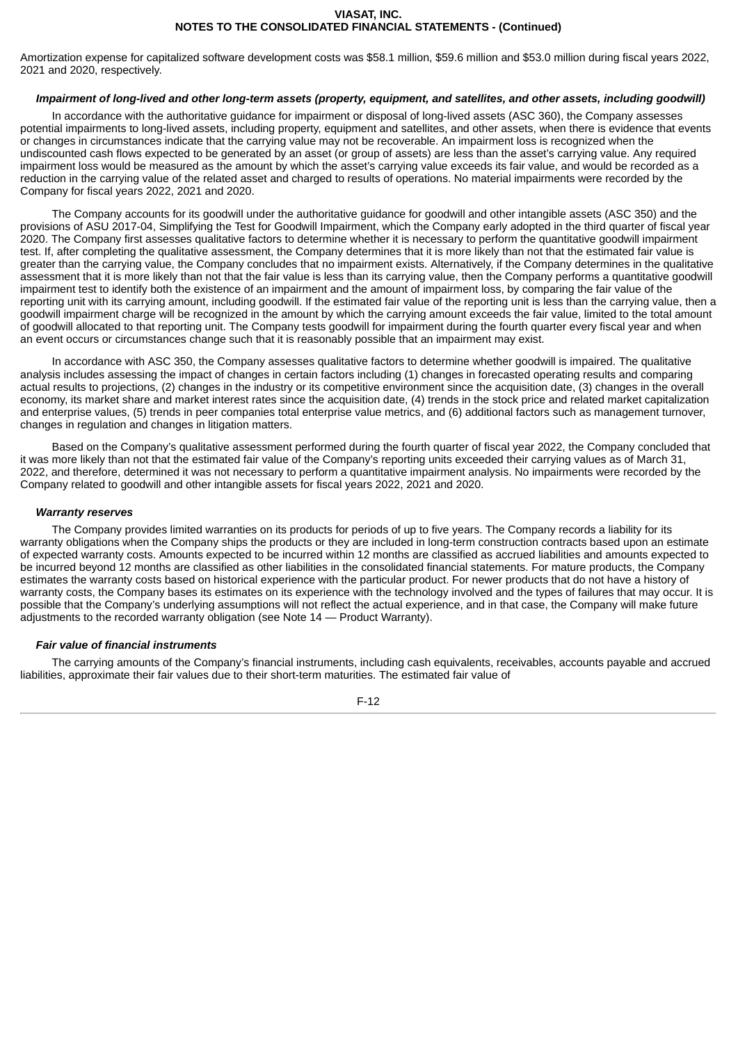Amortization expense for capitalized software development costs was \$58.1 million, \$59.6 million and \$53.0 million during fiscal years 2022, 2021 and 2020, respectively.

### Impairment of long-lived and other long-term assets (property, equipment, and satellites, and other assets, including goodwill)

In accordance with the authoritative guidance for impairment or disposal of long-lived assets (ASC 360), the Company assesses potential impairments to long-lived assets, including property, equipment and satellites, and other assets, when there is evidence that events or changes in circumstances indicate that the carrying value may not be recoverable. An impairment loss is recognized when the undiscounted cash flows expected to be generated by an asset (or group of assets) are less than the asset's carrying value. Any required impairment loss would be measured as the amount by which the asset's carrying value exceeds its fair value, and would be recorded as a reduction in the carrying value of the related asset and charged to results of operations. No material impairments were recorded by the Company for fiscal years 2022, 2021 and 2020.

The Company accounts for its goodwill under the authoritative guidance for goodwill and other intangible assets (ASC 350) and the provisions of ASU 2017-04, Simplifying the Test for Goodwill Impairment, which the Company early adopted in the third quarter of fiscal year 2020. The Company first assesses qualitative factors to determine whether it is necessary to perform the quantitative goodwill impairment test. If, after completing the qualitative assessment, the Company determines that it is more likely than not that the estimated fair value is greater than the carrying value, the Company concludes that no impairment exists. Alternatively, if the Company determines in the qualitative assessment that it is more likely than not that the fair value is less than its carrying value, then the Company performs a quantitative goodwill impairment test to identify both the existence of an impairment and the amount of impairment loss, by comparing the fair value of the reporting unit with its carrying amount, including goodwill. If the estimated fair value of the reporting unit is less than the carrying value, then a goodwill impairment charge will be recognized in the amount by which the carrying amount exceeds the fair value, limited to the total amount of goodwill allocated to that reporting unit. The Company tests goodwill for impairment during the fourth quarter every fiscal year and when an event occurs or circumstances change such that it is reasonably possible that an impairment may exist.

In accordance with ASC 350, the Company assesses qualitative factors to determine whether goodwill is impaired. The qualitative analysis includes assessing the impact of changes in certain factors including (1) changes in forecasted operating results and comparing actual results to projections, (2) changes in the industry or its competitive environment since the acquisition date, (3) changes in the overall economy, its market share and market interest rates since the acquisition date, (4) trends in the stock price and related market capitalization and enterprise values, (5) trends in peer companies total enterprise value metrics, and (6) additional factors such as management turnover, changes in regulation and changes in litigation matters.

Based on the Company's qualitative assessment performed during the fourth quarter of fiscal year 2022, the Company concluded that it was more likely than not that the estimated fair value of the Company's reporting units exceeded their carrying values as of March 31, 2022, and therefore, determined it was not necessary to perform a quantitative impairment analysis. No impairments were recorded by the Company related to goodwill and other intangible assets for fiscal years 2022, 2021 and 2020.

### *Warranty reserves*

The Company provides limited warranties on its products for periods of up to five years. The Company records a liability for its warranty obligations when the Company ships the products or they are included in long-term construction contracts based upon an estimate of expected warranty costs. Amounts expected to be incurred within 12 months are classified as accrued liabilities and amounts expected to be incurred beyond 12 months are classified as other liabilities in the consolidated financial statements. For mature products, the Company estimates the warranty costs based on historical experience with the particular product. For newer products that do not have a history of warranty costs, the Company bases its estimates on its experience with the technology involved and the types of failures that may occur. It is possible that the Company's underlying assumptions will not reflect the actual experience, and in that case, the Company will make future adjustments to the recorded warranty obligation (see Note 14 — Product Warranty).

### *Fair value of financial instruments*

The carrying amounts of the Company's financial instruments, including cash equivalents, receivables, accounts payable and accrued liabilities, approximate their fair values due to their short-term maturities. The estimated fair value of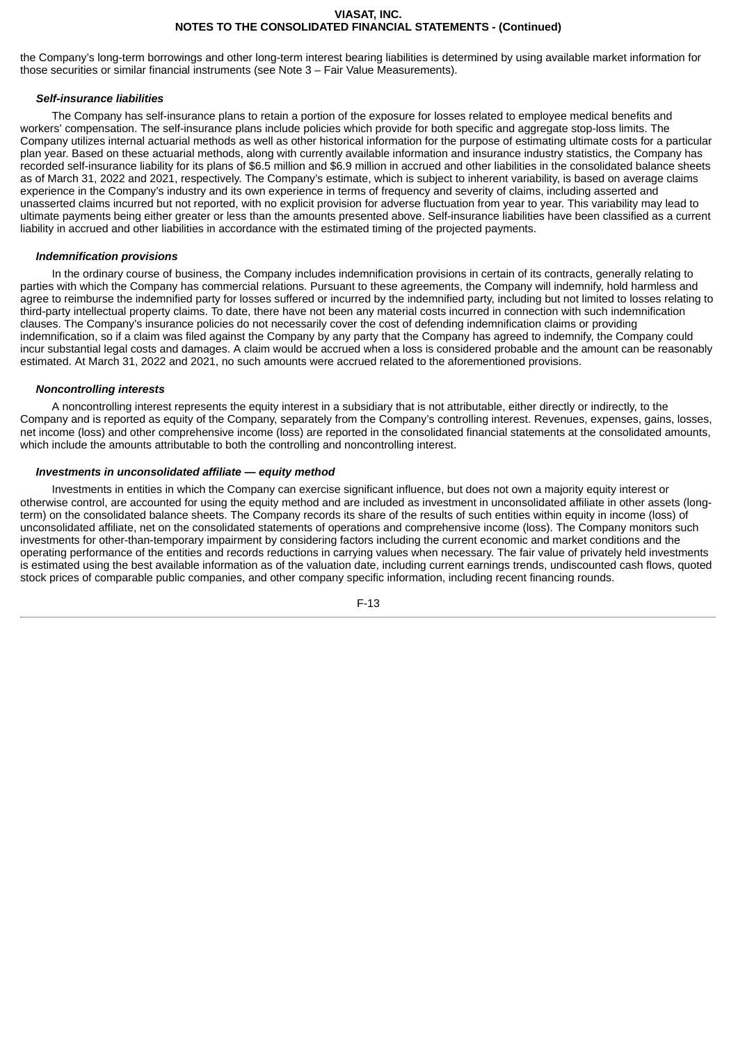the Company's long-term borrowings and other long-term interest bearing liabilities is determined by using available market information for those securities or similar financial instruments (see Note 3 – Fair Value Measurements).

#### *Self-insurance liabilities*

The Company has self-insurance plans to retain a portion of the exposure for losses related to employee medical benefits and workers' compensation. The self-insurance plans include policies which provide for both specific and aggregate stop-loss limits. The Company utilizes internal actuarial methods as well as other historical information for the purpose of estimating ultimate costs for a particular plan year. Based on these actuarial methods, along with currently available information and insurance industry statistics, the Company has recorded self-insurance liability for its plans of \$6.5 million and \$6.9 million in accrued and other liabilities in the consolidated balance sheets as of March 31, 2022 and 2021, respectively. The Company's estimate, which is subject to inherent variability, is based on average claims experience in the Company's industry and its own experience in terms of frequency and severity of claims, including asserted and unasserted claims incurred but not reported, with no explicit provision for adverse fluctuation from year to year. This variability may lead to ultimate payments being either greater or less than the amounts presented above. Self-insurance liabilities have been classified as a current liability in accrued and other liabilities in accordance with the estimated timing of the projected payments.

#### *Indemnification provisions*

In the ordinary course of business, the Company includes indemnification provisions in certain of its contracts, generally relating to parties with which the Company has commercial relations. Pursuant to these agreements, the Company will indemnify, hold harmless and agree to reimburse the indemnified party for losses suffered or incurred by the indemnified party, including but not limited to losses relating to third-party intellectual property claims. To date, there have not been any material costs incurred in connection with such indemnification clauses. The Company's insurance policies do not necessarily cover the cost of defending indemnification claims or providing indemnification, so if a claim was filed against the Company by any party that the Company has agreed to indemnify, the Company could incur substantial legal costs and damages. A claim would be accrued when a loss is considered probable and the amount can be reasonably estimated. At March 31, 2022 and 2021, no such amounts were accrued related to the aforementioned provisions.

#### *Noncontrolling interests*

A noncontrolling interest represents the equity interest in a subsidiary that is not attributable, either directly or indirectly, to the Company and is reported as equity of the Company, separately from the Company's controlling interest. Revenues, expenses, gains, losses, net income (loss) and other comprehensive income (loss) are reported in the consolidated financial statements at the consolidated amounts, which include the amounts attributable to both the controlling and noncontrolling interest.

#### *Investments in unconsolidated affiliate — equity method*

Investments in entities in which the Company can exercise significant influence, but does not own a majority equity interest or otherwise control, are accounted for using the equity method and are included as investment in unconsolidated affiliate in other assets (longterm) on the consolidated balance sheets. The Company records its share of the results of such entities within equity in income (loss) of unconsolidated affiliate, net on the consolidated statements of operations and comprehensive income (loss). The Company monitors such investments for other-than-temporary impairment by considering factors including the current economic and market conditions and the operating performance of the entities and records reductions in carrying values when necessary. The fair value of privately held investments is estimated using the best available information as of the valuation date, including current earnings trends, undiscounted cash flows, quoted stock prices of comparable public companies, and other company specific information, including recent financing rounds.

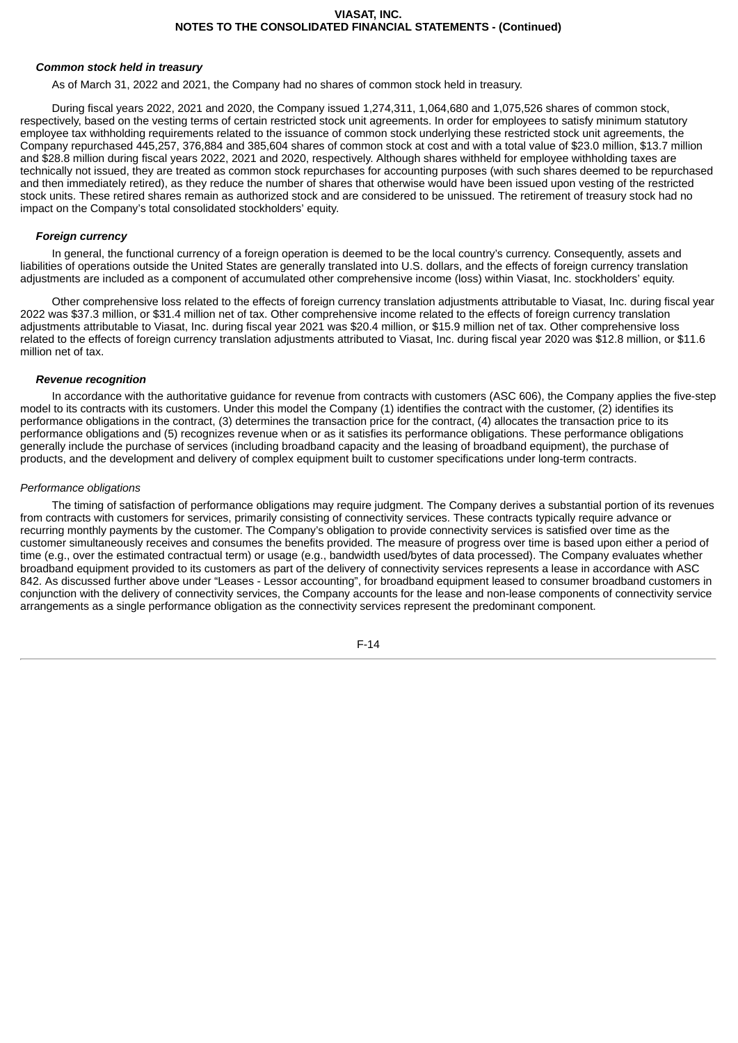### *Common stock held in treasury*

As of March 31, 2022 and 2021, the Company had no shares of common stock held in treasury.

During fiscal years 2022, 2021 and 2020, the Company issued 1,274,311, 1,064,680 and 1,075,526 shares of common stock, respectively, based on the vesting terms of certain restricted stock unit agreements. In order for employees to satisfy minimum statutory employee tax withholding requirements related to the issuance of common stock underlying these restricted stock unit agreements, the Company repurchased 445,257, 376,884 and 385,604 shares of common stock at cost and with a total value of \$23.0 million, \$13.7 million and \$28.8 million during fiscal years 2022, 2021 and 2020, respectively. Although shares withheld for employee withholding taxes are technically not issued, they are treated as common stock repurchases for accounting purposes (with such shares deemed to be repurchased and then immediately retired), as they reduce the number of shares that otherwise would have been issued upon vesting of the restricted stock units. These retired shares remain as authorized stock and are considered to be unissued. The retirement of treasury stock had no impact on the Company's total consolidated stockholders' equity.

#### *Foreign currency*

In general, the functional currency of a foreign operation is deemed to be the local country's currency. Consequently, assets and liabilities of operations outside the United States are generally translated into U.S. dollars, and the effects of foreign currency translation adjustments are included as a component of accumulated other comprehensive income (loss) within Viasat, Inc. stockholders' equity.

Other comprehensive loss related to the effects of foreign currency translation adjustments attributable to Viasat, Inc. during fiscal year 2022 was \$37.3 million, or \$31.4 million net of tax. Other comprehensive income related to the effects of foreign currency translation adjustments attributable to Viasat, Inc. during fiscal year 2021 was \$20.4 million, or \$15.9 million net of tax. Other comprehensive loss related to the effects of foreign currency translation adjustments attributed to Viasat, Inc. during fiscal year 2020 was \$12.8 million, or \$11.6 million net of tax.

#### *Revenue recognition*

In accordance with the authoritative guidance for revenue from contracts with customers (ASC 606), the Company applies the five-step model to its contracts with its customers. Under this model the Company (1) identifies the contract with the customer, (2) identifies its performance obligations in the contract, (3) determines the transaction price for the contract, (4) allocates the transaction price to its performance obligations and (5) recognizes revenue when or as it satisfies its performance obligations. These performance obligations generally include the purchase of services (including broadband capacity and the leasing of broadband equipment), the purchase of products, and the development and delivery of complex equipment built to customer specifications under long-term contracts.

#### *Performance obligations*

The timing of satisfaction of performance obligations may require judgment. The Company derives a substantial portion of its revenues from contracts with customers for services, primarily consisting of connectivity services. These contracts typically require advance or recurring monthly payments by the customer. The Company's obligation to provide connectivity services is satisfied over time as the customer simultaneously receives and consumes the benefits provided. The measure of progress over time is based upon either a period of time (e.g., over the estimated contractual term) or usage (e.g., bandwidth used/bytes of data processed). The Company evaluates whether broadband equipment provided to its customers as part of the delivery of connectivity services represents a lease in accordance with ASC 842. As discussed further above under "Leases - Lessor accounting", for broadband equipment leased to consumer broadband customers in conjunction with the delivery of connectivity services, the Company accounts for the lease and non-lease components of connectivity service arrangements as a single performance obligation as the connectivity services represent the predominant component.

$$
F-14
$$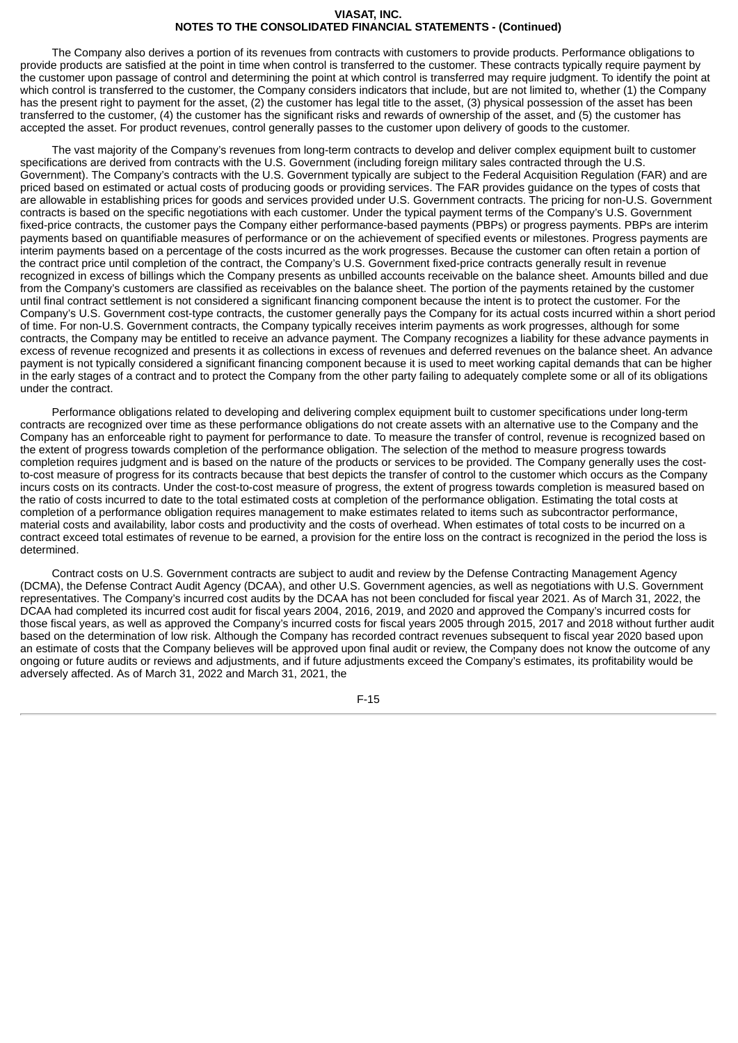The Company also derives a portion of its revenues from contracts with customers to provide products. Performance obligations to provide products are satisfied at the point in time when control is transferred to the customer. These contracts typically require payment by the customer upon passage of control and determining the point at which control is transferred may require judgment. To identify the point at which control is transferred to the customer, the Company considers indicators that include, but are not limited to, whether (1) the Company has the present right to payment for the asset, (2) the customer has legal title to the asset, (3) physical possession of the asset has been transferred to the customer, (4) the customer has the significant risks and rewards of ownership of the asset, and (5) the customer has accepted the asset. For product revenues, control generally passes to the customer upon delivery of goods to the customer.

The vast majority of the Company's revenues from long-term contracts to develop and deliver complex equipment built to customer specifications are derived from contracts with the U.S. Government (including foreign military sales contracted through the U.S. Government). The Company's contracts with the U.S. Government typically are subject to the Federal Acquisition Regulation (FAR) and are priced based on estimated or actual costs of producing goods or providing services. The FAR provides guidance on the types of costs that are allowable in establishing prices for goods and services provided under U.S. Government contracts. The pricing for non-U.S. Government contracts is based on the specific negotiations with each customer. Under the typical payment terms of the Company's U.S. Government fixed-price contracts, the customer pays the Company either performance-based payments (PBPs) or progress payments. PBPs are interim payments based on quantifiable measures of performance or on the achievement of specified events or milestones. Progress payments are interim payments based on a percentage of the costs incurred as the work progresses. Because the customer can often retain a portion of the contract price until completion of the contract, the Company's U.S. Government fixed-price contracts generally result in revenue recognized in excess of billings which the Company presents as unbilled accounts receivable on the balance sheet. Amounts billed and due from the Company's customers are classified as receivables on the balance sheet. The portion of the payments retained by the customer until final contract settlement is not considered a significant financing component because the intent is to protect the customer. For the Company's U.S. Government cost-type contracts, the customer generally pays the Company for its actual costs incurred within a short period of time. For non-U.S. Government contracts, the Company typically receives interim payments as work progresses, although for some contracts, the Company may be entitled to receive an advance payment. The Company recognizes a liability for these advance payments in excess of revenue recognized and presents it as collections in excess of revenues and deferred revenues on the balance sheet. An advance payment is not typically considered a significant financing component because it is used to meet working capital demands that can be higher in the early stages of a contract and to protect the Company from the other party failing to adequately complete some or all of its obligations under the contract.

Performance obligations related to developing and delivering complex equipment built to customer specifications under long-term contracts are recognized over time as these performance obligations do not create assets with an alternative use to the Company and the Company has an enforceable right to payment for performance to date. To measure the transfer of control, revenue is recognized based on the extent of progress towards completion of the performance obligation. The selection of the method to measure progress towards completion requires judgment and is based on the nature of the products or services to be provided. The Company generally uses the costto-cost measure of progress for its contracts because that best depicts the transfer of control to the customer which occurs as the Company incurs costs on its contracts. Under the cost-to-cost measure of progress, the extent of progress towards completion is measured based on the ratio of costs incurred to date to the total estimated costs at completion of the performance obligation. Estimating the total costs at completion of a performance obligation requires management to make estimates related to items such as subcontractor performance, material costs and availability, labor costs and productivity and the costs of overhead. When estimates of total costs to be incurred on a contract exceed total estimates of revenue to be earned, a provision for the entire loss on the contract is recognized in the period the loss is determined.

Contract costs on U.S. Government contracts are subject to audit and review by the Defense Contracting Management Agency (DCMA), the Defense Contract Audit Agency (DCAA), and other U.S. Government agencies, as well as negotiations with U.S. Government representatives. The Company's incurred cost audits by the DCAA has not been concluded for fiscal year 2021. As of March 31, 2022, the DCAA had completed its incurred cost audit for fiscal years 2004, 2016, 2019, and 2020 and approved the Company's incurred costs for those fiscal years, as well as approved the Company's incurred costs for fiscal years 2005 through 2015, 2017 and 2018 without further audit based on the determination of low risk. Although the Company has recorded contract revenues subsequent to fiscal year 2020 based upon an estimate of costs that the Company believes will be approved upon final audit or review, the Company does not know the outcome of any ongoing or future audits or reviews and adjustments, and if future adjustments exceed the Company's estimates, its profitability would be adversely affected. As of March 31, 2022 and March 31, 2021, the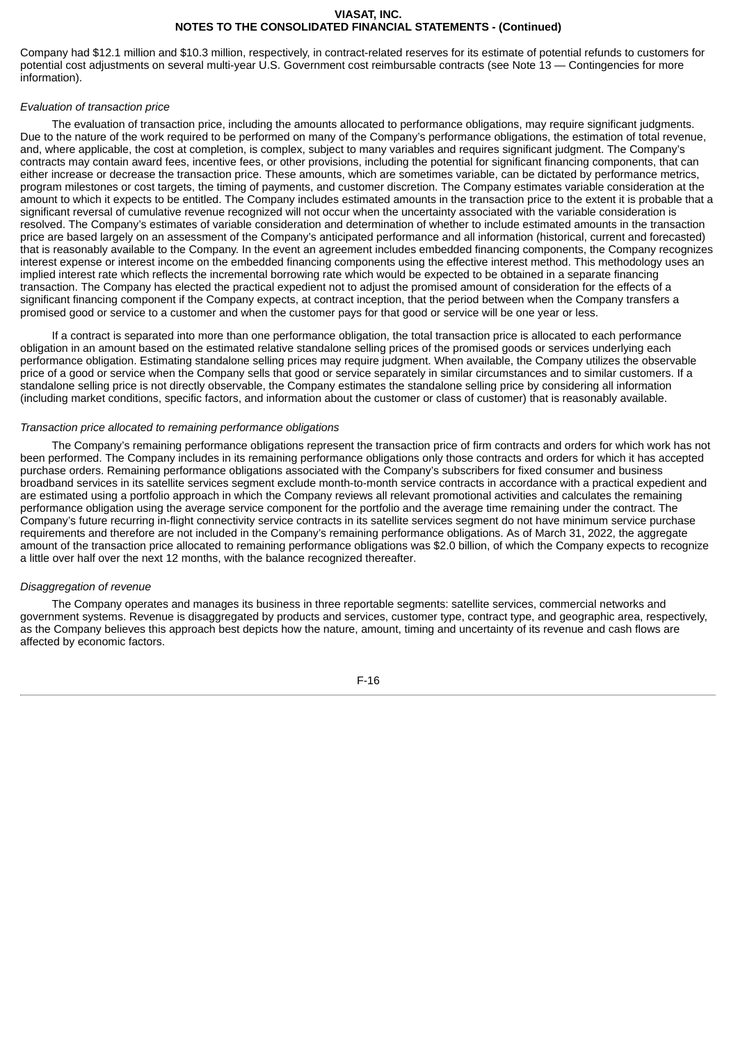Company had \$12.1 million and \$10.3 million, respectively, in contract-related reserves for its estimate of potential refunds to customers for potential cost adjustments on several multi-year U.S. Government cost reimbursable contracts (see Note 13 — Contingencies for more information).

#### *Evaluation of transaction price*

The evaluation of transaction price, including the amounts allocated to performance obligations, may require significant judgments. Due to the nature of the work required to be performed on many of the Company's performance obligations, the estimation of total revenue, and, where applicable, the cost at completion, is complex, subject to many variables and requires significant judgment. The Company's contracts may contain award fees, incentive fees, or other provisions, including the potential for significant financing components, that can either increase or decrease the transaction price. These amounts, which are sometimes variable, can be dictated by performance metrics, program milestones or cost targets, the timing of payments, and customer discretion. The Company estimates variable consideration at the amount to which it expects to be entitled. The Company includes estimated amounts in the transaction price to the extent it is probable that a significant reversal of cumulative revenue recognized will not occur when the uncertainty associated with the variable consideration is resolved. The Company's estimates of variable consideration and determination of whether to include estimated amounts in the transaction price are based largely on an assessment of the Company's anticipated performance and all information (historical, current and forecasted) that is reasonably available to the Company. In the event an agreement includes embedded financing components, the Company recognizes interest expense or interest income on the embedded financing components using the effective interest method. This methodology uses an implied interest rate which reflects the incremental borrowing rate which would be expected to be obtained in a separate financing transaction. The Company has elected the practical expedient not to adjust the promised amount of consideration for the effects of a significant financing component if the Company expects, at contract inception, that the period between when the Company transfers a promised good or service to a customer and when the customer pays for that good or service will be one year or less.

If a contract is separated into more than one performance obligation, the total transaction price is allocated to each performance obligation in an amount based on the estimated relative standalone selling prices of the promised goods or services underlying each performance obligation. Estimating standalone selling prices may require judgment. When available, the Company utilizes the observable price of a good or service when the Company sells that good or service separately in similar circumstances and to similar customers. If a standalone selling price is not directly observable, the Company estimates the standalone selling price by considering all information (including market conditions, specific factors, and information about the customer or class of customer) that is reasonably available.

# *Transaction price allocated to remaining performance obligations*

The Company's remaining performance obligations represent the transaction price of firm contracts and orders for which work has not been performed. The Company includes in its remaining performance obligations only those contracts and orders for which it has accepted purchase orders. Remaining performance obligations associated with the Company's subscribers for fixed consumer and business broadband services in its satellite services segment exclude month-to-month service contracts in accordance with a practical expedient and are estimated using a portfolio approach in which the Company reviews all relevant promotional activities and calculates the remaining performance obligation using the average service component for the portfolio and the average time remaining under the contract. The Company's future recurring in-flight connectivity service contracts in its satellite services segment do not have minimum service purchase requirements and therefore are not included in the Company's remaining performance obligations. As of March 31, 2022, the aggregate amount of the transaction price allocated to remaining performance obligations was \$2.0 billion, of which the Company expects to recognize a little over half over the next 12 months, with the balance recognized thereafter.

### *Disaggregation of revenue*

The Company operates and manages its business in three reportable segments: satellite services, commercial networks and government systems. Revenue is disaggregated by products and services, customer type, contract type, and geographic area, respectively, as the Company believes this approach best depicts how the nature, amount, timing and uncertainty of its revenue and cash flows are affected by economic factors.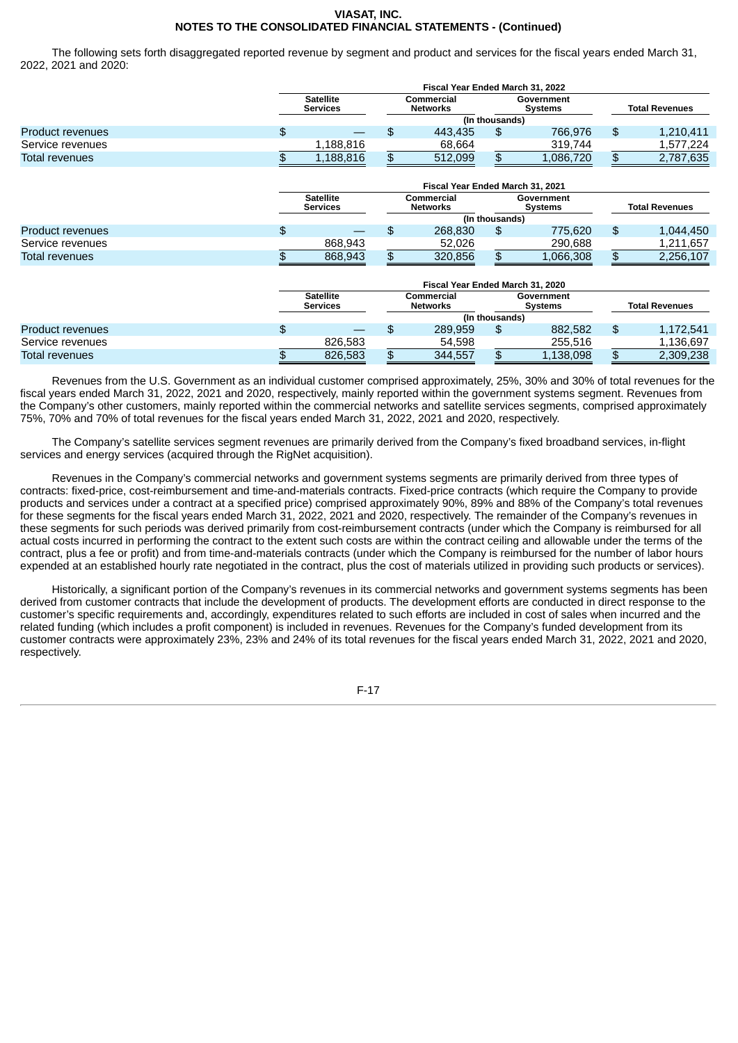The following sets forth disaggregated reported revenue by segment and product and services for the fiscal years ended March 31, 2022, 2021 and 2020:

|                       |    | Fiscal Year Ended March 31, 2022                                     |    |                                  |                |                              |                       |                       |  |  |
|-----------------------|----|----------------------------------------------------------------------|----|----------------------------------|----------------|------------------------------|-----------------------|-----------------------|--|--|
|                       |    | <b>Satellite</b><br><b>Services</b>                                  |    | Commercial<br><b>Networks</b>    |                | Government<br><b>Systems</b> |                       | <b>Total Revenues</b> |  |  |
|                       |    |                                                                      |    |                                  | (In thousands) |                              |                       |                       |  |  |
| Product revenues      | \$ |                                                                      | \$ | 443.435                          | \$             | 766,976                      | $\frac{1}{2}$         | 1,210,411             |  |  |
| Service revenues      |    | 1,188,816                                                            |    | 68,664                           |                | 319,744                      |                       | 1,577,224             |  |  |
| <b>Total revenues</b> | ъ  | 1,188,816                                                            | \$ | 512,099                          | \$             | 1,086,720                    | \$                    | 2,787,635             |  |  |
|                       |    |                                                                      |    |                                  |                |                              |                       |                       |  |  |
|                       |    |                                                                      |    | Fiscal Year Ended March 31, 2021 |                |                              |                       |                       |  |  |
|                       |    | <b>Satellite</b><br>Commercial<br><b>Networks</b><br><b>Services</b> |    |                                  |                | Government<br><b>Systems</b> | <b>Total Revenues</b> |                       |  |  |
|                       |    |                                                                      |    |                                  | (In thousands) |                              |                       |                       |  |  |
| Product revenues      | \$ |                                                                      | \$ | 268,830                          | \$             | 775,620                      | \$                    | 1,044,450             |  |  |
| Service revenues      |    | 868.943                                                              |    | 52,026                           |                | 290.688                      |                       | 1,211,657             |  |  |
| <b>Total revenues</b> |    | 868,943                                                              | \$ | 320,856                          | \$             | 1,066,308                    | \$                    | 2,256,107             |  |  |
|                       |    |                                                                      |    |                                  |                |                              |                       |                       |  |  |
|                       |    | Fiscal Year Ended March 31, 2020                                     |    |                                  |                |                              |                       |                       |  |  |
|                       |    | <b>Satellite</b>                                                     |    | Commercial                       |                | Government                   |                       |                       |  |  |

|                         |   | <b>Satellite</b><br>Services |    | Commercial<br><b>Networks</b> |                | Government<br>Svstems |   | <b>Total Revenues</b> |
|-------------------------|---|------------------------------|----|-------------------------------|----------------|-----------------------|---|-----------------------|
|                         |   |                              |    |                               | (In thousands) |                       |   |                       |
| <b>Product revenues</b> | Ф | _                            |    | 289,959                       | \$             | 882.582               | Ф | 1,172,541             |
| Service revenues        |   | 826.583                      |    | 54.598                        |                | 255.516               |   | 1.136.697             |
| <b>Total revenues</b>   |   | 826,583                      | ۰D | 344,557                       |                | 1.138.098             |   | 2,309,238             |

Revenues from the U.S. Government as an individual customer comprised approximately, 25%, 30% and 30% of total revenues for the fiscal years ended March 31, 2022, 2021 and 2020, respectively, mainly reported within the government systems segment. Revenues from the Company's other customers, mainly reported within the commercial networks and satellite services segments, comprised approximately 75%, 70% and 70% of total revenues for the fiscal years ended March 31, 2022, 2021 and 2020, respectively.

The Company's satellite services segment revenues are primarily derived from the Company's fixed broadband services, in-flight services and energy services (acquired through the RigNet acquisition).

Revenues in the Company's commercial networks and government systems segments are primarily derived from three types of contracts: fixed-price, cost-reimbursement and time-and-materials contracts. Fixed-price contracts (which require the Company to provide products and services under a contract at a specified price) comprised approximately 90%, 89% and 88% of the Company's total revenues for these segments for the fiscal years ended March 31, 2022, 2021 and 2020, respectively. The remainder of the Company's revenues in these segments for such periods was derived primarily from cost-reimbursement contracts (under which the Company is reimbursed for all actual costs incurred in performing the contract to the extent such costs are within the contract ceiling and allowable under the terms of the contract, plus a fee or profit) and from time-and-materials contracts (under which the Company is reimbursed for the number of labor hours expended at an established hourly rate negotiated in the contract, plus the cost of materials utilized in providing such products or services).

Historically, a significant portion of the Company's revenues in its commercial networks and government systems segments has been derived from customer contracts that include the development of products. The development efforts are conducted in direct response to the customer's specific requirements and, accordingly, expenditures related to such efforts are included in cost of sales when incurred and the related funding (which includes a profit component) is included in revenues. Revenues for the Company's funded development from its customer contracts were approximately 23%, 23% and 24% of its total revenues for the fiscal years ended March 31, 2022, 2021 and 2020, respectively.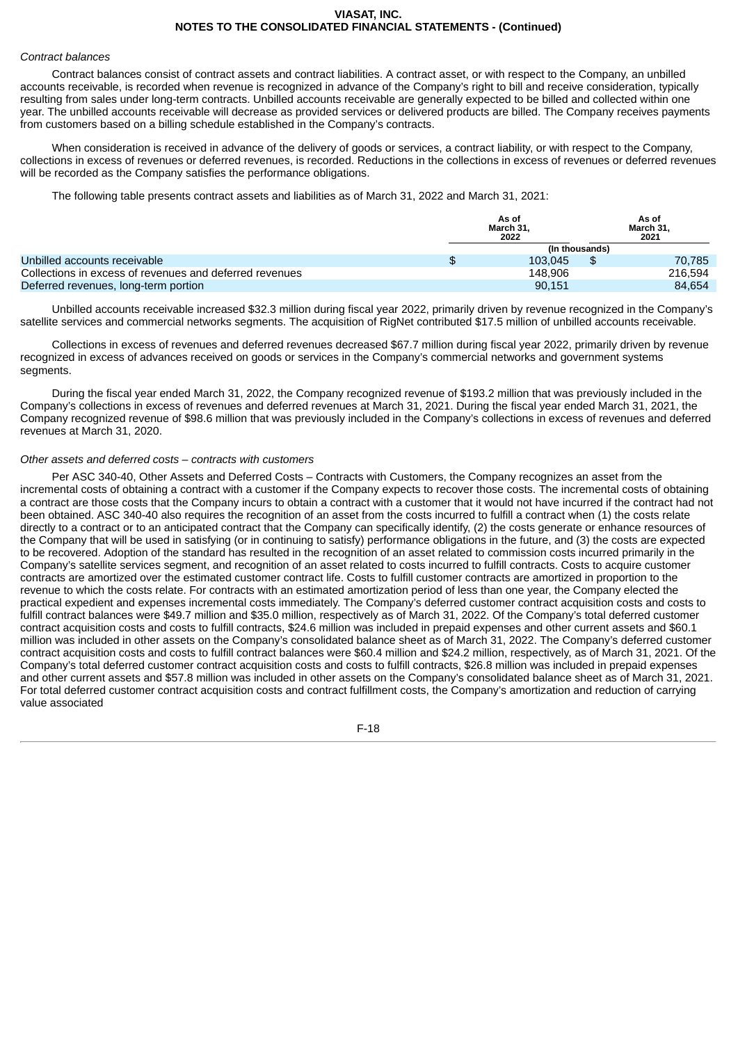#### *Contract balances*

Contract balances consist of contract assets and contract liabilities. A contract asset, or with respect to the Company, an unbilled accounts receivable, is recorded when revenue is recognized in advance of the Company's right to bill and receive consideration, typically resulting from sales under long-term contracts. Unbilled accounts receivable are generally expected to be billed and collected within one year. The unbilled accounts receivable will decrease as provided services or delivered products are billed. The Company receives payments from customers based on a billing schedule established in the Company's contracts.

When consideration is received in advance of the delivery of goods or services, a contract liability, or with respect to the Company, collections in excess of revenues or deferred revenues, is recorded. Reductions in the collections in excess of revenues or deferred revenues will be recorded as the Company satisfies the performance obligations.

The following table presents contract assets and liabilities as of March 31, 2022 and March 31, 2021:

|                                                         | As of<br>March 31.<br>2022 | As of<br>March 31.<br>2021 |
|---------------------------------------------------------|----------------------------|----------------------------|
|                                                         | (In thousands)             |                            |
| Unbilled accounts receivable                            | 103.045                    | 70.785                     |
| Collections in excess of revenues and deferred revenues | 148.906                    | 216.594                    |
| Deferred revenues, long-term portion                    | 90,151                     | 84.654                     |

Unbilled accounts receivable increased \$32.3 million during fiscal year 2022, primarily driven by revenue recognized in the Company's satellite services and commercial networks segments. The acquisition of RigNet contributed \$17.5 million of unbilled accounts receivable.

Collections in excess of revenues and deferred revenues decreased \$67.7 million during fiscal year 2022, primarily driven by revenue recognized in excess of advances received on goods or services in the Company's commercial networks and government systems segments.

During the fiscal year ended March 31, 2022, the Company recognized revenue of \$193.2 million that was previously included in the Company's collections in excess of revenues and deferred revenues at March 31, 2021. During the fiscal year ended March 31, 2021, the Company recognized revenue of \$98.6 million that was previously included in the Company's collections in excess of revenues and deferred revenues at March 31, 2020.

#### *Other assets and deferred costs – contracts with customers*

Per ASC 340-40, Other Assets and Deferred Costs – Contracts with Customers, the Company recognizes an asset from the incremental costs of obtaining a contract with a customer if the Company expects to recover those costs. The incremental costs of obtaining a contract are those costs that the Company incurs to obtain a contract with a customer that it would not have incurred if the contract had not been obtained. ASC 340-40 also requires the recognition of an asset from the costs incurred to fulfill a contract when (1) the costs relate directly to a contract or to an anticipated contract that the Company can specifically identify, (2) the costs generate or enhance resources of the Company that will be used in satisfying (or in continuing to satisfy) performance obligations in the future, and (3) the costs are expected to be recovered. Adoption of the standard has resulted in the recognition of an asset related to commission costs incurred primarily in the Company's satellite services segment, and recognition of an asset related to costs incurred to fulfill contracts. Costs to acquire customer contracts are amortized over the estimated customer contract life. Costs to fulfill customer contracts are amortized in proportion to the revenue to which the costs relate. For contracts with an estimated amortization period of less than one year, the Company elected the practical expedient and expenses incremental costs immediately. The Company's deferred customer contract acquisition costs and costs to fulfill contract balances were \$49.7 million and \$35.0 million, respectively as of March 31, 2022. Of the Company's total deferred customer contract acquisition costs and costs to fulfill contracts, \$24.6 million was included in prepaid expenses and other current assets and \$60.1 million was included in other assets on the Company's consolidated balance sheet as of March 31, 2022. The Company's deferred customer contract acquisition costs and costs to fulfill contract balances were \$60.4 million and \$24.2 million, respectively, as of March 31, 2021. Of the Company's total deferred customer contract acquisition costs and costs to fulfill contracts, \$26.8 million was included in prepaid expenses and other current assets and \$57.8 million was included in other assets on the Company's consolidated balance sheet as of March 31, 2021. For total deferred customer contract acquisition costs and contract fulfillment costs, the Company's amortization and reduction of carrying value associated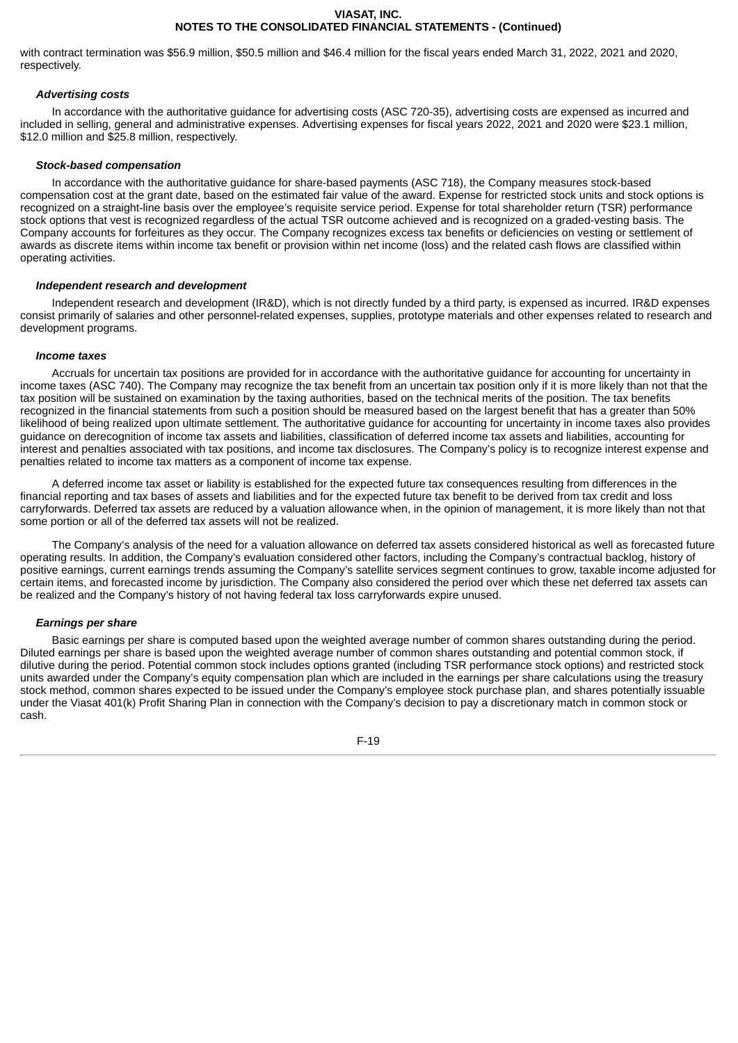with contract termination was \$56.9 million, \$50.5 million and \$46.4 million for the fiscal years ended March 31, 2022, 2021 and 2020, respectively.

# *Advertising costs*

In accordance with the authoritative guidance for advertising costs (ASC 720-35), advertising costs are expensed as incurred and included in selling, general and administrative expenses. Advertising expenses for fiscal years 2022, 2021 and 2020 were \$23.1 million, \$12.0 million and \$25.8 million, respectively.

### *Stock-based compensation*

In accordance with the authoritative guidance for share-based payments (ASC 718), the Company measures stock-based compensation cost at the grant date, based on the estimated fair value of the award. Expense for restricted stock units and stock options is recognized on a straight-line basis over the employee's requisite service period. Expense for total shareholder return (TSR) performance stock options that vest is recognized regardless of the actual TSR outcome achieved and is recognized on a graded-vesting basis. The Company accounts for forfeitures as they occur. The Company recognizes excess tax benefits or deficiencies on vesting or settlement of awards as discrete items within income tax benefit or provision within net income (loss) and the related cash flows are classified within operating activities.

#### *Independent research and development*

Independent research and development (IR&D), which is not directly funded by a third party, is expensed as incurred. IR&D expenses consist primarily of salaries and other personnel-related expenses, supplies, prototype materials and other expenses related to research and development programs.

#### *Income taxes*

Accruals for uncertain tax positions are provided for in accordance with the authoritative guidance for accounting for uncertainty in income taxes (ASC 740). The Company may recognize the tax benefit from an uncertain tax position only if it is more likely than not that the tax position will be sustained on examination by the taxing authorities, based on the technical merits of the position. The tax benefits recognized in the financial statements from such a position should be measured based on the largest benefit that has a greater than 50% likelihood of being realized upon ultimate settlement. The authoritative guidance for accounting for uncertainty in income taxes also provides guidance on derecognition of income tax assets and liabilities, classification of deferred income tax assets and liabilities, accounting for interest and penalties associated with tax positions, and income tax disclosures. The Company's policy is to recognize interest expense and penalties related to income tax matters as a component of income tax expense.

A deferred income tax asset or liability is established for the expected future tax consequences resulting from differences in the financial reporting and tax bases of assets and liabilities and for the expected future tax benefit to be derived from tax credit and loss carryforwards. Deferred tax assets are reduced by a valuation allowance when, in the opinion of management, it is more likely than not that some portion or all of the deferred tax assets will not be realized.

The Company's analysis of the need for a valuation allowance on deferred tax assets considered historical as well as forecasted future operating results. In addition, the Company's evaluation considered other factors, including the Company's contractual backlog, history of positive earnings, current earnings trends assuming the Company's satellite services segment continues to grow, taxable income adjusted for certain items, and forecasted income by jurisdiction. The Company also considered the period over which these net deferred tax assets can be realized and the Company's history of not having federal tax loss carryforwards expire unused.

#### *Earnings per share*

Basic earnings per share is computed based upon the weighted average number of common shares outstanding during the period. Diluted earnings per share is based upon the weighted average number of common shares outstanding and potential common stock, if dilutive during the period. Potential common stock includes options granted (including TSR performance stock options) and restricted stock units awarded under the Company's equity compensation plan which are included in the earnings per share calculations using the treasury stock method, common shares expected to be issued under the Company's employee stock purchase plan, and shares potentially issuable under the Viasat 401(k) Profit Sharing Plan in connection with the Company's decision to pay a discretionary match in common stock or cash.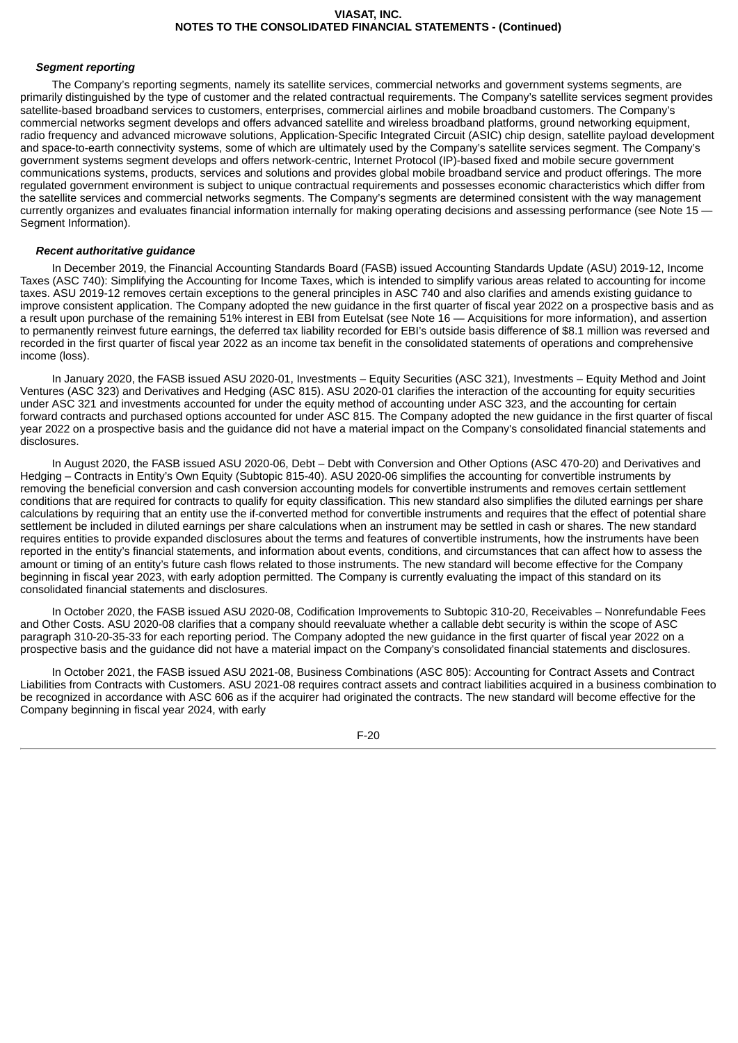### *Segment reporting*

The Company's reporting segments, namely its satellite services, commercial networks and government systems segments, are primarily distinguished by the type of customer and the related contractual requirements. The Company's satellite services segment provides satellite-based broadband services to customers, enterprises, commercial airlines and mobile broadband customers. The Company's commercial networks segment develops and offers advanced satellite and wireless broadband platforms, ground networking equipment, radio frequency and advanced microwave solutions, Application-Specific Integrated Circuit (ASIC) chip design, satellite payload development and space-to-earth connectivity systems, some of which are ultimately used by the Company's satellite services segment. The Company's government systems segment develops and offers network-centric, Internet Protocol (IP)-based fixed and mobile secure government communications systems, products, services and solutions and provides global mobile broadband service and product offerings. The more regulated government environment is subject to unique contractual requirements and possesses economic characteristics which differ from the satellite services and commercial networks segments. The Company's segments are determined consistent with the way management currently organizes and evaluates financial information internally for making operating decisions and assessing performance (see Note 15 — Segment Information).

### *Recent authoritative guidance*

In December 2019, the Financial Accounting Standards Board (FASB) issued Accounting Standards Update (ASU) 2019-12, Income Taxes (ASC 740): Simplifying the Accounting for Income Taxes, which is intended to simplify various areas related to accounting for income taxes. ASU 2019-12 removes certain exceptions to the general principles in ASC 740 and also clarifies and amends existing guidance to improve consistent application. The Company adopted the new guidance in the first quarter of fiscal year 2022 on a prospective basis and as a result upon purchase of the remaining 51% interest in EBI from Eutelsat (see Note 16 — Acquisitions for more information), and assertion to permanently reinvest future earnings, the deferred tax liability recorded for EBI's outside basis difference of \$8.1 million was reversed and recorded in the first quarter of fiscal year 2022 as an income tax benefit in the consolidated statements of operations and comprehensive income (loss).

In January 2020, the FASB issued ASU 2020-01, Investments – Equity Securities (ASC 321), Investments – Equity Method and Joint Ventures (ASC 323) and Derivatives and Hedging (ASC 815). ASU 2020-01 clarifies the interaction of the accounting for equity securities under ASC 321 and investments accounted for under the equity method of accounting under ASC 323, and the accounting for certain forward contracts and purchased options accounted for under ASC 815. The Company adopted the new guidance in the first quarter of fiscal year 2022 on a prospective basis and the guidance did not have a material impact on the Company's consolidated financial statements and disclosures.

In August 2020, the FASB issued ASU 2020-06, Debt – Debt with Conversion and Other Options (ASC 470-20) and Derivatives and Hedging – Contracts in Entity's Own Equity (Subtopic 815-40). ASU 2020-06 simplifies the accounting for convertible instruments by removing the beneficial conversion and cash conversion accounting models for convertible instruments and removes certain settlement conditions that are required for contracts to qualify for equity classification. This new standard also simplifies the diluted earnings per share calculations by requiring that an entity use the if-converted method for convertible instruments and requires that the effect of potential share settlement be included in diluted earnings per share calculations when an instrument may be settled in cash or shares. The new standard requires entities to provide expanded disclosures about the terms and features of convertible instruments, how the instruments have been reported in the entity's financial statements, and information about events, conditions, and circumstances that can affect how to assess the amount or timing of an entity's future cash flows related to those instruments. The new standard will become effective for the Company beginning in fiscal year 2023, with early adoption permitted. The Company is currently evaluating the impact of this standard on its consolidated financial statements and disclosures.

In October 2020, the FASB issued ASU 2020-08, Codification Improvements to Subtopic 310-20, Receivables – Nonrefundable Fees and Other Costs. ASU 2020-08 clarifies that a company should reevaluate whether a callable debt security is within the scope of ASC paragraph 310-20-35-33 for each reporting period. The Company adopted the new guidance in the first quarter of fiscal year 2022 on a prospective basis and the guidance did not have a material impact on the Company's consolidated financial statements and disclosures.

In October 2021, the FASB issued ASU 2021-08, Business Combinations (ASC 805): Accounting for Contract Assets and Contract Liabilities from Contracts with Customers. ASU 2021-08 requires contract assets and contract liabilities acquired in a business combination to be recognized in accordance with ASC 606 as if the acquirer had originated the contracts. The new standard will become effective for the Company beginning in fiscal year 2024, with early

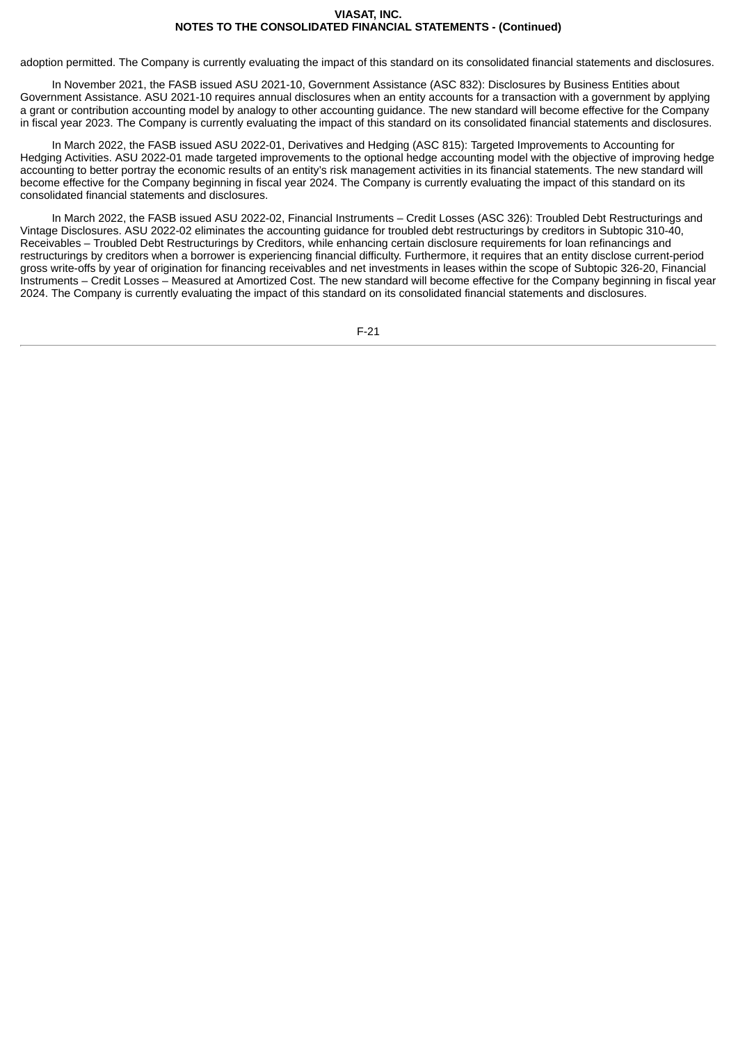adoption permitted. The Company is currently evaluating the impact of this standard on its consolidated financial statements and disclosures.

In November 2021, the FASB issued ASU 2021-10, Government Assistance (ASC 832): Disclosures by Business Entities about Government Assistance. ASU 2021-10 requires annual disclosures when an entity accounts for a transaction with a government by applying a grant or contribution accounting model by analogy to other accounting guidance. The new standard will become effective for the Company in fiscal year 2023. The Company is currently evaluating the impact of this standard on its consolidated financial statements and disclosures.

In March 2022, the FASB issued ASU 2022-01, Derivatives and Hedging (ASC 815): Targeted Improvements to Accounting for Hedging Activities. ASU 2022-01 made targeted improvements to the optional hedge accounting model with the objective of improving hedge accounting to better portray the economic results of an entity's risk management activities in its financial statements. The new standard will become effective for the Company beginning in fiscal year 2024. The Company is currently evaluating the impact of this standard on its consolidated financial statements and disclosures.

In March 2022, the FASB issued ASU 2022-02, Financial Instruments – Credit Losses (ASC 326): Troubled Debt Restructurings and Vintage Disclosures. ASU 2022-02 eliminates the accounting guidance for troubled debt restructurings by creditors in Subtopic 310-40, Receivables – Troubled Debt Restructurings by Creditors, while enhancing certain disclosure requirements for loan refinancings and restructurings by creditors when a borrower is experiencing financial difficulty. Furthermore, it requires that an entity disclose current-period gross write-offs by year of origination for financing receivables and net investments in leases within the scope of Subtopic 326-20, Financial Instruments – Credit Losses – Measured at Amortized Cost. The new standard will become effective for the Company beginning in fiscal year 2024. The Company is currently evaluating the impact of this standard on its consolidated financial statements and disclosures.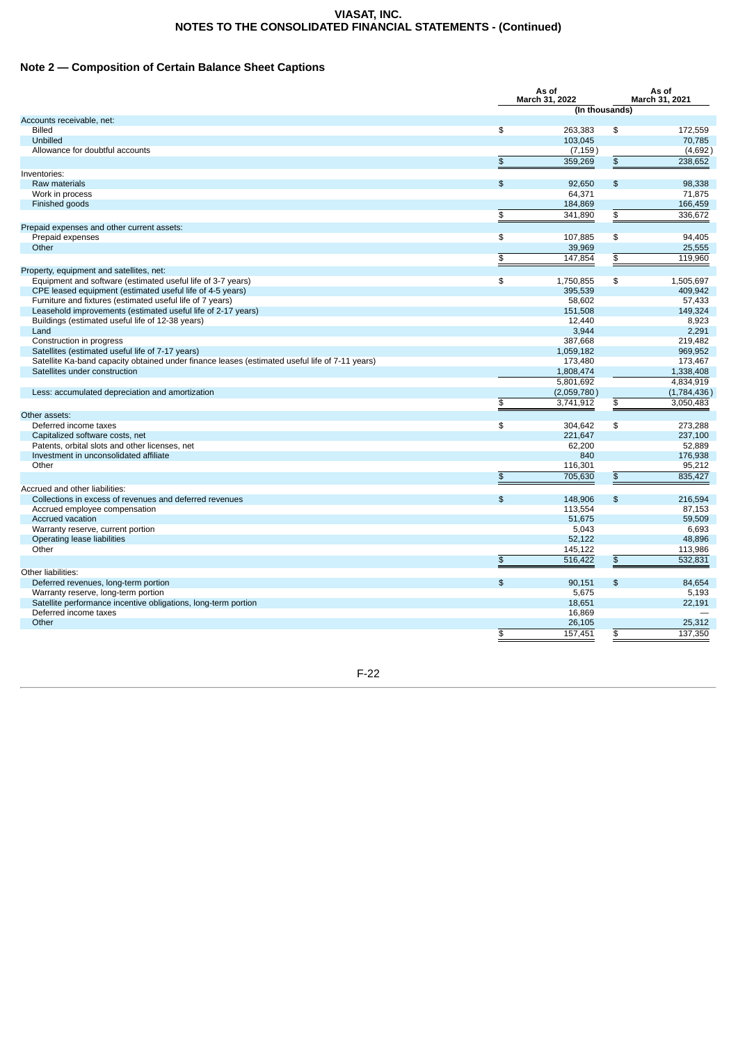# **Note 2 — Composition of Certain Balance Sheet Captions**

|                                                                                                                          |                          | As of<br>March 31, 2022 | As of<br>March 31, 2021  |             |  |  |
|--------------------------------------------------------------------------------------------------------------------------|--------------------------|-------------------------|--------------------------|-------------|--|--|
|                                                                                                                          |                          | (In thousands)          |                          |             |  |  |
| Accounts receivable, net:                                                                                                |                          |                         |                          |             |  |  |
| <b>Billed</b>                                                                                                            | \$                       | 263,383                 | \$                       | 172,559     |  |  |
| Unbilled                                                                                                                 |                          | 103,045                 |                          | 70,785      |  |  |
| Allowance for doubtful accounts                                                                                          |                          | (7, 159)                |                          | (4,692)     |  |  |
|                                                                                                                          | $\frac{4}{5}$            | 359,269                 | \$                       | 238,652     |  |  |
| Inventories:                                                                                                             |                          |                         |                          |             |  |  |
| Raw materials                                                                                                            | $\mathfrak{s}$           | 92,650                  | \$                       | 98,338      |  |  |
| Work in process                                                                                                          |                          | 64,371                  |                          | 71.875      |  |  |
| Finished goods                                                                                                           |                          | 184,869                 |                          | 166,459     |  |  |
|                                                                                                                          | \$                       | 341,890                 | \$                       | 336,672     |  |  |
| Prepaid expenses and other current assets:                                                                               |                          |                         |                          |             |  |  |
| Prepaid expenses                                                                                                         | \$                       | 107,885                 | \$                       | 94,405      |  |  |
| Other                                                                                                                    |                          | 39,969                  |                          | 25,555      |  |  |
|                                                                                                                          | $\overline{\mathcal{L}}$ | 147,854                 | $\overline{\$}$          | 119,960     |  |  |
| Property, equipment and satellites, net:                                                                                 |                          |                         |                          |             |  |  |
|                                                                                                                          | \$                       | 1,750,855               | \$                       | 1,505,697   |  |  |
| Equipment and software (estimated useful life of 3-7 years)<br>CPE leased equipment (estimated useful life of 4-5 years) |                          | 395,539                 |                          | 409,942     |  |  |
| Furniture and fixtures (estimated useful life of 7 years)                                                                |                          | 58,602                  |                          | 57,433      |  |  |
| Leasehold improvements (estimated useful life of 2-17 years)                                                             |                          | 151,508                 |                          | 149.324     |  |  |
| Buildings (estimated useful life of 12-38 years)                                                                         |                          | 12,440                  |                          | 8,923       |  |  |
| Land                                                                                                                     |                          | 3,944                   |                          | 2,291       |  |  |
| Construction in progress                                                                                                 |                          | 387,668                 |                          | 219.482     |  |  |
| Satellites (estimated useful life of 7-17 years)                                                                         |                          | 1,059,182               |                          | 969,952     |  |  |
| Satellite Ka-band capacity obtained under finance leases (estimated useful life of 7-11 years)                           |                          | 173,480                 |                          | 173,467     |  |  |
| Satellites under construction                                                                                            |                          | 1,808,474               |                          | 1,338,408   |  |  |
|                                                                                                                          |                          | 5.801.692               |                          | 4.834.919   |  |  |
|                                                                                                                          |                          |                         |                          |             |  |  |
| Less: accumulated depreciation and amortization                                                                          |                          | (2,059,780)             |                          | (1,784,436) |  |  |
|                                                                                                                          | \$                       | 3,741,912               | \$                       | 3,050,483   |  |  |
| Other assets:                                                                                                            |                          |                         |                          |             |  |  |
| Deferred income taxes                                                                                                    | \$                       | 304.642                 | \$                       | 273.288     |  |  |
| Capitalized software costs, net                                                                                          |                          | 221,647                 |                          | 237,100     |  |  |
| Patents, orbital slots and other licenses, net                                                                           |                          | 62,200                  |                          | 52,889      |  |  |
| Investment in unconsolidated affiliate                                                                                   |                          | 840                     |                          | 176.938     |  |  |
| Other                                                                                                                    |                          | 116,301                 |                          | 95,212      |  |  |
|                                                                                                                          | $\overline{\mathbf{3}}$  | 705.630                 | $\overline{\mathcal{L}}$ | 835.427     |  |  |
| Accrued and other liabilities:                                                                                           |                          |                         |                          |             |  |  |
| Collections in excess of revenues and deferred revenues                                                                  | \$                       | 148,906                 | \$                       | 216,594     |  |  |
| Accrued employee compensation                                                                                            |                          | 113.554                 |                          | 87.153      |  |  |
| Accrued vacation                                                                                                         |                          | 51.675                  |                          | 59.509      |  |  |
| Warranty reserve, current portion                                                                                        |                          | 5,043                   |                          | 6,693       |  |  |
| Operating lease liabilities                                                                                              |                          | 52.122                  |                          | 48.896      |  |  |
| Other                                                                                                                    |                          | 145,122                 |                          | 113,986     |  |  |
|                                                                                                                          | $\overline{\mathcal{L}}$ | 516,422                 | \$                       | 532,831     |  |  |
| Other liabilities:                                                                                                       |                          |                         |                          |             |  |  |
| Deferred revenues, long-term portion                                                                                     | $\mathfrak{s}$           | 90.151                  | \$                       | 84,654      |  |  |
| Warranty reserve, long-term portion                                                                                      |                          | 5.675                   |                          | 5.193       |  |  |
| Satellite performance incentive obligations, long-term portion                                                           |                          | 18.651                  |                          | 22.191      |  |  |
| Deferred income taxes                                                                                                    |                          | 16,869                  |                          |             |  |  |
| Other                                                                                                                    |                          | 26,105                  |                          | 25,312      |  |  |
|                                                                                                                          | \$                       | 157.451                 | \$                       | 137.350     |  |  |
|                                                                                                                          |                          |                         |                          |             |  |  |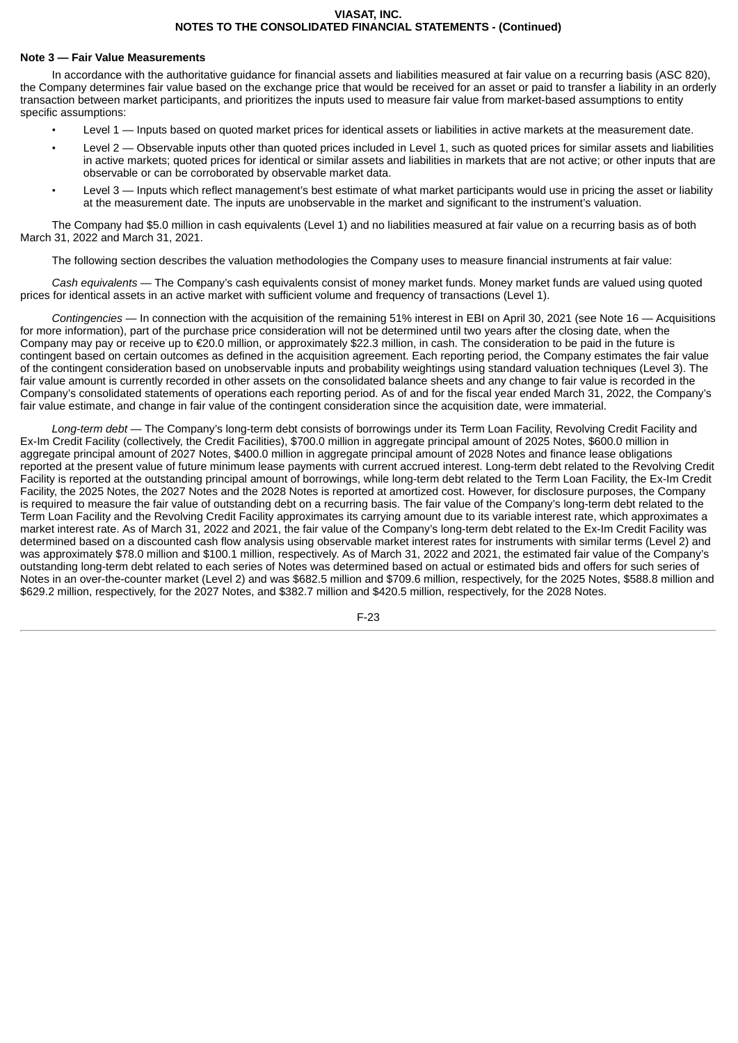#### **Note 3 — Fair Value Measurements**

In accordance with the authoritative guidance for financial assets and liabilities measured at fair value on a recurring basis (ASC 820), the Company determines fair value based on the exchange price that would be received for an asset or paid to transfer a liability in an orderly transaction between market participants, and prioritizes the inputs used to measure fair value from market-based assumptions to entity specific assumptions:

- Level 1 Inputs based on quoted market prices for identical assets or liabilities in active markets at the measurement date.
- Level 2 Observable inputs other than quoted prices included in Level 1, such as quoted prices for similar assets and liabilities in active markets; quoted prices for identical or similar assets and liabilities in markets that are not active; or other inputs that are observable or can be corroborated by observable market data.
- Level 3 Inputs which reflect management's best estimate of what market participants would use in pricing the asset or liability at the measurement date. The inputs are unobservable in the market and significant to the instrument's valuation.

The Company had \$5.0 million in cash equivalents (Level 1) and no liabilities measured at fair value on a recurring basis as of both March 31, 2022 and March 31, 2021.

The following section describes the valuation methodologies the Company uses to measure financial instruments at fair value:

*Cash equivalents* — The Company's cash equivalents consist of money market funds. Money market funds are valued using quoted prices for identical assets in an active market with sufficient volume and frequency of transactions (Level 1).

*Contingencies* — In connection with the acquisition of the remaining 51% interest in EBI on April 30, 2021 (see Note 16 — Acquisitions for more information), part of the purchase price consideration will not be determined until two years after the closing date, when the Company may pay or receive up to €20.0 million, or approximately \$22.3 million, in cash. The consideration to be paid in the future is contingent based on certain outcomes as defined in the acquisition agreement. Each reporting period, the Company estimates the fair value of the contingent consideration based on unobservable inputs and probability weightings using standard valuation techniques (Level 3). The fair value amount is currently recorded in other assets on the consolidated balance sheets and any change to fair value is recorded in the Company's consolidated statements of operations each reporting period. As of and for the fiscal year ended March 31, 2022, the Company's fair value estimate, and change in fair value of the contingent consideration since the acquisition date, were immaterial.

*Long-term debt* — The Company's long-term debt consists of borrowings under its Term Loan Facility, Revolving Credit Facility and Ex-Im Credit Facility (collectively, the Credit Facilities), \$700.0 million in aggregate principal amount of 2025 Notes, \$600.0 million in aggregate principal amount of 2027 Notes, \$400.0 million in aggregate principal amount of 2028 Notes and finance lease obligations reported at the present value of future minimum lease payments with current accrued interest. Long-term debt related to the Revolving Credit Facility is reported at the outstanding principal amount of borrowings, while long-term debt related to the Term Loan Facility, the Ex-Im Credit Facility, the 2025 Notes, the 2027 Notes and the 2028 Notes is reported at amortized cost. However, for disclosure purposes, the Company is required to measure the fair value of outstanding debt on a recurring basis. The fair value of the Company's long-term debt related to the Term Loan Facility and the Revolving Credit Facility approximates its carrying amount due to its variable interest rate, which approximates a market interest rate. As of March 31, 2022 and 2021, the fair value of the Company's long-term debt related to the Ex-Im Credit Facility was determined based on a discounted cash flow analysis using observable market interest rates for instruments with similar terms (Level 2) and was approximately \$78.0 million and \$100.1 million, respectively. As of March 31, 2022 and 2021, the estimated fair value of the Company's outstanding long-term debt related to each series of Notes was determined based on actual or estimated bids and offers for such series of Notes in an over-the-counter market (Level 2) and was \$682.5 million and \$709.6 million, respectively, for the 2025 Notes, \$588.8 million and \$629.2 million, respectively, for the 2027 Notes, and \$382.7 million and \$420.5 million, respectively, for the 2028 Notes.

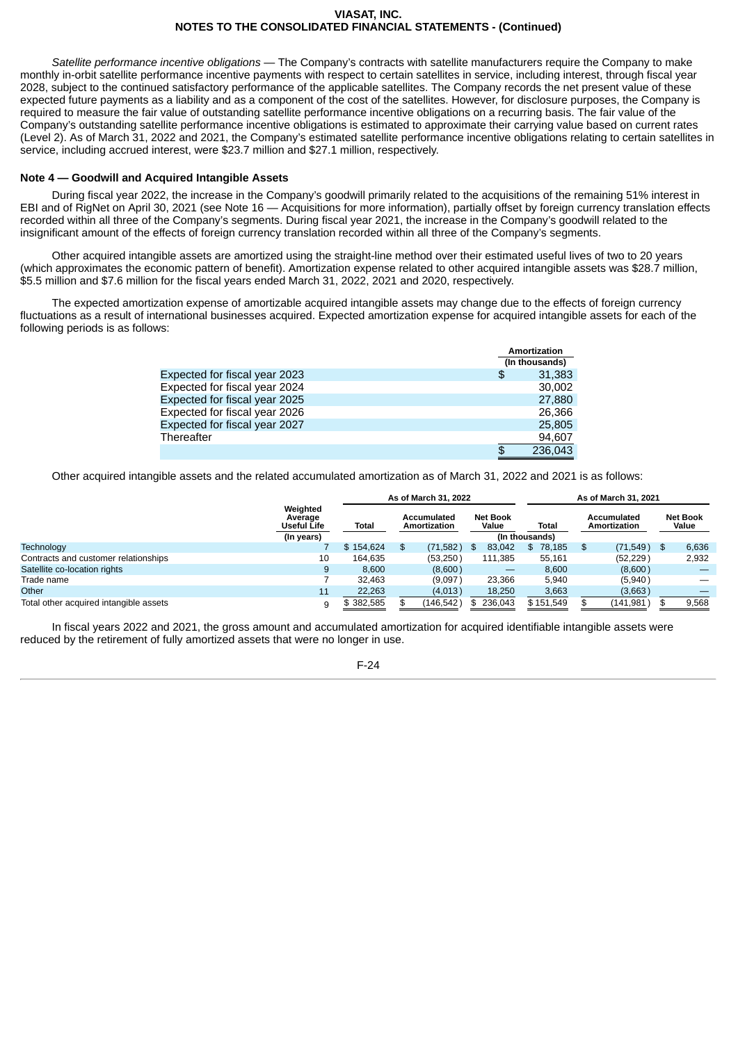*Satellite performance incentive obligations* — The Company's contracts with satellite manufacturers require the Company to make monthly in-orbit satellite performance incentive payments with respect to certain satellites in service, including interest, through fiscal year 2028, subject to the continued satisfactory performance of the applicable satellites. The Company records the net present value of these expected future payments as a liability and as a component of the cost of the satellites. However, for disclosure purposes, the Company is required to measure the fair value of outstanding satellite performance incentive obligations on a recurring basis. The fair value of the Company's outstanding satellite performance incentive obligations is estimated to approximate their carrying value based on current rates (Level 2). As of March 31, 2022 and 2021, the Company's estimated satellite performance incentive obligations relating to certain satellites in service, including accrued interest, were \$23.7 million and \$27.1 million, respectively.

#### **Note 4 — Goodwill and Acquired Intangible Assets**

During fiscal year 2022, the increase in the Company's goodwill primarily related to the acquisitions of the remaining 51% interest in EBI and of RigNet on April 30, 2021 (see Note 16 — Acquisitions for more information), partially offset by foreign currency translation effects recorded within all three of the Company's segments. During fiscal year 2021, the increase in the Company's goodwill related to the insignificant amount of the effects of foreign currency translation recorded within all three of the Company's segments.

Other acquired intangible assets are amortized using the straight-line method over their estimated useful lives of two to 20 years (which approximates the economic pattern of benefit). Amortization expense related to other acquired intangible assets was \$28.7 million, \$5.5 million and \$7.6 million for the fiscal years ended March 31, 2022, 2021 and 2020, respectively.

The expected amortization expense of amortizable acquired intangible assets may change due to the effects of foreign currency fluctuations as a result of international businesses acquired. Expected amortization expense for acquired intangible assets for each of the following periods is as follows:

|                               | Amortization   |
|-------------------------------|----------------|
|                               | (In thousands) |
| Expected for fiscal year 2023 | \$<br>31,383   |
| Expected for fiscal year 2024 | 30,002         |
| Expected for fiscal year 2025 | 27,880         |
| Expected for fiscal year 2026 | 26.366         |
| Expected for fiscal year 2027 | 25,805         |
| Thereafter                    | 94.607         |
|                               | \$<br>236.043  |

Other acquired intangible assets and the related accumulated amortization as of March 31, 2022 and 2021 is as follows:

|                                        |                                    |           |                             | As of March 31, 2022 |                          | As of March 31, 2021 |                                    |            |      |                          |  |
|----------------------------------------|------------------------------------|-----------|-----------------------------|----------------------|--------------------------|----------------------|------------------------------------|------------|------|--------------------------|--|
|                                        | Weighted<br>Average<br>Useful Life | Total     | Accumulated<br>Amortization |                      | <b>Net Book</b><br>Value | Total                | <b>Accumulated</b><br>Amortization |            |      | <b>Net Book</b><br>Value |  |
|                                        | (In years)                         |           |                             |                      |                          | (In thousands)       |                                    |            |      |                          |  |
| Technology                             |                                    | \$154.624 | \$                          | (71,582)             | 83.042<br>SS.            | 78.185<br>\$.        |                                    | (71, 549)  | - \$ | 6,636                    |  |
| Contracts and customer relationships   | 10                                 | 164.635   |                             | (53, 250)            | 111,385                  | 55,161               |                                    | (52, 229)  |      | 2,932                    |  |
| Satellite co-location rights           | 9                                  | 8.600     |                             | (8,600)              |                          | 8.600                |                                    | (8,600)    |      |                          |  |
| Trade name                             |                                    | 32.463    |                             | (9,097)              | 23.366                   | 5.940                |                                    | (5,940)    |      |                          |  |
| Other                                  | 11                                 | 22,263    |                             | (4,013)              | 18,250                   | 3,663                |                                    | (3,663)    |      |                          |  |
| Total other acquired intangible assets |                                    | \$382,585 |                             | (146,542)            | \$236.043                | \$151.549            |                                    | (141, 981) |      | 9,568                    |  |

In fiscal years 2022 and 2021, the gross amount and accumulated amortization for acquired identifiable intangible assets were reduced by the retirement of fully amortized assets that were no longer in use.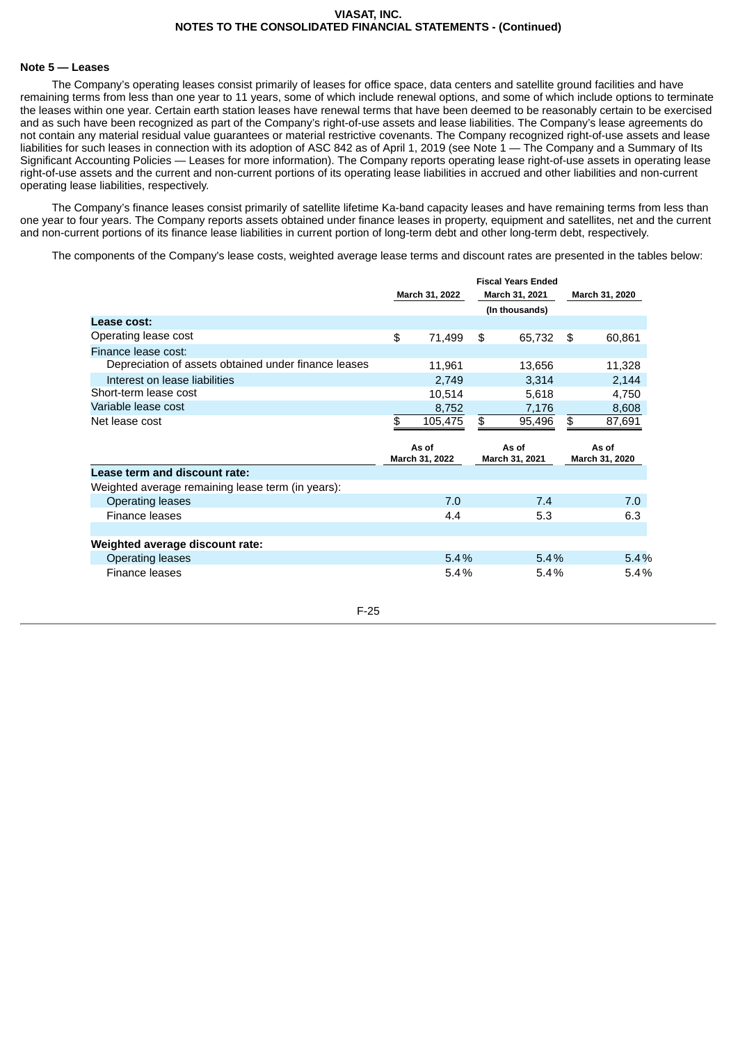### **Note 5 — Leases**

The Company's operating leases consist primarily of leases for office space, data centers and satellite ground facilities and have remaining terms from less than one year to 11 years, some of which include renewal options, and some of which include options to terminate the leases within one year. Certain earth station leases have renewal terms that have been deemed to be reasonably certain to be exercised and as such have been recognized as part of the Company's right-of-use assets and lease liabilities. The Company's lease agreements do not contain any material residual value guarantees or material restrictive covenants. The Company recognized right-of-use assets and lease liabilities for such leases in connection with its adoption of ASC 842 as of April 1, 2019 (see Note 1 — The Company and a Summary of Its Significant Accounting Policies — Leases for more information). The Company reports operating lease right-of-use assets in operating lease right-of-use assets and the current and non-current portions of its operating lease liabilities in accrued and other liabilities and non-current operating lease liabilities, respectively.

The Company's finance leases consist primarily of satellite lifetime Ka-band capacity leases and have remaining terms from less than one year to four years. The Company reports assets obtained under finance leases in property, equipment and satellites, net and the current and non-current portions of its finance lease liabilities in current portion of long-term debt and other long-term debt, respectively.

The components of the Company's lease costs, weighted average lease terms and discount rates are presented in the tables below:

|                                                      | <b>Fiscal Years Ended</b> |                |    |                |    |                |  |  |
|------------------------------------------------------|---------------------------|----------------|----|----------------|----|----------------|--|--|
|                                                      |                           | March 31, 2022 |    | March 31, 2021 |    | March 31, 2020 |  |  |
|                                                      |                           |                |    | (In thousands) |    |                |  |  |
| Lease cost:                                          |                           |                |    |                |    |                |  |  |
| Operating lease cost                                 | \$                        | 71.499         | \$ | 65,732         | \$ | 60,861         |  |  |
| Finance lease cost:                                  |                           |                |    |                |    |                |  |  |
| Depreciation of assets obtained under finance leases |                           | 11,961         |    | 13,656         |    | 11,328         |  |  |
| Interest on lease liabilities                        |                           | 2,749          |    | 3,314          |    | 2,144          |  |  |
| Short-term lease cost                                |                           | 10,514         |    | 5,618          |    | 4,750          |  |  |
| Variable lease cost                                  |                           | 8,752          |    | 7,176          |    | 8,608          |  |  |
| Net lease cost                                       | \$                        | 105,475        | \$ | 95,496         | \$ | 87,691         |  |  |
|                                                      |                           |                |    |                |    |                |  |  |
|                                                      |                           |                |    |                |    |                |  |  |
|                                                      |                           | As of          |    | As of          |    | As of          |  |  |
|                                                      |                           | March 31, 2022 |    | March 31, 2021 |    | March 31, 2020 |  |  |
| Lease term and discount rate:                        |                           |                |    |                |    |                |  |  |
| Weighted average remaining lease term (in years):    |                           |                |    |                |    |                |  |  |
| <b>Operating leases</b>                              |                           | 7.0            |    | 7.4            |    | 7.0            |  |  |
| Finance leases                                       |                           | 4.4            |    | 5.3            |    | 6.3            |  |  |
|                                                      |                           |                |    |                |    |                |  |  |
| Weighted average discount rate:                      |                           |                |    |                |    |                |  |  |
| <b>Operating leases</b>                              |                           | 5.4%           |    | 5.4%           |    | 5.4%           |  |  |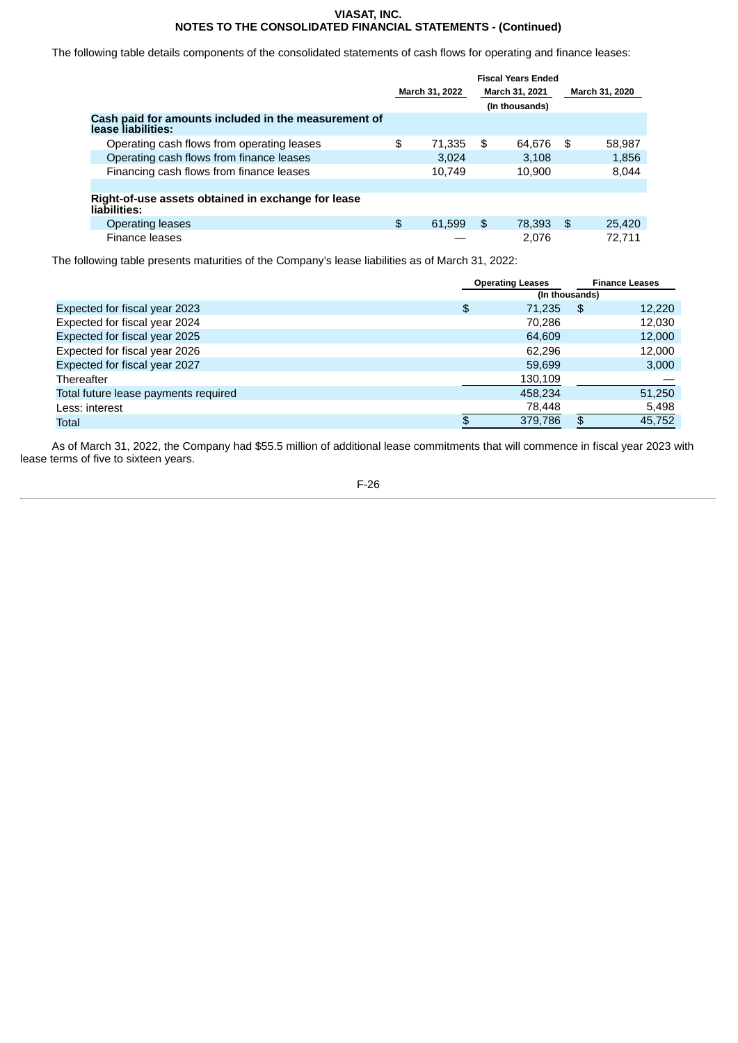The following table details components of the consolidated statements of cash flows for operating and finance leases:

|                                                                            | <b>Fiscal Years Ended</b> |                |                |        |      |        |  |                |
|----------------------------------------------------------------------------|---------------------------|----------------|----------------|--------|------|--------|--|----------------|
|                                                                            |                           | March 31, 2022 | March 31, 2021 |        |      |        |  | March 31, 2020 |
|                                                                            |                           |                | (In thousands) |        |      |        |  |                |
| Cash paid for amounts included in the measurement of<br>lease liabilities: |                           |                |                |        |      |        |  |                |
| Operating cash flows from operating leases                                 | \$                        | 71.335         | \$             | 64.676 | -\$  | 58.987 |  |                |
| Operating cash flows from finance leases                                   |                           | 3.024          |                | 3.108  |      | 1,856  |  |                |
| Financing cash flows from finance leases                                   |                           | 10,749         |                | 10.900 |      | 8,044  |  |                |
|                                                                            |                           |                |                |        |      |        |  |                |
| Right-of-use assets obtained in exchange for lease<br>liabilities:         |                           |                |                |        |      |        |  |                |
| <b>Operating leases</b>                                                    | \$                        | 61.599         | \$             | 78.393 | - \$ | 25,420 |  |                |
| Finance leases                                                             |                           |                |                | 2.076  |      | 72.711 |  |                |

The following table presents maturities of the Company's lease liabilities as of March 31, 2022:

|                                      | <b>Operating Leases</b> | <b>Finance Leases</b><br>(In thousands) |
|--------------------------------------|-------------------------|-----------------------------------------|
| Expected for fiscal year 2023        | \$<br>71.235            | 12,220<br>\$                            |
| Expected for fiscal year 2024        | 70.286                  | 12,030                                  |
| Expected for fiscal year 2025        | 64.609                  | 12,000                                  |
| Expected for fiscal year 2026        | 62.296                  | 12,000                                  |
| Expected for fiscal year 2027        | 59.699                  | 3,000                                   |
| Thereafter                           | 130,109                 |                                         |
| Total future lease payments required | 458.234                 | 51.250                                  |
| Less: interest                       | 78,448                  | 5,498                                   |
| Total                                | 379,786                 | 45,752                                  |

As of March 31, 2022, the Company had \$55.5 million of additional lease commitments that will commence in fiscal year 2023 with lease terms of five to sixteen years.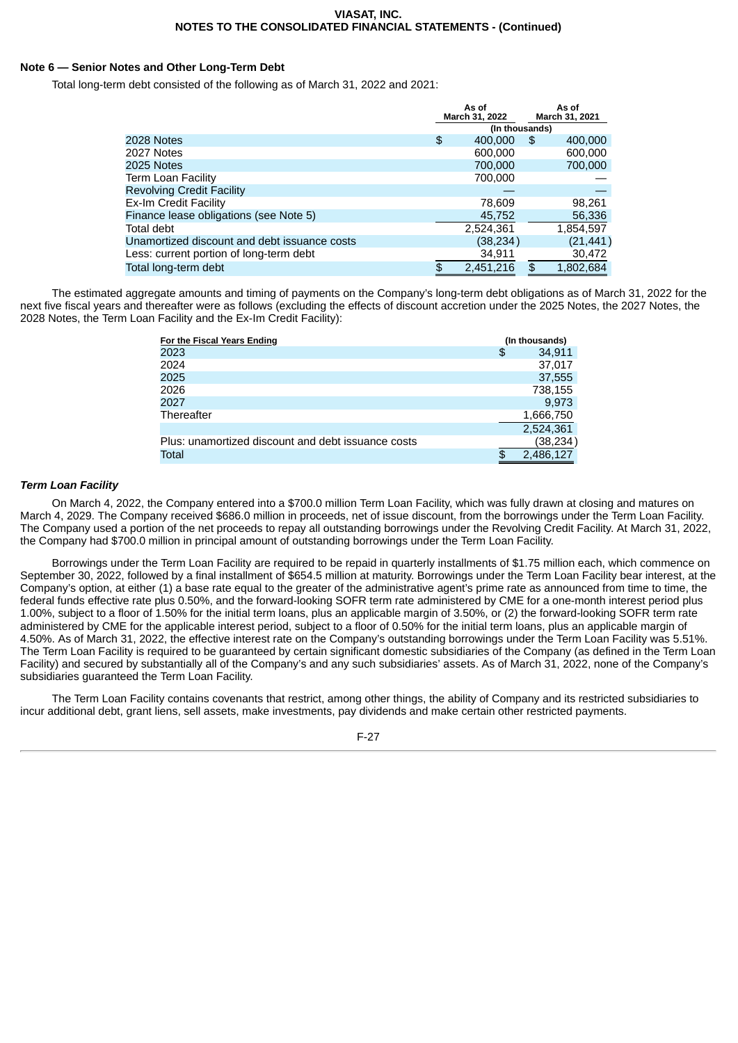# **Note 6 — Senior Notes and Other Long-Term Debt**

Total long-term debt consisted of the following as of March 31, 2022 and 2021:

|                                              | As of<br>March 31, 2022 | As of<br>March 31, 2021 |           |  |
|----------------------------------------------|-------------------------|-------------------------|-----------|--|
|                                              | (In thousands)          |                         |           |  |
| 2028 Notes                                   | \$<br>400,000           | \$                      | 400,000   |  |
| 2027 Notes                                   | 600,000                 |                         | 600,000   |  |
| 2025 Notes                                   | 700,000                 |                         | 700,000   |  |
| Term Loan Facility                           | 700,000                 |                         |           |  |
| <b>Revolving Credit Facility</b>             |                         |                         |           |  |
| <b>Ex-Im Credit Facility</b>                 | 78.609                  |                         | 98,261    |  |
| Finance lease obligations (see Note 5)       | 45,752                  |                         | 56,336    |  |
| Total debt                                   | 2,524,361               |                         | 1,854,597 |  |
| Unamortized discount and debt issuance costs | (38,234)                |                         | (21, 441) |  |
| Less: current portion of long-term debt      | 34,911                  |                         | 30,472    |  |
| Total long-term debt                         | \$<br>2.451.216         | \$                      | 1.802.684 |  |

The estimated aggregate amounts and timing of payments on the Company's long-term debt obligations as of March 31, 2022 for the next five fiscal years and thereafter were as follows (excluding the effects of discount accretion under the 2025 Notes, the 2027 Notes, the 2028 Notes, the Term Loan Facility and the Ex-Im Credit Facility):

| For the Fiscal Years Ending                        | (In thousands) |
|----------------------------------------------------|----------------|
| 2023                                               | \$<br>34,911   |
| 2024                                               | 37,017         |
| 2025                                               | 37,555         |
| 2026                                               | 738,155        |
| 2027                                               | 9.973          |
| Thereafter                                         | 1,666,750      |
|                                                    | 2,524,361      |
| Plus: unamortized discount and debt issuance costs | (38,234)       |
| Total                                              | 2,486,127      |

#### *Term Loan Facility*

On March 4, 2022, the Company entered into a \$700.0 million Term Loan Facility, which was fully drawn at closing and matures on March 4, 2029. The Company received \$686.0 million in proceeds, net of issue discount, from the borrowings under the Term Loan Facility. The Company used a portion of the net proceeds to repay all outstanding borrowings under the Revolving Credit Facility. At March 31, 2022, the Company had \$700.0 million in principal amount of outstanding borrowings under the Term Loan Facility.

Borrowings under the Term Loan Facility are required to be repaid in quarterly installments of \$1.75 million each, which commence on September 30, 2022, followed by a final installment of \$654.5 million at maturity. Borrowings under the Term Loan Facility bear interest, at the Company's option, at either (1) a base rate equal to the greater of the administrative agent's prime rate as announced from time to time, the federal funds effective rate plus 0.50%, and the forward-looking SOFR term rate administered by CME for a one-month interest period plus 1.00%, subject to a floor of 1.50% for the initial term loans, plus an applicable margin of 3.50%, or (2) the forward-looking SOFR term rate administered by CME for the applicable interest period, subject to a floor of 0.50% for the initial term loans, plus an applicable margin of 4.50%. As of March 31, 2022, the effective interest rate on the Company's outstanding borrowings under the Term Loan Facility was 5.51%. The Term Loan Facility is required to be guaranteed by certain significant domestic subsidiaries of the Company (as defined in the Term Loan Facility) and secured by substantially all of the Company's and any such subsidiaries' assets. As of March 31, 2022, none of the Company's subsidiaries quaranteed the Term Loan Facility.

The Term Loan Facility contains covenants that restrict, among other things, the ability of Company and its restricted subsidiaries to incur additional debt, grant liens, sell assets, make investments, pay dividends and make certain other restricted payments.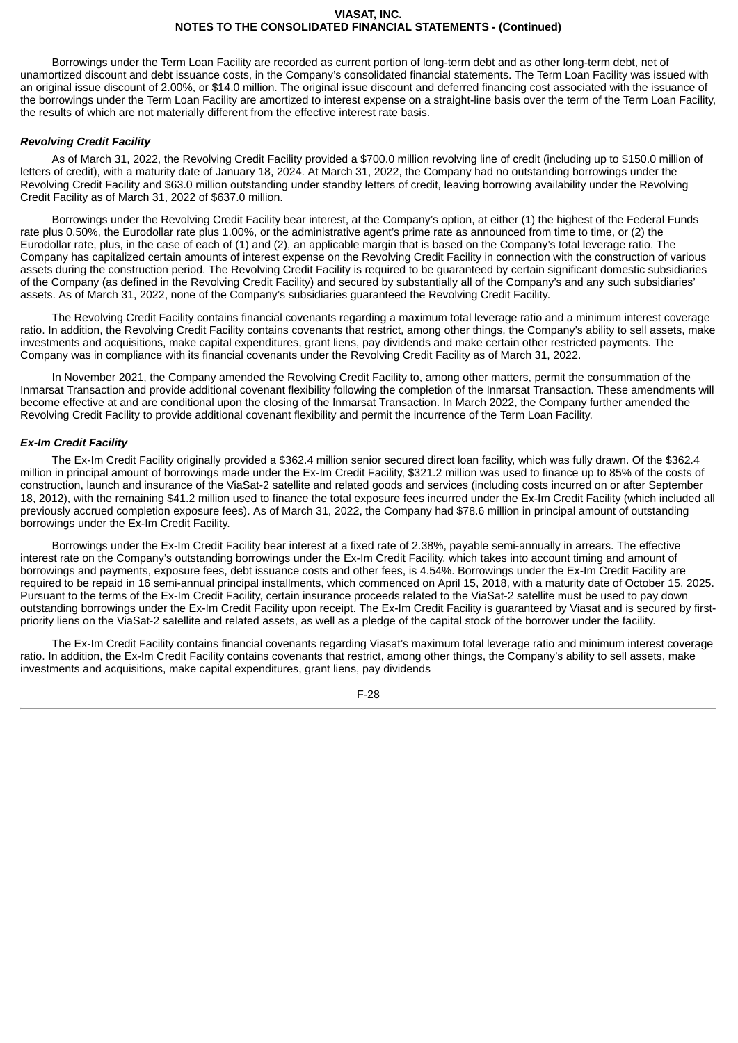Borrowings under the Term Loan Facility are recorded as current portion of long-term debt and as other long-term debt, net of unamortized discount and debt issuance costs, in the Company's consolidated financial statements. The Term Loan Facility was issued with an original issue discount of 2.00%, or \$14.0 million. The original issue discount and deferred financing cost associated with the issuance of the borrowings under the Term Loan Facility are amortized to interest expense on a straight-line basis over the term of the Term Loan Facility, the results of which are not materially different from the effective interest rate basis.

#### *Revolving Credit Facility*

As of March 31, 2022, the Revolving Credit Facility provided a \$700.0 million revolving line of credit (including up to \$150.0 million of letters of credit), with a maturity date of January 18, 2024. At March 31, 2022, the Company had no outstanding borrowings under the Revolving Credit Facility and \$63.0 million outstanding under standby letters of credit, leaving borrowing availability under the Revolving Credit Facility as of March 31, 2022 of \$637.0 million.

Borrowings under the Revolving Credit Facility bear interest, at the Company's option, at either (1) the highest of the Federal Funds rate plus 0.50%, the Eurodollar rate plus 1.00%, or the administrative agent's prime rate as announced from time to time, or (2) the Eurodollar rate, plus, in the case of each of (1) and (2), an applicable margin that is based on the Company's total leverage ratio. The Company has capitalized certain amounts of interest expense on the Revolving Credit Facility in connection with the construction of various assets during the construction period. The Revolving Credit Facility is required to be guaranteed by certain significant domestic subsidiaries of the Company (as defined in the Revolving Credit Facility) and secured by substantially all of the Company's and any such subsidiaries' assets. As of March 31, 2022, none of the Company's subsidiaries guaranteed the Revolving Credit Facility.

The Revolving Credit Facility contains financial covenants regarding a maximum total leverage ratio and a minimum interest coverage ratio. In addition, the Revolving Credit Facility contains covenants that restrict, among other things, the Company's ability to sell assets, make investments and acquisitions, make capital expenditures, grant liens, pay dividends and make certain other restricted payments. The Company was in compliance with its financial covenants under the Revolving Credit Facility as of March 31, 2022.

In November 2021, the Company amended the Revolving Credit Facility to, among other matters, permit the consummation of the Inmarsat Transaction and provide additional covenant flexibility following the completion of the Inmarsat Transaction. These amendments will become effective at and are conditional upon the closing of the Inmarsat Transaction. In March 2022, the Company further amended the Revolving Credit Facility to provide additional covenant flexibility and permit the incurrence of the Term Loan Facility.

### *Ex-Im Credit Facility*

The Ex-Im Credit Facility originally provided a \$362.4 million senior secured direct loan facility, which was fully drawn. Of the \$362.4 million in principal amount of borrowings made under the Ex-Im Credit Facility, \$321.2 million was used to finance up to 85% of the costs of construction, launch and insurance of the ViaSat-2 satellite and related goods and services (including costs incurred on or after September 18, 2012), with the remaining \$41.2 million used to finance the total exposure fees incurred under the Ex-Im Credit Facility (which included all previously accrued completion exposure fees). As of March 31, 2022, the Company had \$78.6 million in principal amount of outstanding borrowings under the Ex-Im Credit Facility.

Borrowings under the Ex-Im Credit Facility bear interest at a fixed rate of 2.38%, payable semi-annually in arrears. The effective interest rate on the Company's outstanding borrowings under the Ex-Im Credit Facility, which takes into account timing and amount of borrowings and payments, exposure fees, debt issuance costs and other fees, is 4.54%. Borrowings under the Ex-Im Credit Facility are required to be repaid in 16 semi-annual principal installments, which commenced on April 15, 2018, with a maturity date of October 15, 2025. Pursuant to the terms of the Ex-Im Credit Facility, certain insurance proceeds related to the ViaSat-2 satellite must be used to pay down outstanding borrowings under the Ex-Im Credit Facility upon receipt. The Ex-Im Credit Facility is guaranteed by Viasat and is secured by firstpriority liens on the ViaSat-2 satellite and related assets, as well as a pledge of the capital stock of the borrower under the facility.

The Ex-Im Credit Facility contains financial covenants regarding Viasat's maximum total leverage ratio and minimum interest coverage ratio. In addition, the Ex-Im Credit Facility contains covenants that restrict, among other things, the Company's ability to sell assets, make investments and acquisitions, make capital expenditures, grant liens, pay dividends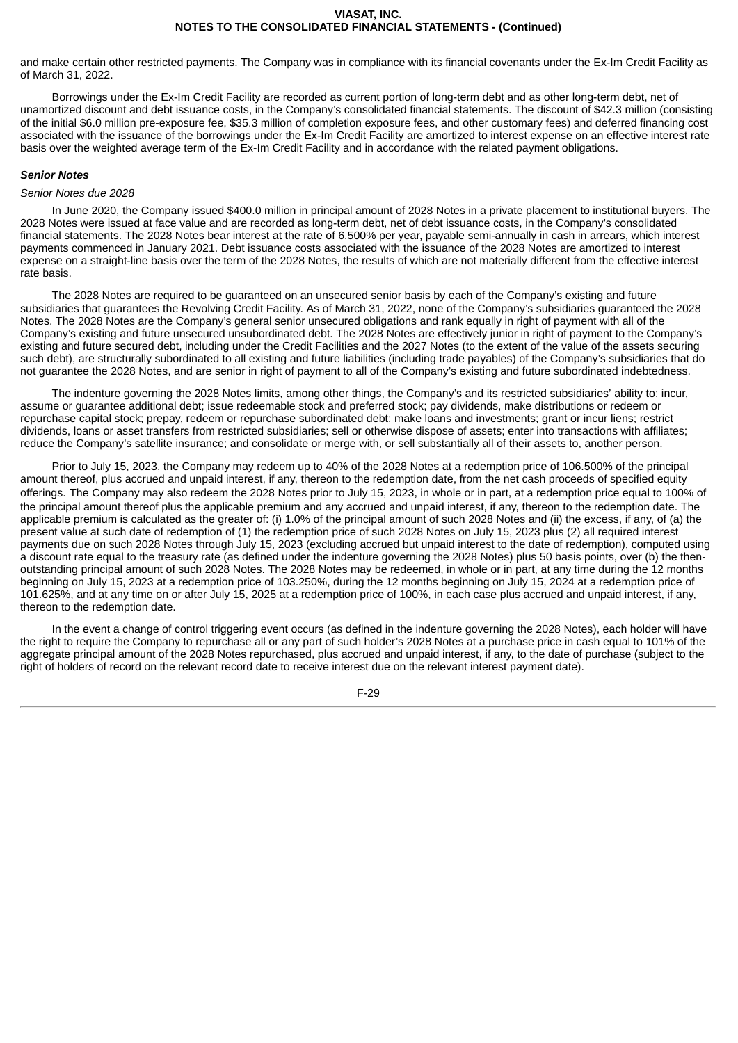and make certain other restricted payments. The Company was in compliance with its financial covenants under the Ex-Im Credit Facility as of March 31, 2022.

Borrowings under the Ex-Im Credit Facility are recorded as current portion of long-term debt and as other long-term debt, net of unamortized discount and debt issuance costs, in the Company's consolidated financial statements. The discount of \$42.3 million (consisting of the initial \$6.0 million pre-exposure fee, \$35.3 million of completion exposure fees, and other customary fees) and deferred financing cost associated with the issuance of the borrowings under the Ex-Im Credit Facility are amortized to interest expense on an effective interest rate basis over the weighted average term of the Ex-Im Credit Facility and in accordance with the related payment obligations.

#### *Senior Notes*

#### *Senior Notes due 2028*

In June 2020, the Company issued \$400.0 million in principal amount of 2028 Notes in a private placement to institutional buyers. The 2028 Notes were issued at face value and are recorded as long-term debt, net of debt issuance costs, in the Company's consolidated financial statements. The 2028 Notes bear interest at the rate of 6.500% per year, payable semi-annually in cash in arrears, which interest payments commenced in January 2021. Debt issuance costs associated with the issuance of the 2028 Notes are amortized to interest expense on a straight-line basis over the term of the 2028 Notes, the results of which are not materially different from the effective interest rate basis.

The 2028 Notes are required to be guaranteed on an unsecured senior basis by each of the Company's existing and future subsidiaries that guarantees the Revolving Credit Facility. As of March 31, 2022, none of the Company's subsidiaries guaranteed the 2028 Notes. The 2028 Notes are the Company's general senior unsecured obligations and rank equally in right of payment with all of the Company's existing and future unsecured unsubordinated debt. The 2028 Notes are effectively junior in right of payment to the Company's existing and future secured debt, including under the Credit Facilities and the 2027 Notes (to the extent of the value of the assets securing such debt), are structurally subordinated to all existing and future liabilities (including trade payables) of the Company's subsidiaries that do not guarantee the 2028 Notes, and are senior in right of payment to all of the Company's existing and future subordinated indebtedness.

The indenture governing the 2028 Notes limits, among other things, the Company's and its restricted subsidiaries' ability to: incur, assume or guarantee additional debt; issue redeemable stock and preferred stock; pay dividends, make distributions or redeem or repurchase capital stock; prepay, redeem or repurchase subordinated debt; make loans and investments; grant or incur liens; restrict dividends, loans or asset transfers from restricted subsidiaries; sell or otherwise dispose of assets; enter into transactions with affiliates; reduce the Company's satellite insurance; and consolidate or merge with, or sell substantially all of their assets to, another person.

Prior to July 15, 2023, the Company may redeem up to 40% of the 2028 Notes at a redemption price of 106.500% of the principal amount thereof, plus accrued and unpaid interest, if any, thereon to the redemption date, from the net cash proceeds of specified equity offerings. The Company may also redeem the 2028 Notes prior to July 15, 2023, in whole or in part, at a redemption price equal to 100% of the principal amount thereof plus the applicable premium and any accrued and unpaid interest, if any, thereon to the redemption date. The applicable premium is calculated as the greater of: (i) 1.0% of the principal amount of such 2028 Notes and (ii) the excess, if any, of (a) the present value at such date of redemption of (1) the redemption price of such 2028 Notes on July 15, 2023 plus (2) all required interest payments due on such 2028 Notes through July 15, 2023 (excluding accrued but unpaid interest to the date of redemption), computed using a discount rate equal to the treasury rate (as defined under the indenture governing the 2028 Notes) plus 50 basis points, over (b) the thenoutstanding principal amount of such 2028 Notes. The 2028 Notes may be redeemed, in whole or in part, at any time during the 12 months beginning on July 15, 2023 at a redemption price of 103.250%, during the 12 months beginning on July 15, 2024 at a redemption price of 101.625%, and at any time on or after July 15, 2025 at a redemption price of 100%, in each case plus accrued and unpaid interest, if any, thereon to the redemption date.

In the event a change of control triggering event occurs (as defined in the indenture governing the 2028 Notes), each holder will have the right to require the Company to repurchase all or any part of such holder's 2028 Notes at a purchase price in cash equal to 101% of the aggregate principal amount of the 2028 Notes repurchased, plus accrued and unpaid interest, if any, to the date of purchase (subject to the right of holders of record on the relevant record date to receive interest due on the relevant interest payment date).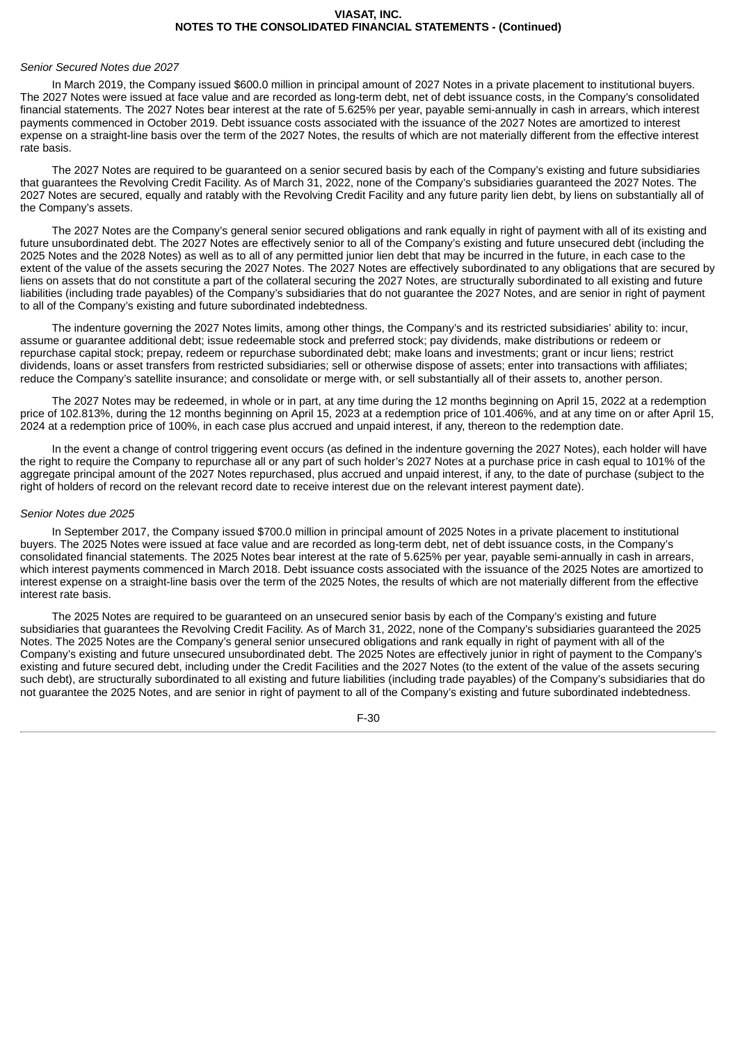### *Senior Secured Notes due 2027*

In March 2019, the Company issued \$600.0 million in principal amount of 2027 Notes in a private placement to institutional buyers. The 2027 Notes were issued at face value and are recorded as long-term debt, net of debt issuance costs, in the Company's consolidated financial statements. The 2027 Notes bear interest at the rate of 5.625% per year, payable semi-annually in cash in arrears, which interest payments commenced in October 2019. Debt issuance costs associated with the issuance of the 2027 Notes are amortized to interest expense on a straight-line basis over the term of the 2027 Notes, the results of which are not materially different from the effective interest rate basis.

The 2027 Notes are required to be guaranteed on a senior secured basis by each of the Company's existing and future subsidiaries that guarantees the Revolving Credit Facility. As of March 31, 2022, none of the Company's subsidiaries guaranteed the 2027 Notes. The 2027 Notes are secured, equally and ratably with the Revolving Credit Facility and any future parity lien debt, by liens on substantially all of the Company's assets.

The 2027 Notes are the Company's general senior secured obligations and rank equally in right of payment with all of its existing and future unsubordinated debt. The 2027 Notes are effectively senior to all of the Company's existing and future unsecured debt (including the 2025 Notes and the 2028 Notes) as well as to all of any permitted junior lien debt that may be incurred in the future, in each case to the extent of the value of the assets securing the 2027 Notes. The 2027 Notes are effectively subordinated to any obligations that are secured by liens on assets that do not constitute a part of the collateral securing the 2027 Notes, are structurally subordinated to all existing and future liabilities (including trade payables) of the Company's subsidiaries that do not guarantee the 2027 Notes, and are senior in right of payment to all of the Company's existing and future subordinated indebtedness.

The indenture governing the 2027 Notes limits, among other things, the Company's and its restricted subsidiaries' ability to: incur, assume or guarantee additional debt; issue redeemable stock and preferred stock; pay dividends, make distributions or redeem or repurchase capital stock; prepay, redeem or repurchase subordinated debt; make loans and investments; grant or incur liens; restrict dividends, loans or asset transfers from restricted subsidiaries; sell or otherwise dispose of assets; enter into transactions with affiliates; reduce the Company's satellite insurance; and consolidate or merge with, or sell substantially all of their assets to, another person.

The 2027 Notes may be redeemed, in whole or in part, at any time during the 12 months beginning on April 15, 2022 at a redemption price of 102.813%, during the 12 months beginning on April 15, 2023 at a redemption price of 101.406%, and at any time on or after April 15, 2024 at a redemption price of 100%, in each case plus accrued and unpaid interest, if any, thereon to the redemption date.

In the event a change of control triggering event occurs (as defined in the indenture governing the 2027 Notes), each holder will have the right to require the Company to repurchase all or any part of such holder's 2027 Notes at a purchase price in cash equal to 101% of the aggregate principal amount of the 2027 Notes repurchased, plus accrued and unpaid interest, if any, to the date of purchase (subject to the right of holders of record on the relevant record date to receive interest due on the relevant interest payment date).

#### *Senior Notes due 2025*

In September 2017, the Company issued \$700.0 million in principal amount of 2025 Notes in a private placement to institutional buyers. The 2025 Notes were issued at face value and are recorded as long-term debt, net of debt issuance costs, in the Company's consolidated financial statements. The 2025 Notes bear interest at the rate of 5.625% per year, payable semi-annually in cash in arrears, which interest payments commenced in March 2018. Debt issuance costs associated with the issuance of the 2025 Notes are amortized to interest expense on a straight-line basis over the term of the 2025 Notes, the results of which are not materially different from the effective interest rate basis.

The 2025 Notes are required to be guaranteed on an unsecured senior basis by each of the Company's existing and future subsidiaries that guarantees the Revolving Credit Facility. As of March 31, 2022, none of the Company's subsidiaries guaranteed the 2025 Notes. The 2025 Notes are the Company's general senior unsecured obligations and rank equally in right of payment with all of the Company's existing and future unsecured unsubordinated debt. The 2025 Notes are effectively junior in right of payment to the Company's existing and future secured debt, including under the Credit Facilities and the 2027 Notes (to the extent of the value of the assets securing such debt), are structurally subordinated to all existing and future liabilities (including trade payables) of the Company's subsidiaries that do not guarantee the 2025 Notes, and are senior in right of payment to all of the Company's existing and future subordinated indebtedness.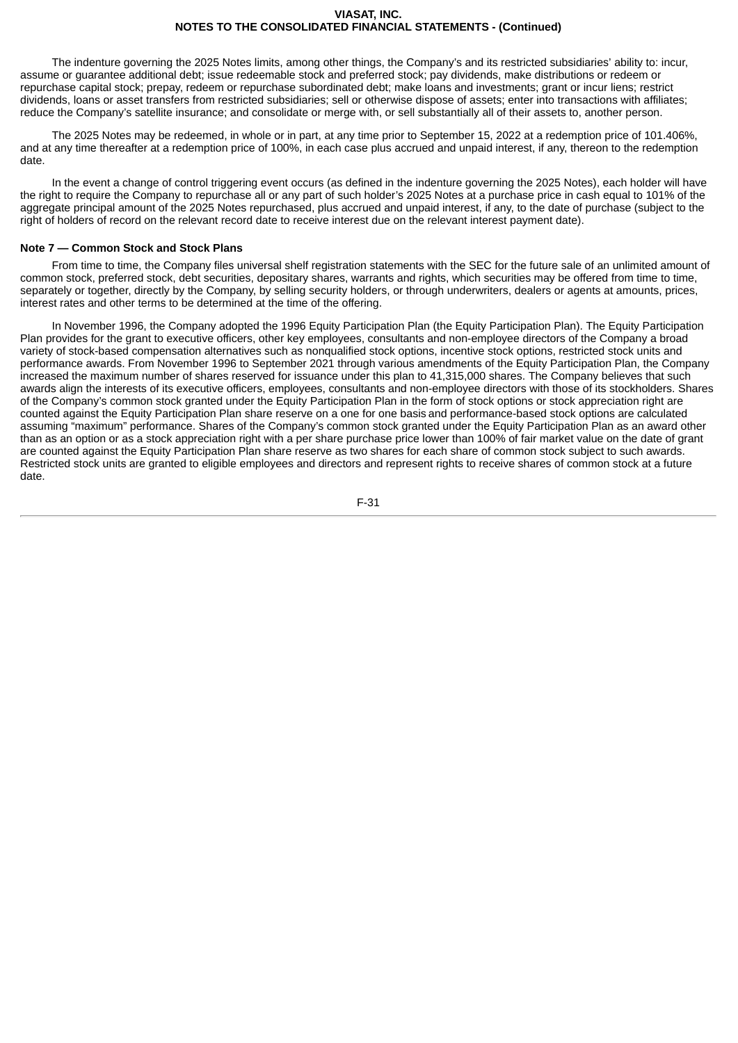The indenture governing the 2025 Notes limits, among other things, the Company's and its restricted subsidiaries' ability to: incur, assume or guarantee additional debt; issue redeemable stock and preferred stock; pay dividends, make distributions or redeem or repurchase capital stock; prepay, redeem or repurchase subordinated debt; make loans and investments; grant or incur liens; restrict dividends, loans or asset transfers from restricted subsidiaries; sell or otherwise dispose of assets; enter into transactions with affiliates; reduce the Company's satellite insurance; and consolidate or merge with, or sell substantially all of their assets to, another person.

The 2025 Notes may be redeemed, in whole or in part, at any time prior to September 15, 2022 at a redemption price of 101.406%, and at any time thereafter at a redemption price of 100%, in each case plus accrued and unpaid interest, if any, thereon to the redemption date.

In the event a change of control triggering event occurs (as defined in the indenture governing the 2025 Notes), each holder will have the right to require the Company to repurchase all or any part of such holder's 2025 Notes at a purchase price in cash equal to 101% of the aggregate principal amount of the 2025 Notes repurchased, plus accrued and unpaid interest, if any, to the date of purchase (subject to the right of holders of record on the relevant record date to receive interest due on the relevant interest payment date).

### **Note 7 — Common Stock and Stock Plans**

From time to time, the Company files universal shelf registration statements with the SEC for the future sale of an unlimited amount of common stock, preferred stock, debt securities, depositary shares, warrants and rights, which securities may be offered from time to time, separately or together, directly by the Company, by selling security holders, or through underwriters, dealers or agents at amounts, prices, interest rates and other terms to be determined at the time of the offering.

In November 1996, the Company adopted the 1996 Equity Participation Plan (the Equity Participation Plan). The Equity Participation Plan provides for the grant to executive officers, other key employees, consultants and non-employee directors of the Company a broad variety of stock-based compensation alternatives such as nonqualified stock options, incentive stock options, restricted stock units and performance awards. From November 1996 to September 2021 through various amendments of the Equity Participation Plan, the Company increased the maximum number of shares reserved for issuance under this plan to 41,315,000 shares. The Company believes that such awards align the interests of its executive officers, employees, consultants and non-employee directors with those of its stockholders. Shares of the Company's common stock granted under the Equity Participation Plan in the form of stock options or stock appreciation right are counted against the Equity Participation Plan share reserve on a one for one basis and performance-based stock options are calculated assuming "maximum" performance. Shares of the Company's common stock granted under the Equity Participation Plan as an award other than as an option or as a stock appreciation right with a per share purchase price lower than 100% of fair market value on the date of grant are counted against the Equity Participation Plan share reserve as two shares for each share of common stock subject to such awards. Restricted stock units are granted to eligible employees and directors and represent rights to receive shares of common stock at a future date.

$$
F-31
$$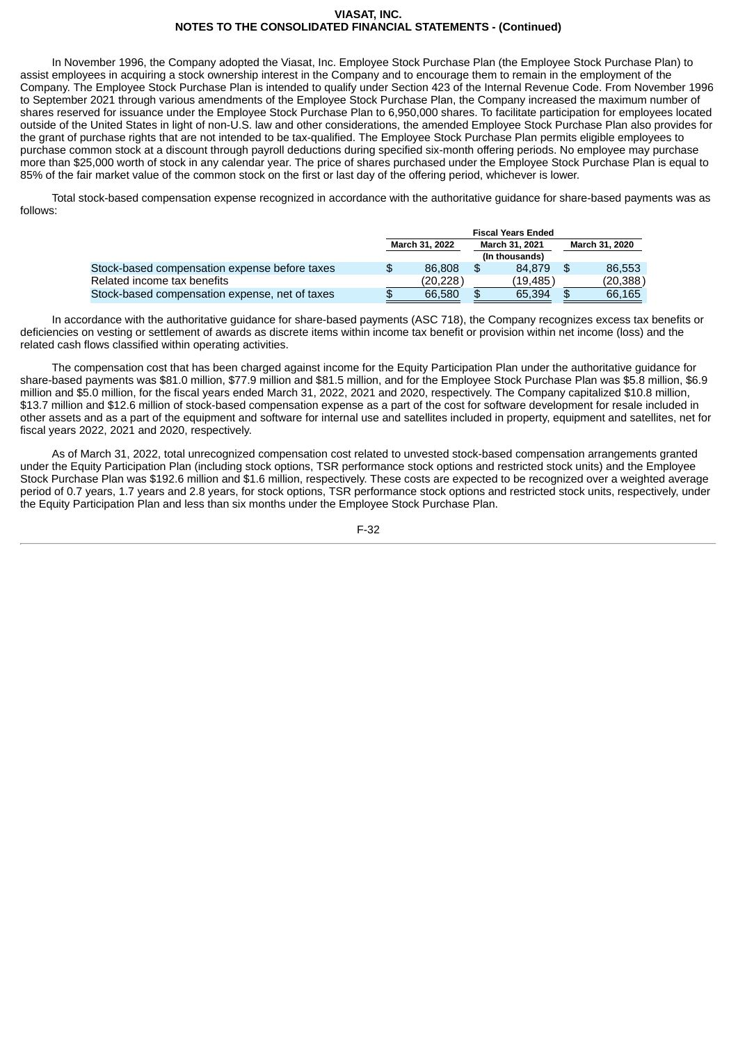In November 1996, the Company adopted the Viasat, Inc. Employee Stock Purchase Plan (the Employee Stock Purchase Plan) to assist employees in acquiring a stock ownership interest in the Company and to encourage them to remain in the employment of the Company. The Employee Stock Purchase Plan is intended to qualify under Section 423 of the Internal Revenue Code. From November 1996 to September 2021 through various amendments of the Employee Stock Purchase Plan, the Company increased the maximum number of shares reserved for issuance under the Employee Stock Purchase Plan to 6,950,000 shares. To facilitate participation for employees located outside of the United States in light of non-U.S. law and other considerations, the amended Employee Stock Purchase Plan also provides for the grant of purchase rights that are not intended to be tax-qualified. The Employee Stock Purchase Plan permits eligible employees to purchase common stock at a discount through payroll deductions during specified six-month offering periods. No employee may purchase more than \$25,000 worth of stock in any calendar year. The price of shares purchased under the Employee Stock Purchase Plan is equal to 85% of the fair market value of the common stock on the first or last day of the offering period, whichever is lower.

Total stock-based compensation expense recognized in accordance with the authoritative guidance for share-based payments was as follows:

|                                                |                       |          |    | <b>Fiscal Years Ended</b> |                       |
|------------------------------------------------|-----------------------|----------|----|---------------------------|-----------------------|
|                                                | <b>March 31, 2022</b> |          |    | <b>March 31, 2021</b>     | <b>March 31, 2020</b> |
|                                                |                       |          |    | (In thousands)            |                       |
| Stock-based compensation expense before taxes  | \$                    | 86,808   | \$ | 84.879                    | 86.553                |
| Related income tax benefits                    |                       | (20.228) |    | (19.485)                  | (20, 388)             |
| Stock-based compensation expense, net of taxes | \$                    | 66,580   |    | 65.394                    | 66.165                |

In accordance with the authoritative guidance for share-based payments (ASC 718), the Company recognizes excess tax benefits or deficiencies on vesting or settlement of awards as discrete items within income tax benefit or provision within net income (loss) and the related cash flows classified within operating activities.

The compensation cost that has been charged against income for the Equity Participation Plan under the authoritative guidance for share-based payments was \$81.0 million, \$77.9 million and \$81.5 million, and for the Employee Stock Purchase Plan was \$5.8 million, \$6.9 million and \$5.0 million, for the fiscal years ended March 31, 2022, 2021 and 2020, respectively. The Company capitalized \$10.8 million, \$13.7 million and \$12.6 million of stock-based compensation expense as a part of the cost for software development for resale included in other assets and as a part of the equipment and software for internal use and satellites included in property, equipment and satellites, net for fiscal years 2022, 2021 and 2020, respectively.

As of March 31, 2022, total unrecognized compensation cost related to unvested stock-based compensation arrangements granted under the Equity Participation Plan (including stock options, TSR performance stock options and restricted stock units) and the Employee Stock Purchase Plan was \$192.6 million and \$1.6 million, respectively. These costs are expected to be recognized over a weighted average period of 0.7 years, 1.7 years and 2.8 years, for stock options, TSR performance stock options and restricted stock units, respectively, under the Equity Participation Plan and less than six months under the Employee Stock Purchase Plan.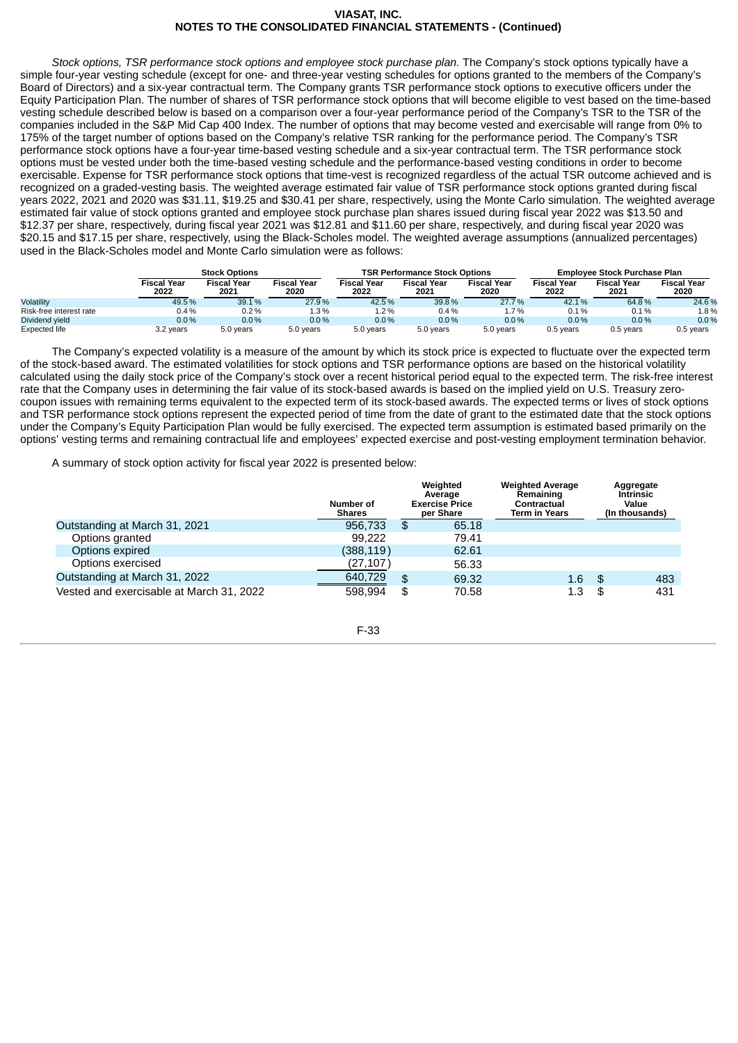*Stock options, TSR performance stock options and employee stock purchase plan.* The Company's stock options typically have a simple four-year vesting schedule (except for one- and three-year vesting schedules for options granted to the members of the Company's Board of Directors) and a six-year contractual term. The Company grants TSR performance stock options to executive officers under the Equity Participation Plan. The number of shares of TSR performance stock options that will become eligible to vest based on the time-based vesting schedule described below is based on a comparison over a four-year performance period of the Company's TSR to the TSR of the companies included in the S&P Mid Cap 400 Index. The number of options that may become vested and exercisable will range from 0% to 175% of the target number of options based on the Company's relative TSR ranking for the performance period. The Company's TSR performance stock options have a four-year time-based vesting schedule and a six-year contractual term. The TSR performance stock options must be vested under both the time-based vesting schedule and the performance-based vesting conditions in order to become exercisable. Expense for TSR performance stock options that time-vest is recognized regardless of the actual TSR outcome achieved and is recognized on a graded-vesting basis. The weighted average estimated fair value of TSR performance stock options granted during fiscal years 2022, 2021 and 2020 was \$31.11, \$19.25 and \$30.41 per share, respectively, using the Monte Carlo simulation. The weighted average estimated fair value of stock options granted and employee stock purchase plan shares issued during fiscal year 2022 was \$13.50 and \$12.37 per share, respectively, during fiscal year 2021 was \$12.81 and \$11.60 per share, respectively, and during fiscal year 2020 was \$20.15 and \$17.15 per share, respectively, using the Black-Scholes model. The weighted average assumptions (annualized percentages) used in the Black-Scholes model and Monte Carlo simulation were as follows:

|                         |                            | <b>Stock Options</b>       |                            | <b>Employee Stock Purchase Plan</b><br><b>TSR Performance Stock Options</b> |                            |                            |                            |                            |                            |
|-------------------------|----------------------------|----------------------------|----------------------------|-----------------------------------------------------------------------------|----------------------------|----------------------------|----------------------------|----------------------------|----------------------------|
|                         | <b>Fiscal Year</b><br>2022 | <b>Fiscal Year</b><br>2021 | <b>Fiscal Year</b><br>2020 | <b>Fiscal Year</b><br>2022                                                  | <b>Fiscal Year</b><br>2021 | <b>Fiscal Year</b><br>2020 | <b>Fiscal Year</b><br>2022 | <b>Fiscal Year</b><br>2021 | <b>Fiscal Year</b><br>2020 |
| Volatility              | 49.5%                      | 39.1%                      | 27.9%                      | 42.5%                                                                       | 39.8%                      | 27.7%                      | 42.1%                      | 64.8%                      | 24.6%                      |
| Risk-free interest rate | 0.4%                       | 0.2%                       | 1.3%                       | 1.2%                                                                        | $0.4\%$                    | 1.7 %                      | $0.1\%$                    | 0.1%                       | 1.8%                       |
| Dividend yield          | $0.0\%$                    | 0.0%                       | 0.0%                       | 0.0%                                                                        | 0.0%                       | 0.0%                       | 0.0%                       | 0.0%                       | 0.0%                       |
| Expected life           | 3.2 years                  | 5.0 years                  | 5.0 years                  | 5.0 years                                                                   | 5.0 years                  | 5.0 years                  | 0.5 years                  | 0.5 years                  | 0.5 years                  |

The Company's expected volatility is a measure of the amount by which its stock price is expected to fluctuate over the expected term of the stock-based award. The estimated volatilities for stock options and TSR performance options are based on the historical volatility calculated using the daily stock price of the Company's stock over a recent historical period equal to the expected term. The risk-free interest rate that the Company uses in determining the fair value of its stock-based awards is based on the implied yield on U.S. Treasury zerocoupon issues with remaining terms equivalent to the expected term of its stock-based awards. The expected terms or lives of stock options and TSR performance stock options represent the expected period of time from the date of grant to the estimated date that the stock options under the Company's Equity Participation Plan would be fully exercised. The expected term assumption is estimated based primarily on the options' vesting terms and remaining contractual life and employees' expected exercise and post-vesting employment termination behavior.

A summary of stock option activity for fiscal year 2022 is presented below:

|                                          | Number of<br><b>Shares</b> | Weighted<br>Average<br><b>Exercise Price</b><br>per Share |       | <b>Weighted Average</b><br>Remaining<br>Contractual<br>Term in Years |     | Aggregate<br><b>Intrinsic</b><br>Value<br>(In thousands) |
|------------------------------------------|----------------------------|-----------------------------------------------------------|-------|----------------------------------------------------------------------|-----|----------------------------------------------------------|
| Outstanding at March 31, 2021            | 956.733                    | \$                                                        | 65.18 |                                                                      |     |                                                          |
| Options granted                          | 99.222                     |                                                           | 79.41 |                                                                      |     |                                                          |
| Options expired                          | (388,119)                  |                                                           | 62.61 |                                                                      |     |                                                          |
| Options exercised                        | (27,107)                   |                                                           | 56.33 |                                                                      |     |                                                          |
| Outstanding at March 31, 2022            | 640,729                    | \$                                                        | 69.32 | $1.6\,$                                                              | -\$ | 483                                                      |
| Vested and exercisable at March 31, 2022 | 598.994                    | \$                                                        | 70.58 | 1.3                                                                  |     | 431                                                      |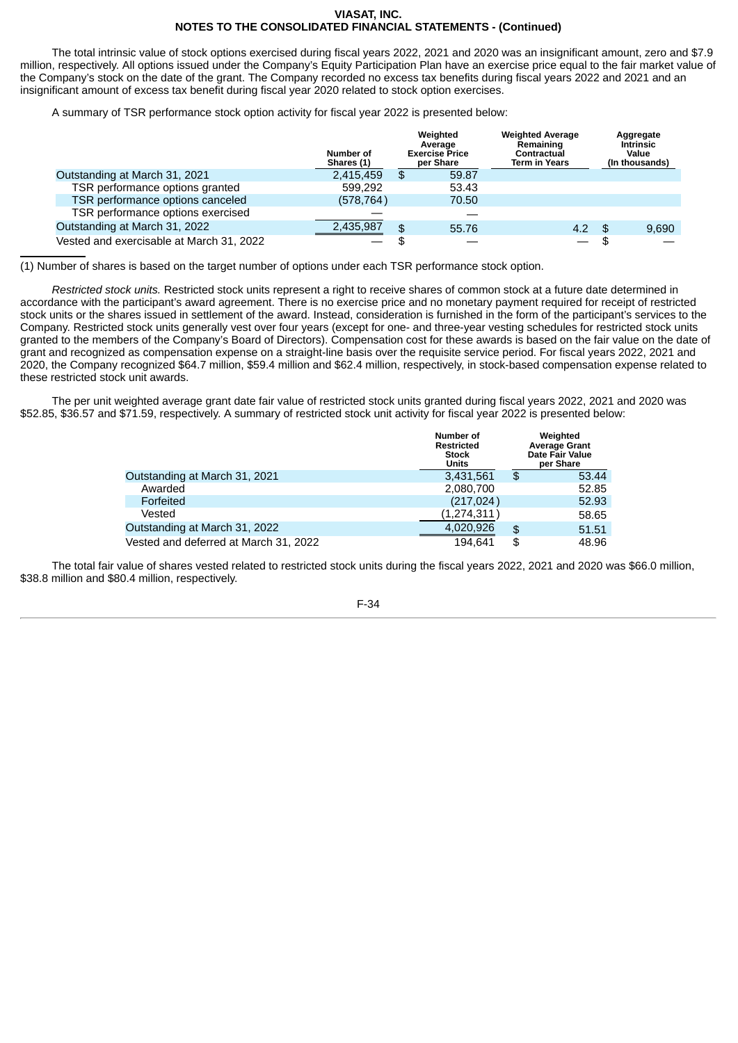The total intrinsic value of stock options exercised during fiscal years 2022, 2021 and 2020 was an insignificant amount, zero and \$7.9 million, respectively. All options issued under the Company's Equity Participation Plan have an exercise price equal to the fair market value of the Company's stock on the date of the grant. The Company recorded no excess tax benefits during fiscal years 2022 and 2021 and an insignificant amount of excess tax benefit during fiscal year 2020 related to stock option exercises.

A summary of TSR performance stock option activity for fiscal year 2022 is presented below:

|                                          | Number of<br>Shares (1) | Weighted<br>Average<br><b>Exercise Price</b><br>per Share | <b>Weighted Average</b><br>Remaining<br>Contractual<br>Term in Years |      | Aggregate<br><b>Intrinsic</b><br>Value<br>(In thousands) |
|------------------------------------------|-------------------------|-----------------------------------------------------------|----------------------------------------------------------------------|------|----------------------------------------------------------|
| Outstanding at March 31, 2021            | 2.415.459               | \$<br>59.87                                               |                                                                      |      |                                                          |
| TSR performance options granted          | 599.292                 | 53.43                                                     |                                                                      |      |                                                          |
| TSR performance options canceled         | (578, 764)              | 70.50                                                     |                                                                      |      |                                                          |
| TSR performance options exercised        |                         |                                                           |                                                                      |      |                                                          |
| Outstanding at March 31, 2022            | 2,435,987               | \$<br>55.76                                               | 4.2                                                                  | - \$ | 9,690                                                    |
| Vested and exercisable at March 31, 2022 |                         |                                                           |                                                                      |      |                                                          |

(1) Number of shares is based on the target number of options under each TSR performance stock option.

*Restricted stock units.* Restricted stock units represent a right to receive shares of common stock at a future date determined in accordance with the participant's award agreement. There is no exercise price and no monetary payment required for receipt of restricted stock units or the shares issued in settlement of the award. Instead, consideration is furnished in the form of the participant's services to the Company. Restricted stock units generally vest over four years (except for one- and three-year vesting schedules for restricted stock units granted to the members of the Company's Board of Directors). Compensation cost for these awards is based on the fair value on the date of grant and recognized as compensation expense on a straight-line basis over the requisite service period. For fiscal years 2022, 2021 and 2020, the Company recognized \$64.7 million, \$59.4 million and \$62.4 million, respectively, in stock-based compensation expense related to these restricted stock unit awards.

The per unit weighted average grant date fair value of restricted stock units granted during fiscal years 2022, 2021 and 2020 was \$52.85, \$36.57 and \$71.59, respectively. A summary of restricted stock unit activity for fiscal year 2022 is presented below:

|                                       | Number of<br><b>Restricted</b><br><b>Stock</b><br><b>Units</b> | Weighted<br><b>Average Grant</b><br>Date Fair Value<br>per Share |
|---------------------------------------|----------------------------------------------------------------|------------------------------------------------------------------|
| Outstanding at March 31, 2021         | 3.431.561                                                      | \$<br>53.44                                                      |
| Awarded                               | 2,080,700                                                      | 52.85                                                            |
| Forfeited                             | (217, 024)                                                     | 52.93                                                            |
| Vested                                | (1,274,311)                                                    | 58.65                                                            |
| Outstanding at March 31, 2022         | 4.020.926                                                      | \$<br>51.51                                                      |
| Vested and deferred at March 31, 2022 | 194.641                                                        | \$<br>48.96                                                      |

The total fair value of shares vested related to restricted stock units during the fiscal years 2022, 2021 and 2020 was \$66.0 million, \$38.8 million and \$80.4 million, respectively.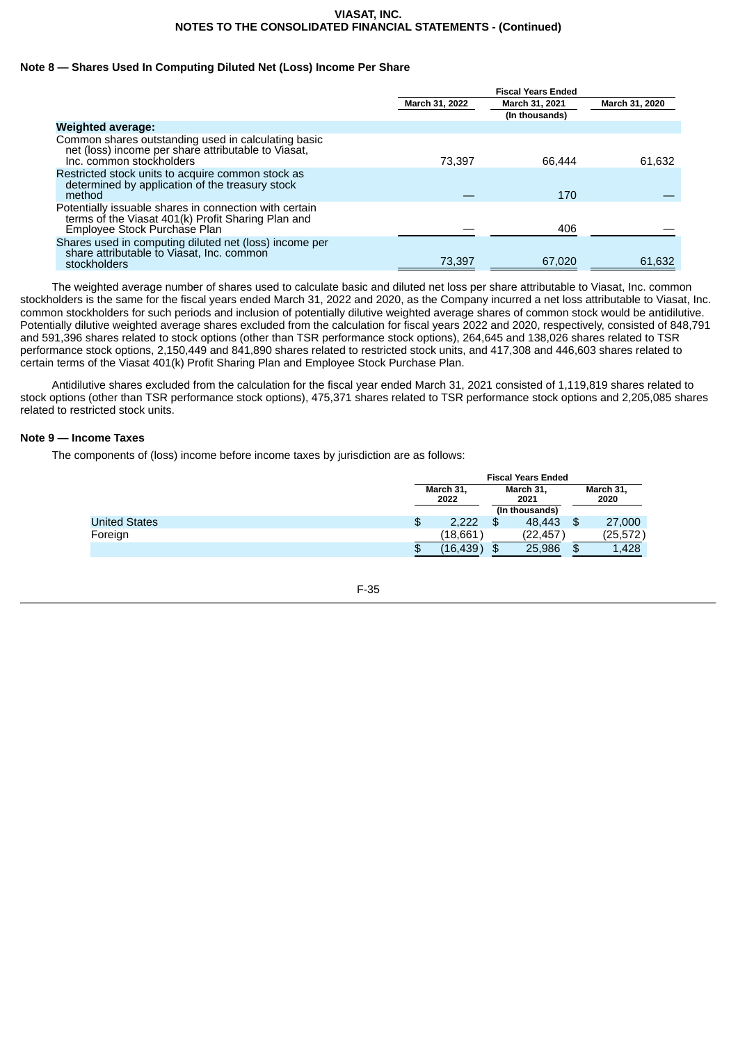# **Note 8 — Shares Used In Computing Diluted Net (Loss) Income Per Share**

|                                                                                                                                              | <b>Fiscal Years Ended</b> |                |                |  |  |
|----------------------------------------------------------------------------------------------------------------------------------------------|---------------------------|----------------|----------------|--|--|
|                                                                                                                                              | March 31, 2022            | March 31, 2021 | March 31, 2020 |  |  |
|                                                                                                                                              |                           | (In thousands) |                |  |  |
| <b>Weighted average:</b>                                                                                                                     |                           |                |                |  |  |
| Common shares outstanding used in calculating basic<br>net (loss) income per share attributable to Viasat,<br>Inc. common stockholders       | 73.397                    | 66.444         | 61.632         |  |  |
| Restricted stock units to acquire common stock as<br>determined by application of the treasury stock<br>method                               |                           | 170            |                |  |  |
| Potentially issuable shares in connection with certain<br>terms of the Viasat 401(k) Profit Sharing Plan and<br>Employee Stock Purchase Plan |                           | 406            |                |  |  |
| Shares used in computing diluted net (loss) income per<br>share attributable to Viasat, Inc. common<br>stockholders                          | 73,397                    | 67,020         | 61,632         |  |  |

The weighted average number of shares used to calculate basic and diluted net loss per share attributable to Viasat, Inc. common stockholders is the same for the fiscal years ended March 31, 2022 and 2020, as the Company incurred a net loss attributable to Viasat, Inc. common stockholders for such periods and inclusion of potentially dilutive weighted average shares of common stock would be antidilutive. Potentially dilutive weighted average shares excluded from the calculation for fiscal years 2022 and 2020, respectively, consisted of 848,791 and 591,396 shares related to stock options (other than TSR performance stock options), 264,645 and 138,026 shares related to TSR performance stock options, 2,150,449 and 841,890 shares related to restricted stock units, and 417,308 and 446,603 shares related to certain terms of the Viasat 401(k) Profit Sharing Plan and Employee Stock Purchase Plan.

Antidilutive shares excluded from the calculation for the fiscal year ended March 31, 2021 consisted of 1,119,819 shares related to stock options (other than TSR performance stock options), 475,371 shares related to TSR performance stock options and 2,205,085 shares related to restricted stock units.

# **Note 9 — Income Taxes**

The components of (loss) income before income taxes by jurisdiction are as follows:

|                      | <b>Fiscal Years Ended</b> |    |                   |    |                   |  |
|----------------------|---------------------------|----|-------------------|----|-------------------|--|
|                      | March 31,<br>2022         |    | March 31,<br>2021 |    | March 31,<br>2020 |  |
|                      |                           |    | (In thousands)    |    |                   |  |
| <b>United States</b> | \$<br>2,222               | \$ | 48,443            | \$ | 27,000            |  |
| Foreign              | (18,661)                  |    | (22, 457)         |    | (25, 572)         |  |
|                      | (16, 439)                 | \$ | 25,986            | \$ | 1,428             |  |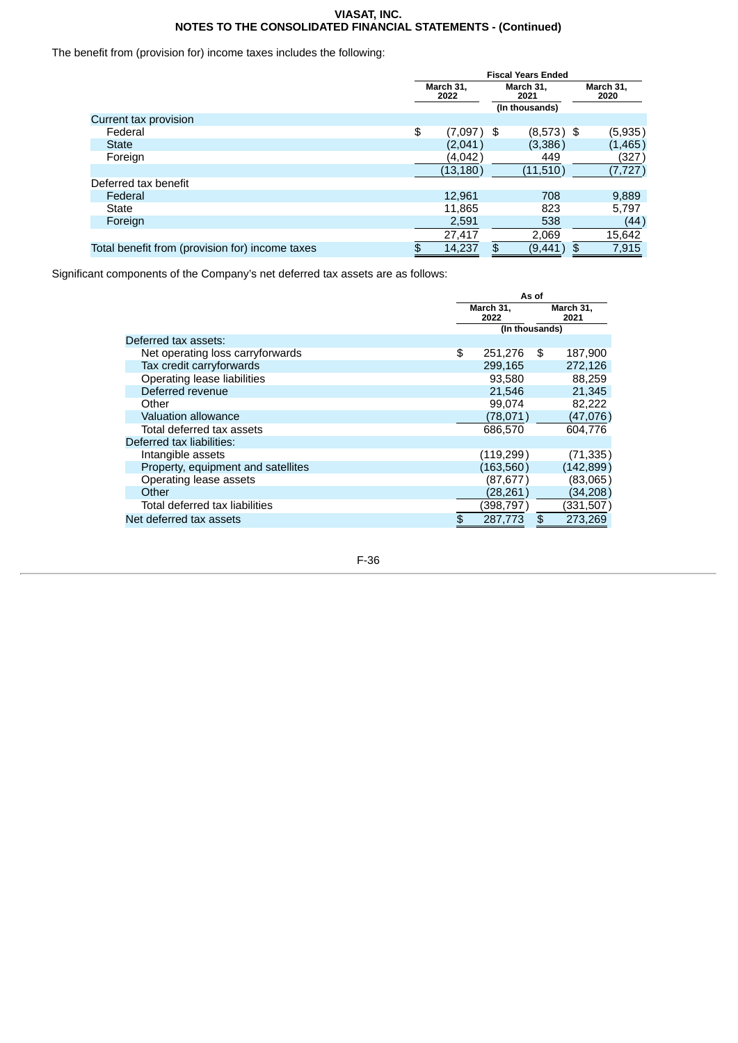The benefit from (provision for) income taxes includes the following:

|                                                 | <b>Fiscal Years Ended</b> |           |                    |                   |
|-------------------------------------------------|---------------------------|-----------|--------------------|-------------------|
|                                                 | March 31,<br>2022         |           | March 31,<br>2021  | March 31,<br>2020 |
|                                                 |                           |           | (In thousands)     |                   |
| Current tax provision                           |                           |           |                    |                   |
| Federal                                         | \$                        | (7.097)   | $(8,573)$ \$<br>\$ | (5,935)           |
| <b>State</b>                                    |                           | (2,041)   | (3,386)            | (1, 465)          |
| Foreign                                         |                           | (4,042)   | 449                | (327)             |
|                                                 |                           | (13, 180) | (11, 510)          | (7, 727)          |
| Deferred tax benefit                            |                           |           |                    |                   |
| Federal                                         |                           | 12,961    | 708                | 9,889             |
| <b>State</b>                                    |                           | 11,865    | 823                | 5,797             |
| Foreign                                         |                           | 2,591     | 538                | (44)              |
|                                                 |                           | 27,417    | 2,069              | 15,642            |
| Total benefit from (provision for) income taxes | \$                        | 14,237    | \$<br>(9, 441)     | 7,915<br>\$       |

Significant components of the Company's net deferred tax assets are as follows:

|                                    | As of |                   |      |                   |
|------------------------------------|-------|-------------------|------|-------------------|
|                                    |       | March 31,<br>2022 |      | March 31,<br>2021 |
|                                    |       | (In thousands)    |      |                   |
| Deferred tax assets:               |       |                   |      |                   |
| Net operating loss carryforwards   | \$    | 251,276           | - \$ | 187.900           |
| Tax credit carryforwards           |       | 299.165           |      | 272,126           |
| Operating lease liabilities        |       | 93.580            |      | 88.259            |
| Deferred revenue                   |       | 21.546            |      | 21.345            |
| Other                              |       | 99.074            |      | 82,222            |
| Valuation allowance                |       | (78,071)          |      | (47,076)          |
| Total deferred tax assets          |       | 686,570           |      | 604.776           |
| Deferred tax liabilities:          |       |                   |      |                   |
| Intangible assets                  |       | (119, 299)        |      | (71, 335)         |
| Property, equipment and satellites |       | (163, 560)        |      | (142, 899)        |
| Operating lease assets             |       | (87,677)          |      | (83,065)          |
| Other                              |       | (28,261)          |      | (34, 208)         |
| Total deferred tax liabilities     |       | (398,797)         |      | (331,507)         |
| Net deferred tax assets            | \$    | 287,773           | \$   | 273.269           |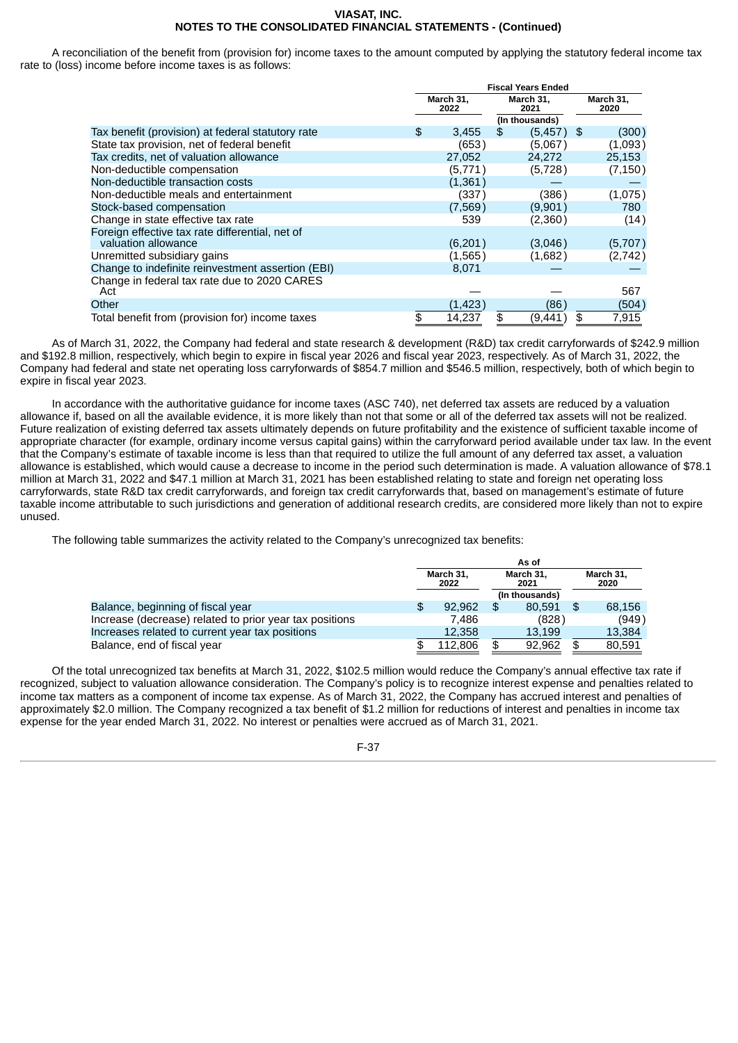A reconciliation of the benefit from (provision for) income taxes to the amount computed by applying the statutory federal income tax rate to (loss) income before income taxes is as follows:

|                                                                        | <b>Fiscal Years Ended</b> |          |                   |          |                   |          |  |  |
|------------------------------------------------------------------------|---------------------------|----------|-------------------|----------|-------------------|----------|--|--|
|                                                                        | March 31,<br>2022         |          | March 31,<br>2021 |          | March 31,<br>2020 |          |  |  |
| Tax benefit (provision) at federal statutory rate                      |                           |          | (In thousands)    |          |                   |          |  |  |
|                                                                        | \$                        | 3,455    | \$                | (5, 457) | - \$              | (300)    |  |  |
| State tax provision, net of federal benefit                            |                           | (653)    |                   | (5,067)  |                   | (1,093)  |  |  |
| Tax credits, net of valuation allowance                                |                           | 27,052   |                   | 24,272   |                   | 25,153   |  |  |
| Non-deductible compensation                                            |                           | (5,771)  |                   | (5,728)  |                   | (7, 150) |  |  |
| Non-deductible transaction costs                                       |                           | (1, 361) |                   |          |                   |          |  |  |
| Non-deductible meals and entertainment                                 |                           | (337)    |                   | (386)    |                   | (1,075)  |  |  |
| Stock-based compensation                                               |                           | (7,569)  |                   | (9,901)  |                   | 780      |  |  |
| Change in state effective tax rate                                     |                           | 539      |                   | (2,360)  |                   | (14)     |  |  |
| Foreign effective tax rate differential, net of<br>valuation allowance |                           | (6,201)  |                   | (3,046)  |                   | (5,707)  |  |  |
| Unremitted subsidiary gains                                            |                           | (1,565)  |                   | (1,682)  |                   | (2,742)  |  |  |
| Change to indefinite reinvestment assertion (EBI)                      |                           | 8,071    |                   |          |                   |          |  |  |
| Change in federal tax rate due to 2020 CARES<br>Act                    |                           |          |                   |          |                   | 567      |  |  |
| Other                                                                  |                           | (1, 423) |                   | (86)     |                   | (504)    |  |  |
| Total benefit from (provision for) income taxes                        | \$                        | 14,237   | \$                | (9,441)  | \$                | 7,915    |  |  |

As of March 31, 2022, the Company had federal and state research & development (R&D) tax credit carryforwards of \$242.9 million and \$192.8 million, respectively, which begin to expire in fiscal year 2026 and fiscal year 2023, respectively. As of March 31, 2022, the Company had federal and state net operating loss carryforwards of \$854.7 million and \$546.5 million, respectively, both of which begin to expire in fiscal year 2023.

In accordance with the authoritative guidance for income taxes (ASC 740), net deferred tax assets are reduced by a valuation allowance if, based on all the available evidence, it is more likely than not that some or all of the deferred tax assets will not be realized. Future realization of existing deferred tax assets ultimately depends on future profitability and the existence of sufficient taxable income of appropriate character (for example, ordinary income versus capital gains) within the carryforward period available under tax law. In the event that the Company's estimate of taxable income is less than that required to utilize the full amount of any deferred tax asset, a valuation allowance is established, which would cause a decrease to income in the period such determination is made. A valuation allowance of \$78.1 million at March 31, 2022 and \$47.1 million at March 31, 2021 has been established relating to state and foreign net operating loss carryforwards, state R&D tax credit carryforwards, and foreign tax credit carryforwards that, based on management's estimate of future taxable income attributable to such jurisdictions and generation of additional research credits, are considered more likely than not to expire unused.

The following table summarizes the activity related to the Company's unrecognized tax benefits:

|                                                         | As of             |         |                   |                |                   |        |  |
|---------------------------------------------------------|-------------------|---------|-------------------|----------------|-------------------|--------|--|
|                                                         | March 31.<br>2022 |         | March 31,<br>2021 |                | March 31,<br>2020 |        |  |
|                                                         |                   |         |                   | (In thousands) |                   |        |  |
| Balance, beginning of fiscal year                       | \$                | 92.962  |                   | 80.591         |                   | 68.156 |  |
| Increase (decrease) related to prior year tax positions |                   | 7.486   |                   | (828)          |                   | (949)  |  |
| Increases related to current year tax positions         |                   | 12.358  |                   | 13.199         |                   | 13,384 |  |
| Balance, end of fiscal year                             |                   | 112,806 |                   | 92.962         |                   | 80.591 |  |

Of the total unrecognized tax benefits at March 31, 2022, \$102.5 million would reduce the Company's annual effective tax rate if recognized, subject to valuation allowance consideration. The Company's policy is to recognize interest expense and penalties related to income tax matters as a component of income tax expense. As of March 31, 2022, the Company has accrued interest and penalties of approximately \$2.0 million. The Company recognized a tax benefit of \$1.2 million for reductions of interest and penalties in income tax expense for the year ended March 31, 2022. No interest or penalties were accrued as of March 31, 2021.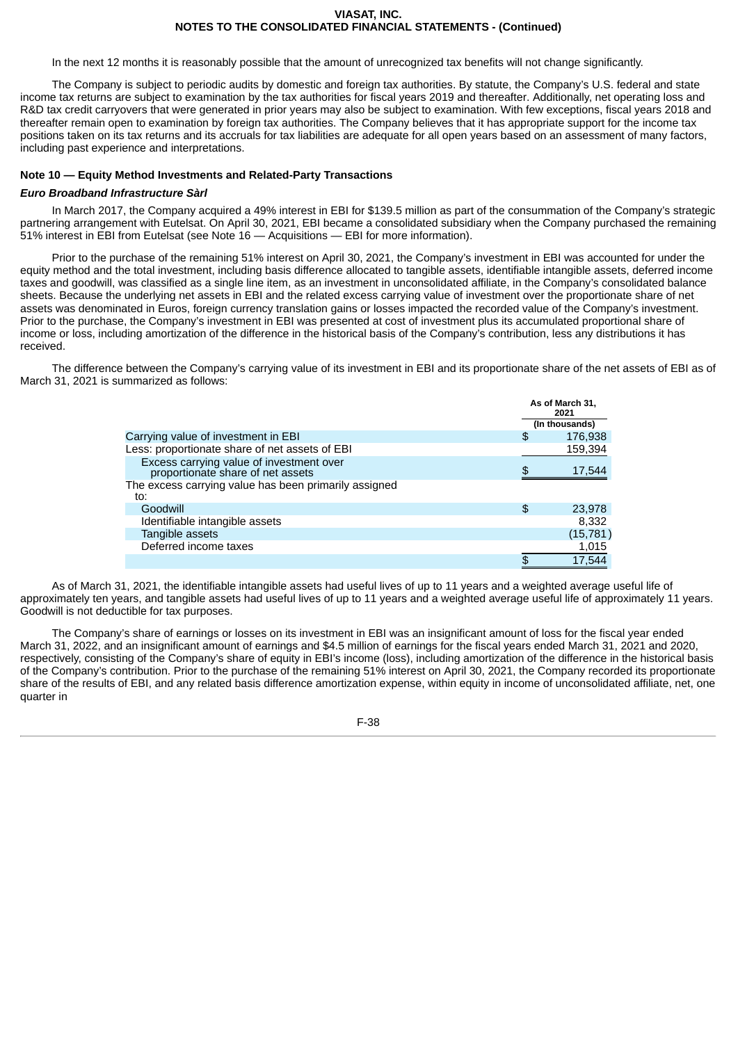In the next 12 months it is reasonably possible that the amount of unrecognized tax benefits will not change significantly.

The Company is subject to periodic audits by domestic and foreign tax authorities. By statute, the Company's U.S. federal and state income tax returns are subject to examination by the tax authorities for fiscal years 2019 and thereafter. Additionally, net operating loss and R&D tax credit carryovers that were generated in prior years may also be subject to examination. With few exceptions, fiscal years 2018 and thereafter remain open to examination by foreign tax authorities. The Company believes that it has appropriate support for the income tax positions taken on its tax returns and its accruals for tax liabilities are adequate for all open years based on an assessment of many factors, including past experience and interpretations.

#### **Note 10 — Equity Method Investments and Related-Party Transactions**

#### *Euro Broadband Infrastructure Sàrl*

In March 2017, the Company acquired a 49% interest in EBI for \$139.5 million as part of the consummation of the Company's strategic partnering arrangement with Eutelsat. On April 30, 2021, EBI became a consolidated subsidiary when the Company purchased the remaining 51% interest in EBI from Eutelsat (see Note 16 — Acquisitions — EBI for more information).

Prior to the purchase of the remaining 51% interest on April 30, 2021, the Company's investment in EBI was accounted for under the equity method and the total investment, including basis difference allocated to tangible assets, identifiable intangible assets, deferred income taxes and goodwill, was classified as a single line item, as an investment in unconsolidated affiliate, in the Company's consolidated balance sheets. Because the underlying net assets in EBI and the related excess carrying value of investment over the proportionate share of net assets was denominated in Euros, foreign currency translation gains or losses impacted the recorded value of the Company's investment. Prior to the purchase, the Company's investment in EBI was presented at cost of investment plus its accumulated proportional share of income or loss, including amortization of the difference in the historical basis of the Company's contribution, less any distributions it has received.

The difference between the Company's carrying value of its investment in EBI and its proportionate share of the net assets of EBI as of March 31, 2021 is summarized as follows:

|                                                                               | As of March 31,<br>2021 |
|-------------------------------------------------------------------------------|-------------------------|
|                                                                               | (In thousands)          |
| Carrying value of investment in EBI                                           | \$<br>176,938           |
| Less: proportionate share of net assets of EBI                                | 159,394                 |
| Excess carrying value of investment over<br>proportionate share of net assets | 17,544                  |
| The excess carrying value has been primarily assigned<br>to:                  |                         |
| Goodwill                                                                      | \$<br>23,978            |
| Identifiable intangible assets                                                | 8.332                   |
| Tangible assets                                                               | (15, 781)               |
| Deferred income taxes                                                         | 1,015                   |
|                                                                               | \$<br>17.544            |

As of March 31, 2021, the identifiable intangible assets had useful lives of up to 11 years and a weighted average useful life of approximately ten years, and tangible assets had useful lives of up to 11 years and a weighted average useful life of approximately 11 years. Goodwill is not deductible for tax purposes.

The Company's share of earnings or losses on its investment in EBI was an insignificant amount of loss for the fiscal year ended March 31, 2022, and an insignificant amount of earnings and \$4.5 million of earnings for the fiscal years ended March 31, 2021 and 2020, respectively, consisting of the Company's share of equity in EBI's income (loss), including amortization of the difference in the historical basis of the Company's contribution. Prior to the purchase of the remaining 51% interest on April 30, 2021, the Company recorded its proportionate share of the results of EBI, and any related basis difference amortization expense, within equity in income of unconsolidated affiliate, net, one quarter in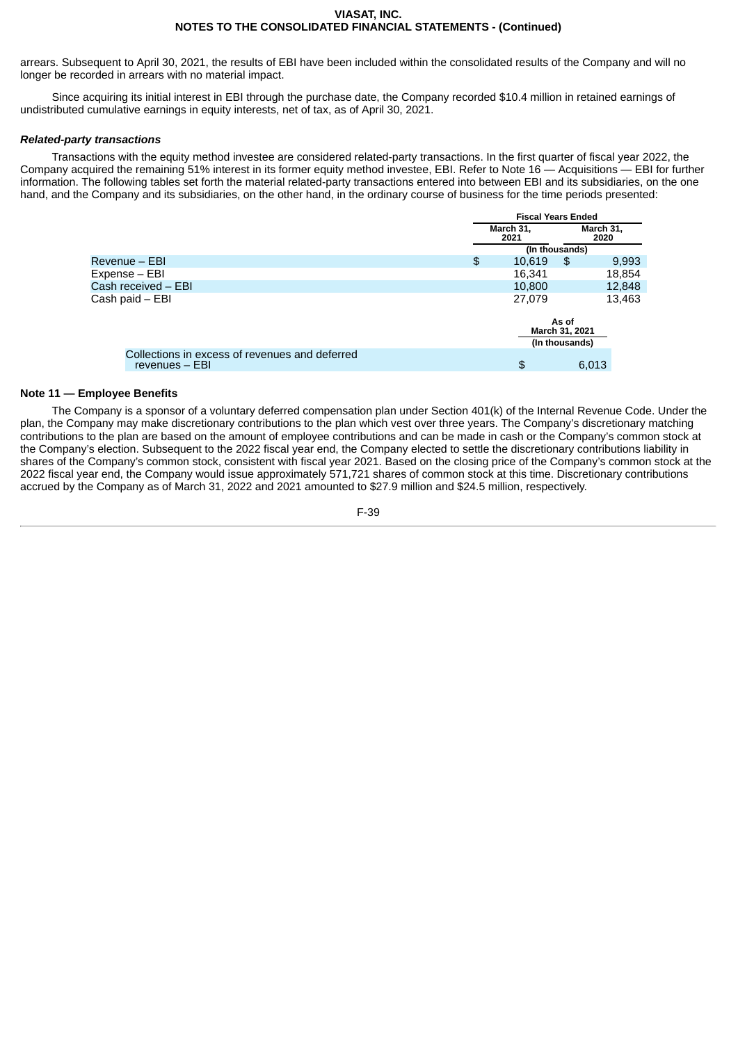arrears. Subsequent to April 30, 2021, the results of EBI have been included within the consolidated results of the Company and will no longer be recorded in arrears with no material impact.

Since acquiring its initial interest in EBI through the purchase date, the Company recorded \$10.4 million in retained earnings of undistributed cumulative earnings in equity interests, net of tax, as of April 30, 2021.

### *Related-party transactions*

Transactions with the equity method investee are considered related-party transactions. In the first quarter of fiscal year 2022, the Company acquired the remaining 51% interest in its former equity method investee, EBI. Refer to Note 16 — Acquisitions — EBI for further information. The following tables set forth the material related-party transactions entered into between EBI and its subsidiaries, on the one hand, and the Company and its subsidiaries, on the other hand, in the ordinary course of business for the time periods presented:

|                                                                  | <b>Fiscal Years Ended</b> |                |                                           |        |
|------------------------------------------------------------------|---------------------------|----------------|-------------------------------------------|--------|
|                                                                  | March 31.<br>2021         |                | March 31,<br>2020                         |        |
|                                                                  |                           | (In thousands) |                                           |        |
| Revenue – EBI                                                    | \$                        | 10,619         | \$                                        | 9,993  |
| Expense – EBI                                                    |                           | 16.341         |                                           | 18,854 |
| Cash received - EBI                                              |                           | 10,800         |                                           | 12,848 |
| Cash paid - EBI                                                  |                           | 27.079         |                                           | 13,463 |
|                                                                  |                           |                | As of<br>March 31, 2021<br>(In thousands) |        |
| Collections in excess of revenues and deferred<br>revenues - EBI |                           | \$             | 6.013                                     |        |

### **Note 11 — Employee Benefits**

The Company is a sponsor of a voluntary deferred compensation plan under Section 401(k) of the Internal Revenue Code. Under the plan, the Company may make discretionary contributions to the plan which vest over three years. The Company's discretionary matching contributions to the plan are based on the amount of employee contributions and can be made in cash or the Company's common stock at the Company's election. Subsequent to the 2022 fiscal year end, the Company elected to settle the discretionary contributions liability in shares of the Company's common stock, consistent with fiscal year 2021. Based on the closing price of the Company's common stock at the 2022 fiscal year end, the Company would issue approximately 571,721 shares of common stock at this time. Discretionary contributions accrued by the Company as of March 31, 2022 and 2021 amounted to \$27.9 million and \$24.5 million, respectively.

$$
F-39
$$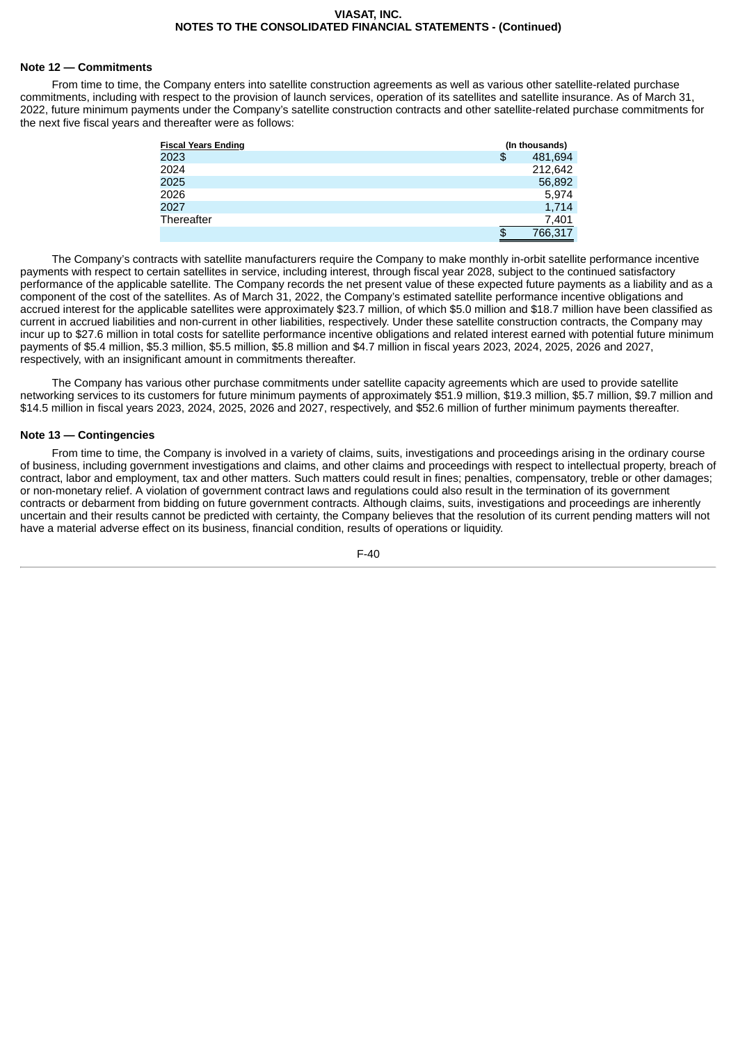#### **Note 12 — Commitments**

From time to time, the Company enters into satellite construction agreements as well as various other satellite-related purchase commitments, including with respect to the provision of launch services, operation of its satellites and satellite insurance. As of March 31, 2022, future minimum payments under the Company's satellite construction contracts and other satellite-related purchase commitments for the next five fiscal years and thereafter were as follows:

| <b>Fiscal Years Ending</b> | (In thousands) |
|----------------------------|----------------|
| 2023                       | \$<br>481,694  |
| 2024                       | 212.642        |
| 2025                       | 56,892         |
| 2026                       | 5.974          |
| 2027                       | 1.714          |
| Thereafter                 | 7,401          |
|                            | \$<br>766,317  |

The Company's contracts with satellite manufacturers require the Company to make monthly in-orbit satellite performance incentive payments with respect to certain satellites in service, including interest, through fiscal year 2028, subject to the continued satisfactory performance of the applicable satellite. The Company records the net present value of these expected future payments as a liability and as a component of the cost of the satellites. As of March 31, 2022, the Company's estimated satellite performance incentive obligations and accrued interest for the applicable satellites were approximately \$23.7 million, of which \$5.0 million and \$18.7 million have been classified as current in accrued liabilities and non-current in other liabilities, respectively. Under these satellite construction contracts, the Company may incur up to \$27.6 million in total costs for satellite performance incentive obligations and related interest earned with potential future minimum payments of \$5.4 million, \$5.3 million, \$5.5 million, \$5.8 million and \$4.7 million in fiscal years 2023, 2024, 2025, 2026 and 2027, respectively, with an insignificant amount in commitments thereafter.

The Company has various other purchase commitments under satellite capacity agreements which are used to provide satellite networking services to its customers for future minimum payments of approximately \$51.9 million, \$19.3 million, \$5.7 million, \$9.7 million and \$14.5 million in fiscal years 2023, 2024, 2025, 2026 and 2027, respectively, and \$52.6 million of further minimum payments thereafter.

#### **Note 13 — Contingencies**

From time to time, the Company is involved in a variety of claims, suits, investigations and proceedings arising in the ordinary course of business, including government investigations and claims, and other claims and proceedings with respect to intellectual property, breach of contract, labor and employment, tax and other matters. Such matters could result in fines; penalties, compensatory, treble or other damages; or non-monetary relief. A violation of government contract laws and regulations could also result in the termination of its government contracts or debarment from bidding on future government contracts. Although claims, suits, investigations and proceedings are inherently uncertain and their results cannot be predicted with certainty, the Company believes that the resolution of its current pending matters will not have a material adverse effect on its business, financial condition, results of operations or liquidity.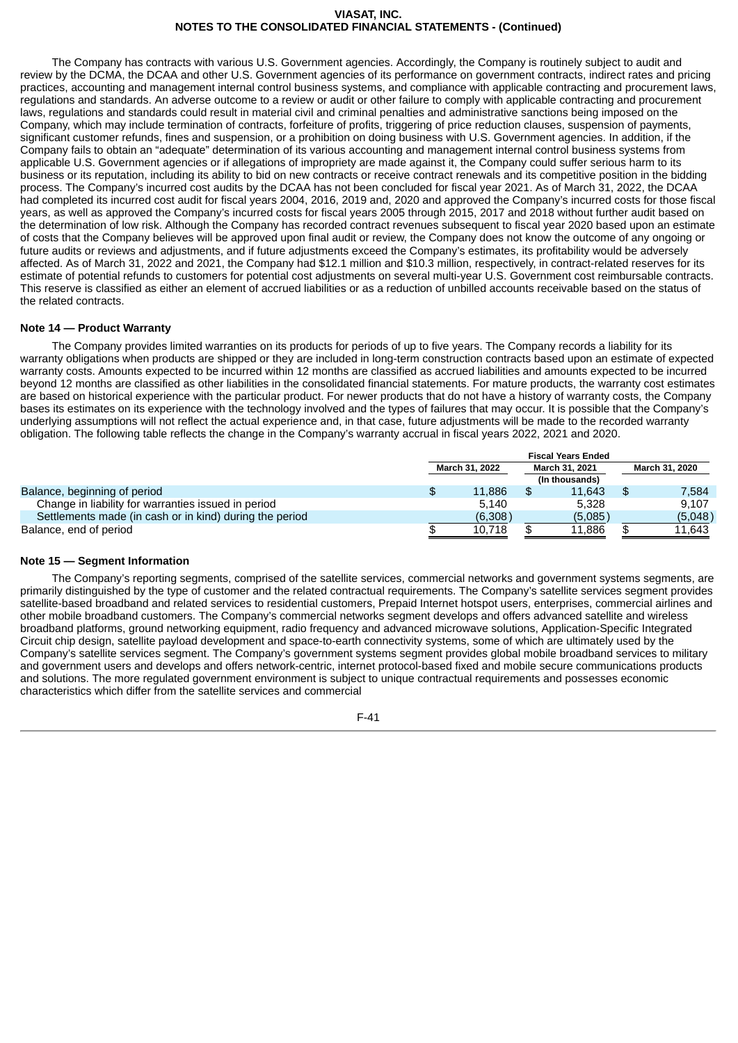The Company has contracts with various U.S. Government agencies. Accordingly, the Company is routinely subject to audit and review by the DCMA, the DCAA and other U.S. Government agencies of its performance on government contracts, indirect rates and pricing practices, accounting and management internal control business systems, and compliance with applicable contracting and procurement laws, regulations and standards. An adverse outcome to a review or audit or other failure to comply with applicable contracting and procurement laws, regulations and standards could result in material civil and criminal penalties and administrative sanctions being imposed on the Company, which may include termination of contracts, forfeiture of profits, triggering of price reduction clauses, suspension of payments, significant customer refunds, fines and suspension, or a prohibition on doing business with U.S. Government agencies. In addition, if the Company fails to obtain an "adequate" determination of its various accounting and management internal control business systems from applicable U.S. Government agencies or if allegations of impropriety are made against it, the Company could suffer serious harm to its business or its reputation, including its ability to bid on new contracts or receive contract renewals and its competitive position in the bidding process. The Company's incurred cost audits by the DCAA has not been concluded for fiscal year 2021. As of March 31, 2022, the DCAA had completed its incurred cost audit for fiscal years 2004, 2016, 2019 and, 2020 and approved the Company's incurred costs for those fiscal years, as well as approved the Company's incurred costs for fiscal years 2005 through 2015, 2017 and 2018 without further audit based on the determination of low risk. Although the Company has recorded contract revenues subsequent to fiscal year 2020 based upon an estimate of costs that the Company believes will be approved upon final audit or review, the Company does not know the outcome of any ongoing or future audits or reviews and adjustments, and if future adjustments exceed the Company's estimates, its profitability would be adversely affected. As of March 31, 2022 and 2021, the Company had \$12.1 million and \$10.3 million, respectively, in contract-related reserves for its estimate of potential refunds to customers for potential cost adjustments on several multi-year U.S. Government cost reimbursable contracts. This reserve is classified as either an element of accrued liabilities or as a reduction of unbilled accounts receivable based on the status of the related contracts.

### **Note 14 — Product Warranty**

The Company provides limited warranties on its products for periods of up to five years. The Company records a liability for its warranty obligations when products are shipped or they are included in long-term construction contracts based upon an estimate of expected warranty costs. Amounts expected to be incurred within 12 months are classified as accrued liabilities and amounts expected to be incurred beyond 12 months are classified as other liabilities in the consolidated financial statements. For mature products, the warranty cost estimates are based on historical experience with the particular product. For newer products that do not have a history of warranty costs, the Company bases its estimates on its experience with the technology involved and the types of failures that may occur. It is possible that the Company's underlying assumptions will not reflect the actual experience and, in that case, future adjustments will be made to the recorded warranty obligation. The following table reflects the change in the Company's warranty accrual in fiscal years 2022, 2021 and 2020.

|                                                         | <b>Fiscal Years Ended</b> |         |  |                |                       |         |  |  |  |                       |
|---------------------------------------------------------|---------------------------|---------|--|----------------|-----------------------|---------|--|--|--|-----------------------|
|                                                         | <b>March 31, 2022</b>     |         |  |                | <b>March 31, 2021</b> |         |  |  |  | <b>March 31, 2020</b> |
|                                                         |                           |         |  | (In thousands) |                       |         |  |  |  |                       |
| Balance, beginning of period                            | \$                        | 11.886  |  | 11.643         |                       | 7,584   |  |  |  |                       |
| Change in liability for warranties issued in period     |                           | 5.140   |  | 5.328          |                       | 9.107   |  |  |  |                       |
| Settlements made (in cash or in kind) during the period |                           | (6,308) |  | (5,085)        |                       | (5,048) |  |  |  |                       |
| Balance, end of period                                  |                           | 10.718  |  | 11.886         |                       | 11.643  |  |  |  |                       |

#### **Note 15 — Segment Information**

The Company's reporting segments, comprised of the satellite services, commercial networks and government systems segments, are primarily distinguished by the type of customer and the related contractual requirements. The Company's satellite services segment provides satellite-based broadband and related services to residential customers, Prepaid Internet hotspot users, enterprises, commercial airlines and other mobile broadband customers. The Company's commercial networks segment develops and offers advanced satellite and wireless broadband platforms, ground networking equipment, radio frequency and advanced microwave solutions, Application-Specific Integrated Circuit chip design, satellite payload development and space-to-earth connectivity systems, some of which are ultimately used by the Company's satellite services segment. The Company's government systems segment provides global mobile broadband services to military and government users and develops and offers network-centric, internet protocol-based fixed and mobile secure communications products and solutions. The more regulated government environment is subject to unique contractual requirements and possesses economic characteristics which differ from the satellite services and commercial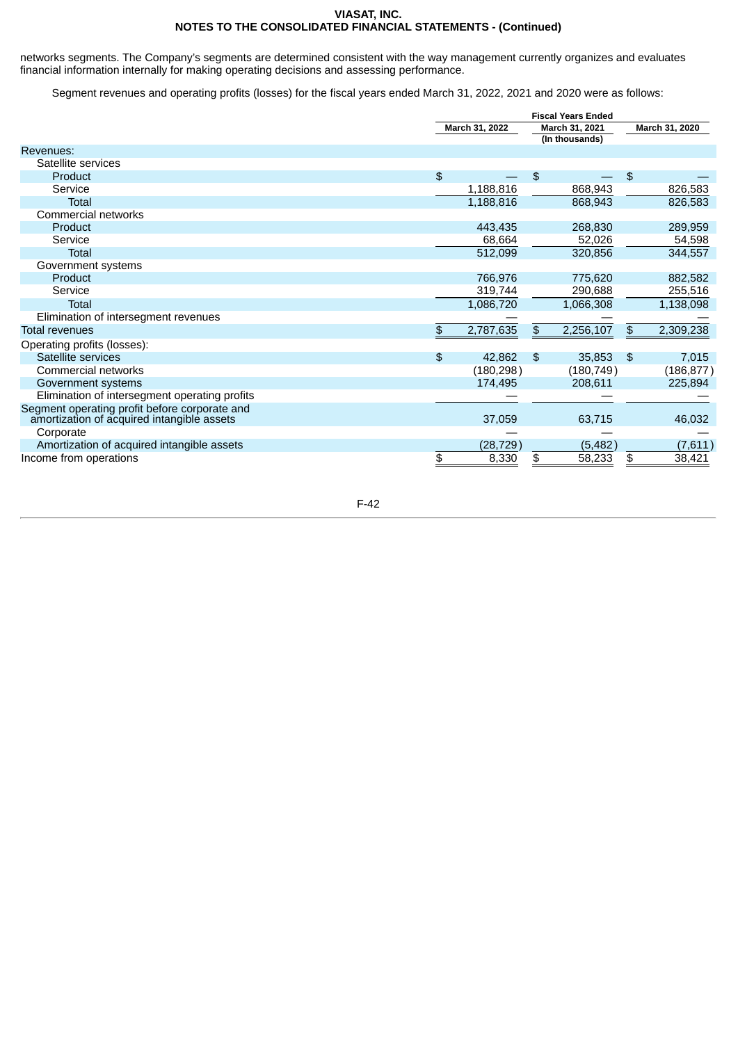networks segments. The Company's segments are determined consistent with the way management currently organizes and evaluates financial information internally for making operating decisions and assessing performance.

Segment revenues and operating profits (losses) for the fiscal years ended March 31, 2022, 2021 and 2020 were as follows:

|                                                                                             |  | <b>Fiscal Years Ended</b> |            |    |            |    |                                  |  |                |
|---------------------------------------------------------------------------------------------|--|---------------------------|------------|----|------------|----|----------------------------------|--|----------------|
|                                                                                             |  | March 31, 2022            |            |    |            |    | March 31, 2021<br>(In thousands) |  | March 31, 2020 |
| Revenues:                                                                                   |  |                           |            |    |            |    |                                  |  |                |
| Satellite services                                                                          |  |                           |            |    |            |    |                                  |  |                |
| Product                                                                                     |  | \$                        |            | \$ |            | \$ |                                  |  |                |
| Service                                                                                     |  |                           | 1,188,816  |    | 868,943    |    | 826,583                          |  |                |
| Total                                                                                       |  |                           | 1,188,816  |    | 868,943    |    | 826,583                          |  |                |
| Commercial networks                                                                         |  |                           |            |    |            |    |                                  |  |                |
| Product                                                                                     |  |                           | 443,435    |    | 268,830    |    | 289,959                          |  |                |
| Service                                                                                     |  |                           | 68,664     |    | 52,026     |    | 54,598                           |  |                |
| Total                                                                                       |  |                           | 512,099    |    | 320,856    |    | 344,557                          |  |                |
| Government systems                                                                          |  |                           |            |    |            |    |                                  |  |                |
| Product                                                                                     |  |                           | 766,976    |    | 775,620    |    | 882,582                          |  |                |
| Service                                                                                     |  |                           | 319,744    |    | 290,688    |    | 255,516                          |  |                |
| Total                                                                                       |  |                           | 1,086,720  |    | 1,066,308  |    | 1,138,098                        |  |                |
| Elimination of intersegment revenues                                                        |  |                           |            |    |            |    |                                  |  |                |
| <b>Total revenues</b>                                                                       |  | \$                        | 2,787,635  | \$ | 2,256,107  | \$ | 2,309,238                        |  |                |
| Operating profits (losses):                                                                 |  |                           |            |    |            |    |                                  |  |                |
| Satellite services                                                                          |  | \$                        | 42,862     | \$ | 35,853     | \$ | 7,015                            |  |                |
| Commercial networks                                                                         |  |                           | (180, 298) |    | (180, 749) |    | (186, 877)                       |  |                |
| Government systems                                                                          |  |                           | 174,495    |    | 208,611    |    | 225,894                          |  |                |
| Elimination of intersegment operating profits                                               |  |                           |            |    |            |    |                                  |  |                |
| Segment operating profit before corporate and<br>amortization of acquired intangible assets |  |                           | 37,059     |    | 63,715     |    | 46,032                           |  |                |
| Corporate                                                                                   |  |                           |            |    |            |    |                                  |  |                |
| Amortization of acquired intangible assets                                                  |  |                           | (28, 729)  |    | (5, 482)   |    | (7, 611)                         |  |                |
| Income from operations                                                                      |  | \$                        | 8,330      | \$ | 58,233     | \$ | 38,421                           |  |                |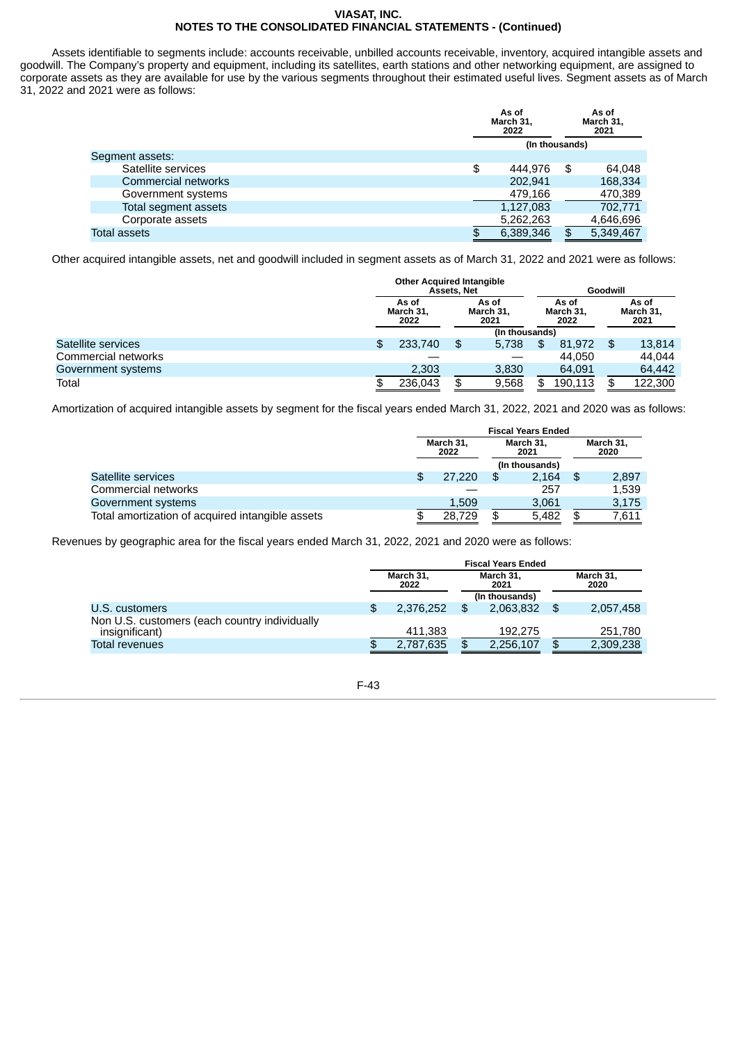Assets identifiable to segments include: accounts receivable, unbilled accounts receivable, inventory, acquired intangible assets and goodwill. The Company's property and equipment, including its satellites, earth stations and other networking equipment, are assigned to corporate assets as they are available for use by the various segments throughout their estimated useful lives. Segment assets as of March 31, 2022 and 2021 were as follows:

|                      | As of<br>March 31,<br>2022 |    | As of<br>March 31,<br>2021 |  |
|----------------------|----------------------------|----|----------------------------|--|
|                      | (In thousands)             |    |                            |  |
| Segment assets:      |                            |    |                            |  |
| Satellite services   | \$<br>444.976              | \$ | 64.048                     |  |
| Commercial networks  | 202.941                    |    | 168,334                    |  |
| Government systems   | 479.166                    |    | 470,389                    |  |
| Total segment assets | 1,127,083                  |    | 702.771                    |  |
| Corporate assets     | 5.262.263                  |    | 4,646,696                  |  |
| <b>Total assets</b>  | \$<br>6,389,346            | \$ | 5,349,467                  |  |

Other acquired intangible assets, net and goodwill included in segment assets as of March 31, 2022 and 2021 were as follows:

|                     | <b>Other Acquired Intangible</b><br>Assets, Net |                            |     |                            |     | Goodwill                   |    |                            |
|---------------------|-------------------------------------------------|----------------------------|-----|----------------------------|-----|----------------------------|----|----------------------------|
|                     |                                                 | As of<br>March 31,<br>2022 |     | As of<br>March 31.<br>2021 |     | As of<br>March 31.<br>2022 |    | As of<br>March 31,<br>2021 |
|                     |                                                 |                            |     | (In thousands)             |     |                            |    |                            |
| Satellite services  | \$                                              | 233,740                    | \$  | 5,738                      | \$  | 81.972                     | \$ | 13,814                     |
| Commercial networks |                                                 |                            |     |                            |     | 44.050                     |    | 44,044                     |
| Government systems  |                                                 | 2,303                      |     | 3,830                      |     | 64,091                     |    | 64,442                     |
| Total               |                                                 | 236.043                    | \$. | 9,568                      | \$. | 190.113                    |    | 122,300                    |

Amortization of acquired intangible assets by segment for the fiscal years ended March 31, 2022, 2021 and 2020 was as follows:

|                                                  | <b>Fiscal Years Ended</b> |        |     |                |    |       |  |  |  |  |  |  |                   |  |  |                   |
|--------------------------------------------------|---------------------------|--------|-----|----------------|----|-------|--|--|--|--|--|--|-------------------|--|--|-------------------|
|                                                  | March 31,<br>2022         |        |     |                |    |       |  |  |  |  |  |  | March 31,<br>2021 |  |  | March 31,<br>2020 |
|                                                  |                           |        |     | (In thousands) |    |       |  |  |  |  |  |  |                   |  |  |                   |
| Satellite services                               | \$                        | 27,220 | \$. | 2.164          | \$ | 2,897 |  |  |  |  |  |  |                   |  |  |                   |
| Commercial networks                              |                           |        |     | 257            |    | 1,539 |  |  |  |  |  |  |                   |  |  |                   |
| Government systems                               |                           | 1.509  |     | 3.061          |    | 3,175 |  |  |  |  |  |  |                   |  |  |                   |
| Total amortization of acquired intangible assets |                           | 28.729 | \$  | 5.482          | £. | 7,611 |  |  |  |  |  |  |                   |  |  |                   |

Revenues by geographic area for the fiscal years ended March 31, 2022, 2021 and 2020 were as follows:

|                                                                 | <b>Fiscal Years Ended</b> |                   |     |                                     |  |                   |  |
|-----------------------------------------------------------------|---------------------------|-------------------|-----|-------------------------------------|--|-------------------|--|
|                                                                 |                           | March 31,<br>2022 |     | March 31,<br>2021<br>(In thousands) |  | March 31,<br>2020 |  |
| U.S. customers                                                  | \$                        | 2.376.252         | \$. | 2,063,832                           |  | 2,057,458         |  |
| Non U.S. customers (each country individually<br>insignificant) |                           | 411.383           |     | 192.275                             |  | 251,780           |  |
| Total revenues                                                  | \$                        | 2,787,635         | £.  | 2.256.107                           |  | 2,309,238         |  |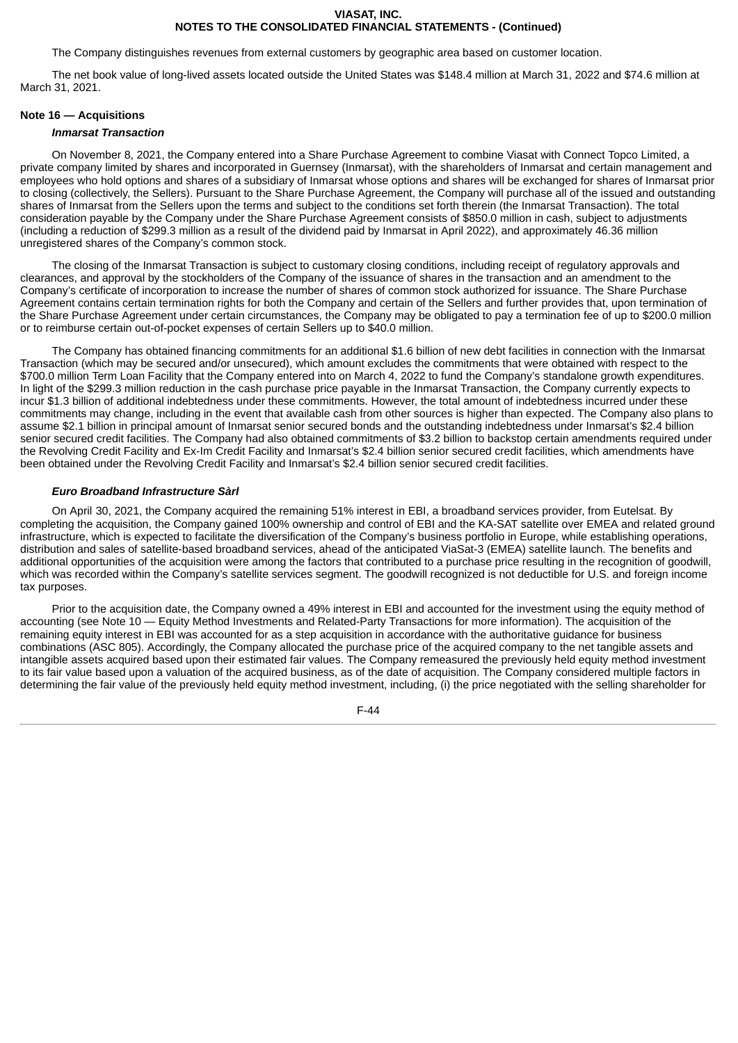The Company distinguishes revenues from external customers by geographic area based on customer location.

The net book value of long-lived assets located outside the United States was \$148.4 million at March 31, 2022 and \$74.6 million at March 31, 2021.

### **Note 16 — Acquisitions**

#### *Inmarsat Transaction*

On November 8, 2021, the Company entered into a Share Purchase Agreement to combine Viasat with Connect Topco Limited, a private company limited by shares and incorporated in Guernsey (Inmarsat), with the shareholders of Inmarsat and certain management and employees who hold options and shares of a subsidiary of Inmarsat whose options and shares will be exchanged for shares of Inmarsat prior to closing (collectively, the Sellers). Pursuant to the Share Purchase Agreement, the Company will purchase all of the issued and outstanding shares of Inmarsat from the Sellers upon the terms and subject to the conditions set forth therein (the Inmarsat Transaction). The total consideration payable by the Company under the Share Purchase Agreement consists of \$850.0 million in cash, subject to adjustments (including a reduction of \$299.3 million as a result of the dividend paid by Inmarsat in April 2022), and approximately 46.36 million unregistered shares of the Company's common stock.

The closing of the Inmarsat Transaction is subject to customary closing conditions, including receipt of regulatory approvals and clearances, and approval by the stockholders of the Company of the issuance of shares in the transaction and an amendment to the Company's certificate of incorporation to increase the number of shares of common stock authorized for issuance. The Share Purchase Agreement contains certain termination rights for both the Company and certain of the Sellers and further provides that, upon termination of the Share Purchase Agreement under certain circumstances, the Company may be obligated to pay a termination fee of up to \$200.0 million or to reimburse certain out-of-pocket expenses of certain Sellers up to \$40.0 million.

The Company has obtained financing commitments for an additional \$1.6 billion of new debt facilities in connection with the Inmarsat Transaction (which may be secured and/or unsecured), which amount excludes the commitments that were obtained with respect to the \$700.0 million Term Loan Facility that the Company entered into on March 4, 2022 to fund the Company's standalone growth expenditures. In light of the \$299.3 million reduction in the cash purchase price payable in the Inmarsat Transaction, the Company currently expects to incur \$1.3 billion of additional indebtedness under these commitments. However, the total amount of indebtedness incurred under these commitments may change, including in the event that available cash from other sources is higher than expected. The Company also plans to assume \$2.1 billion in principal amount of Inmarsat senior secured bonds and the outstanding indebtedness under Inmarsat's \$2.4 billion senior secured credit facilities. The Company had also obtained commitments of \$3.2 billion to backstop certain amendments required under the Revolving Credit Facility and Ex-Im Credit Facility and Inmarsat's \$2.4 billion senior secured credit facilities, which amendments have been obtained under the Revolving Credit Facility and Inmarsat's \$2.4 billion senior secured credit facilities.

#### *Euro Broadband Infrastructure Sàrl*

On April 30, 2021, the Company acquired the remaining 51% interest in EBI, a broadband services provider, from Eutelsat. By completing the acquisition, the Company gained 100% ownership and control of EBI and the KA-SAT satellite over EMEA and related ground infrastructure, which is expected to facilitate the diversification of the Company's business portfolio in Europe, while establishing operations, distribution and sales of satellite-based broadband services, ahead of the anticipated ViaSat-3 (EMEA) satellite launch. The benefits and additional opportunities of the acquisition were among the factors that contributed to a purchase price resulting in the recognition of goodwill, which was recorded within the Company's satellite services segment. The goodwill recognized is not deductible for U.S. and foreign income tax purposes.

Prior to the acquisition date, the Company owned a 49% interest in EBI and accounted for the investment using the equity method of accounting (see Note 10 — Equity Method Investments and Related-Party Transactions for more information). The acquisition of the remaining equity interest in EBI was accounted for as a step acquisition in accordance with the authoritative guidance for business combinations (ASC 805). Accordingly, the Company allocated the purchase price of the acquired company to the net tangible assets and intangible assets acquired based upon their estimated fair values. The Company remeasured the previously held equity method investment to its fair value based upon a valuation of the acquired business, as of the date of acquisition. The Company considered multiple factors in determining the fair value of the previously held equity method investment, including, (i) the price negotiated with the selling shareholder for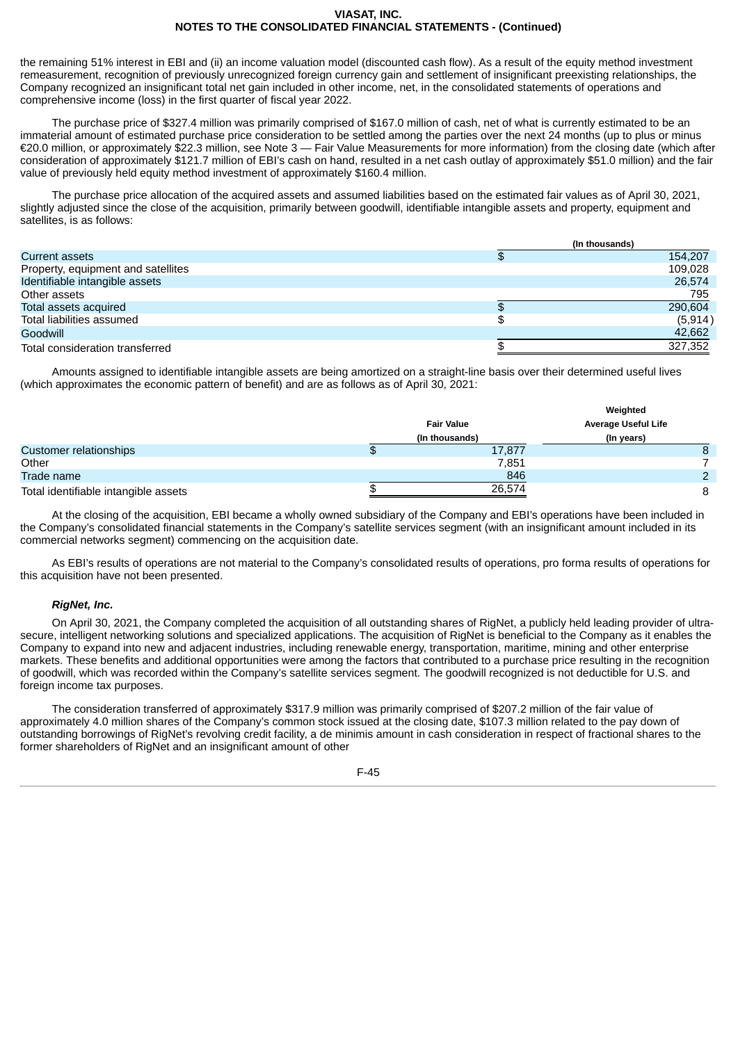the remaining 51% interest in EBI and (ii) an income valuation model (discounted cash flow). As a result of the equity method investment remeasurement, recognition of previously unrecognized foreign currency gain and settlement of insignificant preexisting relationships, the Company recognized an insignificant total net gain included in other income, net, in the consolidated statements of operations and comprehensive income (loss) in the first quarter of fiscal year 2022.

The purchase price of \$327.4 million was primarily comprised of \$167.0 million of cash, net of what is currently estimated to be an immaterial amount of estimated purchase price consideration to be settled among the parties over the next 24 months (up to plus or minus €20.0 million, or approximately \$22.3 million, see Note 3 — Fair Value Measurements for more information) from the closing date (which after consideration of approximately \$121.7 million of EBI's cash on hand, resulted in a net cash outlay of approximately \$51.0 million) and the fair value of previously held equity method investment of approximately \$160.4 million.

The purchase price allocation of the acquired assets and assumed liabilities based on the estimated fair values as of April 30, 2021, slightly adjusted since the close of the acquisition, primarily between goodwill, identifiable intangible assets and property, equipment and satellites, is as follows:

|                                    |    | (In thousands) |  |  |
|------------------------------------|----|----------------|--|--|
| <b>Current assets</b>              |    | 154.207        |  |  |
| Property, equipment and satellites |    | 109.028        |  |  |
| Identifiable intangible assets     |    | 26,574         |  |  |
| Other assets                       |    | 795            |  |  |
| Total assets acquired              | ъ  | 290.604        |  |  |
| Total liabilities assumed          | \$ | (5, 914)       |  |  |
| Goodwill                           |    | 42,662         |  |  |
| Total consideration transferred    |    | 327.352        |  |  |
|                                    |    |                |  |  |

Amounts assigned to identifiable intangible assets are being amortized on a straight-line basis over their determined useful lives (which approximates the economic pattern of benefit) and are as follows as of April 30, 2021:

|                                      |                   | Weighted                   |   |
|--------------------------------------|-------------------|----------------------------|---|
|                                      | <b>Fair Value</b> | <b>Average Useful Life</b> |   |
|                                      | (In thousands)    | (In years)                 |   |
| <b>Customer relationships</b>        | 17,877            |                            | 8 |
| Other                                | 7,851             |                            |   |
| Trade name                           | 846               |                            |   |
| Total identifiable intangible assets | 26.574            |                            |   |
|                                      |                   |                            |   |

At the closing of the acquisition, EBI became a wholly owned subsidiary of the Company and EBI's operations have been included in the Company's consolidated financial statements in the Company's satellite services segment (with an insignificant amount included in its commercial networks segment) commencing on the acquisition date.

As EBI's results of operations are not material to the Company's consolidated results of operations, pro forma results of operations for this acquisition have not been presented.

### *RigNet, Inc.*

On April 30, 2021, the Company completed the acquisition of all outstanding shares of RigNet, a publicly held leading provider of ultrasecure, intelligent networking solutions and specialized applications. The acquisition of RigNet is beneficial to the Company as it enables the Company to expand into new and adjacent industries, including renewable energy, transportation, maritime, mining and other enterprise markets. These benefits and additional opportunities were among the factors that contributed to a purchase price resulting in the recognition of goodwill, which was recorded within the Company's satellite services segment. The goodwill recognized is not deductible for U.S. and foreign income tax purposes.

The consideration transferred of approximately \$317.9 million was primarily comprised of \$207.2 million of the fair value of approximately 4.0 million shares of the Company's common stock issued at the closing date, \$107.3 million related to the pay down of outstanding borrowings of RigNet's revolving credit facility, a de minimis amount in cash consideration in respect of fractional shares to the former shareholders of RigNet and an insignificant amount of other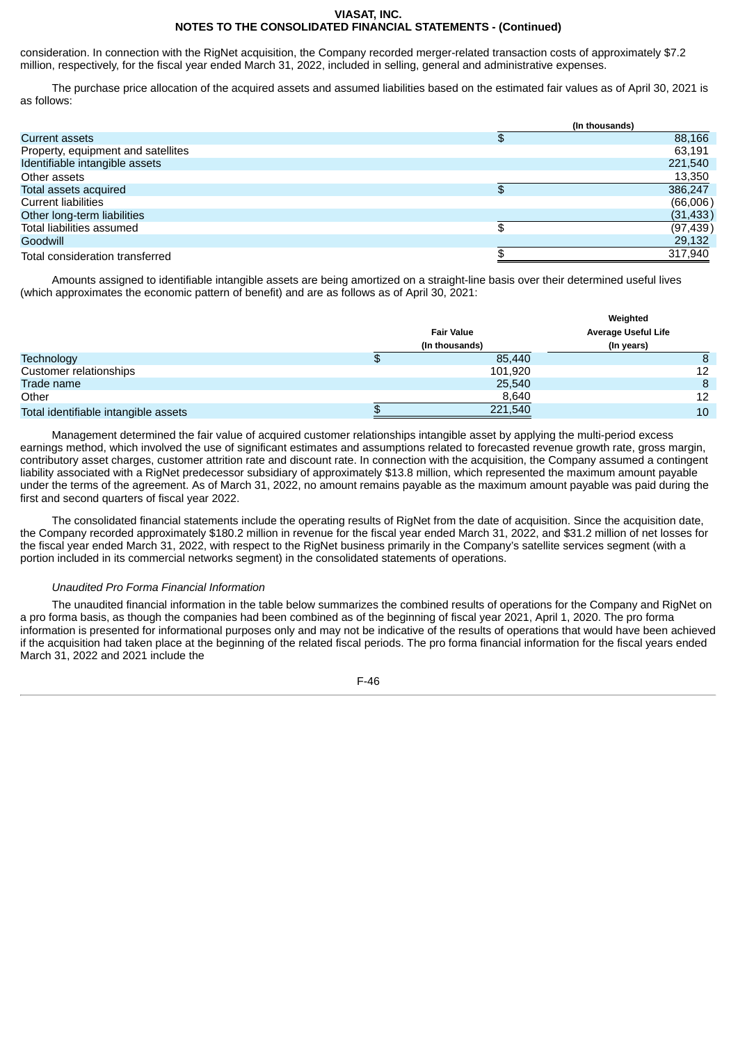consideration. In connection with the RigNet acquisition, the Company recorded merger-related transaction costs of approximately \$7.2 million, respectively, for the fiscal year ended March 31, 2022, included in selling, general and administrative expenses.

The purchase price allocation of the acquired assets and assumed liabilities based on the estimated fair values as of April 30, 2021 is as follows:

|                                    | (In thousands) |           |  |  |
|------------------------------------|----------------|-----------|--|--|
| <b>Current assets</b>              | \$             | 88,166    |  |  |
| Property, equipment and satellites |                | 63.191    |  |  |
| Identifiable intangible assets     |                | 221,540   |  |  |
| Other assets                       |                | 13,350    |  |  |
| Total assets acquired              |                | 386.247   |  |  |
| <b>Current liabilities</b>         |                | (66,006)  |  |  |
| Other long-term liabilities        |                | (31, 433) |  |  |
| Total liabilities assumed          |                | (97, 439) |  |  |
| Goodwill                           |                | 29,132    |  |  |
| Total consideration transferred    |                | 317,940   |  |  |

Amounts assigned to identifiable intangible assets are being amortized on a straight-line basis over their determined useful lives (which approximates the economic pattern of benefit) and are as follows as of April 30, 2021:

|                   | Weighted                   |  |  |
|-------------------|----------------------------|--|--|
| <b>Fair Value</b> | <b>Average Useful Life</b> |  |  |
| (In thousands)    | (In years)                 |  |  |
| 85,440<br>۰υ      | 8                          |  |  |
| 101,920           | 12                         |  |  |
| 25,540            | 8                          |  |  |
| 8,640             | 12                         |  |  |
| 221,540           | 10                         |  |  |
|                   |                            |  |  |

Management determined the fair value of acquired customer relationships intangible asset by applying the multi-period excess earnings method, which involved the use of significant estimates and assumptions related to forecasted revenue growth rate, gross margin, contributory asset charges, customer attrition rate and discount rate. In connection with the acquisition, the Company assumed a contingent liability associated with a RigNet predecessor subsidiary of approximately \$13.8 million, which represented the maximum amount payable under the terms of the agreement. As of March 31, 2022, no amount remains payable as the maximum amount payable was paid during the first and second quarters of fiscal year 2022.

The consolidated financial statements include the operating results of RigNet from the date of acquisition. Since the acquisition date, the Company recorded approximately \$180.2 million in revenue for the fiscal year ended March 31, 2022, and \$31.2 million of net losses for the fiscal year ended March 31, 2022, with respect to the RigNet business primarily in the Company's satellite services segment (with a portion included in its commercial networks segment) in the consolidated statements of operations.

### *Unaudited Pro Forma Financial Information*

The unaudited financial information in the table below summarizes the combined results of operations for the Company and RigNet on a pro forma basis, as though the companies had been combined as of the beginning of fiscal year 2021, April 1, 2020. The pro forma information is presented for informational purposes only and may not be indicative of the results of operations that would have been achieved if the acquisition had taken place at the beginning of the related fiscal periods. The pro forma financial information for the fiscal years ended March 31, 2022 and 2021 include the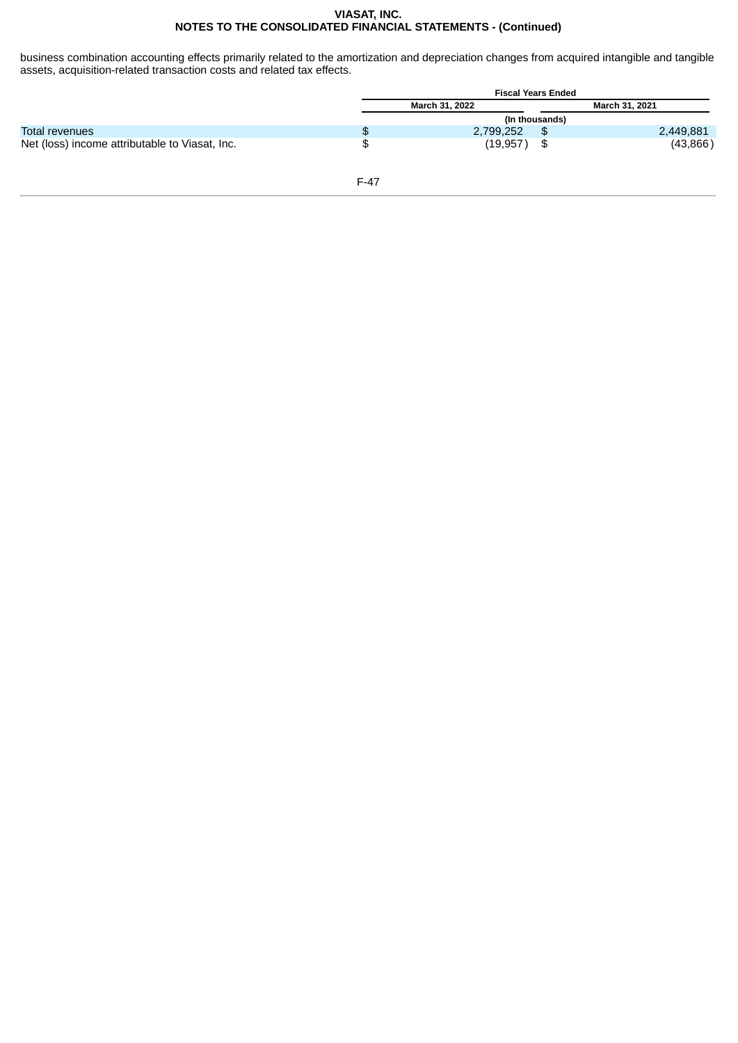business combination accounting effects primarily related to the amortization and depreciation changes from acquired intangible and tangible assets, acquisition-related transaction costs and related tax effects.

|                                                | <b>Fiscal Years Ended</b> |                |                |                |  |
|------------------------------------------------|---------------------------|----------------|----------------|----------------|--|
|                                                |                           | March 31, 2022 |                | March 31, 2021 |  |
|                                                |                           |                | (In thousands) |                |  |
| Total revenues                                 | £                         | 2,799,252      | \$             | 2,449,881      |  |
| Net (loss) income attributable to Viasat, Inc. |                           | (19, 957)      | \$             | (43, 866)      |  |
|                                                |                           |                |                |                |  |
|                                                | $F-47$                    |                |                |                |  |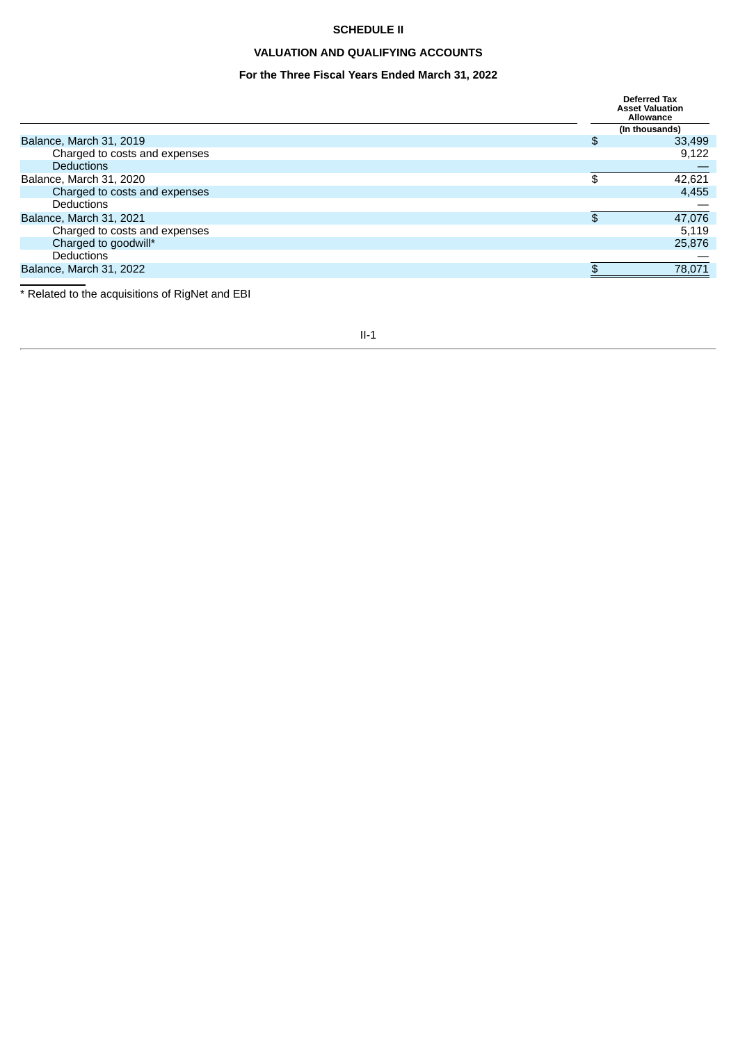# **SCHEDULE II**

# **VALUATION AND QUALIFYING ACCOUNTS**

# **For the Three Fiscal Years Ended March 31, 2022**

|                               | <b>Deferred Tax</b><br><b>Asset Valuation</b><br><b>Allowance</b> |
|-------------------------------|-------------------------------------------------------------------|
|                               | (In thousands)                                                    |
| Balance, March 31, 2019       | \$<br>33,499                                                      |
| Charged to costs and expenses | 9,122                                                             |
| <b>Deductions</b>             |                                                                   |
| Balance, March 31, 2020       | \$<br>42,621                                                      |
| Charged to costs and expenses | 4.455                                                             |
| <b>Deductions</b>             |                                                                   |
| Balance, March 31, 2021       | \$<br>47,076                                                      |
| Charged to costs and expenses | 5.119                                                             |
| Charged to goodwill*          | 25,876                                                            |
| <b>Deductions</b>             |                                                                   |
| Balance, March 31, 2022       | 78,071                                                            |

\* Related to the acquisitions of RigNet and EBI

II-1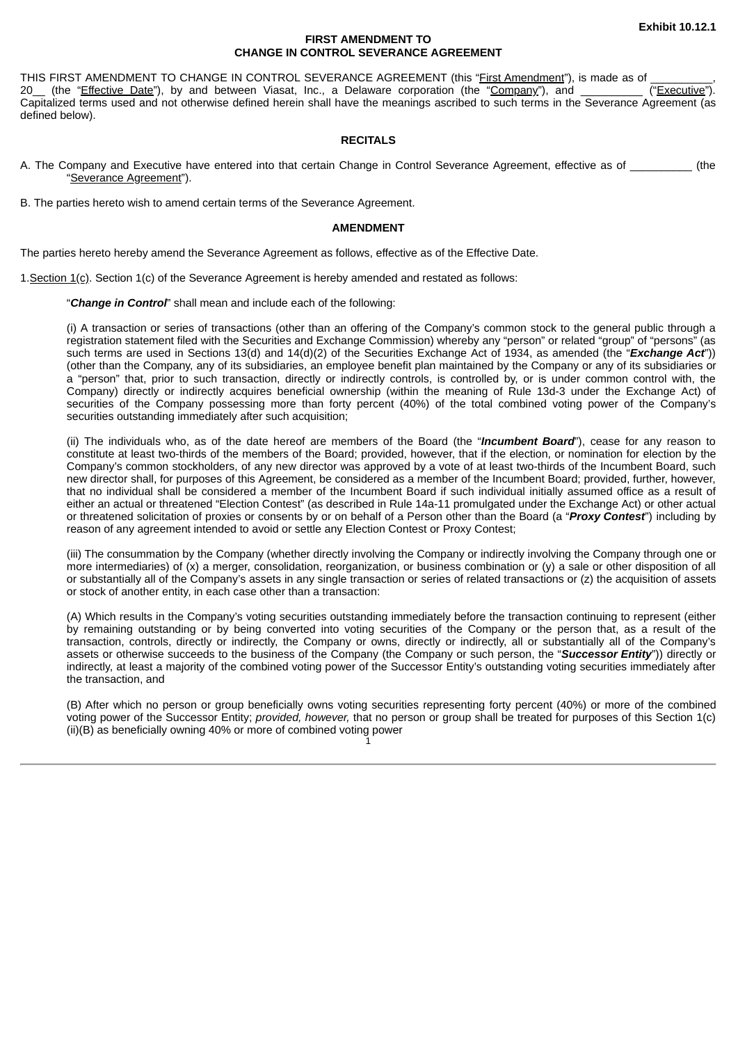## **FIRST AMENDMENT TO CHANGE IN CONTROL SEVERANCE AGREEMENT**

THIS FIRST AMENDMENT TO CHANGE IN CONTROL SEVERANCE AGREEMENT (this "First Amendment"), is made as of \_\_\_\_\_\_\_\_,<br>20 (the "Effective Date"), by and between Viasat, Inc., a Delaware corporation (the "Company"), and 20 (the "Effective Date"), by and between Viasat, Inc., a Delaware corporation (the "Company"), and Capitalized terms used and not otherwise defined herein shall have the meanings ascribed to such terms in the Severance Agreement (as defined below).

### **RECITALS**

A. The Company and Executive have entered into that certain Change in Control Severance Agreement, effective as of  $(the$ "Severance Agreement").

B. The parties hereto wish to amend certain terms of the Severance Agreement.

## **AMENDMENT**

The parties hereto hereby amend the Severance Agreement as follows, effective as of the Effective Date.

1. Section  $I(c)$ . Section  $I(c)$  of the Severance Agreement is hereby amended and restated as follows:

"*Change in Control*" shall mean and include each of the following:

(i) A transaction or series of transactions (other than an offering of the Company's common stock to the general public through a registration statement filed with the Securities and Exchange Commission) whereby any "person" or related "group" of "persons" (as such terms are used in Sections 13(d) and 14(d)(2) of the Securities Exchange Act of 1934, as amended (the "*Exchange Act*")) (other than the Company, any of its subsidiaries, an employee benefit plan maintained by the Company or any of its subsidiaries or a "person" that, prior to such transaction, directly or indirectly controls, is controlled by, or is under common control with, the Company) directly or indirectly acquires beneficial ownership (within the meaning of Rule 13d-3 under the Exchange Act) of securities of the Company possessing more than forty percent (40%) of the total combined voting power of the Company's securities outstanding immediately after such acquisition;

(ii) The individuals who, as of the date hereof are members of the Board (the "*Incumbent Board*"), cease for any reason to constitute at least two-thirds of the members of the Board; provided, however, that if the election, or nomination for election by the Company's common stockholders, of any new director was approved by a vote of at least two-thirds of the Incumbent Board, such new director shall, for purposes of this Agreement, be considered as a member of the Incumbent Board; provided, further, however, that no individual shall be considered a member of the Incumbent Board if such individual initially assumed office as a result of either an actual or threatened "Election Contest" (as described in Rule 14a-11 promulgated under the Exchange Act) or other actual or threatened solicitation of proxies or consents by or on behalf of a Person other than the Board (a "*Proxy Contest*") including by reason of any agreement intended to avoid or settle any Election Contest or Proxy Contest;

(iii) The consummation by the Company (whether directly involving the Company or indirectly involving the Company through one or more intermediaries) of (x) a merger, consolidation, reorganization, or business combination or (y) a sale or other disposition of all or substantially all of the Company's assets in any single transaction or series of related transactions or (z) the acquisition of assets or stock of another entity, in each case other than a transaction:

(A) Which results in the Company's voting securities outstanding immediately before the transaction continuing to represent (either by remaining outstanding or by being converted into voting securities of the Company or the person that, as a result of the transaction, controls, directly or indirectly, the Company or owns, directly or indirectly, all or substantially all of the Company's assets or otherwise succeeds to the business of the Company (the Company or such person, the "*Successor Entity*")) directly or indirectly, at least a majority of the combined voting power of the Successor Entity's outstanding voting securities immediately after the transaction, and

(B) After which no person or group beneficially owns voting securities representing forty percent (40%) or more of the combined voting power of the Successor Entity; *provided, however,* that no person or group shall be treated for purposes of this Section 1(c) (ii)(B) as beneficially owning 40% or more of combined voting power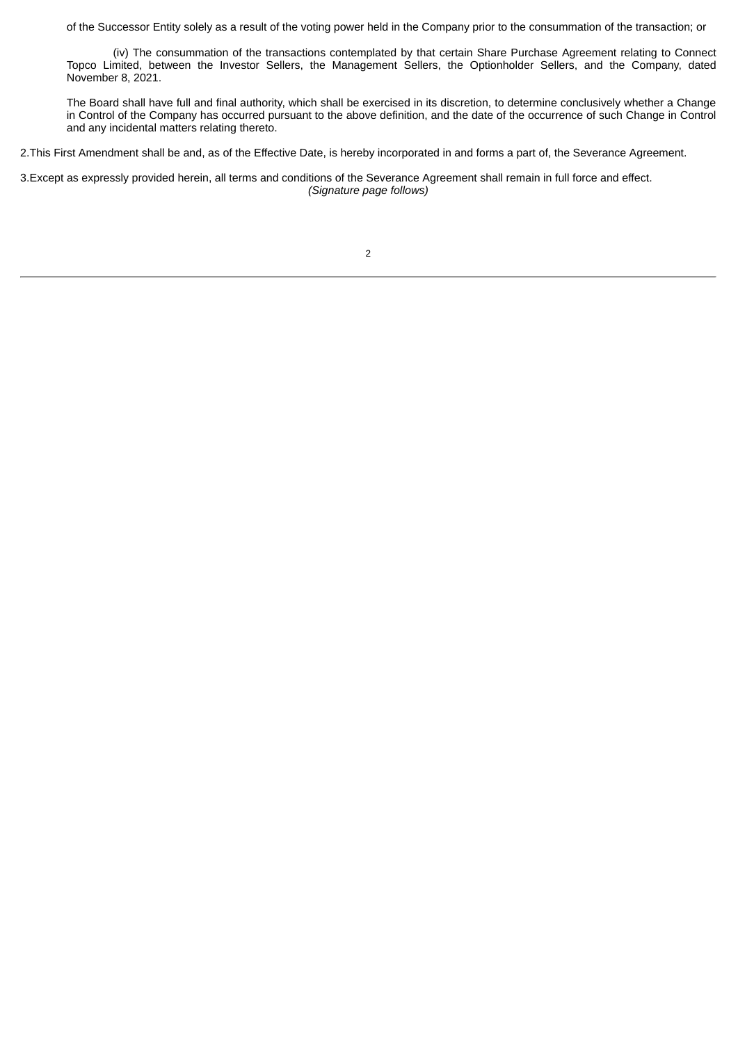of the Successor Entity solely as a result of the voting power held in the Company prior to the consummation of the transaction; or

(iv) The consummation of the transactions contemplated by that certain Share Purchase Agreement relating to Connect Topco Limited, between the Investor Sellers, the Management Sellers, the Optionholder Sellers, and the Company, dated November 8, 2021.

The Board shall have full and final authority, which shall be exercised in its discretion, to determine conclusively whether a Change in Control of the Company has occurred pursuant to the above definition, and the date of the occurrence of such Change in Control and any incidental matters relating thereto.

2.This First Amendment shall be and, as of the Effective Date, is hereby incorporated in and forms a part of, the Severance Agreement.

3.Except as expressly provided herein, all terms and conditions of the Severance Agreement shall remain in full force and effect. *(Signature page follows)*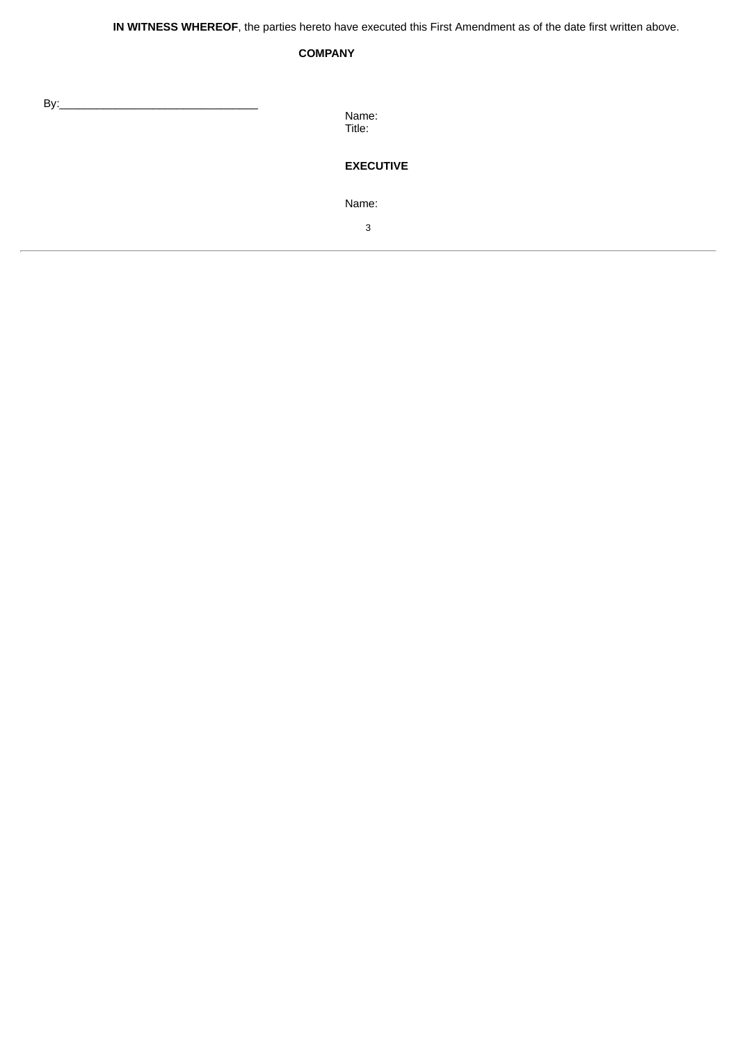# **COMPANY**

By:\_\_\_\_\_\_\_\_\_\_\_\_\_\_\_\_\_\_\_\_\_\_\_\_\_\_\_\_\_\_\_\_

Name: Title:

# **EXECUTIVE**

Name:

3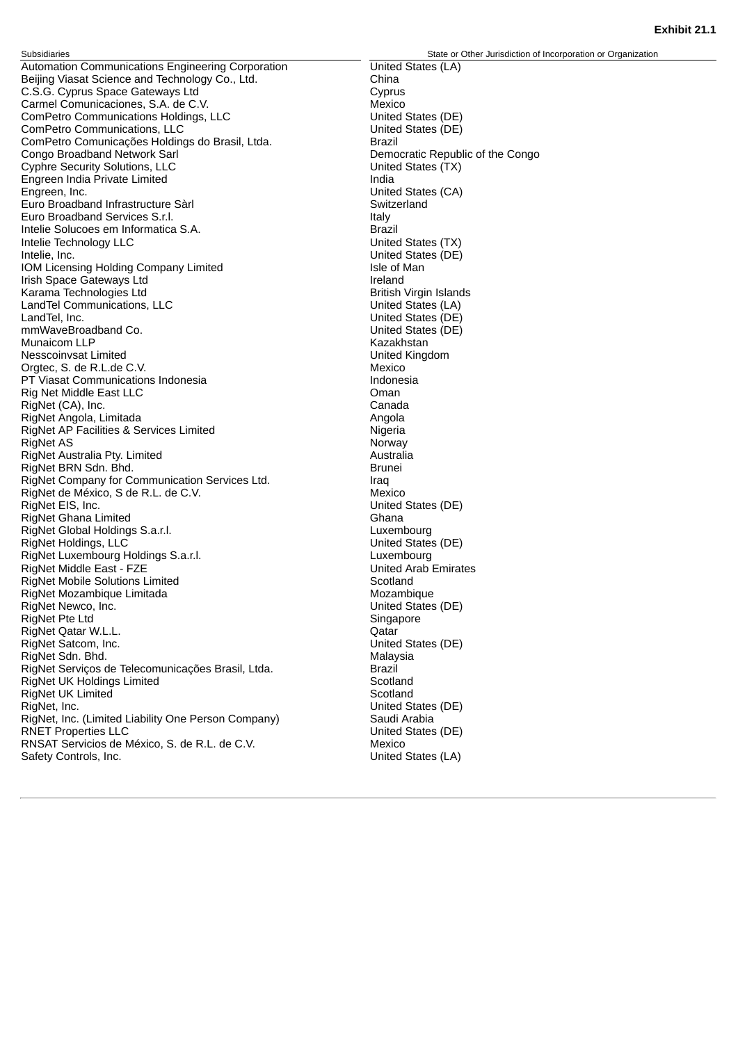Automation Communications Engineering Corporation **United States (LA)** Beijing Viasat Science and Technology Co., Ltd. China C.S.G. Cyprus Space Gateways Ltd Cyprus Carmel Comunicaciones. S.A. de C.V. Carmel Comunicaciones, S.A. de C.V.<br>
ComPetro Communications Holdings, LLC

ComPetro Communications Holdings, LLC

United States (DE) ComPetro Communications Holdings, LLC<br>
ComPetro Communications, LLC<br>
United States (DE) ComPetro Communications, LLC ComPetro Comunicações Holdings do Brasil, Ltda. Brazil Cyphre Security Solutions, LLC United States (TX) Engreen India Private Limited **India India** India Engreen, Inc. **Engreen**, Inc. Euro Broadband Infrastructure Sàrl Switzerland Euro Broadband Services S.r.l.<br>Intelie Solucoes em Informatica S.A. Intelie Solucoes em Informatica S.A. Intelie Solucoes em Informatica S.A. Brazil Intelie Technology LLC<br>Intelie. Inc. IOM Licensing Holding Company Limited<br>
Isle of Man<br>
Irish Space Gateways Ltd Irish Space Gateways Ltd<br>
Karama Technologies Ltd<br>
Karama Technologies Ltd Karama Technologies Ltd<br>
LandTel Communications, LLC<br>
United States (LA) LandTel Communications, LLC<br>LandTel. Inc. mmWaveBroadband Co. **We are also constructed States (DE)** United States (DE) Munaicom LLP **Kazakhstan** Nesscoinvsat Limited **Nesscoinvsat Limited Nesscoinvsat Limited Kingdom** Orgtec, S. de R.L.de C.V. **Mexico** and *C.V.* Mexico PT Viasat Communications Indonesia **Indonesia** Indonesia Rig Net Middle East LLC **Canadian Community** Coman RigNet (CA), Inc. Canada RigNet Angola, Limitada Angola Angola RigNet AP Facilities & Services Limited Nigeria RigNet AS Norway RigNet Australia Ptv. Limited RigNet BRN Sdn. Bhd. **Brunei** Brunei RigNet Company for Communication Services Ltd. **Installer** Iraq RigNet de México, S de R.L. de C.V. Mexico RigNet EIS, Inc. United States (DE) RigNet Ghana Limited<br>RigNet Global Holdings S.a.r.l. Chana Ghana Ghana Chana Chana Chana Chana Chana Chana Chana Chana Chana Chana<br>Chana Chana Chana Chana Chana Chana Chana Chana Chana Chana Chana Chana Chana Chana Chana C RigNet Global Holdings S.a.r.l. RigNet Holdings, LLC and the Community of the United States (DE) RigNet Luxembourg Holdings S.a.r.l. Luxembourg RigNet Middle East - FZE RigNet Mobile Solutions Limited Scotland Scotland RigNet Mozambique Limitada<br>
RigNet Newco, Inc. (Inc. 2008) And Mozambique Mozambique (DE) RigNet Newco, Inc. United States (DE) RigNet Pte Ltd<br>
RigNet Qatar W.L.L.<br>
Oatar RigNet Qatar W.L.L.<br>RigNet Satcom, Inc. RigNet Sdn. Bhd.<br>RigNet Servicos de Telecomunicações Brasil, Ltda. Brazil RigNet Serviços de Telecomunicações Brasil, Ltda. RigNet UK Holdings Limited Scotland RigNet UK Limited Scotland RigNet, Inc. United States (DE) RigNet, Inc. (Limited Liability One Person Company) Saudi Arabia<br>RNET Properties LLC<br>United States (DE) RNET Properties LLC<br>
RNSAT Servicios de México. S. de R.L. de C.V.<br>
Mexico RNSAT Servicios de México, S. de R.L. de C.V. Safety Controls, Inc. **Example 20 and States (LA)** United States (LA)

Democratic Republic of the Congo United States (DE) United States (DE) United States (DE)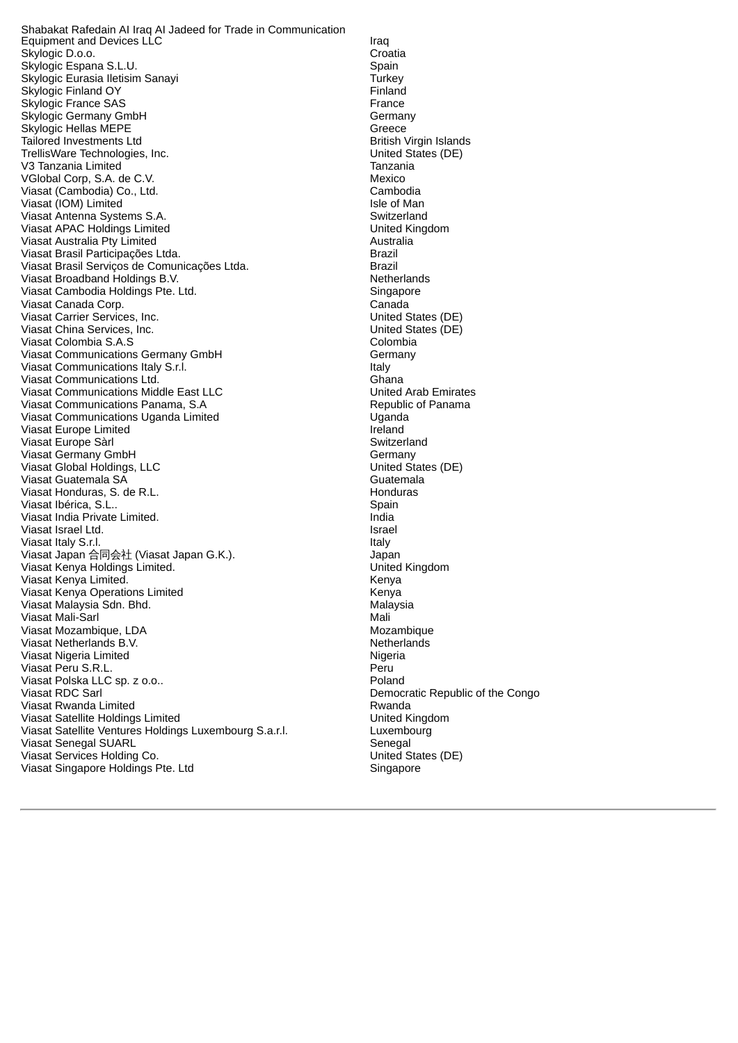Shabakat Rafedain AI Iraq AI Jadeed for Trade in Communication Equipment and Devices LLC Iraq Skylogic D.o.o. Skylogic Espana S.L.U. Skylogic Espana S.L.U. Skylogic Eurasia Iletisim Sanayi Turkey Skylogic Finland OY **Finland** Skylogic France SAS France SAS France SAS Skylogic Germany GmbH Germany GmbH Germany Skylogic Hellas MEPE<br>
Tailored Investments Ltd<br>
Tailored Investments Ltd Tailored Investments Ltd TrellisWare Technologies, Inc. TrellisWare Technologies, Inc. The United States (DE) V3 Tanzania Limited **Tanzania Limited** Tanzania VGlobal Corp, S.A. de C.V. **Mexico** Mexico Viasat (Cambodia) Co., Ltd. Cambodia Viasat (IOM) Limited **Isle of Man** Viasat Antenna Systems S.A. Switzerland Systems S.A. Switzerland Viasat APAC Holdings Limited **Viasat APAC Holdings Limited Community** Control of Museum Community Community Community Community Community Community Community Community Community Community Community Community Community Comm Viasat Australia Pty Limited<br>Viasat Brasil Participacões Ltda. Australia Australia Australia Viasat Brasil Participações Ltda. Viasat Brasil Serviços de Comunicações Ltda. Brazil Viasat Broadband Holdings B.V. Viasat Cambodia Holdings Pte. Ltd. Singapore Viasat Canada Corp.<br>
Viasat Carrier Services, Inc. 
(2008) Canada Corp. Canada Carrier Services, Inc. (2008) Canada Carrier Services, Inc. Viasat Carrier Services, Inc. Viasat China Services, Inc. United States (DE) Viasat Colombia S.A.S Viasat Communications Germany GmbH<br>
Viasat Communications Italy S.r.l.<br>
Italy Management Communications Italy S.r.l. Viasat Communications Italy S.r.l. Viasat Communications Ltd.<br>
Viasat Communications Middle East LLC<br>
Viasat Communications Middle East LLC<br>
Ghana Ghanachara Communications Middle East LLC Viasat Communications Middle East LLC<br>
Viasat Communications Panama, S.A<br>
Pepublic of Panama Viasat Communications Panama, S.A<br>
Viasat Communications Uganda Limited<br>
Uganda Viasat Communications Uganda Limited<br>Viasat Europe Limited Viasat Europe Limited Viasat Europe Limited<br>
Viasat Europe Sàrl<br>
Viasat Europe Sàrl Viasat Europe Sàrl Viasat Germany GmbH<br>
Viasat Global Holdings, LLC<br>
Viasat Global Holdings, LLC Viasat Global Holdings, LLC<br>
Viasat Guatemala SA<br>
United States (De) Viasat Guatemala SA Viasat Honduras, S. de R.L. Services and States and Honduras Viasat Ibérica, S.L.. Spain (1999) and the spain spain spain spain spain spain spain spain spain spain spain spain Viasat India Private Limited. **India** India Viasat Israel Ltd. Israel Viasat Italy S.r.l. Viasat Japan 合同会社 (Viasat Japan G.K.). Japan Viasat Kenya Holdings Limited. Viasat Kenya Limited. Kenya Viasat Kenya Operations Limited Kenya Viasat Malaysia Sdn. Bhd. Malaysia Sdn. Bhd. Malaysia Shahar Malaysia Shahar Malaysia Shahar Malaysia Shahar M<br>Malaysia Sari Malaysia Shahar Malaysia Shahar Malaysia Shahar Malaysia Shahar Malaysia Shahar Malaysia Shahar Viasat Mali-Sarl Mali Viasat Mozambique, LDA<br>
Viasat Netherlands B.V.<br>
Metherlands B.V. Viasat Netherlands B.V. Viasat Nigeria Limited Nigeria Nigeria Viasat Peru S.R.L. Peru Viasat Polska LLC sp. z o.o.. Poland Viasat Poland Viasat RDC Sarl Viasat Rwanda Limited<br>
Viasat Satellite Holdings Limited<br>
Viasat Satellite Holdings Limited Viasat Satellite Holdings Limited<br>
Viasat Satellite Ventures Holdings Luxembourg S.a.r.l.<br>
Luxembourg Viasat Satellite Ventures Holdings Luxembourg S.a.r.l. **Luxembourg S.a.r.l.** Luxembourg S.a.r.l. Senegal Viasat Senegal SUARL COMEN CONSUMING THE SENEGAL SENEGAL SENEGAL SENEGAL SENEGAL SENEGAL SENEGAL SENEGAL SENEG<br>
Viasat Services Holding Co. Viasat Services Holding Co.<br>
Viasat Singapore Holdings Pte. Ltd<br>
Viasat Singapore Holdings Pte. Ltd Viasat Singapore Holdings Pte. Ltd

Democratic Republic of the Congo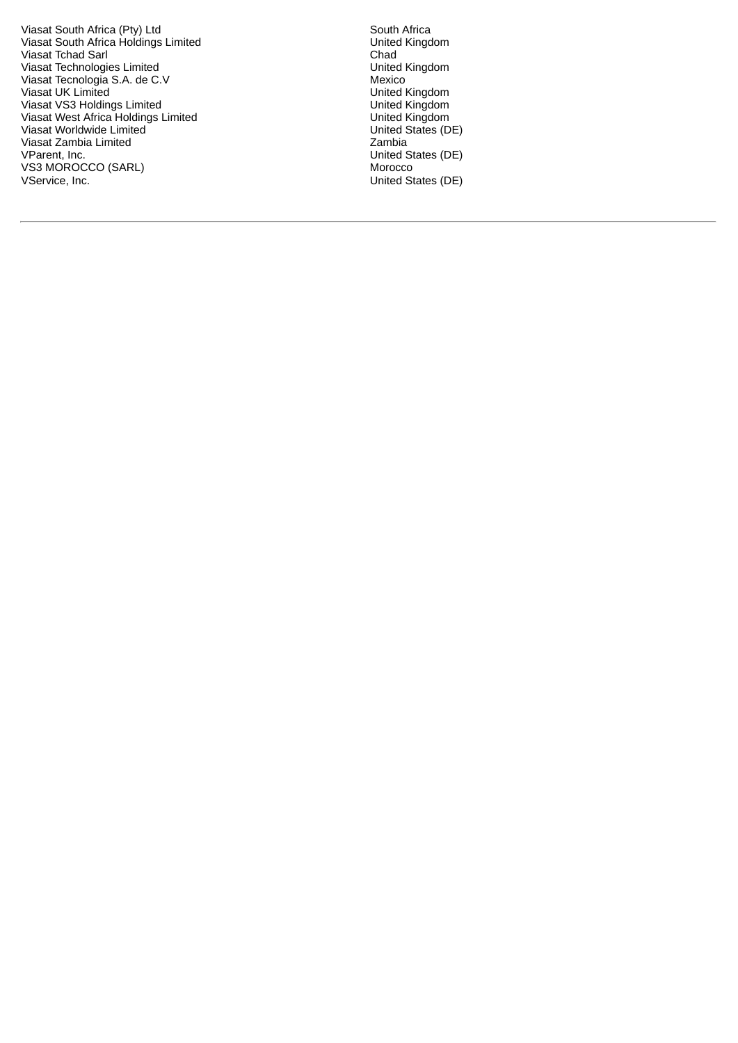Viasat South Africa (Pty) Ltd Viasat South Africa Holdings Limited Viasat Tchad Sarl **Channel Community Community** Channel Channel Channel Channel Channel Channel Channel Channel Ch Viasat Technologies Limited Viasat Tecnologia S.A. de C.V Viasat UK Limited Viasat VS3 Holdings Limited Viasat West Africa Holdings Limited Viasat Worldwide Limited Viasat Zambia Limited VParent, Ind c. Unletted the contract of the contract of the contract of the contract of the contract of the contract of the contract of the contract of the contract of the contract of the contract of the contract of the contract of th VS3 MOROCCO (SARL) VService, Ind c. Unletted the contract of the contract of the contract of the contract of the contract of the contract of the contract of the contract of the contract of the contract of the contract of the contract of the contract of th

South Africa United Kingdom h a d United Kingdom M e xic o United Kingdom United Kingdom United Kingdom United States (DE) Z a m bia nited States (DE) Morocco nited States (DE)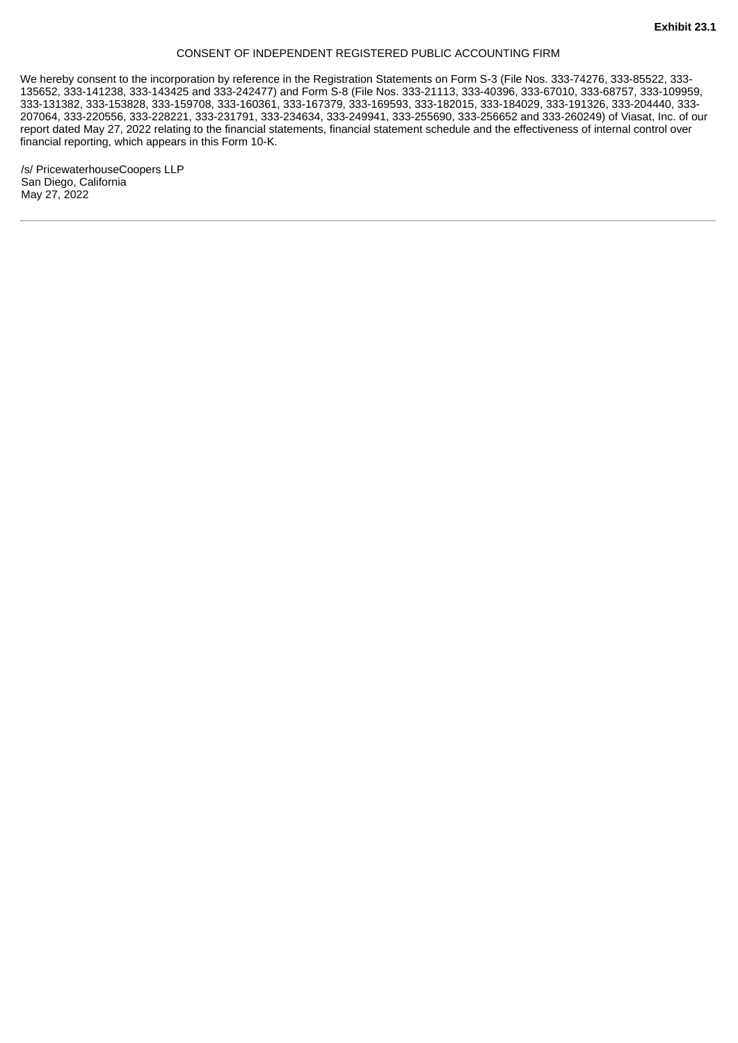## CONSENT OF INDEPENDENT REGISTERED PUBLIC ACCOUNTING FIRM

We hereby consent to the incorporation by reference in the Registration Statements on Form S-3 (File Nos. 333-74276, 333-85522, 333-135652, 333-141238, 333-143425 and 333-242477) and Form S-8 (File Nos. 333-21113, 333-40396, 333-67010, 333-68757, 333-109959, 333-131382, 333-153828, 333-159708, 333-160361, 333-167379, 333-169593, 333-182015, 333-184029, 333-191326, 333-204440, 333- 207064, 333-220556, 333-228221, 333-231791, 333-234634, 333-249941, 333-255690, 333-256652 and 333-260249) of Viasat, Inc. of our report dated May 27, 2022 relating to the financial statements, financial statement schedule and the effectiveness of internal control over financial reporting, which appears in this Form 10-K.

/s/ PricewaterhouseCoopers LLP San Diego, California May 27, 2022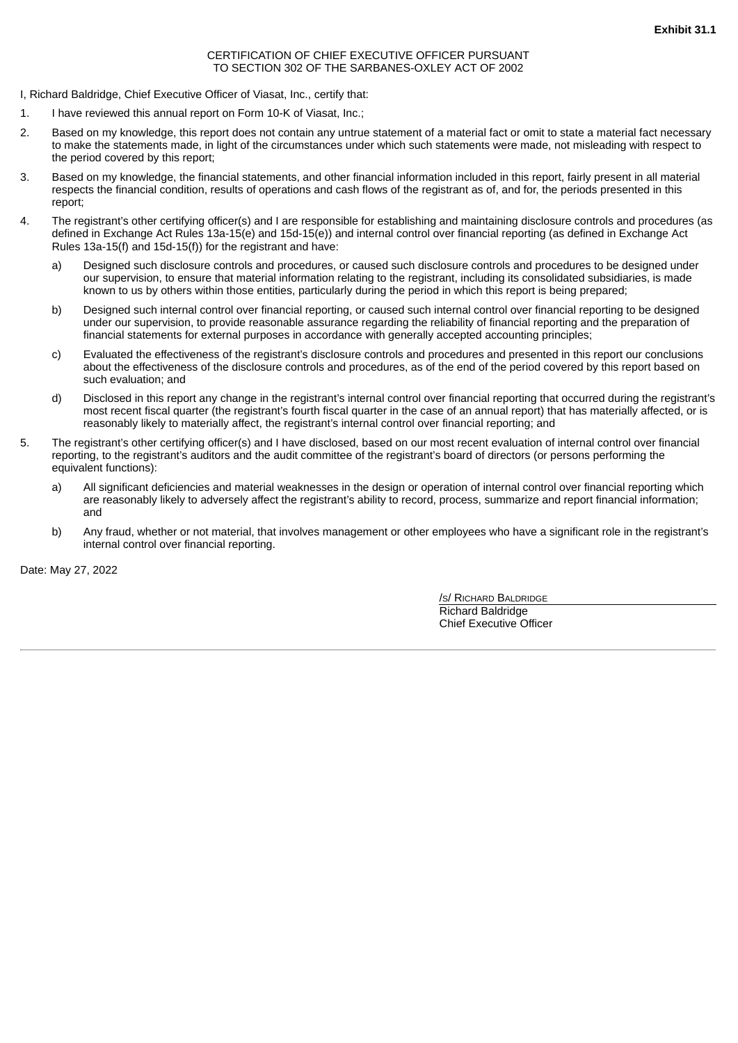## CERTIFICATION OF CHIEF EXECUTIVE OFFICER PURSUANT TO SECTION 302 OF THE SARBANES-OXLEY ACT OF 2002

- I, Richard Baldridge, Chief Executive Officer of Viasat, Inc., certify that:
- 1. I have reviewed this annual report on Form 10-K of Viasat, Inc.;
- 2. Based on my knowledge, this report does not contain any untrue statement of a material fact or omit to state a material fact necessary to make the statements made, in light of the circumstances under which such statements were made, not misleading with respect to the period covered by this report;
- 3. Based on my knowledge, the financial statements, and other financial information included in this report, fairly present in all material respects the financial condition, results of operations and cash flows of the registrant as of, and for, the periods presented in this report;
- 4. The registrant's other certifying officer(s) and I are responsible for establishing and maintaining disclosure controls and procedures (as defined in Exchange Act Rules 13a-15(e) and 15d-15(e)) and internal control over financial reporting (as defined in Exchange Act Rules 13a-15(f) and 15d-15(f)) for the registrant and have:
	- a) Designed such disclosure controls and procedures, or caused such disclosure controls and procedures to be designed under our supervision, to ensure that material information relating to the registrant, including its consolidated subsidiaries, is made known to us by others within those entities, particularly during the period in which this report is being prepared;
	- b) Designed such internal control over financial reporting, or caused such internal control over financial reporting to be designed under our supervision, to provide reasonable assurance regarding the reliability of financial reporting and the preparation of financial statements for external purposes in accordance with generally accepted accounting principles;
	- c) Evaluated the effectiveness of the registrant's disclosure controls and procedures and presented in this report our conclusions about the effectiveness of the disclosure controls and procedures, as of the end of the period covered by this report based on such evaluation; and
	- d) Disclosed in this report any change in the registrant's internal control over financial reporting that occurred during the registrant's most recent fiscal quarter (the registrant's fourth fiscal quarter in the case of an annual report) that has materially affected, or is reasonably likely to materially affect, the registrant's internal control over financial reporting; and
- 5. The registrant's other certifying officer(s) and I have disclosed, based on our most recent evaluation of internal control over financial reporting, to the registrant's auditors and the audit committee of the registrant's board of directors (or persons performing the equivalent functions):
	- a) All significant deficiencies and material weaknesses in the design or operation of internal control over financial reporting which are reasonably likely to adversely affect the registrant's ability to record, process, summarize and report financial information; and
	- b) Any fraud, whether or not material, that involves management or other employees who have a significant role in the registrant's internal control over financial reporting.

Date: May 27, 2022

/S/ RICHARD BALDRIDGE Richard Baldridge Chief Executive Officer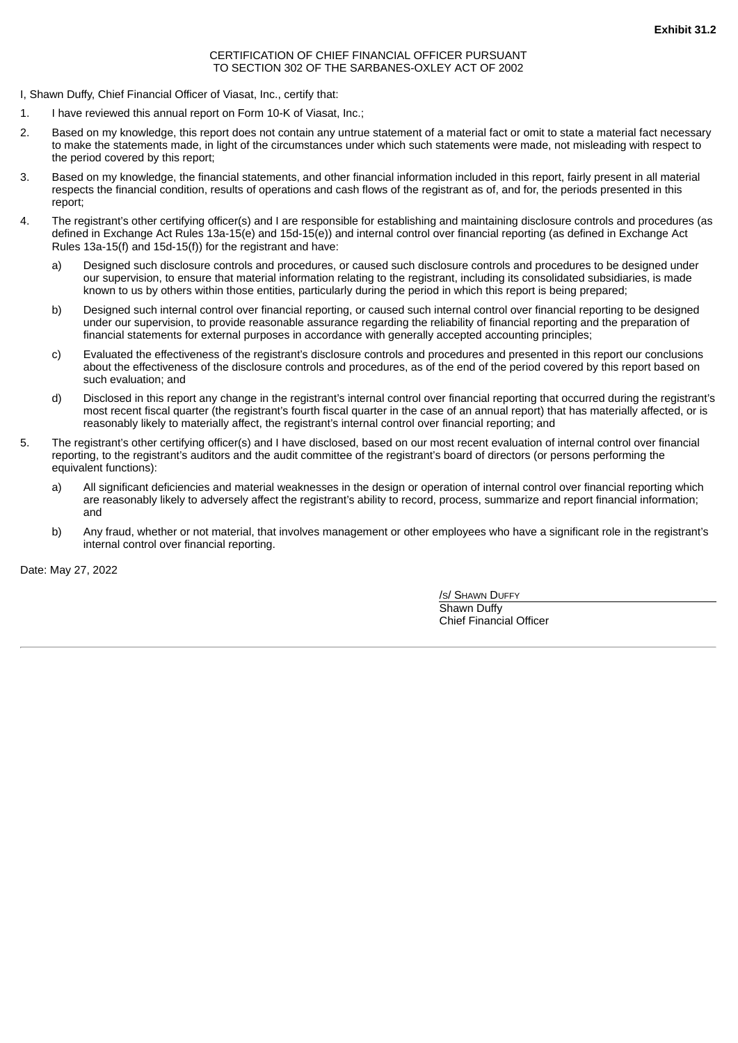## CERTIFICATION OF CHIEF FINANCIAL OFFICER PURSUANT TO SECTION 302 OF THE SARBANES-OXLEY ACT OF 2002

I, Shawn Duffy, Chief Financial Officer of Viasat, Inc., certify that:

- 1. I have reviewed this annual report on Form 10-K of Viasat, Inc.;
- 2. Based on my knowledge, this report does not contain any untrue statement of a material fact or omit to state a material fact necessary to make the statements made, in light of the circumstances under which such statements were made, not misleading with respect to the period covered by this report;
- 3. Based on my knowledge, the financial statements, and other financial information included in this report, fairly present in all material respects the financial condition, results of operations and cash flows of the registrant as of, and for, the periods presented in this report;
- 4. The registrant's other certifying officer(s) and I are responsible for establishing and maintaining disclosure controls and procedures (as defined in Exchange Act Rules 13a-15(e) and 15d-15(e)) and internal control over financial reporting (as defined in Exchange Act Rules 13a-15(f) and 15d-15(f)) for the registrant and have:
	- a) Designed such disclosure controls and procedures, or caused such disclosure controls and procedures to be designed under our supervision, to ensure that material information relating to the registrant, including its consolidated subsidiaries, is made known to us by others within those entities, particularly during the period in which this report is being prepared;
	- b) Designed such internal control over financial reporting, or caused such internal control over financial reporting to be designed under our supervision, to provide reasonable assurance regarding the reliability of financial reporting and the preparation of financial statements for external purposes in accordance with generally accepted accounting principles;
	- c) Evaluated the effectiveness of the registrant's disclosure controls and procedures and presented in this report our conclusions about the effectiveness of the disclosure controls and procedures, as of the end of the period covered by this report based on such evaluation; and
	- d) Disclosed in this report any change in the registrant's internal control over financial reporting that occurred during the registrant's most recent fiscal quarter (the registrant's fourth fiscal quarter in the case of an annual report) that has materially affected, or is reasonably likely to materially affect, the registrant's internal control over financial reporting; and
- 5. The registrant's other certifying officer(s) and I have disclosed, based on our most recent evaluation of internal control over financial reporting, to the registrant's auditors and the audit committee of the registrant's board of directors (or persons performing the equivalent functions):
	- a) All significant deficiencies and material weaknesses in the design or operation of internal control over financial reporting which are reasonably likely to adversely affect the registrant's ability to record, process, summarize and report financial information; and
	- b) Any fraud, whether or not material, that involves management or other employees who have a significant role in the registrant's internal control over financial reporting.

Date: May 27, 2022

/S/ SHAWN DUFFY Shawn Duffy Chief Financial Officer